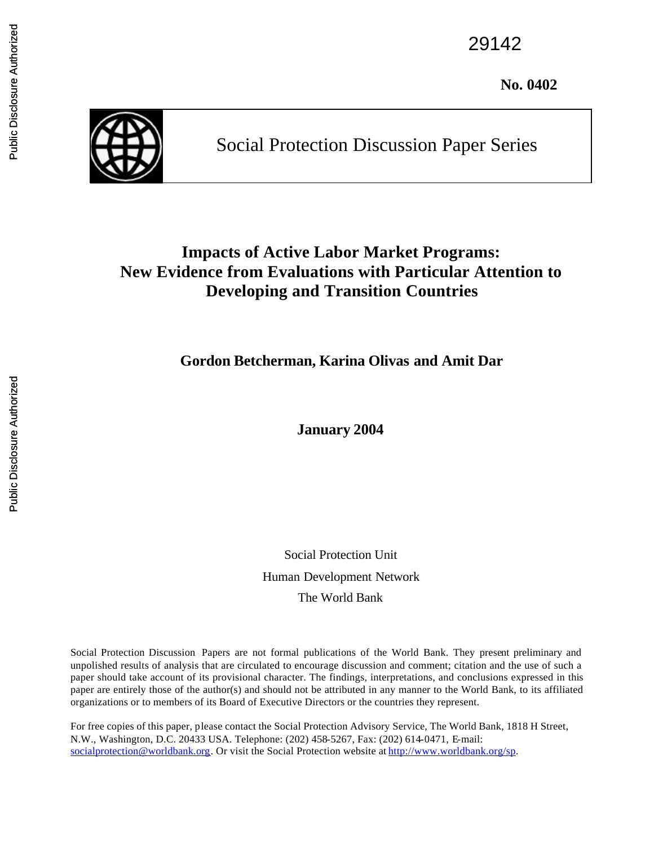29142

**No. 0402**



Social Protection Discussion Paper Series

## **Impacts of Active Labor Market Programs: New Evidence from Evaluations with Particular Attention to Developing and Transition Countries**

## **Gordon Betcherman, Karina Olivas and Amit Dar**

**January 2004**

Social Protection Unit Human Development Network The World Bank

Social Protection Discussion Papers are not formal publications of the World Bank. They present preliminary and unpolished results of analysis that are circulated to encourage discussion and comment; citation and the use of such a paper should take account of its provisional character. The findings, interpretations, and conclusions expressed in this paper are entirely those of the author(s) and should not be attributed in any manner to the World Bank, to its affiliated organizations or to members of its Board of Executive Directors or the countries they represent.

For free copies of this paper, please contact the Social Protection Advisory Service, The World Bank, 1818 H Street, N.W., Washington, D.C. 20433 USA. Telephone: (202) 458-5267, Fax: (202) 614-0471, E-mail: socialprotection@worldbank.org. Or visit the Social Protection website at [http://www.worldbank.org/sp.](http://www.worldbank.org/sp)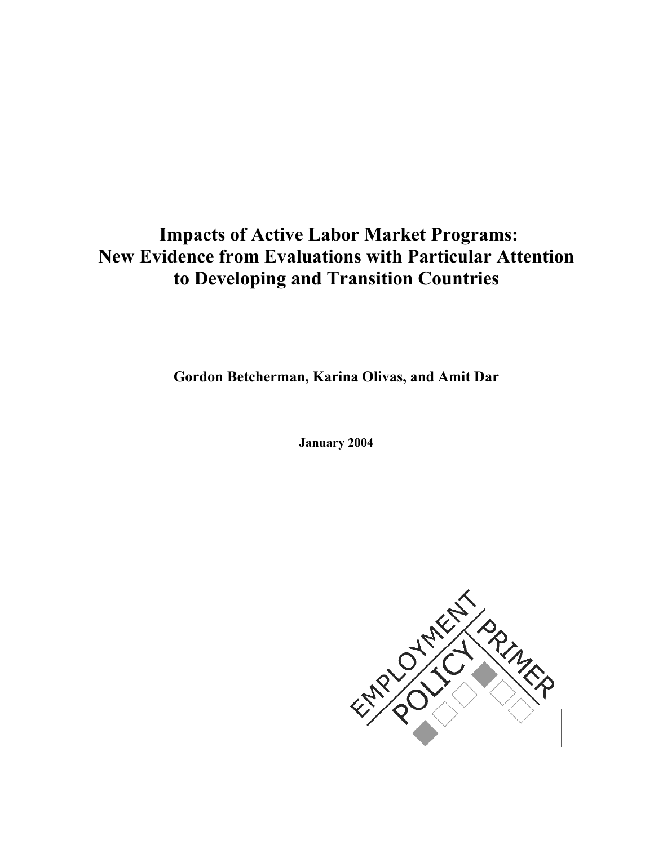# **Impacts of Active Labor Market Programs: New Evidence from Evaluations with Particular Attention to Developing and Transition Countries**

**Gordon Betcherman, Karina Olivas, and Amit Dar**

**January 2004** 

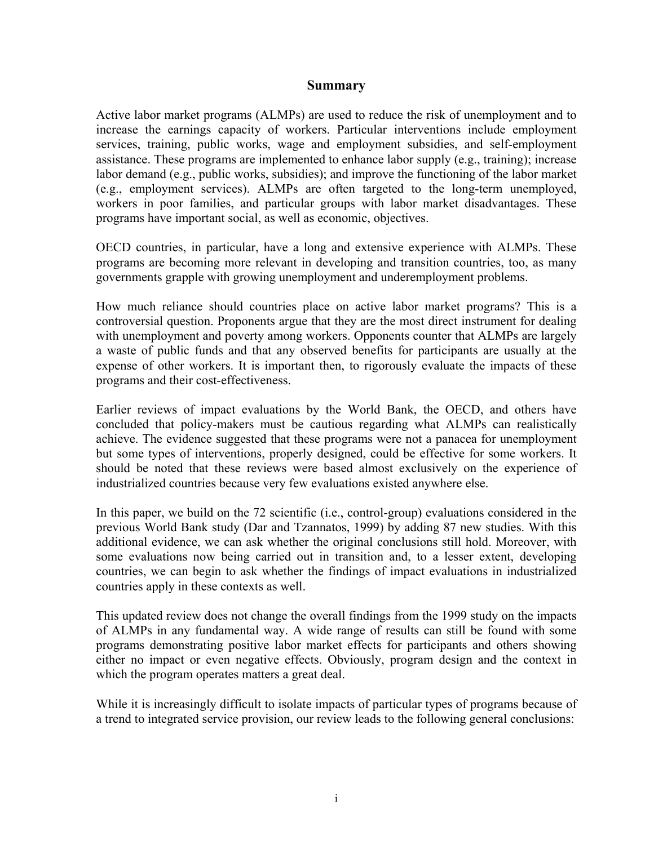## **Summary**

Active labor market programs (ALMPs) are used to reduce the risk of unemployment and to increase the earnings capacity of workers. Particular interventions include employment services, training, public works, wage and employment subsidies, and self-employment assistance. These programs are implemented to enhance labor supply (e.g., training); increase labor demand (e.g., public works, subsidies); and improve the functioning of the labor market (e.g., employment services). ALMPs are often targeted to the long-term unemployed, workers in poor families, and particular groups with labor market disadvantages. These programs have important social, as well as economic, objectives.

OECD countries, in particular, have a long and extensive experience with ALMPs. These programs are becoming more relevant in developing and transition countries, too, as many governments grapple with growing unemployment and underemployment problems.

How much reliance should countries place on active labor market programs? This is a controversial question. Proponents argue that they are the most direct instrument for dealing with unemployment and poverty among workers. Opponents counter that ALMPs are largely a waste of public funds and that any observed benefits for participants are usually at the expense of other workers. It is important then, to rigorously evaluate the impacts of these programs and their cost-effectiveness.

Earlier reviews of impact evaluations by the World Bank, the OECD, and others have concluded that policy-makers must be cautious regarding what ALMPs can realistically achieve. The evidence suggested that these programs were not a panacea for unemployment but some types of interventions, properly designed, could be effective for some workers. It should be noted that these reviews were based almost exclusively on the experience of industrialized countries because very few evaluations existed anywhere else.

In this paper, we build on the 72 scientific (i.e., control-group) evaluations considered in the previous World Bank study (Dar and Tzannatos, 1999) by adding 87 new studies. With this additional evidence, we can ask whether the original conclusions still hold. Moreover, with some evaluations now being carried out in transition and, to a lesser extent, developing countries, we can begin to ask whether the findings of impact evaluations in industrialized countries apply in these contexts as well.

This updated review does not change the overall findings from the 1999 study on the impacts of ALMPs in any fundamental way. A wide range of results can still be found with some programs demonstrating positive labor market effects for participants and others showing either no impact or even negative effects. Obviously, program design and the context in which the program operates matters a great deal.

While it is increasingly difficult to isolate impacts of particular types of programs because of a trend to integrated service provision, our review leads to the following general conclusions: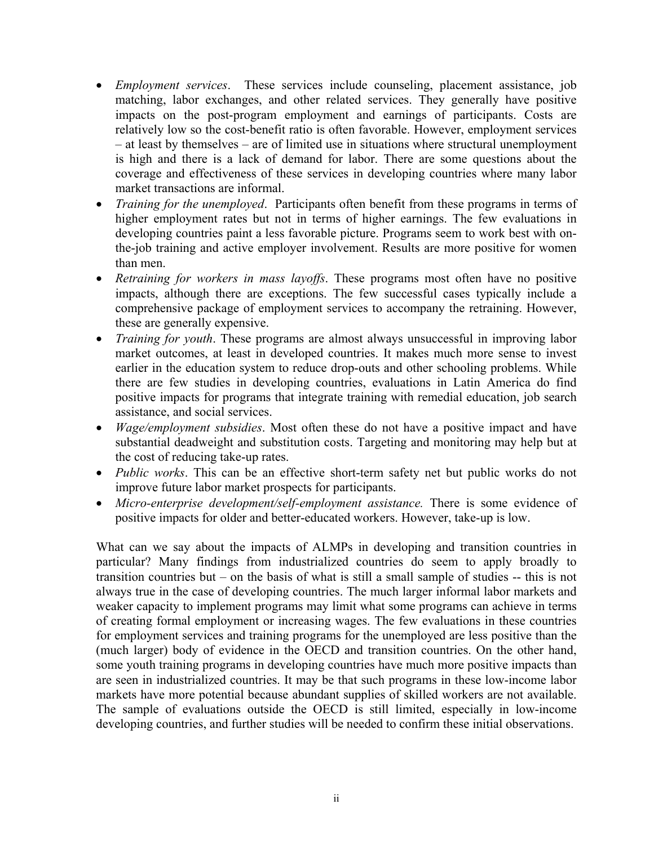- *Employment services*. These services include counseling, placement assistance, job matching, labor exchanges, and other related services. They generally have positive impacts on the post-program employment and earnings of participants. Costs are relatively low so the cost-benefit ratio is often favorable. However, employment services – at least by themselves – are of limited use in situations where structural unemployment is high and there is a lack of demand for labor. There are some questions about the coverage and effectiveness of these services in developing countries where many labor market transactions are informal.
- *Training for the unemployed*. Participants often benefit from these programs in terms of higher employment rates but not in terms of higher earnings. The few evaluations in developing countries paint a less favorable picture. Programs seem to work best with onthe-job training and active employer involvement. Results are more positive for women than men.
- *Retraining for workers in mass layoffs*. These programs most often have no positive impacts, although there are exceptions. The few successful cases typically include a comprehensive package of employment services to accompany the retraining. However, these are generally expensive.
- *Training for youth*. These programs are almost always unsuccessful in improving labor market outcomes, at least in developed countries. It makes much more sense to invest earlier in the education system to reduce drop-outs and other schooling problems. While there are few studies in developing countries, evaluations in Latin America do find positive impacts for programs that integrate training with remedial education, job search assistance, and social services.
- *Wage/employment subsidies*. Most often these do not have a positive impact and have substantial deadweight and substitution costs. Targeting and monitoring may help but at the cost of reducing take-up rates.
- *Public works*. This can be an effective short-term safety net but public works do not improve future labor market prospects for participants.
- *Micro-enterprise development/self-employment assistance*. There is some evidence of positive impacts for older and better-educated workers. However, take-up is low.

What can we say about the impacts of ALMPs in developing and transition countries in particular? Many findings from industrialized countries do seem to apply broadly to transition countries but – on the basis of what is still a small sample of studies -- this is not always true in the case of developing countries. The much larger informal labor markets and weaker capacity to implement programs may limit what some programs can achieve in terms of creating formal employment or increasing wages. The few evaluations in these countries for employment services and training programs for the unemployed are less positive than the (much larger) body of evidence in the OECD and transition countries. On the other hand, some youth training programs in developing countries have much more positive impacts than are seen in industrialized countries. It may be that such programs in these low-income labor markets have more potential because abundant supplies of skilled workers are not available. The sample of evaluations outside the OECD is still limited, especially in low-income developing countries, and further studies will be needed to confirm these initial observations.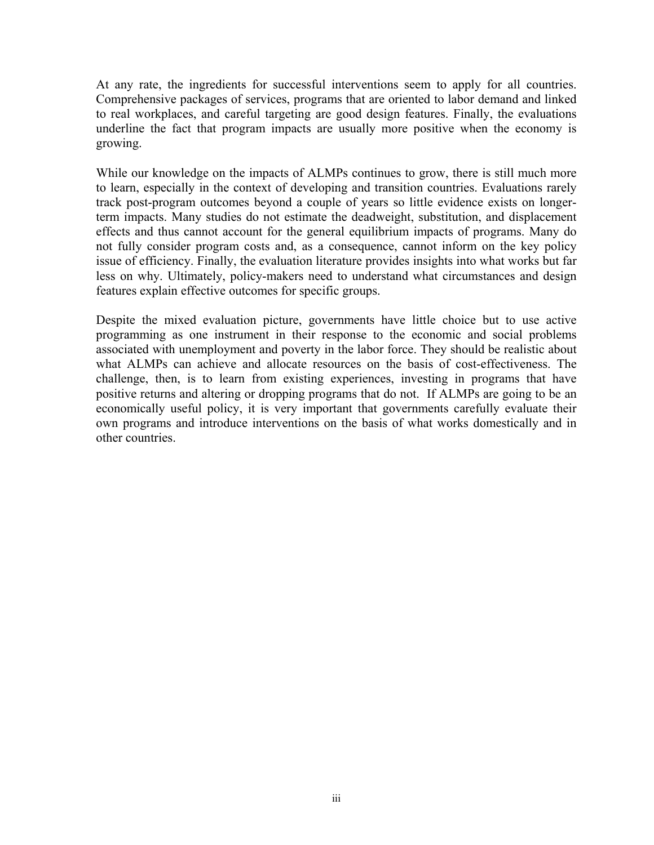At any rate, the ingredients for successful interventions seem to apply for all countries. Comprehensive packages of services, programs that are oriented to labor demand and linked to real workplaces, and careful targeting are good design features. Finally, the evaluations underline the fact that program impacts are usually more positive when the economy is growing.

While our knowledge on the impacts of ALMPs continues to grow, there is still much more to learn, especially in the context of developing and transition countries. Evaluations rarely track post-program outcomes beyond a couple of years so little evidence exists on longerterm impacts. Many studies do not estimate the deadweight, substitution, and displacement effects and thus cannot account for the general equilibrium impacts of programs. Many do not fully consider program costs and, as a consequence, cannot inform on the key policy issue of efficiency. Finally, the evaluation literature provides insights into what works but far less on why. Ultimately, policy-makers need to understand what circumstances and design features explain effective outcomes for specific groups.

Despite the mixed evaluation picture, governments have little choice but to use active programming as one instrument in their response to the economic and social problems associated with unemployment and poverty in the labor force. They should be realistic about what ALMPs can achieve and allocate resources on the basis of cost-effectiveness. The challenge, then, is to learn from existing experiences, investing in programs that have positive returns and altering or dropping programs that do not. If ALMPs are going to be an economically useful policy, it is very important that governments carefully evaluate their own programs and introduce interventions on the basis of what works domestically and in other countries.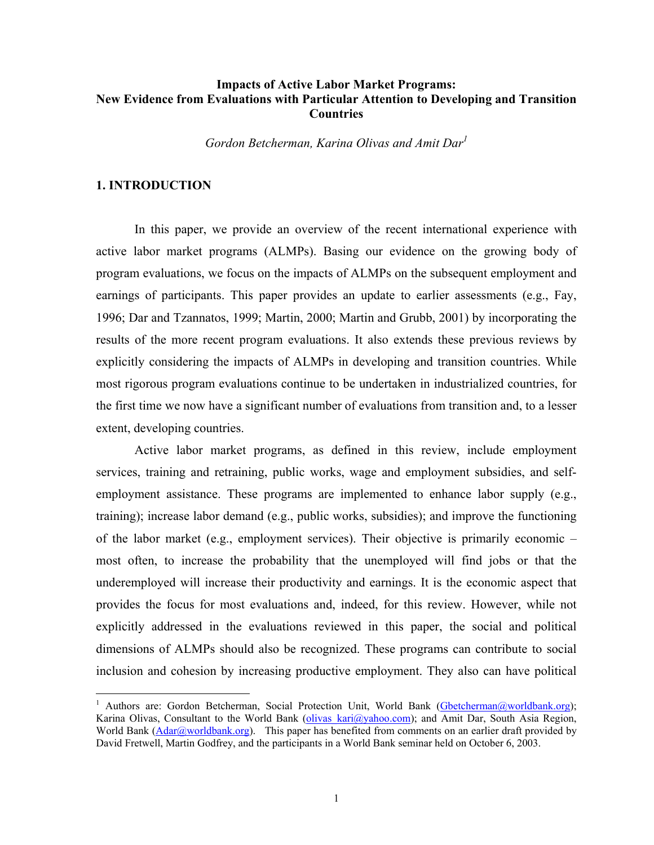## **Impacts of Active Labor Market Programs: New Evidence from Evaluations with Particular Attention to Developing and Transition Countries**

*Gordon Betcherman, Karina Olivas and Amit Dar1*

#### **1. INTRODUCTION**

 $\overline{a}$ 

In this paper, we provide an overview of the recent international experience with active labor market programs (ALMPs). Basing our evidence on the growing body of program evaluations, we focus on the impacts of ALMPs on the subsequent employment and earnings of participants. This paper provides an update to earlier assessments (e.g., Fay, 1996; Dar and Tzannatos, 1999; Martin, 2000; Martin and Grubb, 2001) by incorporating the results of the more recent program evaluations. It also extends these previous reviews by explicitly considering the impacts of ALMPs in developing and transition countries. While most rigorous program evaluations continue to be undertaken in industrialized countries, for the first time we now have a significant number of evaluations from transition and, to a lesser extent, developing countries.

Active labor market programs, as defined in this review, include employment services, training and retraining, public works, wage and employment subsidies, and selfemployment assistance. These programs are implemented to enhance labor supply (e.g., training); increase labor demand (e.g., public works, subsidies); and improve the functioning of the labor market (e.g., employment services). Their objective is primarily economic – most often, to increase the probability that the unemployed will find jobs or that the underemployed will increase their productivity and earnings. It is the economic aspect that provides the focus for most evaluations and, indeed, for this review. However, while not explicitly addressed in the evaluations reviewed in this paper, the social and political dimensions of ALMPs should also be recognized. These programs can contribute to social inclusion and cohesion by increasing productive employment. They also can have political

<sup>&</sup>lt;sup>1</sup> Authors are: Gordon Betcherman, Social Protection Unit, World Bank (Gbetcherman@worldbank.org); Karina Olivas, Consultant to the World Bank (olivas  $kari@yahoo.com$ ); and Amit Dar, South Asia Region, World Bank (Adar@worldbank.org). This paper has benefited from comments on an earlier draft provided by David Fretwell, Martin Godfrey, and the participants in a World Bank seminar held on October 6, 2003.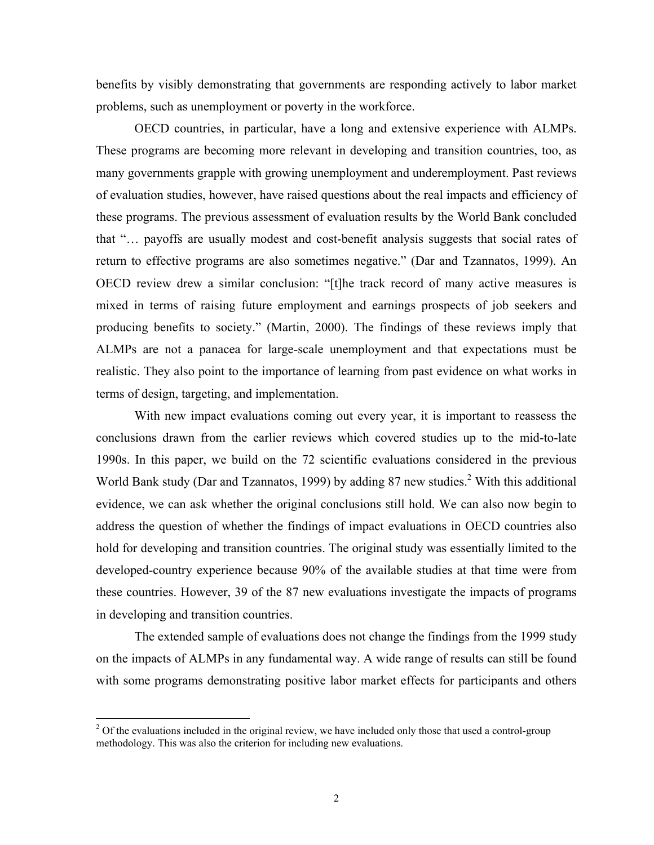benefits by visibly demonstrating that governments are responding actively to labor market problems, such as unemployment or poverty in the workforce.

OECD countries, in particular, have a long and extensive experience with ALMPs. These programs are becoming more relevant in developing and transition countries, too, as many governments grapple with growing unemployment and underemployment. Past reviews of evaluation studies, however, have raised questions about the real impacts and efficiency of these programs. The previous assessment of evaluation results by the World Bank concluded that "… payoffs are usually modest and cost-benefit analysis suggests that social rates of return to effective programs are also sometimes negative." (Dar and Tzannatos, 1999). An OECD review drew a similar conclusion: "[t]he track record of many active measures is mixed in terms of raising future employment and earnings prospects of job seekers and producing benefits to society." (Martin, 2000). The findings of these reviews imply that ALMPs are not a panacea for large-scale unemployment and that expectations must be realistic. They also point to the importance of learning from past evidence on what works in terms of design, targeting, and implementation.

With new impact evaluations coming out every year, it is important to reassess the conclusions drawn from the earlier reviews which covered studies up to the mid-to-late 1990s. In this paper, we build on the 72 scientific evaluations considered in the previous World Bank study (Dar and Tzannatos, 1999) by adding 87 new studies.<sup>2</sup> With this additional evidence, we can ask whether the original conclusions still hold. We can also now begin to address the question of whether the findings of impact evaluations in OECD countries also hold for developing and transition countries. The original study was essentially limited to the developed-country experience because 90% of the available studies at that time were from these countries. However, 39 of the 87 new evaluations investigate the impacts of programs in developing and transition countries.

 The extended sample of evaluations does not change the findings from the 1999 study on the impacts of ALMPs in any fundamental way. A wide range of results can still be found with some programs demonstrating positive labor market effects for participants and others

1

 $2^2$  Of the evaluations included in the original review, we have included only those that used a control-group methodology. This was also the criterion for including new evaluations.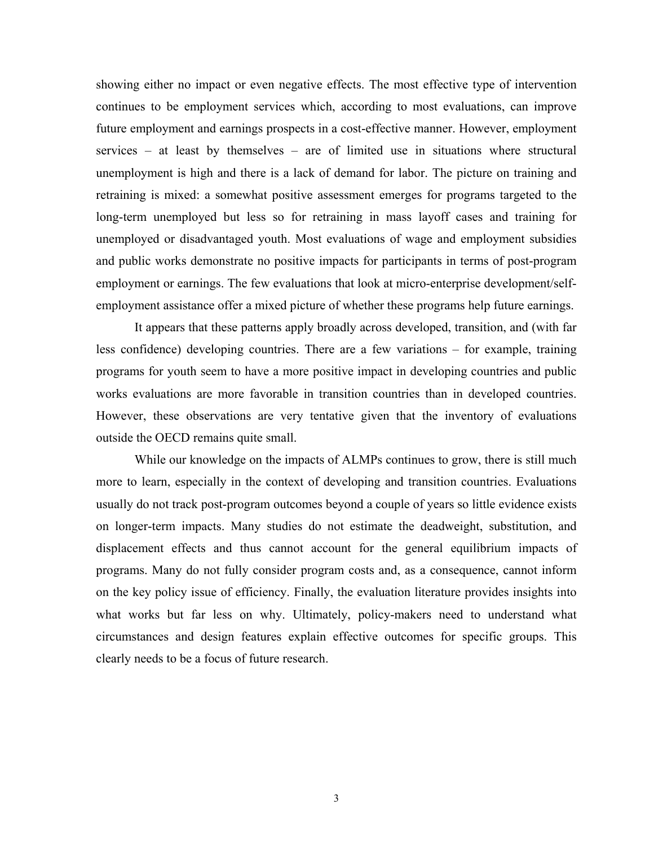showing either no impact or even negative effects. The most effective type of intervention continues to be employment services which, according to most evaluations, can improve future employment and earnings prospects in a cost-effective manner. However, employment services – at least by themselves – are of limited use in situations where structural unemployment is high and there is a lack of demand for labor. The picture on training and retraining is mixed: a somewhat positive assessment emerges for programs targeted to the long-term unemployed but less so for retraining in mass layoff cases and training for unemployed or disadvantaged youth. Most evaluations of wage and employment subsidies and public works demonstrate no positive impacts for participants in terms of post-program employment or earnings. The few evaluations that look at micro-enterprise development/selfemployment assistance offer a mixed picture of whether these programs help future earnings.

It appears that these patterns apply broadly across developed, transition, and (with far less confidence) developing countries. There are a few variations – for example, training programs for youth seem to have a more positive impact in developing countries and public works evaluations are more favorable in transition countries than in developed countries. However, these observations are very tentative given that the inventory of evaluations outside the OECD remains quite small.

While our knowledge on the impacts of ALMPs continues to grow, there is still much more to learn, especially in the context of developing and transition countries. Evaluations usually do not track post-program outcomes beyond a couple of years so little evidence exists on longer-term impacts. Many studies do not estimate the deadweight, substitution, and displacement effects and thus cannot account for the general equilibrium impacts of programs. Many do not fully consider program costs and, as a consequence, cannot inform on the key policy issue of efficiency. Finally, the evaluation literature provides insights into what works but far less on why. Ultimately, policy-makers need to understand what circumstances and design features explain effective outcomes for specific groups. This clearly needs to be a focus of future research.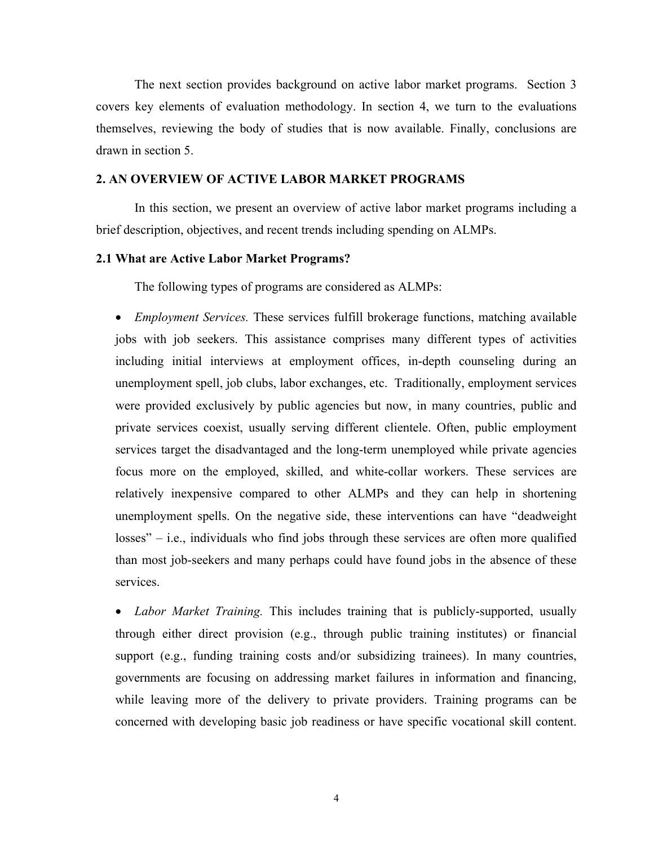The next section provides background on active labor market programs. Section 3 covers key elements of evaluation methodology. In section 4, we turn to the evaluations themselves, reviewing the body of studies that is now available. Finally, conclusions are drawn in section 5.

#### **2. AN OVERVIEW OF ACTIVE LABOR MARKET PROGRAMS**

In this section, we present an overview of active labor market programs including a brief description, objectives, and recent trends including spending on ALMPs.

#### **2.1 What are Active Labor Market Programs?**

The following types of programs are considered as ALMPs:

• *Employment Services.* These services fulfill brokerage functions, matching available jobs with job seekers. This assistance comprises many different types of activities including initial interviews at employment offices, in-depth counseling during an unemployment spell, job clubs, labor exchanges, etc. Traditionally, employment services were provided exclusively by public agencies but now, in many countries, public and private services coexist, usually serving different clientele. Often, public employment services target the disadvantaged and the long-term unemployed while private agencies focus more on the employed, skilled, and white-collar workers. These services are relatively inexpensive compared to other ALMPs and they can help in shortening unemployment spells. On the negative side, these interventions can have "deadweight losses" – i.e., individuals who find jobs through these services are often more qualified than most job-seekers and many perhaps could have found jobs in the absence of these services.

• *Labor Market Training.* This includes training that is publicly-supported, usually through either direct provision (e.g., through public training institutes) or financial support (e.g., funding training costs and/or subsidizing trainees). In many countries, governments are focusing on addressing market failures in information and financing, while leaving more of the delivery to private providers. Training programs can be concerned with developing basic job readiness or have specific vocational skill content.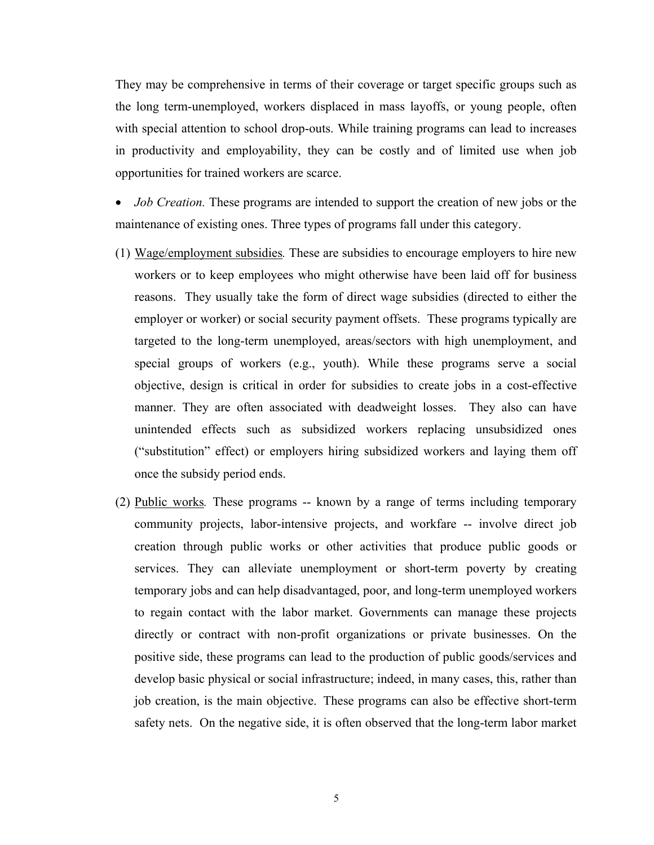They may be comprehensive in terms of their coverage or target specific groups such as the long term-unemployed, workers displaced in mass layoffs, or young people, often with special attention to school drop-outs. While training programs can lead to increases in productivity and employability, they can be costly and of limited use when job opportunities for trained workers are scarce.

• *Job Creation.* These programs are intended to support the creation of new jobs or the maintenance of existing ones. Three types of programs fall under this category.

- (1) Wage/employment subsidies*.* These are subsidies to encourage employers to hire new workers or to keep employees who might otherwise have been laid off for business reasons. They usually take the form of direct wage subsidies (directed to either the employer or worker) or social security payment offsets. These programs typically are targeted to the long-term unemployed, areas/sectors with high unemployment, and special groups of workers (e.g., youth). While these programs serve a social objective, design is critical in order for subsidies to create jobs in a cost-effective manner. They are often associated with deadweight losses. They also can have unintended effects such as subsidized workers replacing unsubsidized ones ("substitution" effect) or employers hiring subsidized workers and laying them off once the subsidy period ends.
- (2) Public works*.* These programs -- known by a range of terms including temporary community projects, labor-intensive projects, and workfare -- involve direct job creation through public works or other activities that produce public goods or services. They can alleviate unemployment or short-term poverty by creating temporary jobs and can help disadvantaged, poor, and long-term unemployed workers to regain contact with the labor market. Governments can manage these projects directly or contract with non-profit organizations or private businesses. On the positive side, these programs can lead to the production of public goods/services and develop basic physical or social infrastructure; indeed, in many cases, this, rather than job creation, is the main objective. These programs can also be effective short-term safety nets. On the negative side, it is often observed that the long-term labor market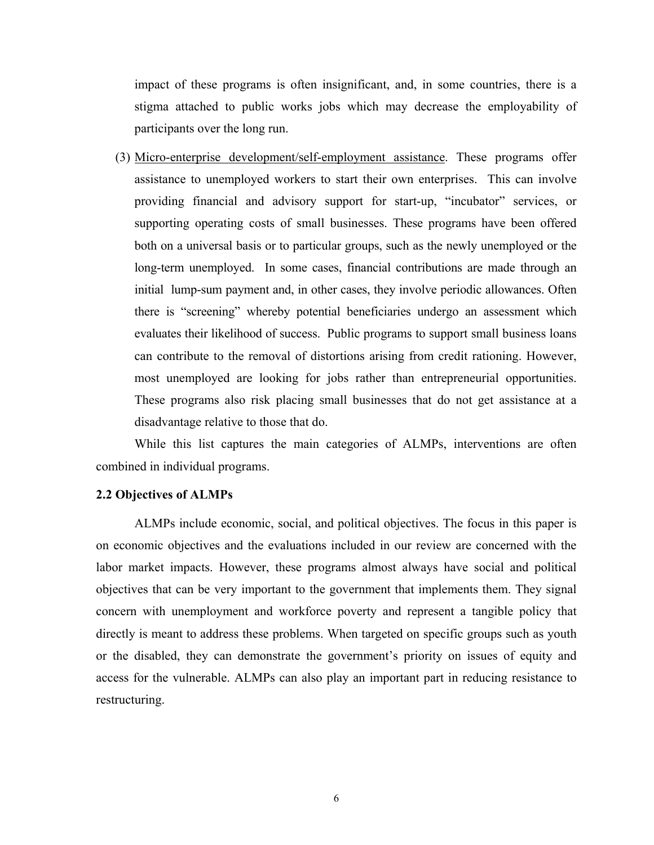impact of these programs is often insignificant, and, in some countries, there is a stigma attached to public works jobs which may decrease the employability of participants over the long run.

(3) Micro-enterprise development/self-employment assistance. These programs offer assistance to unemployed workers to start their own enterprises. This can involve providing financial and advisory support for start-up, "incubator" services, or supporting operating costs of small businesses. These programs have been offered both on a universal basis or to particular groups, such as the newly unemployed or the long-term unemployed. In some cases, financial contributions are made through an initial lump-sum payment and, in other cases, they involve periodic allowances. Often there is "screening" whereby potential beneficiaries undergo an assessment which evaluates their likelihood of success. Public programs to support small business loans can contribute to the removal of distortions arising from credit rationing. However, most unemployed are looking for jobs rather than entrepreneurial opportunities. These programs also risk placing small businesses that do not get assistance at a disadvantage relative to those that do.

While this list captures the main categories of ALMPs, interventions are often combined in individual programs.

#### **2.2 Objectives of ALMPs**

ALMPs include economic, social, and political objectives. The focus in this paper is on economic objectives and the evaluations included in our review are concerned with the labor market impacts. However, these programs almost always have social and political objectives that can be very important to the government that implements them. They signal concern with unemployment and workforce poverty and represent a tangible policy that directly is meant to address these problems. When targeted on specific groups such as youth or the disabled, they can demonstrate the government's priority on issues of equity and access for the vulnerable. ALMPs can also play an important part in reducing resistance to restructuring.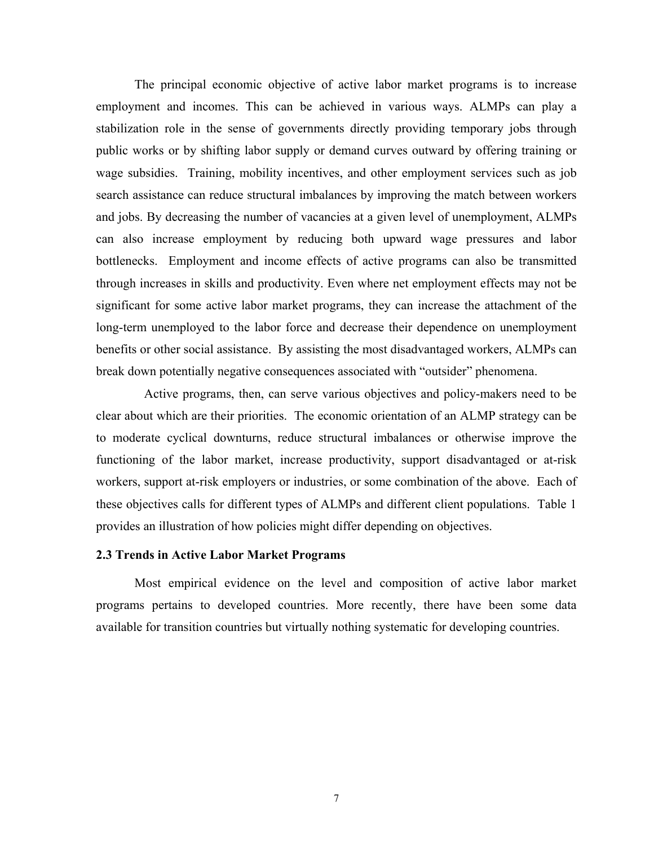The principal economic objective of active labor market programs is to increase employment and incomes. This can be achieved in various ways. ALMPs can play a stabilization role in the sense of governments directly providing temporary jobs through public works or by shifting labor supply or demand curves outward by offering training or wage subsidies. Training, mobility incentives, and other employment services such as job search assistance can reduce structural imbalances by improving the match between workers and jobs. By decreasing the number of vacancies at a given level of unemployment, ALMPs can also increase employment by reducing both upward wage pressures and labor bottlenecks. Employment and income effects of active programs can also be transmitted through increases in skills and productivity. Even where net employment effects may not be significant for some active labor market programs, they can increase the attachment of the long-term unemployed to the labor force and decrease their dependence on unemployment benefits or other social assistance. By assisting the most disadvantaged workers, ALMPs can break down potentially negative consequences associated with "outsider" phenomena.

 Active programs, then, can serve various objectives and policy-makers need to be clear about which are their priorities. The economic orientation of an ALMP strategy can be to moderate cyclical downturns, reduce structural imbalances or otherwise improve the functioning of the labor market, increase productivity, support disadvantaged or at-risk workers, support at-risk employers or industries, or some combination of the above. Each of these objectives calls for different types of ALMPs and different client populations. Table 1 provides an illustration of how policies might differ depending on objectives.

#### **2.3 Trends in Active Labor Market Programs**

Most empirical evidence on the level and composition of active labor market programs pertains to developed countries. More recently, there have been some data available for transition countries but virtually nothing systematic for developing countries.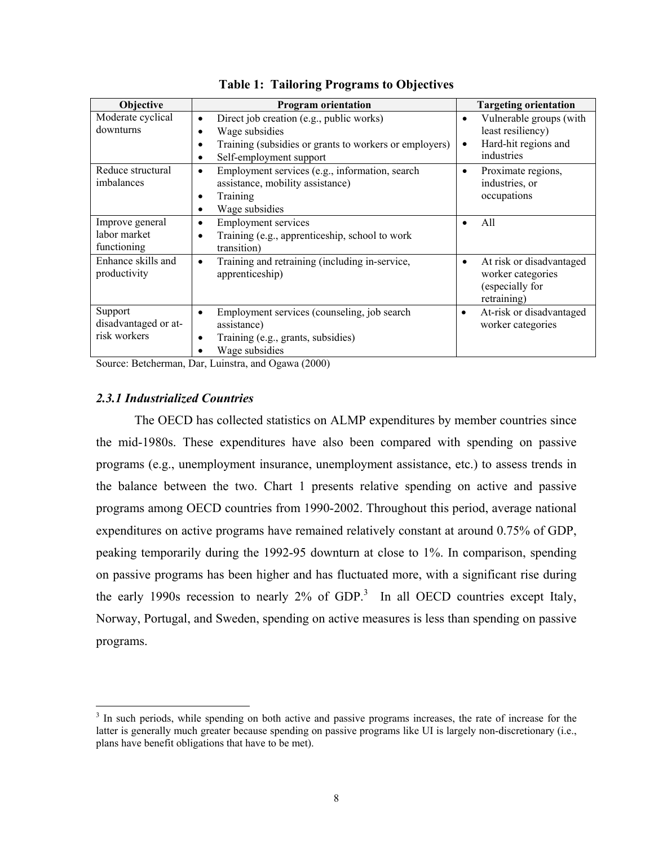| Objective                                       | <b>Program orientation</b>                                                                                                                                                                  | <b>Targeting orientation</b>                                                                                 |
|-------------------------------------------------|---------------------------------------------------------------------------------------------------------------------------------------------------------------------------------------------|--------------------------------------------------------------------------------------------------------------|
| Moderate cyclical<br>downturns                  | Direct job creation (e.g., public works)<br>$\bullet$<br>Wage subsidies<br>$\bullet$<br>Training (subsidies or grants to workers or employers)<br>٠<br>Self-employment support<br>$\bullet$ | Vulnerable groups (with<br>$\bullet$<br>least resiliency)<br>Hard-hit regions and<br>$\bullet$<br>industries |
| Reduce structural<br>imbalances                 | Employment services (e.g., information, search<br>$\bullet$<br>assistance, mobility assistance)<br>Training<br>$\bullet$<br>Wage subsidies<br>٠                                             | Proximate regions,<br>$\bullet$<br>industries, or<br>occupations                                             |
| Improve general<br>labor market<br>functioning  | <b>Employment services</b><br>$\bullet$<br>Training (e.g., apprenticeship, school to work<br>$\bullet$<br>transition)                                                                       | All<br>$\bullet$                                                                                             |
| Enhance skills and<br>productivity              | Training and retraining (including in-service,<br>$\bullet$<br>apprenticeship)                                                                                                              | At risk or disadvantaged<br>$\bullet$<br>worker categories<br>(especially for<br>retraining)                 |
| Support<br>disadvantaged or at-<br>risk workers | Employment services (counseling, job search)<br>$\bullet$<br>assistance)<br>Training (e.g., grants, subsidies)<br>$\bullet$<br>Wage subsidies                                               | At-risk or disadvantaged<br>$\bullet$<br>worker categories                                                   |

**Table 1: Tailoring Programs to Objectives** 

Source: Betcherman, Dar, Luinstra, and Ogawa (2000)

## *2.3.1 Industrialized Countries*

1

 The OECD has collected statistics on ALMP expenditures by member countries since the mid-1980s. These expenditures have also been compared with spending on passive programs (e.g., unemployment insurance, unemployment assistance, etc.) to assess trends in the balance between the two. Chart 1 presents relative spending on active and passive programs among OECD countries from 1990-2002. Throughout this period, average national expenditures on active programs have remained relatively constant at around 0.75% of GDP, peaking temporarily during the 1992-95 downturn at close to 1%. In comparison, spending on passive programs has been higher and has fluctuated more, with a significant rise during the early 1990s recession to nearly  $2\%$  of GDP.<sup>3</sup> In all OECD countries except Italy, Norway, Portugal, and Sweden, spending on active measures is less than spending on passive programs.

<sup>&</sup>lt;sup>3</sup> In such periods, while spending on both active and passive programs increases, the rate of increase for the latter is generally much greater because spending on passive programs like UI is largely non-discretionary (i.e., plans have benefit obligations that have to be met).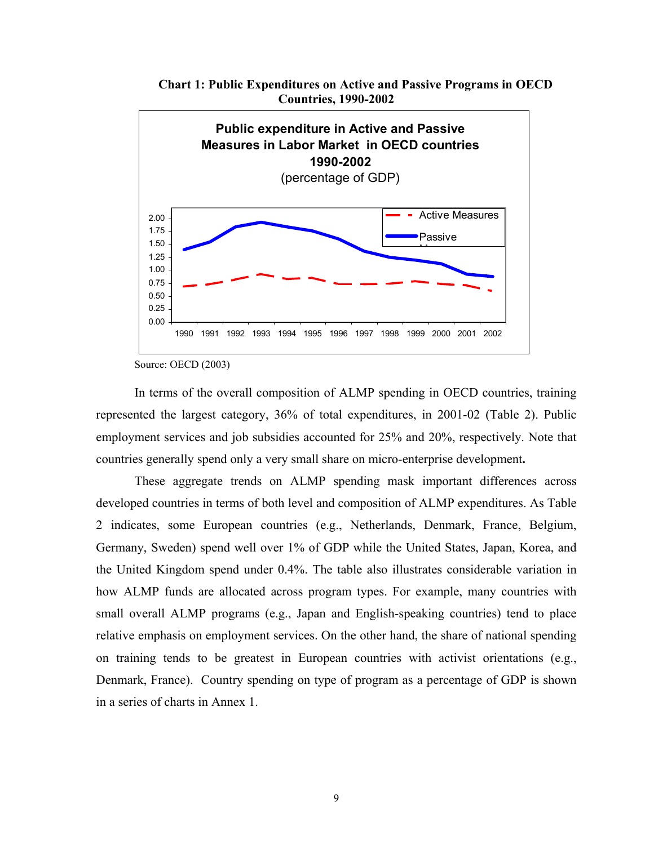

**Chart 1: Public Expenditures on Active and Passive Programs in OECD Countries, 1990-2002** 

Source: OECD (2003)

In terms of the overall composition of ALMP spending in OECD countries, training represented the largest category, 36% of total expenditures, in 2001-02 (Table 2). Public employment services and job subsidies accounted for 25% and 20%, respectively. Note that countries generally spend only a very small share on micro-enterprise development**.** 

These aggregate trends on ALMP spending mask important differences across developed countries in terms of both level and composition of ALMP expenditures. As Table 2 indicates, some European countries (e.g., Netherlands, Denmark, France, Belgium, Germany, Sweden) spend well over 1% of GDP while the United States, Japan, Korea, and the United Kingdom spend under 0.4%. The table also illustrates considerable variation in how ALMP funds are allocated across program types. For example, many countries with small overall ALMP programs (e.g., Japan and English-speaking countries) tend to place relative emphasis on employment services. On the other hand, the share of national spending on training tends to be greatest in European countries with activist orientations (e.g., Denmark, France). Country spending on type of program as a percentage of GDP is shown in a series of charts in Annex 1.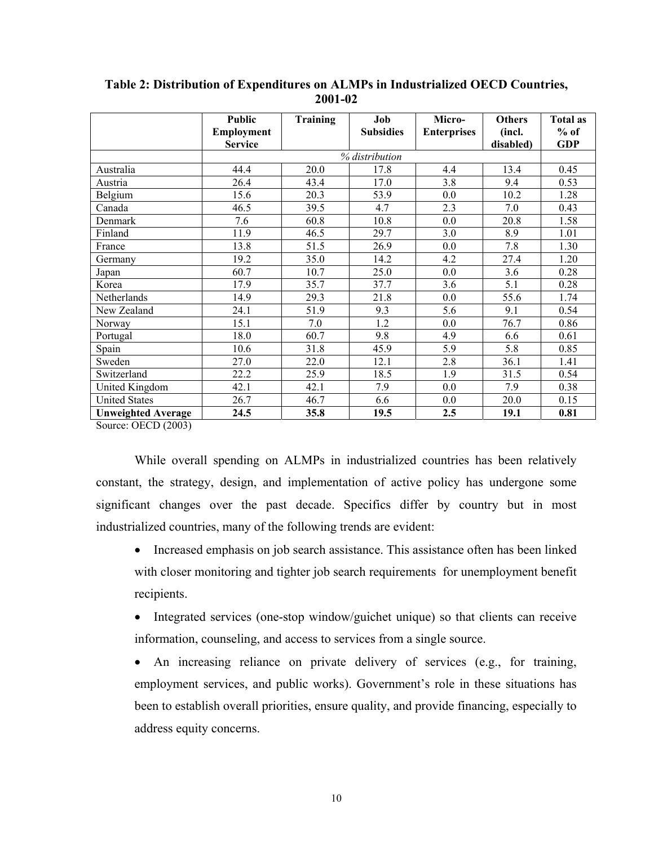|                                                                        | <b>Public</b><br>Employment<br><b>Service</b> | Training | Job<br><b>Subsidies</b> | Micro-<br><b>Enterprises</b> | <b>Others</b><br>(incl.<br>disabled) | <b>Total as</b><br>$%$ of<br><b>GDP</b> |
|------------------------------------------------------------------------|-----------------------------------------------|----------|-------------------------|------------------------------|--------------------------------------|-----------------------------------------|
|                                                                        |                                               |          | % distribution          |                              |                                      |                                         |
| Australia                                                              | 44.4                                          | 20.0     | 17.8                    | 4.4                          | 13.4                                 | 0.45                                    |
| Austria                                                                | 26.4                                          | 43.4     | 17.0                    | 3.8                          | 9.4                                  | 0.53                                    |
| Belgium                                                                | 15.6                                          | 20.3     | 53.9                    | 0.0                          | 10.2                                 | 1.28                                    |
| Canada                                                                 | 46.5                                          | 39.5     | 4.7                     | 2.3                          | 7.0                                  | 0.43                                    |
| Denmark                                                                | 7.6                                           | 60.8     | 10.8                    | 0.0                          | 20.8                                 | 1.58                                    |
| Finland                                                                | 11.9                                          | 46.5     | 29.7                    | 3.0                          | 8.9                                  | 1.01                                    |
| France                                                                 | 13.8                                          | 51.5     | 26.9                    | 0.0                          | 7.8                                  | 1.30                                    |
| Germany                                                                | 19.2                                          | 35.0     | 14.2                    | 4.2                          | 27.4                                 | 1.20                                    |
| Japan                                                                  | 60.7                                          | 10.7     | 25.0                    | 0.0                          | 3.6                                  | 0.28                                    |
| Korea                                                                  | 17.9                                          | 35.7     | 37.7                    | 3.6                          | 5.1                                  | 0.28                                    |
| Netherlands                                                            | 14.9                                          | 29.3     | 21.8                    | 0.0                          | 55.6                                 | 1.74                                    |
| New Zealand                                                            | 24.1                                          | 51.9     | 9.3                     | 5.6                          | 9.1                                  | 0.54                                    |
| Norway                                                                 | 15.1                                          | 7.0      | 1.2                     | 0.0                          | 76.7                                 | 0.86                                    |
| Portugal                                                               | 18.0                                          | 60.7     | 9.8                     | 4.9                          | 6.6                                  | 0.61                                    |
| Spain                                                                  | 10.6                                          | 31.8     | 45.9                    | 5.9                          | 5.8                                  | 0.85                                    |
| Sweden                                                                 | 27.0                                          | 22.0     | 12.1                    | 2.8                          | 36.1                                 | 1.41                                    |
| Switzerland                                                            | 22.2                                          | 25.9     | 18.5                    | 1.9                          | 31.5                                 | 0.54                                    |
| United Kingdom                                                         | 42.1                                          | 42.1     | 7.9                     | 0.0                          | 7.9                                  | 0.38                                    |
| <b>United States</b>                                                   | 26.7                                          | 46.7     | 6.6                     | 0.0                          | 20.0                                 | 0.15                                    |
| <b>Unweighted Average</b><br>$\sim$ $\sim$ $\sim$ $\sim$ $\sim$ $\sim$ | 24.5                                          | 35.8     | 19.5                    | 2.5                          | 19.1                                 | 0.81                                    |

**Table 2: Distribution of Expenditures on ALMPs in Industrialized OECD Countries, 2001-02** 

Source: OECD (2003)

 While overall spending on ALMPs in industrialized countries has been relatively constant, the strategy, design, and implementation of active policy has undergone some significant changes over the past decade. Specifics differ by country but in most industrialized countries, many of the following trends are evident:

- Increased emphasis on job search assistance. This assistance often has been linked with closer monitoring and tighter job search requirements for unemployment benefit recipients.
- Integrated services (one-stop window/guichet unique) so that clients can receive information, counseling, and access to services from a single source.

• An increasing reliance on private delivery of services (e.g., for training, employment services, and public works). Government's role in these situations has been to establish overall priorities, ensure quality, and provide financing, especially to address equity concerns.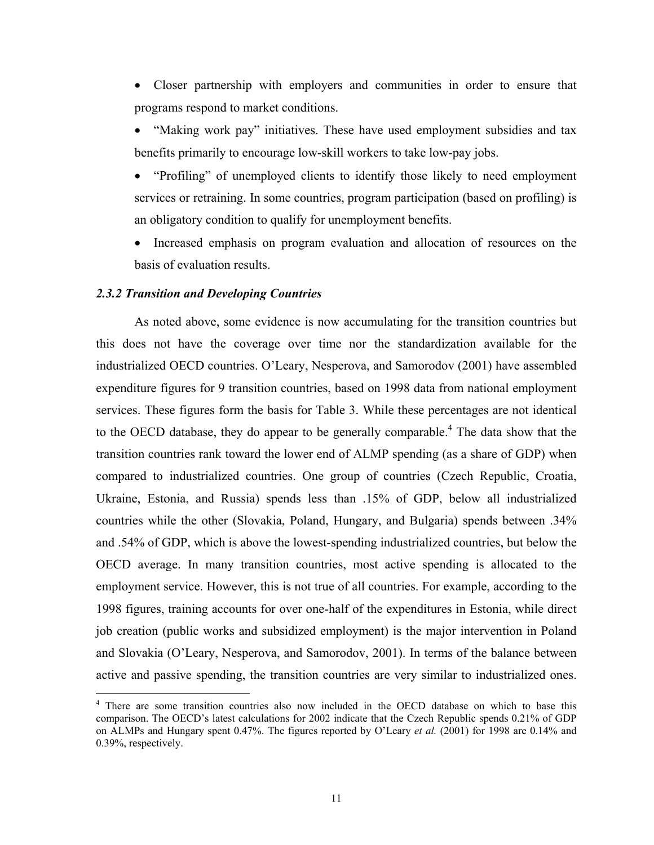• Closer partnership with employers and communities in order to ensure that programs respond to market conditions.

• "Making work pay" initiatives. These have used employment subsidies and tax benefits primarily to encourage low-skill workers to take low-pay jobs.

• "Profiling" of unemployed clients to identify those likely to need employment services or retraining. In some countries, program participation (based on profiling) is an obligatory condition to qualify for unemployment benefits.

• Increased emphasis on program evaluation and allocation of resources on the basis of evaluation results.

#### *2.3.2 Transition and Developing Countries*

As noted above, some evidence is now accumulating for the transition countries but this does not have the coverage over time nor the standardization available for the industrialized OECD countries. O'Leary, Nesperova, and Samorodov (2001) have assembled expenditure figures for 9 transition countries, based on 1998 data from national employment services. These figures form the basis for Table 3. While these percentages are not identical to the OECD database, they do appear to be generally comparable.<sup>4</sup> The data show that the transition countries rank toward the lower end of ALMP spending (as a share of GDP) when compared to industrialized countries. One group of countries (Czech Republic, Croatia, Ukraine, Estonia, and Russia) spends less than .15% of GDP, below all industrialized countries while the other (Slovakia, Poland, Hungary, and Bulgaria) spends between .34% and .54% of GDP, which is above the lowest-spending industrialized countries, but below the OECD average. In many transition countries, most active spending is allocated to the employment service. However, this is not true of all countries. For example, according to the 1998 figures, training accounts for over one-half of the expenditures in Estonia, while direct job creation (public works and subsidized employment) is the major intervention in Poland and Slovakia (O'Leary, Nesperova, and Samorodov, 2001). In terms of the balance between active and passive spending, the transition countries are very similar to industrialized ones.

<sup>&</sup>lt;sup>4</sup> There are some transition countries also now included in the OECD database on which to base this comparison. The OECD's latest calculations for 2002 indicate that the Czech Republic spends 0.21% of GDP on ALMPs and Hungary spent 0.47%. The figures reported by O'Leary *et al.* (2001) for 1998 are 0.14% and 0.39%, respectively.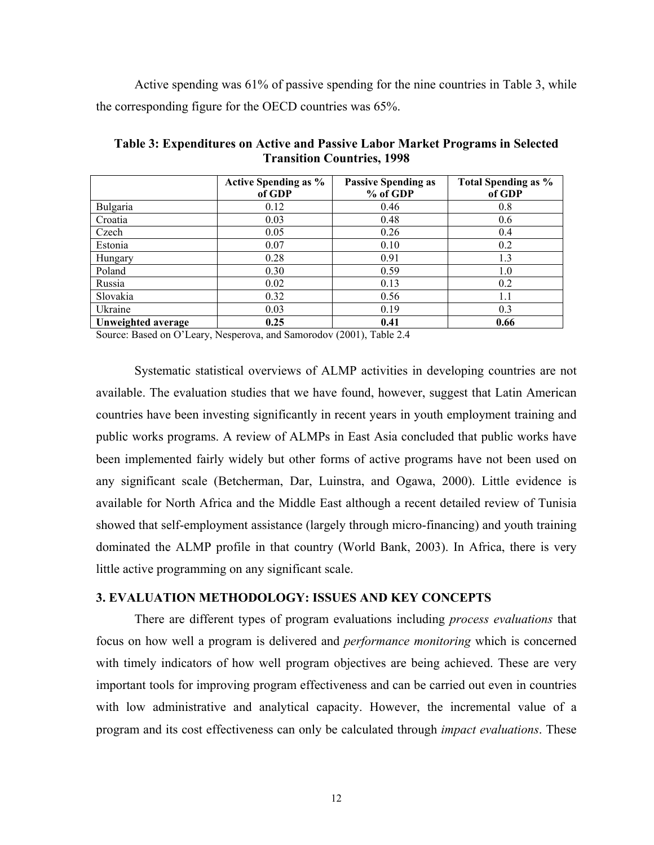Active spending was 61% of passive spending for the nine countries in Table 3, while the corresponding figure for the OECD countries was 65%.

|                    | <b>Active Spending as %</b><br>of GDP | <b>Passive Spending as</b><br>% of GDP | Total Spending as %<br>of GDP |
|--------------------|---------------------------------------|----------------------------------------|-------------------------------|
| Bulgaria           | 0.12                                  | 0.46                                   | 0.8                           |
| Croatia            | 0.03                                  | 0.48                                   | 0.6                           |
| Czech              | 0.05                                  | 0.26                                   | 0.4                           |
| Estonia            | 0.07                                  | 0.10                                   | 0.2                           |
| Hungary            | 0.28                                  | 0.91                                   | 1.3                           |
| Poland             | 0.30                                  | 0.59                                   | 1.0                           |
| Russia             | 0.02                                  | 0.13                                   | 0.2                           |
| Slovakia           | 0.32                                  | 0.56                                   | 1.1                           |
| Ukraine            | 0.03                                  | 0.19                                   | 0.3                           |
| Unweighted average | 0.25                                  | 0.41                                   | 0.66                          |

**Table 3: Expenditures on Active and Passive Labor Market Programs in Selected Transition Countries, 1998** 

Source: Based on O'Leary, Nesperova, and Samorodov (2001), Table 2.4

Systematic statistical overviews of ALMP activities in developing countries are not available. The evaluation studies that we have found, however, suggest that Latin American countries have been investing significantly in recent years in youth employment training and public works programs. A review of ALMPs in East Asia concluded that public works have been implemented fairly widely but other forms of active programs have not been used on any significant scale (Betcherman, Dar, Luinstra, and Ogawa, 2000). Little evidence is available for North Africa and the Middle East although a recent detailed review of Tunisia showed that self-employment assistance (largely through micro-financing) and youth training dominated the ALMP profile in that country (World Bank, 2003). In Africa, there is very little active programming on any significant scale.

## **3. EVALUATION METHODOLOGY: ISSUES AND KEY CONCEPTS**

There are different types of program evaluations including *process evaluations* that focus on how well a program is delivered and *performance monitoring* which is concerned with timely indicators of how well program objectives are being achieved. These are very important tools for improving program effectiveness and can be carried out even in countries with low administrative and analytical capacity. However, the incremental value of a program and its cost effectiveness can only be calculated through *impact evaluations*. These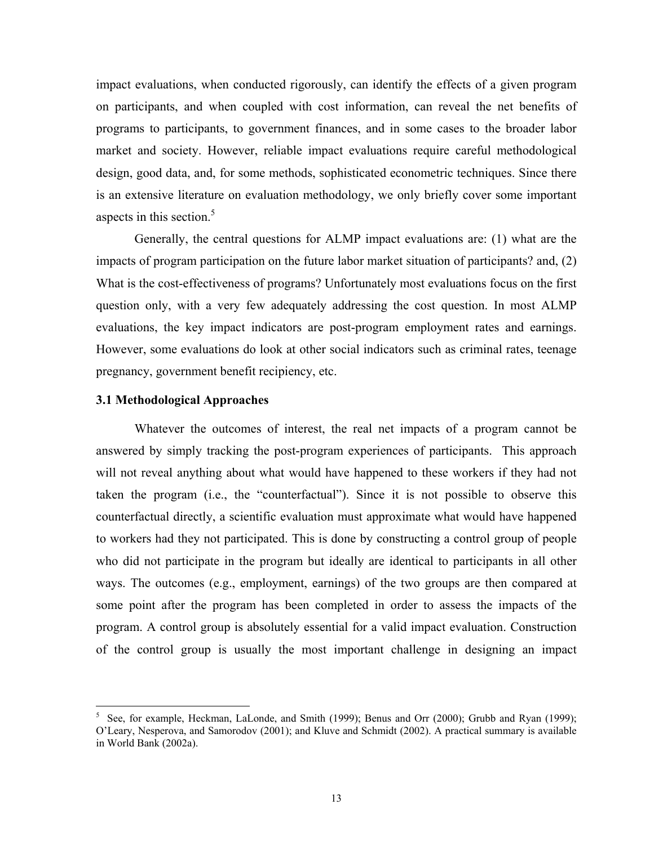impact evaluations, when conducted rigorously, can identify the effects of a given program on participants, and when coupled with cost information, can reveal the net benefits of programs to participants, to government finances, and in some cases to the broader labor market and society. However, reliable impact evaluations require careful methodological design, good data, and, for some methods, sophisticated econometric techniques. Since there is an extensive literature on evaluation methodology, we only briefly cover some important aspects in this section. $5$ 

Generally, the central questions for ALMP impact evaluations are: (1) what are the impacts of program participation on the future labor market situation of participants? and, (2) What is the cost-effectiveness of programs? Unfortunately most evaluations focus on the first question only, with a very few adequately addressing the cost question. In most ALMP evaluations, the key impact indicators are post-program employment rates and earnings. However, some evaluations do look at other social indicators such as criminal rates, teenage pregnancy, government benefit recipiency, etc.

#### **3.1 Methodological Approaches**

1

Whatever the outcomes of interest, the real net impacts of a program cannot be answered by simply tracking the post-program experiences of participants. This approach will not reveal anything about what would have happened to these workers if they had not taken the program (i.e., the "counterfactual"). Since it is not possible to observe this counterfactual directly, a scientific evaluation must approximate what would have happened to workers had they not participated. This is done by constructing a control group of people who did not participate in the program but ideally are identical to participants in all other ways. The outcomes (e.g., employment, earnings) of the two groups are then compared at some point after the program has been completed in order to assess the impacts of the program. A control group is absolutely essential for a valid impact evaluation. Construction of the control group is usually the most important challenge in designing an impact

<sup>5</sup> See, for example, Heckman, LaLonde, and Smith (1999); Benus and Orr (2000); Grubb and Ryan (1999); O'Leary, Nesperova, and Samorodov (2001); and Kluve and Schmidt (2002). A practical summary is available in World Bank (2002a).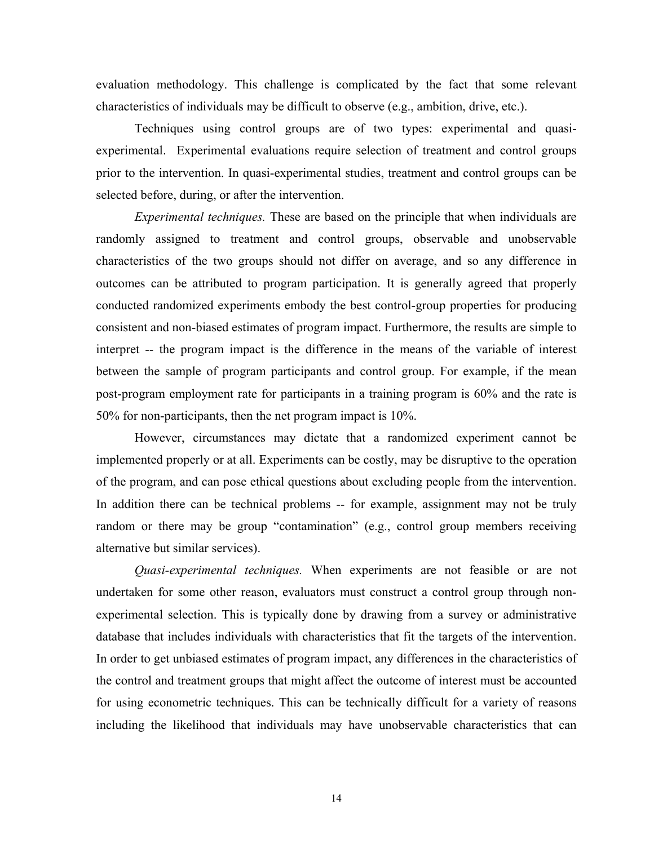evaluation methodology. This challenge is complicated by the fact that some relevant characteristics of individuals may be difficult to observe (e.g., ambition, drive, etc.).

Techniques using control groups are of two types: experimental and quasiexperimental. Experimental evaluations require selection of treatment and control groups prior to the intervention. In quasi-experimental studies, treatment and control groups can be selected before, during, or after the intervention.

*Experimental techniques.* These are based on the principle that when individuals are randomly assigned to treatment and control groups, observable and unobservable characteristics of the two groups should not differ on average, and so any difference in outcomes can be attributed to program participation. It is generally agreed that properly conducted randomized experiments embody the best control-group properties for producing consistent and non-biased estimates of program impact. Furthermore, the results are simple to interpret -- the program impact is the difference in the means of the variable of interest between the sample of program participants and control group. For example, if the mean post-program employment rate for participants in a training program is 60% and the rate is 50% for non-participants, then the net program impact is 10%.

However, circumstances may dictate that a randomized experiment cannot be implemented properly or at all. Experiments can be costly, may be disruptive to the operation of the program, and can pose ethical questions about excluding people from the intervention. In addition there can be technical problems -- for example, assignment may not be truly random or there may be group "contamination" (e.g., control group members receiving alternative but similar services).

*Quasi-experimental techniques.* When experiments are not feasible or are not undertaken for some other reason, evaluators must construct a control group through nonexperimental selection. This is typically done by drawing from a survey or administrative database that includes individuals with characteristics that fit the targets of the intervention. In order to get unbiased estimates of program impact, any differences in the characteristics of the control and treatment groups that might affect the outcome of interest must be accounted for using econometric techniques. This can be technically difficult for a variety of reasons including the likelihood that individuals may have unobservable characteristics that can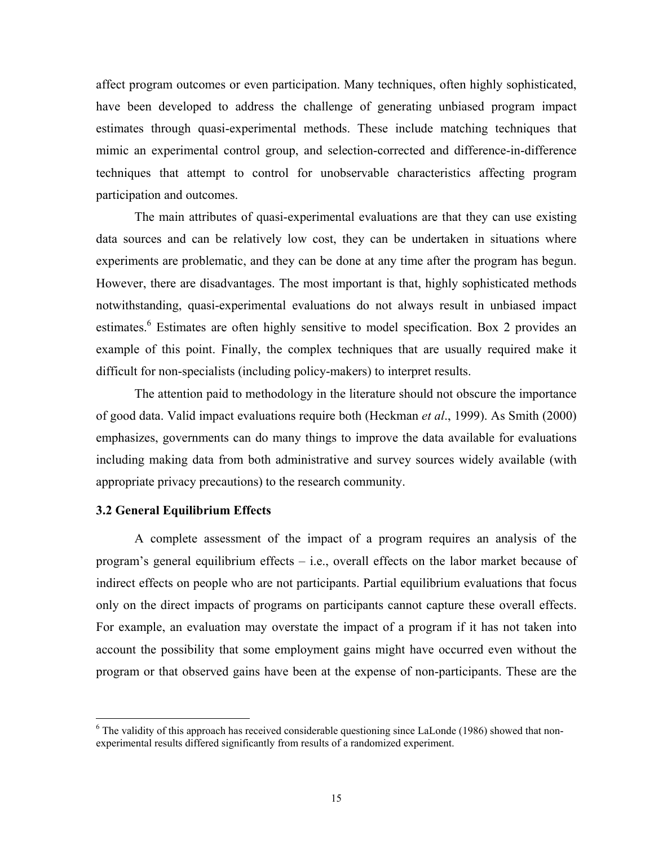affect program outcomes or even participation. Many techniques, often highly sophisticated, have been developed to address the challenge of generating unbiased program impact estimates through quasi-experimental methods. These include matching techniques that mimic an experimental control group, and selection-corrected and difference-in-difference techniques that attempt to control for unobservable characteristics affecting program participation and outcomes.

The main attributes of quasi-experimental evaluations are that they can use existing data sources and can be relatively low cost, they can be undertaken in situations where experiments are problematic, and they can be done at any time after the program has begun. However, there are disadvantages. The most important is that, highly sophisticated methods notwithstanding, quasi-experimental evaluations do not always result in unbiased impact estimates.<sup>6</sup> Estimates are often highly sensitive to model specification. Box 2 provides an example of this point. Finally, the complex techniques that are usually required make it difficult for non-specialists (including policy-makers) to interpret results.

The attention paid to methodology in the literature should not obscure the importance of good data. Valid impact evaluations require both (Heckman *et al*., 1999). As Smith (2000) emphasizes, governments can do many things to improve the data available for evaluations including making data from both administrative and survey sources widely available (with appropriate privacy precautions) to the research community.

#### **3.2 General Equilibrium Effects**

 $\overline{a}$ 

A complete assessment of the impact of a program requires an analysis of the program's general equilibrium effects – i.e., overall effects on the labor market because of indirect effects on people who are not participants. Partial equilibrium evaluations that focus only on the direct impacts of programs on participants cannot capture these overall effects. For example, an evaluation may overstate the impact of a program if it has not taken into account the possibility that some employment gains might have occurred even without the program or that observed gains have been at the expense of non-participants. These are the

<sup>&</sup>lt;sup>6</sup> The validity of this approach has received considerable questioning since LaLonde (1986) showed that nonexperimental results differed significantly from results of a randomized experiment.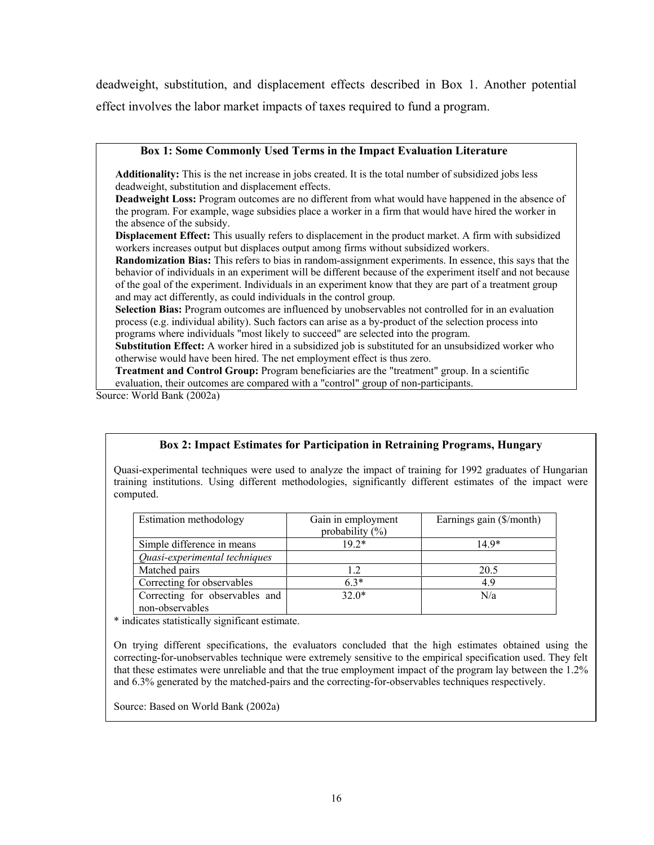deadweight, substitution, and displacement effects described in Box 1. Another potential effect involves the labor market impacts of taxes required to fund a program.

#### **Box 1: Some Commonly Used Terms in the Impact Evaluation Literature**

**Additionality:** This is the net increase in jobs created. It is the total number of subsidized jobs less deadweight, substitution and displacement effects.

**Deadweight Loss:** Program outcomes are no different from what would have happened in the absence of the program. For example, wage subsidies place a worker in a firm that would have hired the worker in the absence of the subsidy.

**Displacement Effect:** This usually refers to displacement in the product market. A firm with subsidized workers increases output but displaces output among firms without subsidized workers.

**Randomization Bias:** This refers to bias in random-assignment experiments. In essence, this says that the behavior of individuals in an experiment will be different because of the experiment itself and not because of the goal of the experiment. Individuals in an experiment know that they are part of a treatment group and may act differently, as could individuals in the control group.

**Selection Bias:** Program outcomes are influenced by unobservables not controlled for in an evaluation process (e.g. individual ability). Such factors can arise as a by-product of the selection process into programs where individuals "most likely to succeed" are selected into the program.

**Substitution Effect:** A worker hired in a subsidized job is substituted for an unsubsidized worker who otherwise would have been hired. The net employment effect is thus zero.

**Treatment and Control Group:** Program beneficiaries are the "treatment" group. In a scientific evaluation, their outcomes are compared with a "control" group of non-participants.

Source: World Bank (2002a)

## **Box 2: Impact Estimates for Participation in Retraining Programs, Hungary**

Quasi-experimental techniques were used to analyze the impact of training for 1992 graduates of Hungarian training institutions. Using different methodologies, significantly different estimates of the impact were computed.

| Estimation methodology         | Gain in employment<br>probability $(\% )$ | Earnings gain (\$/month) |
|--------------------------------|-------------------------------------------|--------------------------|
| Simple difference in means     | $19.2*$                                   | 149*                     |
| Quasi-experimental techniques  |                                           |                          |
| Matched pairs                  | 12                                        | 20.5                     |
| Correcting for observables     | $6.3*$                                    | 4.9                      |
| Correcting for observables and | $32.0*$                                   | N/a                      |
| non-observables                |                                           |                          |

\* indicates statistically significant estimate.

On trying different specifications, the evaluators concluded that the high estimates obtained using the correcting-for-unobservables technique were extremely sensitive to the empirical specification used. They felt that these estimates were unreliable and that the true employment impact of the program lay between the 1.2% and 6.3% generated by the matched-pairs and the correcting-for-observables techniques respectively.

Source: Based on World Bank (2002a)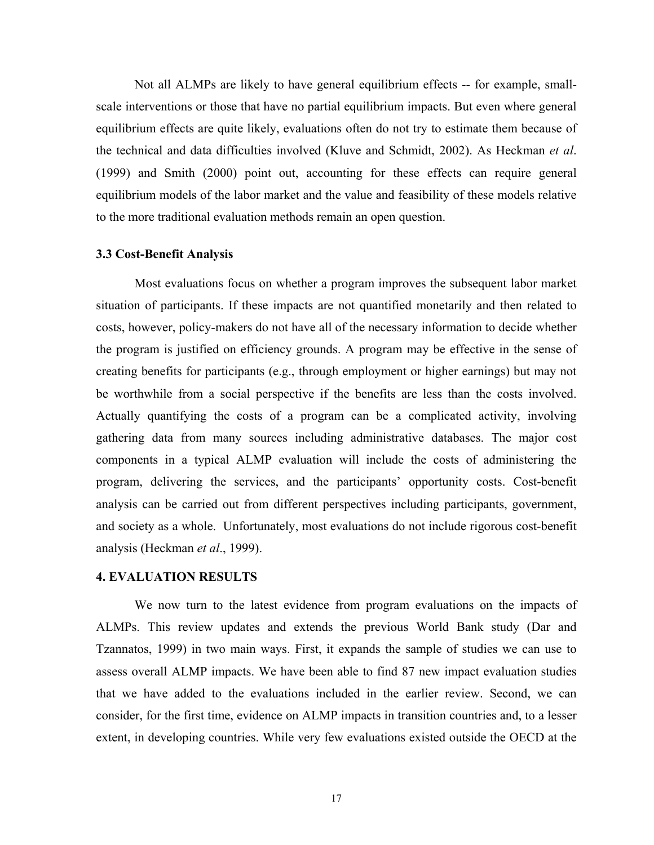Not all ALMPs are likely to have general equilibrium effects -- for example, smallscale interventions or those that have no partial equilibrium impacts. But even where general equilibrium effects are quite likely, evaluations often do not try to estimate them because of the technical and data difficulties involved (Kluve and Schmidt, 2002). As Heckman *et al*. (1999) and Smith (2000) point out, accounting for these effects can require general equilibrium models of the labor market and the value and feasibility of these models relative to the more traditional evaluation methods remain an open question.

#### **3.3 Cost-Benefit Analysis**

Most evaluations focus on whether a program improves the subsequent labor market situation of participants. If these impacts are not quantified monetarily and then related to costs, however, policy-makers do not have all of the necessary information to decide whether the program is justified on efficiency grounds. A program may be effective in the sense of creating benefits for participants (e.g., through employment or higher earnings) but may not be worthwhile from a social perspective if the benefits are less than the costs involved. Actually quantifying the costs of a program can be a complicated activity, involving gathering data from many sources including administrative databases. The major cost components in a typical ALMP evaluation will include the costs of administering the program, delivering the services, and the participants' opportunity costs. Cost-benefit analysis can be carried out from different perspectives including participants, government, and society as a whole. Unfortunately, most evaluations do not include rigorous cost-benefit analysis (Heckman *et al*., 1999).

## **4. EVALUATION RESULTS**

We now turn to the latest evidence from program evaluations on the impacts of ALMPs. This review updates and extends the previous World Bank study (Dar and Tzannatos, 1999) in two main ways. First, it expands the sample of studies we can use to assess overall ALMP impacts. We have been able to find 87 new impact evaluation studies that we have added to the evaluations included in the earlier review. Second, we can consider, for the first time, evidence on ALMP impacts in transition countries and, to a lesser extent, in developing countries. While very few evaluations existed outside the OECD at the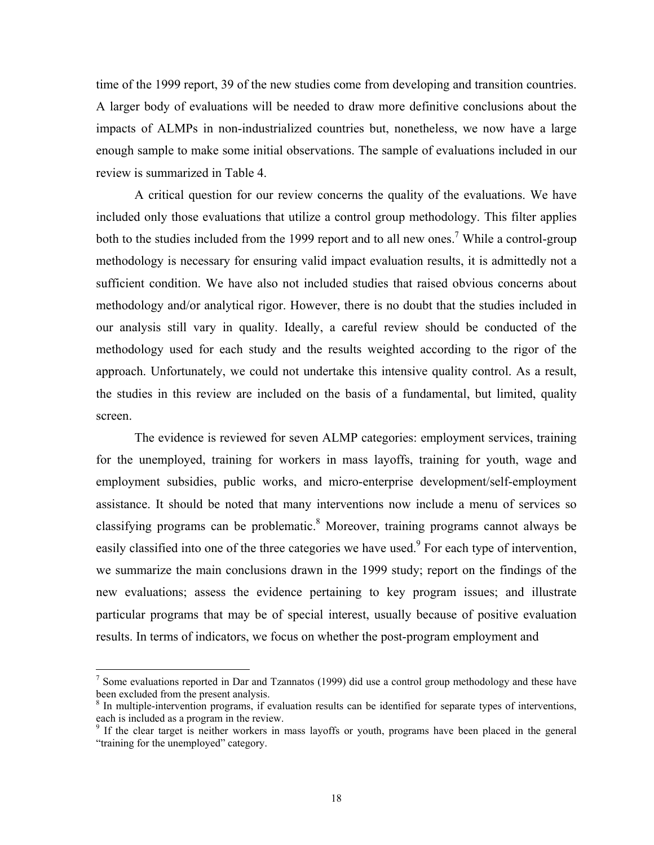time of the 1999 report, 39 of the new studies come from developing and transition countries. A larger body of evaluations will be needed to draw more definitive conclusions about the impacts of ALMPs in non-industrialized countries but, nonetheless, we now have a large enough sample to make some initial observations. The sample of evaluations included in our review is summarized in Table 4.

A critical question for our review concerns the quality of the evaluations. We have included only those evaluations that utilize a control group methodology. This filter applies both to the studies included from the 1999 report and to all new ones.<sup>7</sup> While a control-group methodology is necessary for ensuring valid impact evaluation results, it is admittedly not a sufficient condition. We have also not included studies that raised obvious concerns about methodology and/or analytical rigor. However, there is no doubt that the studies included in our analysis still vary in quality. Ideally, a careful review should be conducted of the methodology used for each study and the results weighted according to the rigor of the approach. Unfortunately, we could not undertake this intensive quality control. As a result, the studies in this review are included on the basis of a fundamental, but limited, quality screen.

The evidence is reviewed for seven ALMP categories: employment services, training for the unemployed, training for workers in mass layoffs, training for youth, wage and employment subsidies, public works, and micro-enterprise development/self-employment assistance. It should be noted that many interventions now include a menu of services so classifying programs can be problematic.<sup>8</sup> Moreover, training programs cannot always be easily classified into one of the three categories we have used.<sup>9</sup> For each type of intervention, we summarize the main conclusions drawn in the 1999 study; report on the findings of the new evaluations; assess the evidence pertaining to key program issues; and illustrate particular programs that may be of special interest, usually because of positive evaluation results. In terms of indicators, we focus on whether the post-program employment and

<sup>&</sup>lt;sup>7</sup> Some evaluations reported in Dar and Tzannatos (1999) did use a control group methodology and these have been excluded from the present analysis.

<sup>&</sup>lt;sup>8</sup> In multiple-intervention programs, if evaluation results can be identified for separate types of interventions, each is included as a program in the review.

<sup>&</sup>lt;sup>9</sup> If the clear target is neither workers in mass layoffs or youth, programs have been placed in the general "training for the unemployed" category.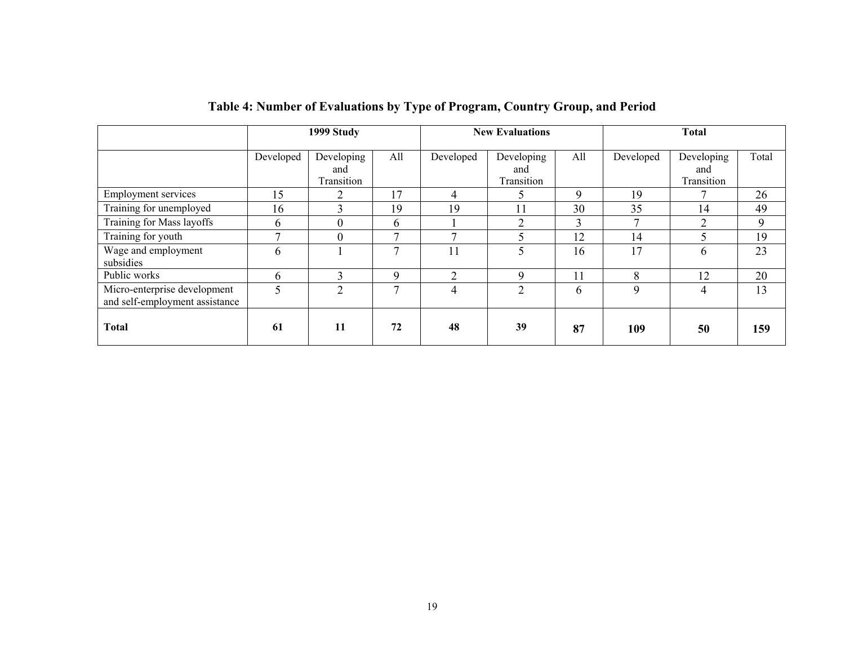|                                                                | 1999 Study   |                                 |               | <b>New Evaluations</b>   |                                 |     | <b>Total</b> |                                 |       |
|----------------------------------------------------------------|--------------|---------------------------------|---------------|--------------------------|---------------------------------|-----|--------------|---------------------------------|-------|
|                                                                | Developed    | Developing<br>and<br>Transition | All           | Developed                | Developing<br>and<br>Transition | All | Developed    | Developing<br>and<br>Transition | Total |
| <b>Employment services</b>                                     | 15           | 2                               | 17            | 4                        |                                 | 9   | 19           |                                 | 26    |
| Training for unemployed                                        | 16           | 3                               | 19            | 19                       | 11                              | 30  | 35           | 14                              | 49    |
| Training for Mass layoffs                                      | b            | $\overline{0}$                  | 6             |                          | ↑                               | 3   | $\mathbf{r}$ | າ                               | 9     |
| Training for youth                                             | $\mathbf{r}$ | $\Omega$                        | $\mathcal{L}$ | $\overline{\phantom{0}}$ |                                 | 12  | 14           |                                 | 19    |
| Wage and employment<br>subsidies                               | 6            |                                 | $\mathcal{I}$ | 11                       |                                 | 16  | 17           | 6                               | 23    |
| Public works                                                   | 6            | 3                               | 9             | $\overline{2}$           | 9                               | 11  | 8            | 12                              | 20    |
| Micro-enterprise development<br>and self-employment assistance | 5            | $\overline{2}$                  | $\mathcal{I}$ | 4                        | $\overline{2}$                  | 6   | 9            | 4                               | 13    |
| Total                                                          | 61           | 11                              | 72            | 48                       | 39                              | 87  | 109          | 50                              | 159   |

## **Table 4: Number of Evaluations by Type of Program, Country Group, and Period**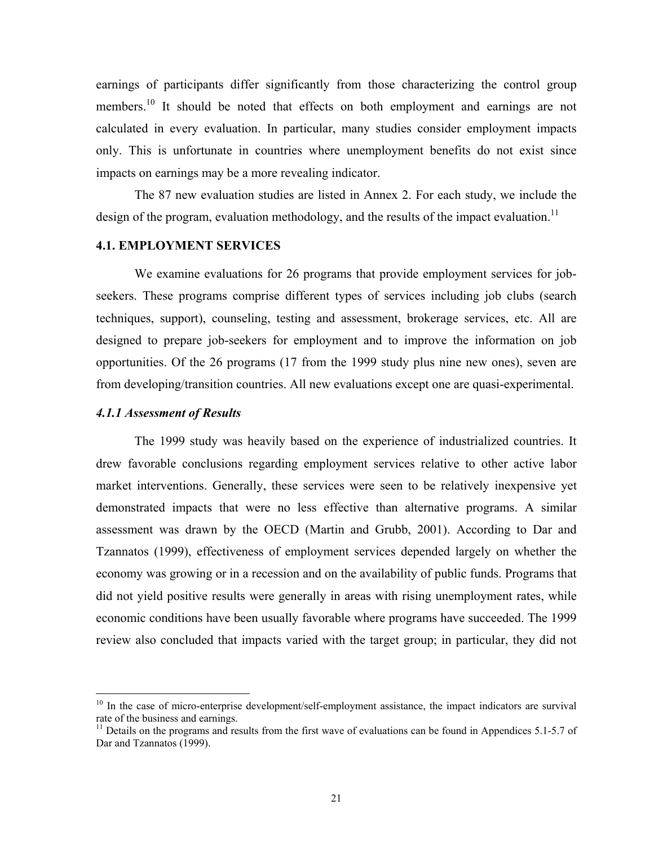earnings of participants differ significantly from those characterizing the control group members.<sup>10</sup> It should be noted that effects on both employment and earnings are not calculated in every evaluation. In particular, many studies consider employment impacts only. This is unfortunate in countries where unemployment benefits do not exist since impacts on earnings may be a more revealing indicator.

The 87 new evaluation studies are listed in Annex 2. For each study, we include the design of the program, evaluation methodology, and the results of the impact evaluation.<sup>11</sup>

## **4.1. EMPLOYMENT SERVICES**

We examine evaluations for 26 programs that provide employment services for jobseekers. These programs comprise different types of services including job clubs (search techniques, support), counseling, testing and assessment, brokerage services, etc. All are designed to prepare job-seekers for employment and to improve the information on job opportunities. Of the 26 programs (17 from the 1999 study plus nine new ones), seven are from developing/transition countries. All new evaluations except one are quasi-experimental.

## *4.1.1 Assessment of Results*

<u>.</u>

The 1999 study was heavily based on the experience of industrialized countries. It drew favorable conclusions regarding employment services relative to other active labor market interventions. Generally, these services were seen to be relatively inexpensive yet demonstrated impacts that were no less effective than alternative programs. A similar assessment was drawn by the OECD (Martin and Grubb, 2001). According to Dar and Tzannatos (1999), effectiveness of employment services depended largely on whether the economy was growing or in a recession and on the availability of public funds. Programs that did not yield positive results were generally in areas with rising unemployment rates, while economic conditions have been usually favorable where programs have succeeded. The 1999 review also concluded that impacts varied with the target group; in particular, they did not

<sup>&</sup>lt;sup>10</sup> In the case of micro-enterprise development/self-employment assistance, the impact indicators are survival rate of the business and earnings.

<sup>&</sup>lt;sup>11</sup> Details on the programs and results from the first wave of evaluations can be found in Appendices 5.1-5.7 of Dar and Tzannatos (1999).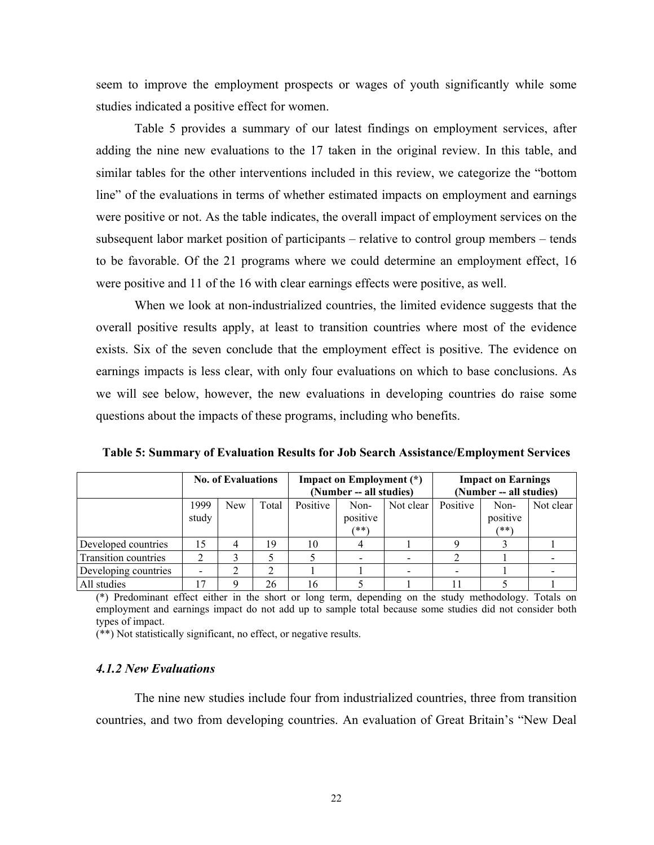seem to improve the employment prospects or wages of youth significantly while some studies indicated a positive effect for women.

Table 5 provides a summary of our latest findings on employment services, after adding the nine new evaluations to the 17 taken in the original review. In this table, and similar tables for the other interventions included in this review, we categorize the "bottom line" of the evaluations in terms of whether estimated impacts on employment and earnings were positive or not. As the table indicates, the overall impact of employment services on the subsequent labor market position of participants – relative to control group members – tends to be favorable. Of the 21 programs where we could determine an employment effect, 16 were positive and 11 of the 16 with clear earnings effects were positive, as well.

When we look at non-industrialized countries, the limited evidence suggests that the overall positive results apply, at least to transition countries where most of the evidence exists. Six of the seven conclude that the employment effect is positive. The evidence on earnings impacts is less clear, with only four evaluations on which to base conclusions. As we will see below, however, the new evaluations in developing countries do raise some questions about the impacts of these programs, including who benefits.

| Table 5: Summary of Evaluation Results for Job Search Assistance/Employment Services |  |  |  |
|--------------------------------------------------------------------------------------|--|--|--|
|                                                                                      |  |  |  |

|                      | <b>No. of Evaluations</b> |     |       | <b>Impact on Employment</b> (*)<br>(Number -- all studies) |                          |           | <b>Impact on Earnings</b><br>(Number -- all studies) |                          |           |
|----------------------|---------------------------|-----|-------|------------------------------------------------------------|--------------------------|-----------|------------------------------------------------------|--------------------------|-----------|
|                      | 1999<br>study             | New | Total | Positive                                                   | Non-<br>positive<br>(**) | Not clear | Positive                                             | Non-<br>positive<br>(**) | Not clear |
| Developed countries  | 15                        | 4   | 19    | 10                                                         |                          |           |                                                      |                          |           |
| Transition countries |                           |     |       |                                                            |                          |           |                                                      |                          |           |
| Developing countries | -                         |     |       |                                                            |                          |           |                                                      |                          |           |
| All studies          | $\overline{17}$           | Q   | 26    | 16                                                         |                          |           |                                                      |                          |           |

(\*) Predominant effect either in the short or long term, depending on the study methodology. Totals on employment and earnings impact do not add up to sample total because some studies did not consider both types of impact.

(\*\*) Not statistically significant, no effect, or negative results.

#### *4.1.2 New Evaluations*

The nine new studies include four from industrialized countries, three from transition countries, and two from developing countries. An evaluation of Great Britain's "New Deal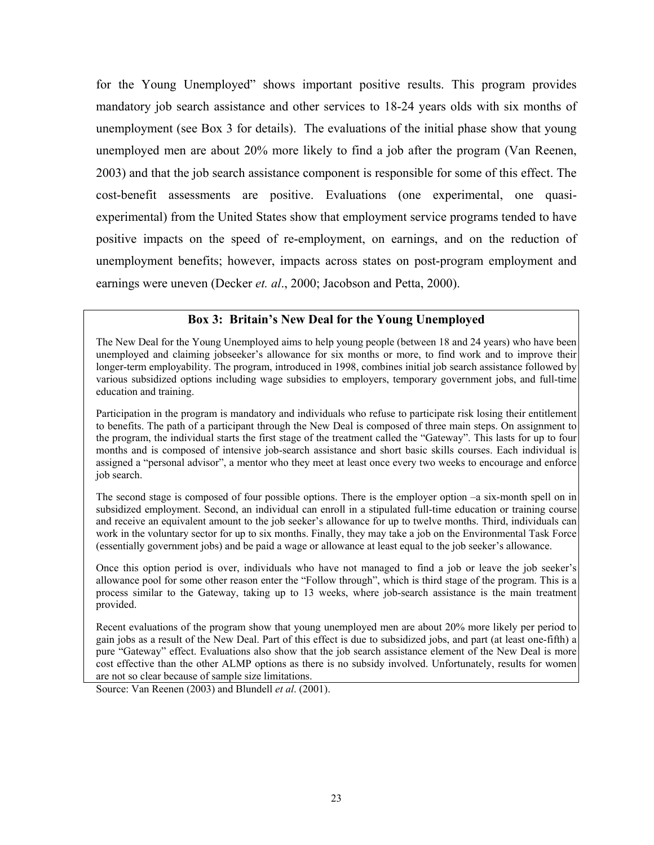for the Young Unemployed" shows important positive results. This program provides mandatory job search assistance and other services to 18-24 years olds with six months of unemployment (see Box 3 for details). The evaluations of the initial phase show that young unemployed men are about 20% more likely to find a job after the program (Van Reenen, 2003) and that the job search assistance component is responsible for some of this effect. The cost-benefit assessments are positive. Evaluations (one experimental, one quasiexperimental) from the United States show that employment service programs tended to have positive impacts on the speed of re-employment, on earnings, and on the reduction of unemployment benefits; however, impacts across states on post-program employment and earnings were uneven (Decker *et. al*., 2000; Jacobson and Petta, 2000).

## **Box 3: Britain's New Deal for the Young Unemployed**

The New Deal for the Young Unemployed aims to help young people (between 18 and 24 years) who have been unemployed and claiming jobseeker's allowance for six months or more, to find work and to improve their longer-term employability. The program, introduced in 1998, combines initial job search assistance followed by various subsidized options including wage subsidies to employers, temporary government jobs, and full-time education and training.

Participation in the program is mandatory and individuals who refuse to participate risk losing their entitlement to benefits. The path of a participant through the New Deal is composed of three main steps. On assignment to the program, the individual starts the first stage of the treatment called the "Gateway". This lasts for up to four months and is composed of intensive job-search assistance and short basic skills courses. Each individual is assigned a "personal advisor", a mentor who they meet at least once every two weeks to encourage and enforce job search.

The second stage is composed of four possible options. There is the employer option –a six-month spell on in subsidized employment. Second, an individual can enroll in a stipulated full-time education or training course and receive an equivalent amount to the job seeker's allowance for up to twelve months. Third, individuals can work in the voluntary sector for up to six months. Finally, they may take a job on the Environmental Task Force (essentially government jobs) and be paid a wage or allowance at least equal to the job seeker's allowance.

Once this option period is over, individuals who have not managed to find a job or leave the job seeker's allowance pool for some other reason enter the "Follow through", which is third stage of the program. This is a process similar to the Gateway, taking up to 13 weeks, where job-search assistance is the main treatment provided.

Recent evaluations of the program show that young unemployed men are about 20% more likely per period to gain jobs as a result of the New Deal. Part of this effect is due to subsidized jobs, and part (at least one-fifth) a pure "Gateway" effect. Evaluations also show that the job search assistance element of the New Deal is more cost effective than the other ALMP options as there is no subsidy involved. Unfortunately, results for women are not so clear because of sample size limitations.

Source: Van Reenen (2003) and Blundell *et al*. (2001).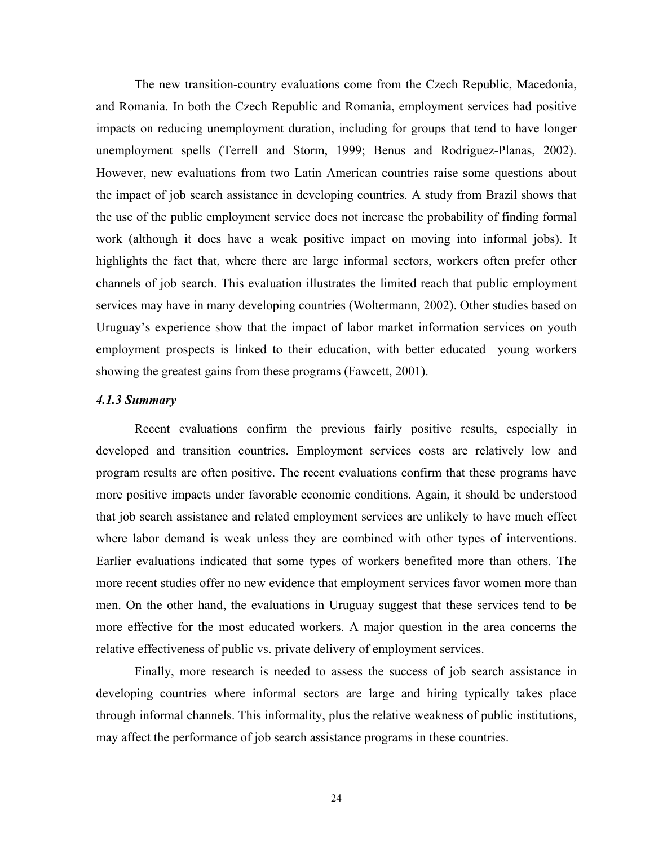The new transition-country evaluations come from the Czech Republic, Macedonia, and Romania. In both the Czech Republic and Romania, employment services had positive impacts on reducing unemployment duration, including for groups that tend to have longer unemployment spells (Terrell and Storm, 1999; Benus and Rodriguez-Planas, 2002). However, new evaluations from two Latin American countries raise some questions about the impact of job search assistance in developing countries. A study from Brazil shows that the use of the public employment service does not increase the probability of finding formal work (although it does have a weak positive impact on moving into informal jobs). It highlights the fact that, where there are large informal sectors, workers often prefer other channels of job search. This evaluation illustrates the limited reach that public employment services may have in many developing countries (Woltermann, 2002). Other studies based on Uruguay's experience show that the impact of labor market information services on youth employment prospects is linked to their education, with better educated young workers showing the greatest gains from these programs (Fawcett, 2001).

#### *4.1.3 Summary*

Recent evaluations confirm the previous fairly positive results, especially in developed and transition countries. Employment services costs are relatively low and program results are often positive. The recent evaluations confirm that these programs have more positive impacts under favorable economic conditions. Again, it should be understood that job search assistance and related employment services are unlikely to have much effect where labor demand is weak unless they are combined with other types of interventions. Earlier evaluations indicated that some types of workers benefited more than others. The more recent studies offer no new evidence that employment services favor women more than men. On the other hand, the evaluations in Uruguay suggest that these services tend to be more effective for the most educated workers. A major question in the area concerns the relative effectiveness of public vs. private delivery of employment services.

Finally, more research is needed to assess the success of job search assistance in developing countries where informal sectors are large and hiring typically takes place through informal channels. This informality, plus the relative weakness of public institutions, may affect the performance of job search assistance programs in these countries.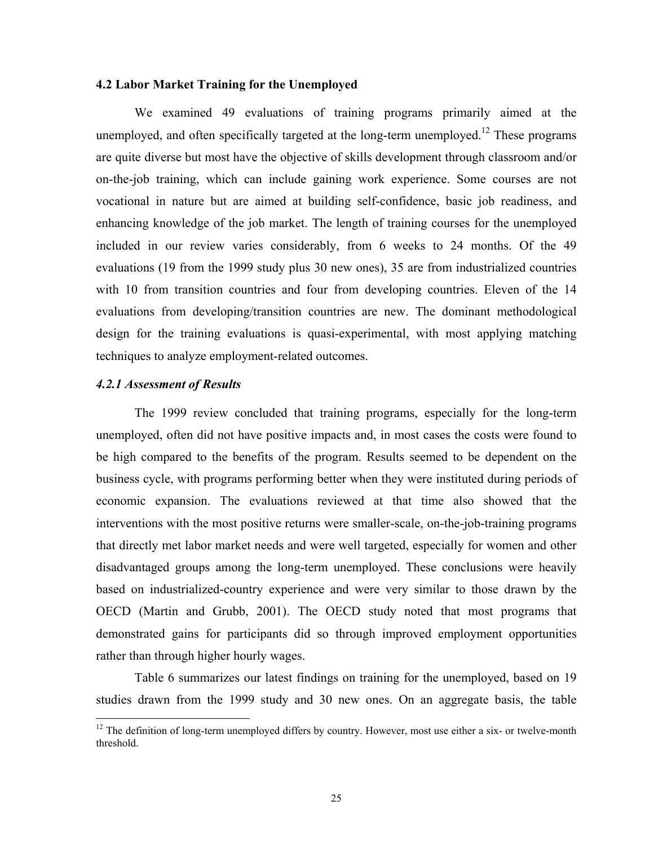#### **4.2 Labor Market Training for the Unemployed**

We examined 49 evaluations of training programs primarily aimed at the unemployed, and often specifically targeted at the long-term unemployed.<sup>12</sup> These programs are quite diverse but most have the objective of skills development through classroom and/or on-the-job training, which can include gaining work experience. Some courses are not vocational in nature but are aimed at building self-confidence, basic job readiness, and enhancing knowledge of the job market. The length of training courses for the unemployed included in our review varies considerably, from 6 weeks to 24 months. Of the 49 evaluations (19 from the 1999 study plus 30 new ones), 35 are from industrialized countries with 10 from transition countries and four from developing countries. Eleven of the 14 evaluations from developing/transition countries are new. The dominant methodological design for the training evaluations is quasi-experimental, with most applying matching techniques to analyze employment-related outcomes.

#### *4.2.1 Assessment of Results*

 $\overline{a}$ 

The 1999 review concluded that training programs, especially for the long-term unemployed, often did not have positive impacts and, in most cases the costs were found to be high compared to the benefits of the program. Results seemed to be dependent on the business cycle, with programs performing better when they were instituted during periods of economic expansion. The evaluations reviewed at that time also showed that the interventions with the most positive returns were smaller-scale, on-the-job-training programs that directly met labor market needs and were well targeted, especially for women and other disadvantaged groups among the long-term unemployed. These conclusions were heavily based on industrialized-country experience and were very similar to those drawn by the OECD (Martin and Grubb, 2001). The OECD study noted that most programs that demonstrated gains for participants did so through improved employment opportunities rather than through higher hourly wages.

Table 6 summarizes our latest findings on training for the unemployed, based on 19 studies drawn from the 1999 study and 30 new ones. On an aggregate basis, the table

 $12$  The definition of long-term unemployed differs by country. However, most use either a six- or twelve-month threshold.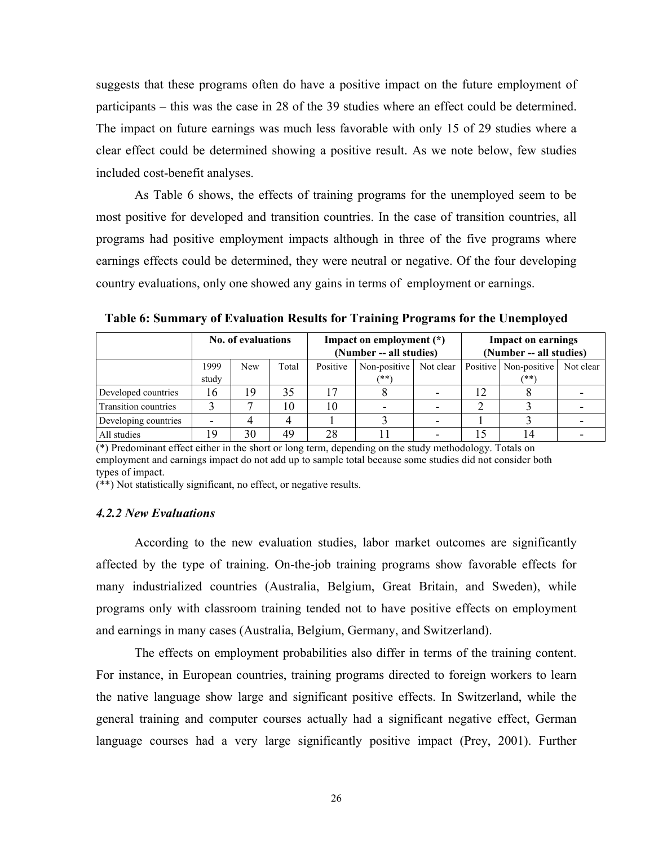suggests that these programs often do have a positive impact on the future employment of participants – this was the case in 28 of the 39 studies where an effect could be determined. The impact on future earnings was much less favorable with only 15 of 29 studies where a clear effect could be determined showing a positive result. As we note below, few studies included cost-benefit analyses.

As Table 6 shows, the effects of training programs for the unemployed seem to be most positive for developed and transition countries. In the case of transition countries, all programs had positive employment impacts although in three of the five programs where earnings effects could be determined, they were neutral or negative. Of the four developing country evaluations, only one showed any gains in terms of employment or earnings.

**Table 6: Summary of Evaluation Results for Training Programs for the Unemployed** 

|                             | No. of evaluations |            |       |          | Impact on employment (*)<br>(Number -- all studies) |           | <b>Impact on earnings</b><br>(Number -- all studies) |                                 |           |
|-----------------------------|--------------------|------------|-------|----------|-----------------------------------------------------|-----------|------------------------------------------------------|---------------------------------|-----------|
|                             | 1999<br>study      | <b>New</b> | Total | Positive | Non-positive<br>(**)                                | Not clear |                                                      | Positive   Non-positive<br>(**) | Not clear |
| Developed countries         | 16.                | 19         | 35    |          |                                                     |           | 12                                                   |                                 |           |
| <b>Transition countries</b> |                    |            | 10    | 10       |                                                     |           |                                                      |                                 |           |
| Developing countries        |                    |            |       |          |                                                     |           |                                                      |                                 |           |
| All studies                 | 9                  | 30         | 49    | 28       |                                                     |           | 15                                                   | 14                              |           |

(\*) Predominant effect either in the short or long term, depending on the study methodology. Totals on employment and earnings impact do not add up to sample total because some studies did not consider both types of impact.

(\*\*) Not statistically significant, no effect, or negative results.

#### *4.2.2 New Evaluations*

According to the new evaluation studies, labor market outcomes are significantly affected by the type of training. On-the-job training programs show favorable effects for many industrialized countries (Australia, Belgium, Great Britain, and Sweden), while programs only with classroom training tended not to have positive effects on employment and earnings in many cases (Australia, Belgium, Germany, and Switzerland).

The effects on employment probabilities also differ in terms of the training content. For instance, in European countries, training programs directed to foreign workers to learn the native language show large and significant positive effects. In Switzerland, while the general training and computer courses actually had a significant negative effect, German language courses had a very large significantly positive impact (Prey, 2001). Further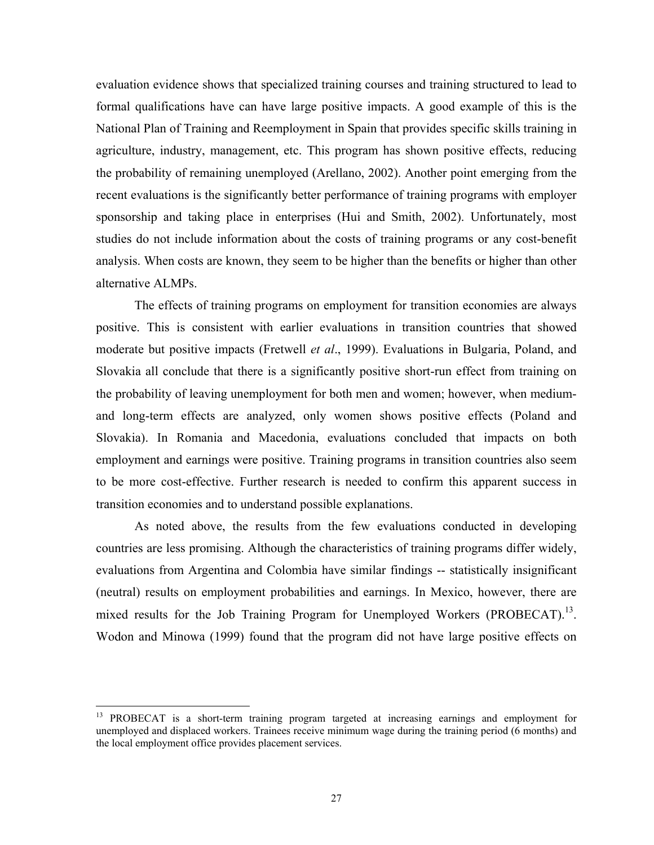evaluation evidence shows that specialized training courses and training structured to lead to formal qualifications have can have large positive impacts. A good example of this is the National Plan of Training and Reemployment in Spain that provides specific skills training in agriculture, industry, management, etc. This program has shown positive effects, reducing the probability of remaining unemployed (Arellano, 2002). Another point emerging from the recent evaluations is the significantly better performance of training programs with employer sponsorship and taking place in enterprises (Hui and Smith, 2002). Unfortunately, most studies do not include information about the costs of training programs or any cost-benefit analysis. When costs are known, they seem to be higher than the benefits or higher than other alternative ALMPs.

The effects of training programs on employment for transition economies are always positive. This is consistent with earlier evaluations in transition countries that showed moderate but positive impacts (Fretwell *et al*., 1999). Evaluations in Bulgaria, Poland, and Slovakia all conclude that there is a significantly positive short-run effect from training on the probability of leaving unemployment for both men and women; however, when mediumand long-term effects are analyzed, only women shows positive effects (Poland and Slovakia). In Romania and Macedonia, evaluations concluded that impacts on both employment and earnings were positive. Training programs in transition countries also seem to be more cost-effective. Further research is needed to confirm this apparent success in transition economies and to understand possible explanations.

As noted above, the results from the few evaluations conducted in developing countries are less promising. Although the characteristics of training programs differ widely, evaluations from Argentina and Colombia have similar findings -- statistically insignificant (neutral) results on employment probabilities and earnings. In Mexico, however, there are mixed results for the Job Training Program for Unemployed Workers (PROBECAT).<sup>13</sup>. Wodon and Minowa (1999) found that the program did not have large positive effects on

1

<sup>&</sup>lt;sup>13</sup> PROBECAT is a short-term training program targeted at increasing earnings and employment for unemployed and displaced workers. Trainees receive minimum wage during the training period (6 months) and the local employment office provides placement services.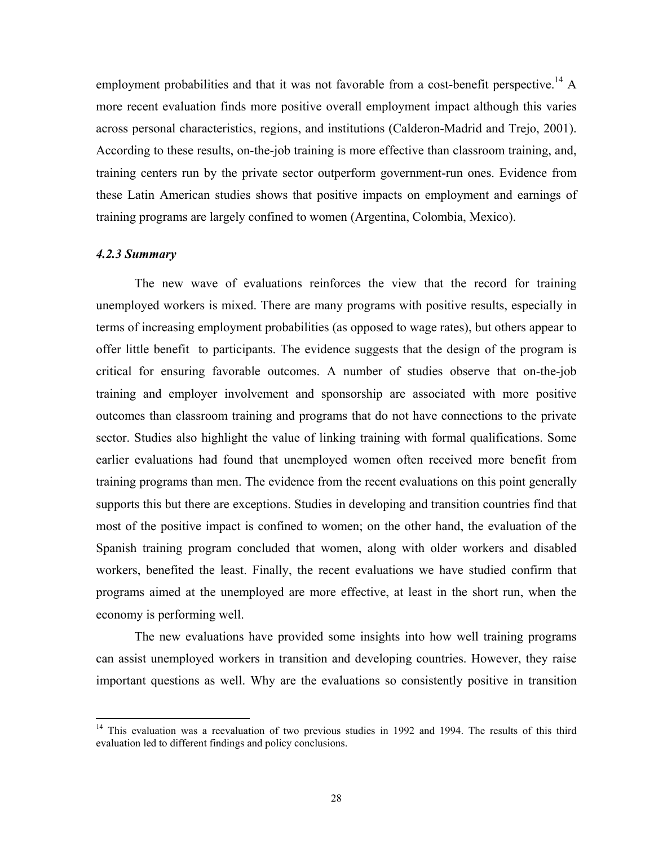employment probabilities and that it was not favorable from a cost-benefit perspective.<sup>14</sup> A more recent evaluation finds more positive overall employment impact although this varies across personal characteristics, regions, and institutions (Calderon-Madrid and Trejo, 2001). According to these results, on-the-job training is more effective than classroom training, and, training centers run by the private sector outperform government-run ones. Evidence from these Latin American studies shows that positive impacts on employment and earnings of training programs are largely confined to women (Argentina, Colombia, Mexico).

#### *4.2.3 Summary*

 $\overline{a}$ 

The new wave of evaluations reinforces the view that the record for training unemployed workers is mixed. There are many programs with positive results, especially in terms of increasing employment probabilities (as opposed to wage rates), but others appear to offer little benefit to participants. The evidence suggests that the design of the program is critical for ensuring favorable outcomes. A number of studies observe that on-the-job training and employer involvement and sponsorship are associated with more positive outcomes than classroom training and programs that do not have connections to the private sector. Studies also highlight the value of linking training with formal qualifications. Some earlier evaluations had found that unemployed women often received more benefit from training programs than men. The evidence from the recent evaluations on this point generally supports this but there are exceptions. Studies in developing and transition countries find that most of the positive impact is confined to women; on the other hand, the evaluation of the Spanish training program concluded that women, along with older workers and disabled workers, benefited the least. Finally, the recent evaluations we have studied confirm that programs aimed at the unemployed are more effective, at least in the short run, when the economy is performing well.

The new evaluations have provided some insights into how well training programs can assist unemployed workers in transition and developing countries. However, they raise important questions as well. Why are the evaluations so consistently positive in transition

<sup>&</sup>lt;sup>14</sup> This evaluation was a reevaluation of two previous studies in 1992 and 1994. The results of this third evaluation led to different findings and policy conclusions.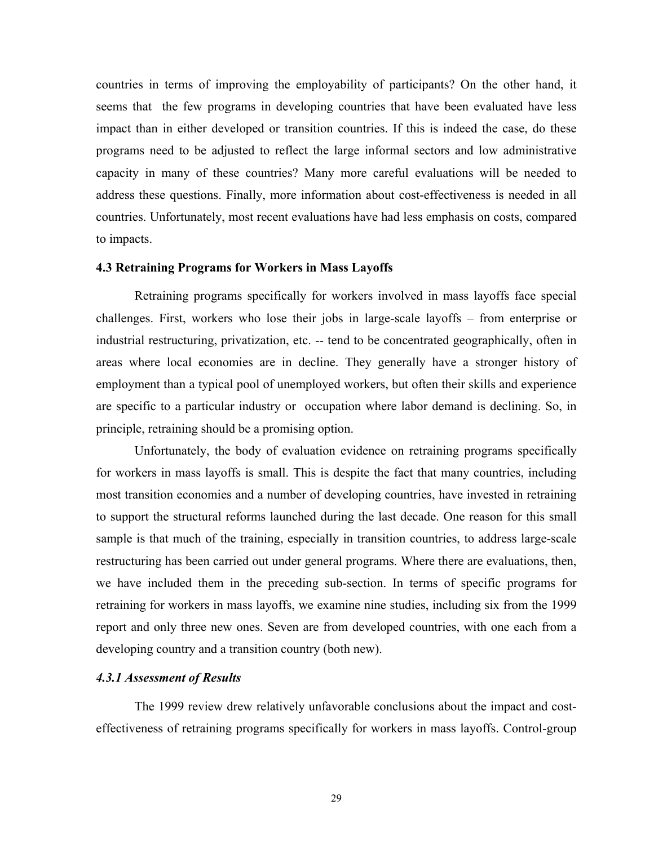countries in terms of improving the employability of participants? On the other hand, it seems that the few programs in developing countries that have been evaluated have less impact than in either developed or transition countries. If this is indeed the case, do these programs need to be adjusted to reflect the large informal sectors and low administrative capacity in many of these countries? Many more careful evaluations will be needed to address these questions. Finally, more information about cost-effectiveness is needed in all countries. Unfortunately, most recent evaluations have had less emphasis on costs, compared to impacts.

#### **4.3 Retraining Programs for Workers in Mass Layoffs**

Retraining programs specifically for workers involved in mass layoffs face special challenges. First, workers who lose their jobs in large-scale layoffs – from enterprise or industrial restructuring, privatization, etc. -- tend to be concentrated geographically, often in areas where local economies are in decline. They generally have a stronger history of employment than a typical pool of unemployed workers, but often their skills and experience are specific to a particular industry or occupation where labor demand is declining. So, in principle, retraining should be a promising option.

Unfortunately, the body of evaluation evidence on retraining programs specifically for workers in mass layoffs is small. This is despite the fact that many countries, including most transition economies and a number of developing countries, have invested in retraining to support the structural reforms launched during the last decade. One reason for this small sample is that much of the training, especially in transition countries, to address large-scale restructuring has been carried out under general programs. Where there are evaluations, then, we have included them in the preceding sub-section. In terms of specific programs for retraining for workers in mass layoffs, we examine nine studies, including six from the 1999 report and only three new ones. Seven are from developed countries, with one each from a developing country and a transition country (both new).

#### *4.3.1 Assessment of Results*

The 1999 review drew relatively unfavorable conclusions about the impact and costeffectiveness of retraining programs specifically for workers in mass layoffs. Control-group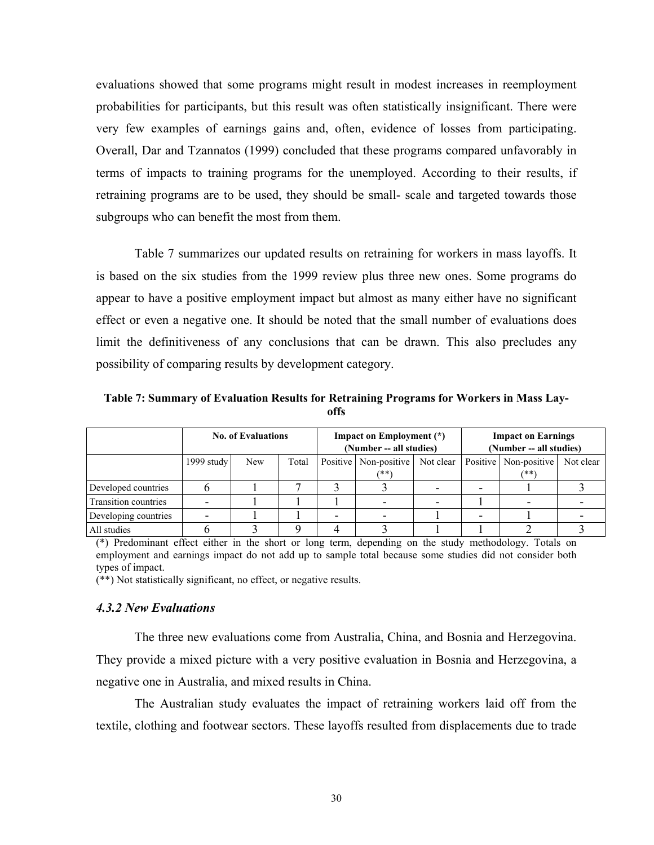evaluations showed that some programs might result in modest increases in reemployment probabilities for participants, but this result was often statistically insignificant. There were very few examples of earnings gains and, often, evidence of losses from participating. Overall, Dar and Tzannatos (1999) concluded that these programs compared unfavorably in terms of impacts to training programs for the unemployed. According to their results, if retraining programs are to be used, they should be small- scale and targeted towards those subgroups who can benefit the most from them.

Table 7 summarizes our updated results on retraining for workers in mass layoffs. It is based on the six studies from the 1999 review plus three new ones. Some programs do appear to have a positive employment impact but almost as many either have no significant effect or even a negative one. It should be noted that the small number of evaluations does limit the definitiveness of any conclusions that can be drawn. This also precludes any possibility of comparing results by development category.

**Table 7: Summary of Evaluation Results for Retraining Programs for Workers in Mass Layoffs** 

|                             | <b>No. of Evaluations</b> |            |       | <b>Impact on Employment</b> (*)<br>(Number -- all studies) |           |  | <b>Impact on Earnings</b><br>(Number -- all studies) |           |  |
|-----------------------------|---------------------------|------------|-------|------------------------------------------------------------|-----------|--|------------------------------------------------------|-----------|--|
|                             | 1999 study                | <b>New</b> | Total | Positive   Non-positive  <br>$(**)$                        | Not clear |  | Positive Non-positive<br>(**)                        | Not clear |  |
| Developed countries         |                           |            |       |                                                            |           |  |                                                      |           |  |
| <b>Transition countries</b> |                           |            |       |                                                            |           |  |                                                      |           |  |
| Developing countries        |                           |            |       |                                                            |           |  |                                                      |           |  |
| All studies                 |                           |            |       |                                                            |           |  |                                                      |           |  |

(\*) Predominant effect either in the short or long term, depending on the study methodology. Totals on employment and earnings impact do not add up to sample total because some studies did not consider both types of impact.

(\*\*) Not statistically significant, no effect, or negative results.

#### *4.3.2 New Evaluations*

The three new evaluations come from Australia, China, and Bosnia and Herzegovina. They provide a mixed picture with a very positive evaluation in Bosnia and Herzegovina, a negative one in Australia, and mixed results in China.

The Australian study evaluates the impact of retraining workers laid off from the textile, clothing and footwear sectors. These layoffs resulted from displacements due to trade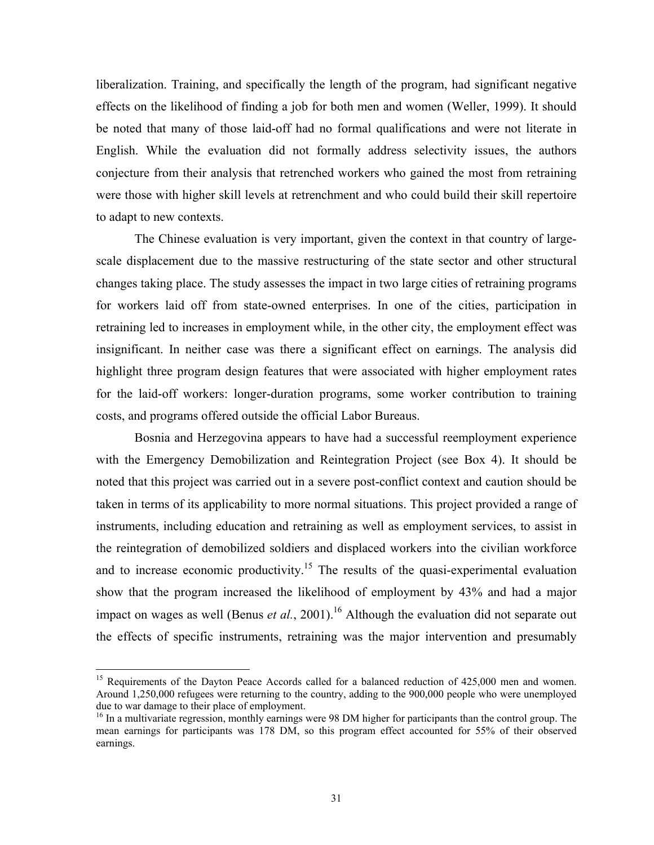liberalization. Training, and specifically the length of the program, had significant negative effects on the likelihood of finding a job for both men and women (Weller, 1999). It should be noted that many of those laid-off had no formal qualifications and were not literate in English. While the evaluation did not formally address selectivity issues, the authors conjecture from their analysis that retrenched workers who gained the most from retraining were those with higher skill levels at retrenchment and who could build their skill repertoire to adapt to new contexts.

The Chinese evaluation is very important, given the context in that country of largescale displacement due to the massive restructuring of the state sector and other structural changes taking place. The study assesses the impact in two large cities of retraining programs for workers laid off from state-owned enterprises. In one of the cities, participation in retraining led to increases in employment while, in the other city, the employment effect was insignificant. In neither case was there a significant effect on earnings. The analysis did highlight three program design features that were associated with higher employment rates for the laid-off workers: longer-duration programs, some worker contribution to training costs, and programs offered outside the official Labor Bureaus.

Bosnia and Herzegovina appears to have had a successful reemployment experience with the Emergency Demobilization and Reintegration Project (see Box 4). It should be noted that this project was carried out in a severe post-conflict context and caution should be taken in terms of its applicability to more normal situations. This project provided a range of instruments, including education and retraining as well as employment services, to assist in the reintegration of demobilized soldiers and displaced workers into the civilian workforce and to increase economic productivity.<sup>15</sup> The results of the quasi-experimental evaluation show that the program increased the likelihood of employment by 43% and had a major impact on wages as well (Benus *et al.*, 2001).<sup>16</sup> Although the evaluation did not separate out the effects of specific instruments, retraining was the major intervention and presumably

 $\overline{a}$ 

<sup>&</sup>lt;sup>15</sup> Requirements of the Dayton Peace Accords called for a balanced reduction of 425,000 men and women. Around 1,250,000 refugees were returning to the country, adding to the 900,000 people who were unemployed due to war damage to their place of employment.

 $16$  In a multivariate regression, monthly earnings were 98 DM higher for participants than the control group. The mean earnings for participants was 178 DM, so this program effect accounted for 55% of their observed earnings.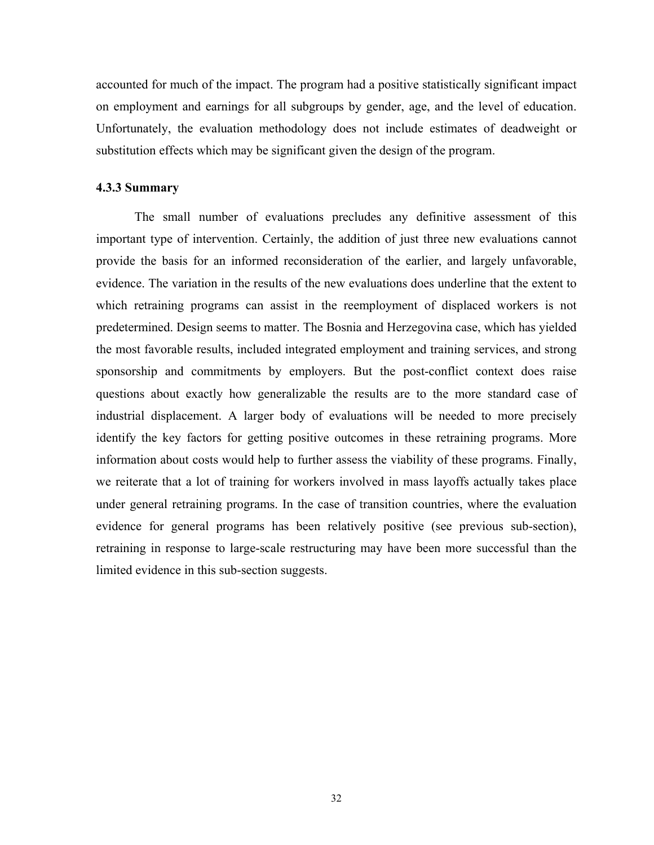accounted for much of the impact. The program had a positive statistically significant impact on employment and earnings for all subgroups by gender, age, and the level of education. Unfortunately, the evaluation methodology does not include estimates of deadweight or substitution effects which may be significant given the design of the program.

### **4.3.3 Summary**

The small number of evaluations precludes any definitive assessment of this important type of intervention. Certainly, the addition of just three new evaluations cannot provide the basis for an informed reconsideration of the earlier, and largely unfavorable, evidence. The variation in the results of the new evaluations does underline that the extent to which retraining programs can assist in the reemployment of displaced workers is not predetermined. Design seems to matter. The Bosnia and Herzegovina case, which has yielded the most favorable results, included integrated employment and training services, and strong sponsorship and commitments by employers. But the post-conflict context does raise questions about exactly how generalizable the results are to the more standard case of industrial displacement. A larger body of evaluations will be needed to more precisely identify the key factors for getting positive outcomes in these retraining programs. More information about costs would help to further assess the viability of these programs. Finally, we reiterate that a lot of training for workers involved in mass layoffs actually takes place under general retraining programs. In the case of transition countries, where the evaluation evidence for general programs has been relatively positive (see previous sub-section), retraining in response to large-scale restructuring may have been more successful than the limited evidence in this sub-section suggests.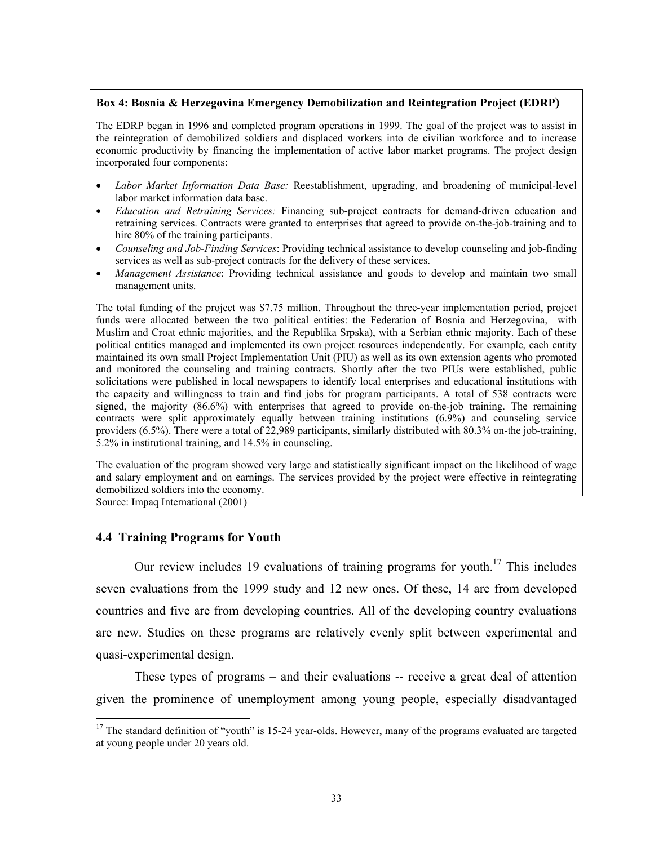### **Box 4: Bosnia & Herzegovina Emergency Demobilization and Reintegration Project (EDRP)**

The EDRP began in 1996 and completed program operations in 1999. The goal of the project was to assist in the reintegration of demobilized soldiers and displaced workers into de civilian workforce and to increase economic productivity by financing the implementation of active labor market programs. The project design incorporated four components:

- *Labor Market Information Data Base:* Reestablishment, upgrading, and broadening of municipal-level labor market information data base.
- *Education and Retraining Services:* Financing sub-project contracts for demand-driven education and retraining services. Contracts were granted to enterprises that agreed to provide on-the-job-training and to hire 80% of the training participants.
- *Counseling and Job-Finding Services*: Providing technical assistance to develop counseling and job-finding services as well as sub-project contracts for the delivery of these services.
- *Management Assistance*: Providing technical assistance and goods to develop and maintain two small management units.

The total funding of the project was \$7.75 million. Throughout the three-year implementation period, project funds were allocated between the two political entities: the Federation of Bosnia and Herzegovina, with Muslim and Croat ethnic majorities, and the Republika Srpska), with a Serbian ethnic majority. Each of these political entities managed and implemented its own project resources independently. For example, each entity maintained its own small Project Implementation Unit (PIU) as well as its own extension agents who promoted and monitored the counseling and training contracts. Shortly after the two PIUs were established, public solicitations were published in local newspapers to identify local enterprises and educational institutions with the capacity and willingness to train and find jobs for program participants. A total of 538 contracts were signed, the majority (86.6%) with enterprises that agreed to provide on-the-job training. The remaining contracts were split approximately equally between training institutions (6.9%) and counseling service providers (6.5%). There were a total of 22,989 participants, similarly distributed with 80.3% on-the job-training, 5.2% in institutional training, and 14.5% in counseling.

The evaluation of the program showed very large and statistically significant impact on the likelihood of wage and salary employment and on earnings. The services provided by the project were effective in reintegrating demobilized soldiers into the economy.

Source: Impaq International (2001)

1

### **4.4 Training Programs for Youth**

Our review includes 19 evaluations of training programs for youth.<sup>17</sup> This includes seven evaluations from the 1999 study and 12 new ones. Of these, 14 are from developed countries and five are from developing countries. All of the developing country evaluations are new. Studies on these programs are relatively evenly split between experimental and quasi-experimental design.

These types of programs – and their evaluations -- receive a great deal of attention given the prominence of unemployment among young people, especially disadvantaged

<sup>&</sup>lt;sup>17</sup> The standard definition of "youth" is 15-24 year-olds. However, many of the programs evaluated are targeted at young people under 20 years old.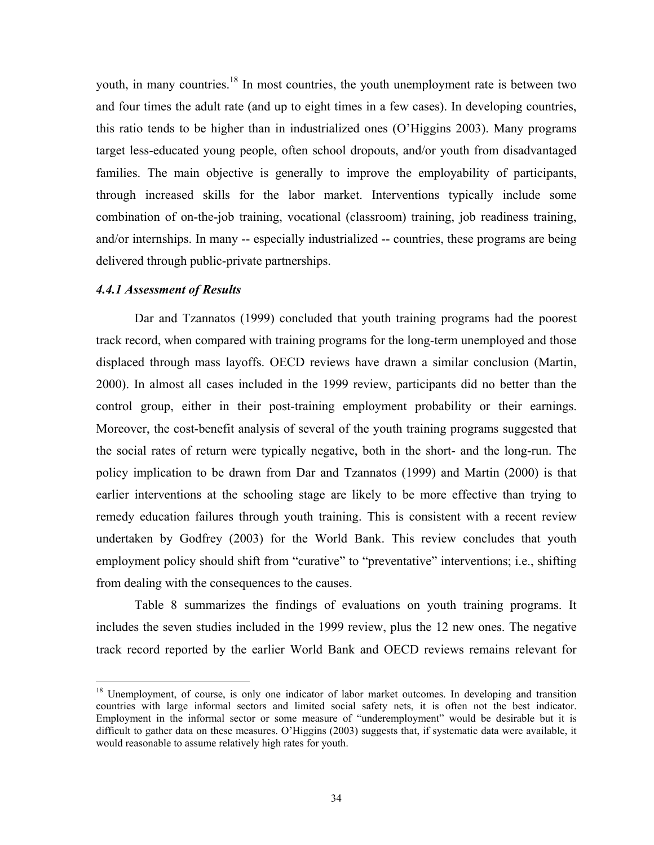youth, in many countries.<sup>18</sup> In most countries, the youth unemployment rate is between two and four times the adult rate (and up to eight times in a few cases). In developing countries, this ratio tends to be higher than in industrialized ones (O'Higgins 2003). Many programs target less-educated young people, often school dropouts, and/or youth from disadvantaged families. The main objective is generally to improve the employability of participants, through increased skills for the labor market. Interventions typically include some combination of on-the-job training, vocational (classroom) training, job readiness training, and/or internships. In many -- especially industrialized -- countries, these programs are being delivered through public-private partnerships.

### *4.4.1 Assessment of Results*

 $\overline{a}$ 

Dar and Tzannatos (1999) concluded that youth training programs had the poorest track record, when compared with training programs for the long-term unemployed and those displaced through mass layoffs. OECD reviews have drawn a similar conclusion (Martin, 2000). In almost all cases included in the 1999 review, participants did no better than the control group, either in their post-training employment probability or their earnings. Moreover, the cost-benefit analysis of several of the youth training programs suggested that the social rates of return were typically negative, both in the short- and the long-run. The policy implication to be drawn from Dar and Tzannatos (1999) and Martin (2000) is that earlier interventions at the schooling stage are likely to be more effective than trying to remedy education failures through youth training. This is consistent with a recent review undertaken by Godfrey (2003) for the World Bank. This review concludes that youth employment policy should shift from "curative" to "preventative" interventions; i.e., shifting from dealing with the consequences to the causes.

Table 8 summarizes the findings of evaluations on youth training programs. It includes the seven studies included in the 1999 review, plus the 12 new ones. The negative track record reported by the earlier World Bank and OECD reviews remains relevant for

<sup>&</sup>lt;sup>18</sup> Unemployment, of course, is only one indicator of labor market outcomes. In developing and transition countries with large informal sectors and limited social safety nets, it is often not the best indicator. Employment in the informal sector or some measure of "underemployment" would be desirable but it is difficult to gather data on these measures. O'Higgins (2003) suggests that, if systematic data were available, it would reasonable to assume relatively high rates for youth.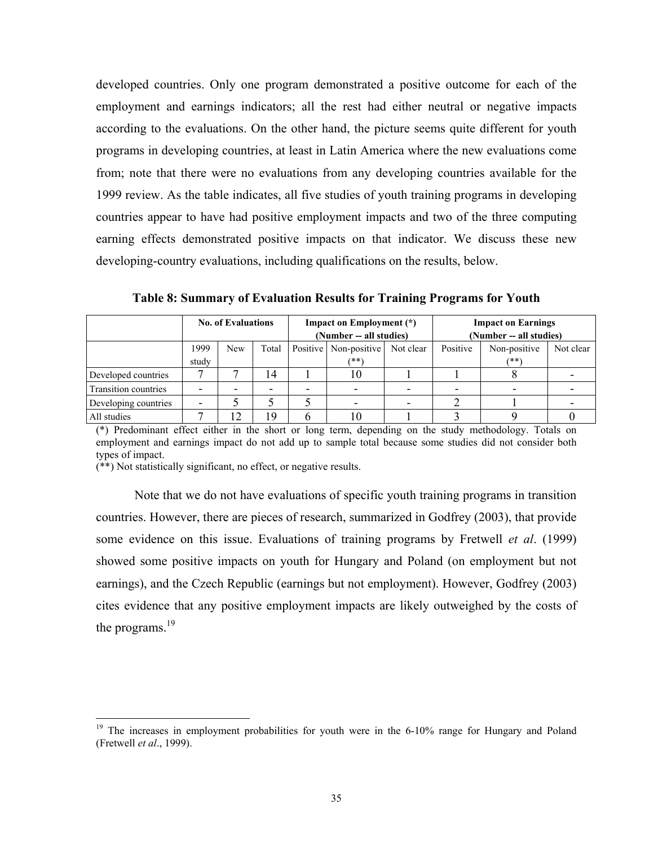developed countries. Only one program demonstrated a positive outcome for each of the employment and earnings indicators; all the rest had either neutral or negative impacts according to the evaluations. On the other hand, the picture seems quite different for youth programs in developing countries, at least in Latin America where the new evaluations come from; note that there were no evaluations from any developing countries available for the 1999 review. As the table indicates, all five studies of youth training programs in developing countries appear to have had positive employment impacts and two of the three computing earning effects demonstrated positive impacts on that indicator. We discuss these new developing-country evaluations, including qualifications on the results, below.

|                             | <b>No. of Evaluations</b> |     |       |                                   | <b>Impact on Employment</b> (*)<br>(Number -- all studies) |           | <b>Impact on Earnings</b><br>(Number -- all studies) |                      |           |
|-----------------------------|---------------------------|-----|-------|-----------------------------------|------------------------------------------------------------|-----------|------------------------------------------------------|----------------------|-----------|
|                             | 1999<br>study             | New | Total | Positive   Non-positive  <br>(**) |                                                            | Not clear | Positive                                             | Non-positive<br>(**) | Not clear |
| Developed countries         |                           |     | 4     |                                   | 10                                                         |           |                                                      |                      |           |
| <b>Transition countries</b> |                           |     |       | $\overline{\phantom{0}}$          | ۰                                                          |           |                                                      |                      |           |
| Developing countries        |                           |     |       |                                   |                                                            |           |                                                      |                      |           |
| All studies                 |                           | 2   | 9     |                                   |                                                            |           |                                                      |                      |           |

**Table 8: Summary of Evaluation Results for Training Programs for Youth** 

(\*) Predominant effect either in the short or long term, depending on the study methodology. Totals on employment and earnings impact do not add up to sample total because some studies did not consider both types of impact.

(\*\*) Not statistically significant, no effect, or negative results.

1

Note that we do not have evaluations of specific youth training programs in transition countries. However, there are pieces of research, summarized in Godfrey (2003), that provide some evidence on this issue. Evaluations of training programs by Fretwell *et al*. (1999) showed some positive impacts on youth for Hungary and Poland (on employment but not earnings), and the Czech Republic (earnings but not employment). However, Godfrey (2003) cites evidence that any positive employment impacts are likely outweighed by the costs of the programs.<sup>19</sup>

<sup>&</sup>lt;sup>19</sup> The increases in employment probabilities for youth were in the 6-10% range for Hungary and Poland (Fretwell *et al*., 1999).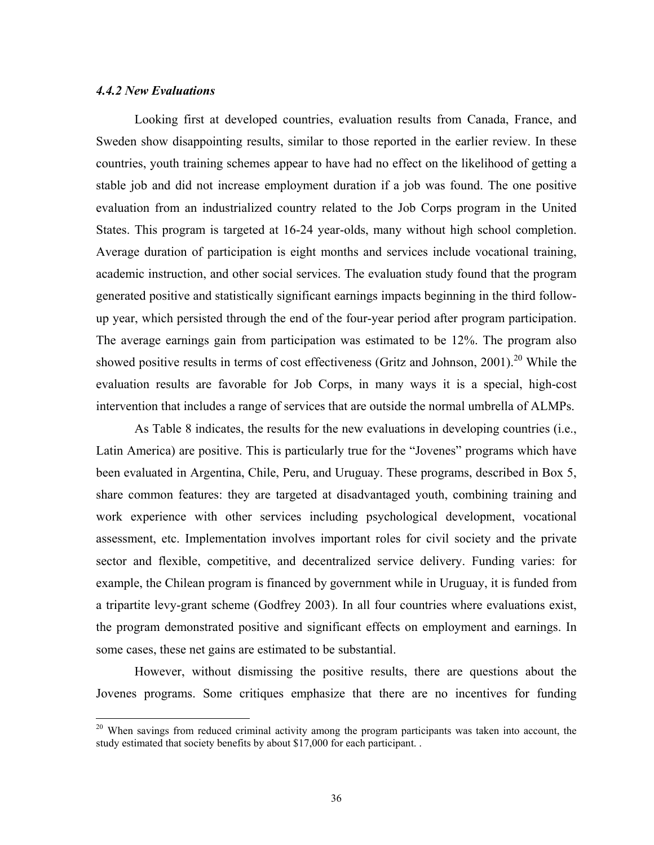### *4.4.2 New Evaluations*

 $\overline{a}$ 

Looking first at developed countries, evaluation results from Canada, France, and Sweden show disappointing results, similar to those reported in the earlier review. In these countries, youth training schemes appear to have had no effect on the likelihood of getting a stable job and did not increase employment duration if a job was found. The one positive evaluation from an industrialized country related to the Job Corps program in the United States. This program is targeted at 16-24 year-olds, many without high school completion. Average duration of participation is eight months and services include vocational training, academic instruction, and other social services. The evaluation study found that the program generated positive and statistically significant earnings impacts beginning in the third followup year, which persisted through the end of the four-year period after program participation. The average earnings gain from participation was estimated to be 12%. The program also showed positive results in terms of cost effectiveness (Gritz and Johnson, 2001).<sup>20</sup> While the evaluation results are favorable for Job Corps, in many ways it is a special, high-cost intervention that includes a range of services that are outside the normal umbrella of ALMPs.

As Table 8 indicates, the results for the new evaluations in developing countries (i.e., Latin America) are positive. This is particularly true for the "Jovenes" programs which have been evaluated in Argentina, Chile, Peru, and Uruguay. These programs, described in Box 5, share common features: they are targeted at disadvantaged youth, combining training and work experience with other services including psychological development, vocational assessment, etc. Implementation involves important roles for civil society and the private sector and flexible, competitive, and decentralized service delivery. Funding varies: for example, the Chilean program is financed by government while in Uruguay, it is funded from a tripartite levy-grant scheme (Godfrey 2003). In all four countries where evaluations exist, the program demonstrated positive and significant effects on employment and earnings. In some cases, these net gains are estimated to be substantial.

However, without dismissing the positive results, there are questions about the Jovenes programs. Some critiques emphasize that there are no incentives for funding

<sup>&</sup>lt;sup>20</sup> When savings from reduced criminal activity among the program participants was taken into account, the study estimated that society benefits by about \$17,000 for each participant. .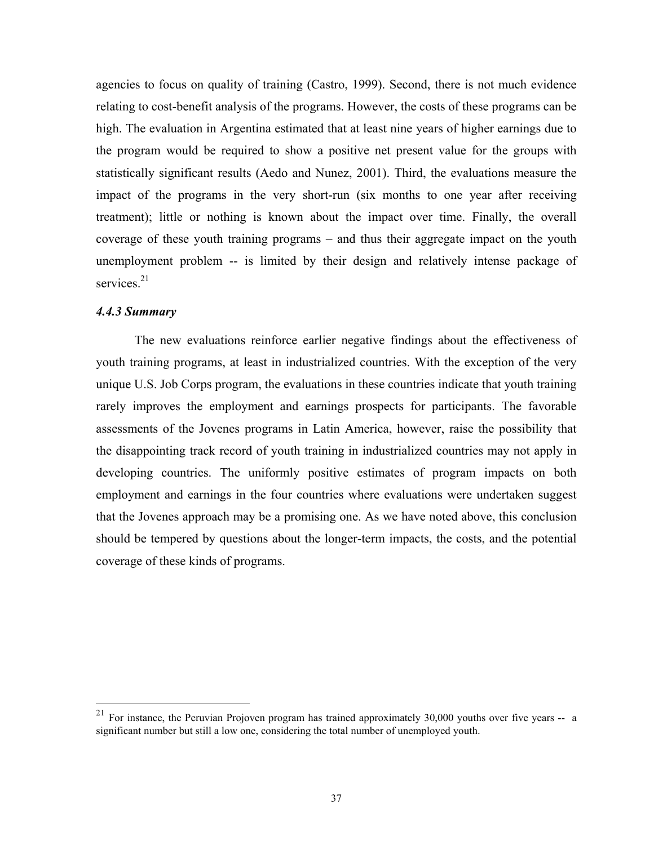agencies to focus on quality of training (Castro, 1999). Second, there is not much evidence relating to cost-benefit analysis of the programs. However, the costs of these programs can be high. The evaluation in Argentina estimated that at least nine years of higher earnings due to the program would be required to show a positive net present value for the groups with statistically significant results (Aedo and Nunez, 2001). Third, the evaluations measure the impact of the programs in the very short-run (six months to one year after receiving treatment); little or nothing is known about the impact over time. Finally, the overall coverage of these youth training programs – and thus their aggregate impact on the youth unemployment problem -- is limited by their design and relatively intense package of services. $21$ 

### *4.4.3 Summary*

 $\overline{a}$ 

The new evaluations reinforce earlier negative findings about the effectiveness of youth training programs, at least in industrialized countries. With the exception of the very unique U.S. Job Corps program, the evaluations in these countries indicate that youth training rarely improves the employment and earnings prospects for participants. The favorable assessments of the Jovenes programs in Latin America, however, raise the possibility that the disappointing track record of youth training in industrialized countries may not apply in developing countries. The uniformly positive estimates of program impacts on both employment and earnings in the four countries where evaluations were undertaken suggest that the Jovenes approach may be a promising one. As we have noted above, this conclusion should be tempered by questions about the longer-term impacts, the costs, and the potential coverage of these kinds of programs.

 $^{21}$  For instance, the Peruvian Projoven program has trained approximately 30,000 youths over five years -- a significant number but still a low one, considering the total number of unemployed youth.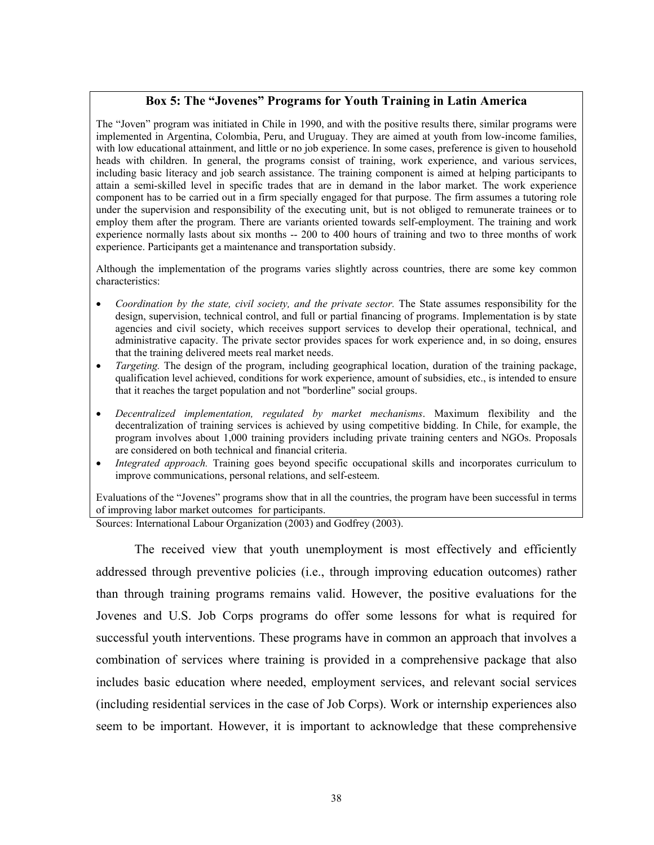# **Box 5: The "Jovenes" Programs for Youth Training in Latin America**

The "Joven" program was initiated in Chile in 1990, and with the positive results there, similar programs were implemented in Argentina, Colombia, Peru, and Uruguay. They are aimed at youth from low-income families, with low educational attainment, and little or no job experience. In some cases, preference is given to household heads with children. In general, the programs consist of training, work experience, and various services, including basic literacy and job search assistance. The training component is aimed at helping participants to attain a semi-skilled level in specific trades that are in demand in the labor market. The work experience component has to be carried out in a firm specially engaged for that purpose. The firm assumes a tutoring role under the supervision and responsibility of the executing unit, but is not obliged to remunerate trainees or to employ them after the program. There are variants oriented towards self-employment. The training and work experience normally lasts about six months -- 200 to 400 hours of training and two to three months of work experience. Participants get a maintenance and transportation subsidy.

Although the implementation of the programs varies slightly across countries, there are some key common characteristics:

- *Coordination by the state, civil society, and the private sector.* The State assumes responsibility for the design, supervision, technical control, and full or partial financing of programs. Implementation is by state agencies and civil society, which receives support services to develop their operational, technical, and administrative capacity. The private sector provides spaces for work experience and, in so doing, ensures that the training delivered meets real market needs.
- *Targeting*. The design of the program, including geographical location, duration of the training package, qualification level achieved, conditions for work experience, amount of subsidies, etc., is intended to ensure that it reaches the target population and not "borderline" social groups.
- *Decentralized implementation, regulated by market mechanisms*. Maximum flexibility and the decentralization of training services is achieved by using competitive bidding. In Chile, for example, the program involves about 1,000 training providers including private training centers and NGOs. Proposals are considered on both technical and financial criteria.
- *Integrated approach.* Training goes beyond specific occupational skills and incorporates curriculum to improve communications, personal relations, and self-esteem.

Evaluations of the "Jovenes" programs show that in all the countries, the program have been successful in terms of improving labor market outcomes for participants.

Sources: International Labour Organization (2003) and Godfrey (2003).

The received view that youth unemployment is most effectively and efficiently addressed through preventive policies (i.e., through improving education outcomes) rather than through training programs remains valid. However, the positive evaluations for the Jovenes and U.S. Job Corps programs do offer some lessons for what is required for successful youth interventions. These programs have in common an approach that involves a combination of services where training is provided in a comprehensive package that also includes basic education where needed, employment services, and relevant social services (including residential services in the case of Job Corps). Work or internship experiences also seem to be important. However, it is important to acknowledge that these comprehensive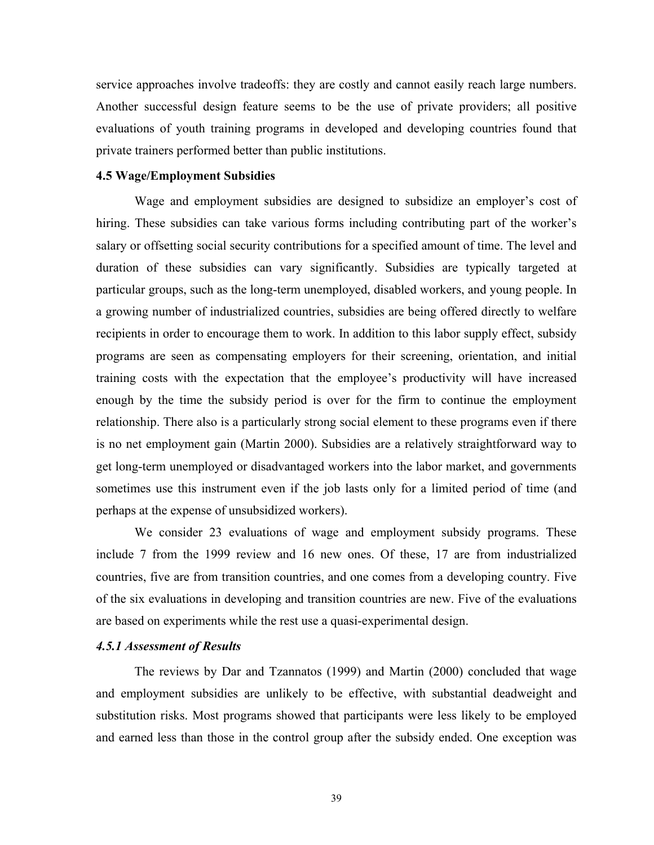service approaches involve tradeoffs: they are costly and cannot easily reach large numbers. Another successful design feature seems to be the use of private providers; all positive evaluations of youth training programs in developed and developing countries found that private trainers performed better than public institutions.

# **4.5 Wage/Employment Subsidies**

Wage and employment subsidies are designed to subsidize an employer's cost of hiring. These subsidies can take various forms including contributing part of the worker's salary or offsetting social security contributions for a specified amount of time. The level and duration of these subsidies can vary significantly. Subsidies are typically targeted at particular groups, such as the long-term unemployed, disabled workers, and young people. In a growing number of industrialized countries, subsidies are being offered directly to welfare recipients in order to encourage them to work. In addition to this labor supply effect, subsidy programs are seen as compensating employers for their screening, orientation, and initial training costs with the expectation that the employee's productivity will have increased enough by the time the subsidy period is over for the firm to continue the employment relationship. There also is a particularly strong social element to these programs even if there is no net employment gain (Martin 2000). Subsidies are a relatively straightforward way to get long-term unemployed or disadvantaged workers into the labor market, and governments sometimes use this instrument even if the job lasts only for a limited period of time (and perhaps at the expense of unsubsidized workers).

We consider 23 evaluations of wage and employment subsidy programs. These include 7 from the 1999 review and 16 new ones. Of these, 17 are from industrialized countries, five are from transition countries, and one comes from a developing country. Five of the six evaluations in developing and transition countries are new. Five of the evaluations are based on experiments while the rest use a quasi-experimental design.

#### *4.5.1 Assessment of Results*

The reviews by Dar and Tzannatos (1999) and Martin (2000) concluded that wage and employment subsidies are unlikely to be effective, with substantial deadweight and substitution risks. Most programs showed that participants were less likely to be employed and earned less than those in the control group after the subsidy ended. One exception was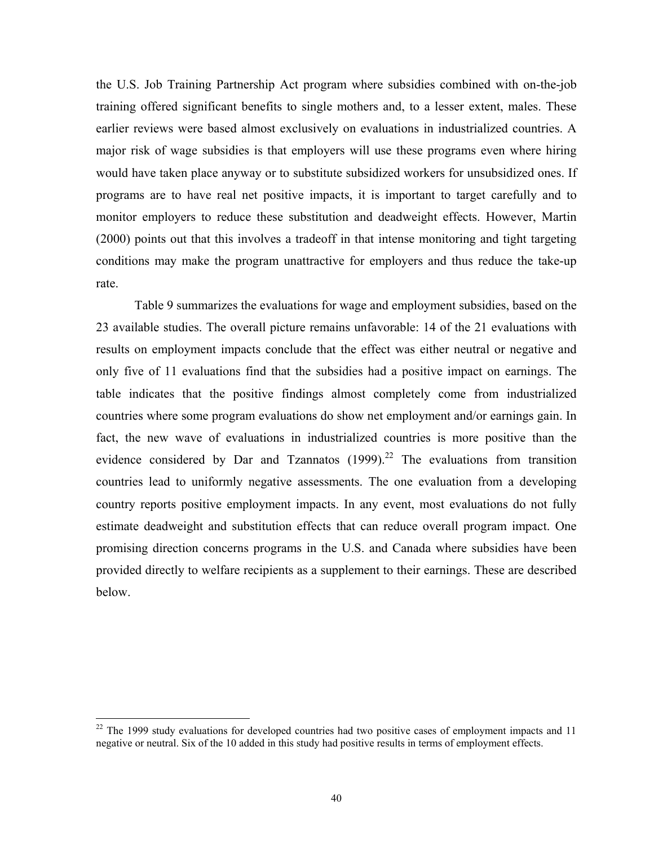the U.S. Job Training Partnership Act program where subsidies combined with on-the-job training offered significant benefits to single mothers and, to a lesser extent, males. These earlier reviews were based almost exclusively on evaluations in industrialized countries. A major risk of wage subsidies is that employers will use these programs even where hiring would have taken place anyway or to substitute subsidized workers for unsubsidized ones. If programs are to have real net positive impacts, it is important to target carefully and to monitor employers to reduce these substitution and deadweight effects. However, Martin (2000) points out that this involves a tradeoff in that intense monitoring and tight targeting conditions may make the program unattractive for employers and thus reduce the take-up rate.

Table 9 summarizes the evaluations for wage and employment subsidies, based on the 23 available studies. The overall picture remains unfavorable: 14 of the 21 evaluations with results on employment impacts conclude that the effect was either neutral or negative and only five of 11 evaluations find that the subsidies had a positive impact on earnings. The table indicates that the positive findings almost completely come from industrialized countries where some program evaluations do show net employment and/or earnings gain. In fact, the new wave of evaluations in industrialized countries is more positive than the evidence considered by Dar and Tzannatos  $(1999)$ <sup>22</sup> The evaluations from transition countries lead to uniformly negative assessments. The one evaluation from a developing country reports positive employment impacts. In any event, most evaluations do not fully estimate deadweight and substitution effects that can reduce overall program impact. One promising direction concerns programs in the U.S. and Canada where subsidies have been provided directly to welfare recipients as a supplement to their earnings. These are described below.

 $\overline{a}$ 

 $^{22}$  The 1999 study evaluations for developed countries had two positive cases of employment impacts and 11 negative or neutral. Six of the 10 added in this study had positive results in terms of employment effects.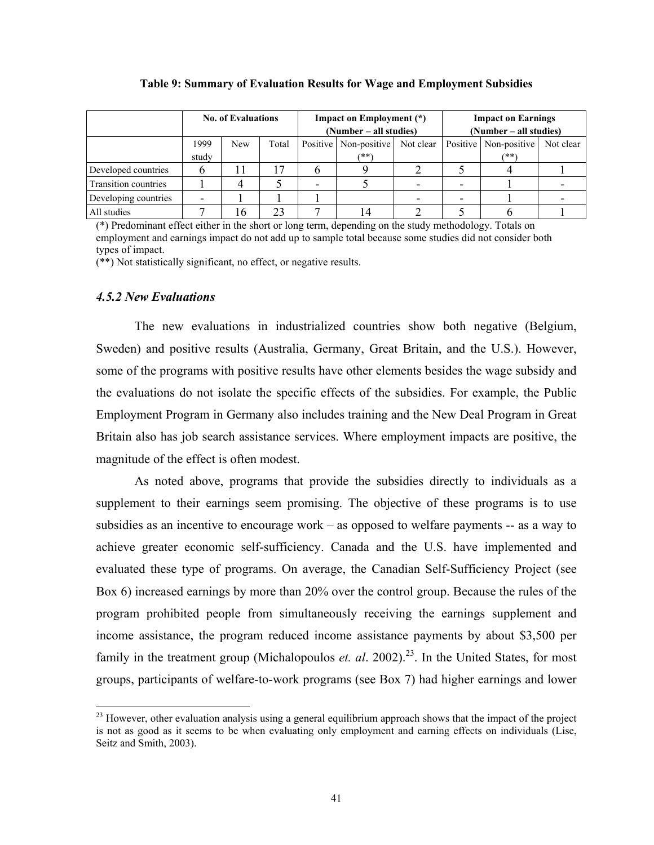|                             | <b>No. of Evaluations</b> |     |       |                          | <b>Impact on Employment</b> (*)<br>(Number – all studies) |           | <b>Impact on Earnings</b><br>(Number – all studies) |                                 |           |
|-----------------------------|---------------------------|-----|-------|--------------------------|-----------------------------------------------------------|-----------|-----------------------------------------------------|---------------------------------|-----------|
|                             | 1999<br>study             | New | Total |                          | Positive Non-positive<br>(**)                             | Not clear |                                                     | Positive   Non-positive<br>(**) | Not clear |
| Developed countries         |                           |     | 7     | O                        |                                                           |           |                                                     |                                 |           |
| <b>Transition countries</b> |                           |     |       | $\overline{\phantom{0}}$ |                                                           |           |                                                     |                                 |           |
| Developing countries        |                           |     |       |                          |                                                           |           |                                                     |                                 |           |
| All studies                 |                           | 6   | 23    |                          |                                                           |           |                                                     |                                 |           |

**Table 9: Summary of Evaluation Results for Wage and Employment Subsidies** 

(\*) Predominant effect either in the short or long term, depending on the study methodology. Totals on employment and earnings impact do not add up to sample total because some studies did not consider both types of impact.

(\*\*) Not statistically significant, no effect, or negative results.

### *4.5.2 New Evaluations*

 $\overline{a}$ 

The new evaluations in industrialized countries show both negative (Belgium, Sweden) and positive results (Australia, Germany, Great Britain, and the U.S.). However, some of the programs with positive results have other elements besides the wage subsidy and the evaluations do not isolate the specific effects of the subsidies. For example, the Public Employment Program in Germany also includes training and the New Deal Program in Great Britain also has job search assistance services. Where employment impacts are positive, the magnitude of the effect is often modest.

As noted above, programs that provide the subsidies directly to individuals as a supplement to their earnings seem promising. The objective of these programs is to use subsidies as an incentive to encourage work – as opposed to welfare payments -- as a way to achieve greater economic self-sufficiency. Canada and the U.S. have implemented and evaluated these type of programs. On average, the Canadian Self-Sufficiency Project (see Box 6) increased earnings by more than 20% over the control group. Because the rules of the program prohibited people from simultaneously receiving the earnings supplement and income assistance, the program reduced income assistance payments by about \$3,500 per family in the treatment group (Michalopoulos *et. al.* 2002).<sup>23</sup>. In the United States, for most groups, participants of welfare-to-work programs (see Box 7) had higher earnings and lower

 $2<sup>23</sup>$  However, other evaluation analysis using a general equilibrium approach shows that the impact of the project is not as good as it seems to be when evaluating only employment and earning effects on individuals (Lise, Seitz and Smith, 2003).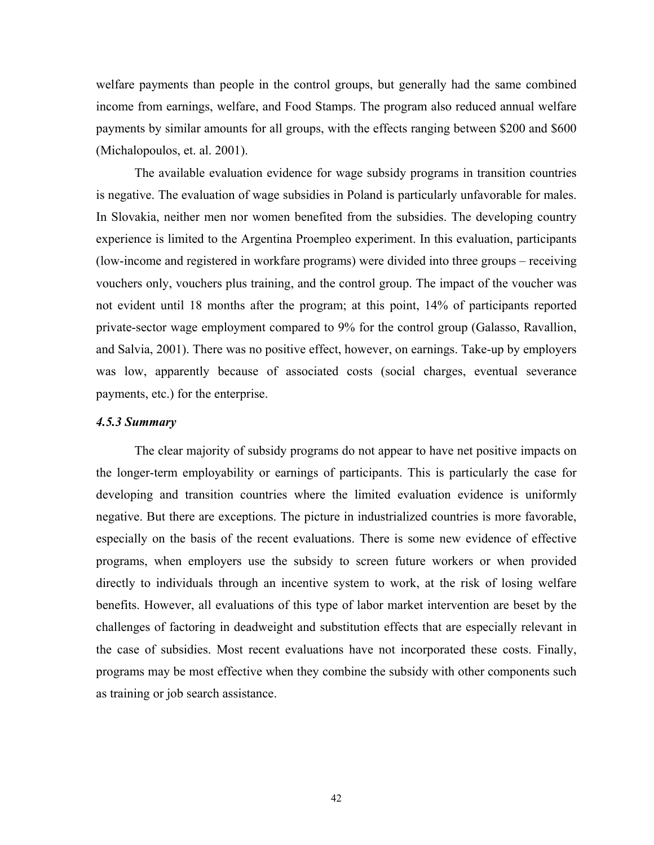welfare payments than people in the control groups, but generally had the same combined income from earnings, welfare, and Food Stamps. The program also reduced annual welfare payments by similar amounts for all groups, with the effects ranging between \$200 and \$600 (Michalopoulos, et. al. 2001).

The available evaluation evidence for wage subsidy programs in transition countries is negative. The evaluation of wage subsidies in Poland is particularly unfavorable for males. In Slovakia, neither men nor women benefited from the subsidies. The developing country experience is limited to the Argentina Proempleo experiment. In this evaluation, participants (low-income and registered in workfare programs) were divided into three groups – receiving vouchers only, vouchers plus training, and the control group. The impact of the voucher was not evident until 18 months after the program; at this point, 14% of participants reported private-sector wage employment compared to 9% for the control group (Galasso, Ravallion, and Salvia, 2001). There was no positive effect, however, on earnings. Take-up by employers was low, apparently because of associated costs (social charges, eventual severance payments, etc.) for the enterprise.

#### *4.5.3 Summary*

The clear majority of subsidy programs do not appear to have net positive impacts on the longer-term employability or earnings of participants. This is particularly the case for developing and transition countries where the limited evaluation evidence is uniformly negative. But there are exceptions. The picture in industrialized countries is more favorable, especially on the basis of the recent evaluations. There is some new evidence of effective programs, when employers use the subsidy to screen future workers or when provided directly to individuals through an incentive system to work, at the risk of losing welfare benefits. However, all evaluations of this type of labor market intervention are beset by the challenges of factoring in deadweight and substitution effects that are especially relevant in the case of subsidies. Most recent evaluations have not incorporated these costs. Finally, programs may be most effective when they combine the subsidy with other components such as training or job search assistance.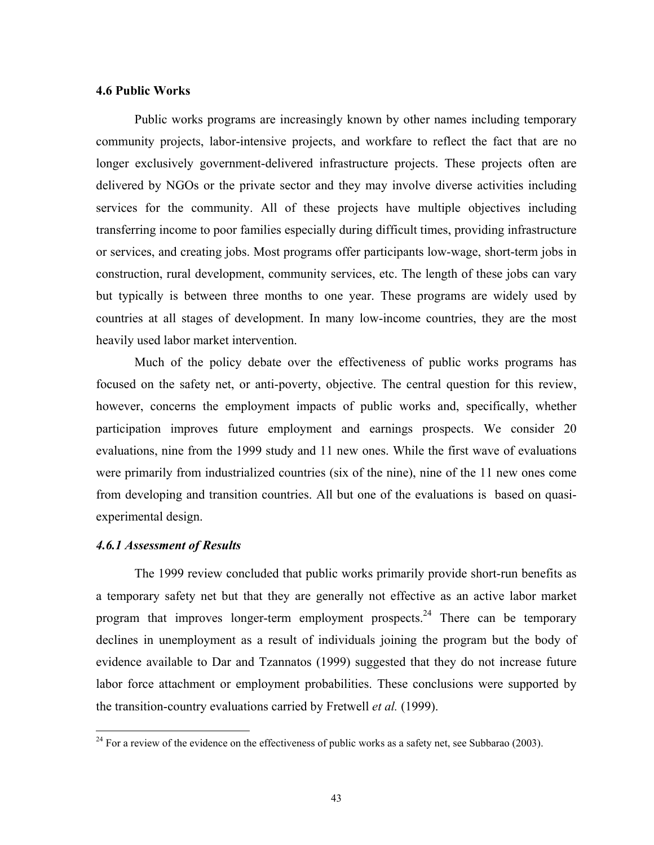### **4.6 Public Works**

Public works programs are increasingly known by other names including temporary community projects, labor-intensive projects, and workfare to reflect the fact that are no longer exclusively government-delivered infrastructure projects. These projects often are delivered by NGOs or the private sector and they may involve diverse activities including services for the community. All of these projects have multiple objectives including transferring income to poor families especially during difficult times, providing infrastructure or services, and creating jobs. Most programs offer participants low-wage, short-term jobs in construction, rural development, community services, etc. The length of these jobs can vary but typically is between three months to one year. These programs are widely used by countries at all stages of development. In many low-income countries, they are the most heavily used labor market intervention.

Much of the policy debate over the effectiveness of public works programs has focused on the safety net, or anti-poverty, objective. The central question for this review, however, concerns the employment impacts of public works and, specifically, whether participation improves future employment and earnings prospects. We consider 20 evaluations, nine from the 1999 study and 11 new ones. While the first wave of evaluations were primarily from industrialized countries (six of the nine), nine of the 11 new ones come from developing and transition countries. All but one of the evaluations is based on quasiexperimental design.

# *4.6.1 Assessment of Results*

 $\overline{a}$ 

The 1999 review concluded that public works primarily provide short-run benefits as a temporary safety net but that they are generally not effective as an active labor market program that improves longer-term employment prospects.<sup>24</sup> There can be temporary declines in unemployment as a result of individuals joining the program but the body of evidence available to Dar and Tzannatos (1999) suggested that they do not increase future labor force attachment or employment probabilities. These conclusions were supported by the transition-country evaluations carried by Fretwell *et al.* (1999).

<sup>&</sup>lt;sup>24</sup> For a review of the evidence on the effectiveness of public works as a safety net, see Subbarao (2003).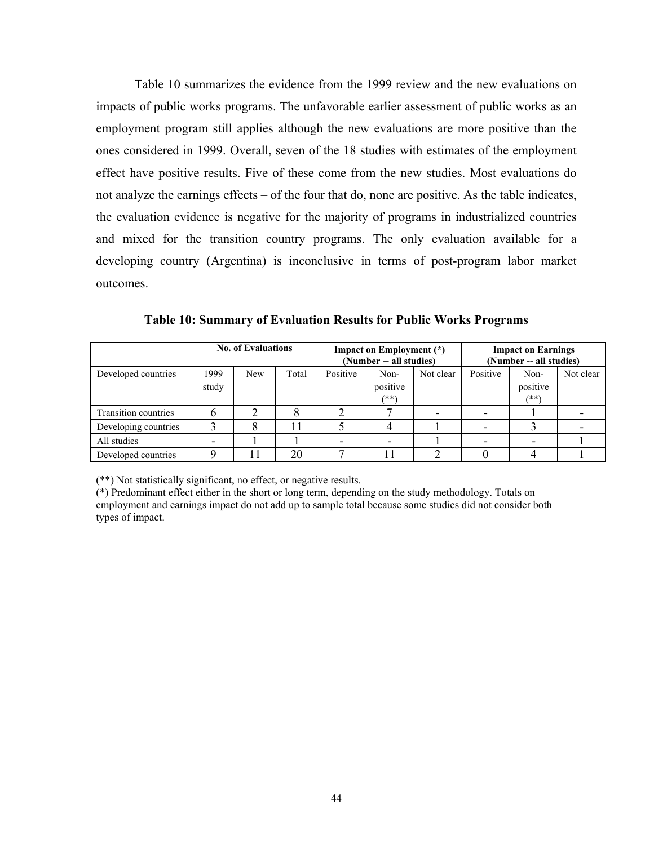Table 10 summarizes the evidence from the 1999 review and the new evaluations on impacts of public works programs. The unfavorable earlier assessment of public works as an employment program still applies although the new evaluations are more positive than the ones considered in 1999. Overall, seven of the 18 studies with estimates of the employment effect have positive results. Five of these come from the new studies. Most evaluations do not analyze the earnings effects – of the four that do, none are positive. As the table indicates, the evaluation evidence is negative for the majority of programs in industrialized countries and mixed for the transition country programs. The only evaluation available for a developing country (Argentina) is inconclusive in terms of post-program labor market outcomes.

|                             | <b>No. of Evaluations</b> |            |       |          | Impact on Employment (*)<br>(Number -- all studies) |           | <b>Impact on Earnings</b><br>(Number -- all studies) |          |           |
|-----------------------------|---------------------------|------------|-------|----------|-----------------------------------------------------|-----------|------------------------------------------------------|----------|-----------|
| Developed countries         | 1999                      | <b>New</b> | Total | Positive | Non-                                                | Not clear | Positive                                             | Non-     | Not clear |
|                             | study                     |            |       |          | positive                                            |           |                                                      | positive |           |
|                             |                           |            |       |          | $(**)$                                              |           |                                                      | $(***)$  |           |
| <b>Transition countries</b> |                           |            |       |          |                                                     |           |                                                      |          |           |
| Developing countries        |                           |            |       |          |                                                     |           |                                                      |          |           |
| All studies                 |                           |            |       |          |                                                     |           |                                                      |          |           |
| Developed countries         |                           |            | 20    |          |                                                     | ⌒         |                                                      |          |           |

**Table 10: Summary of Evaluation Results for Public Works Programs** 

(\*\*) Not statistically significant, no effect, or negative results.

(\*) Predominant effect either in the short or long term, depending on the study methodology. Totals on employment and earnings impact do not add up to sample total because some studies did not consider both types of impact.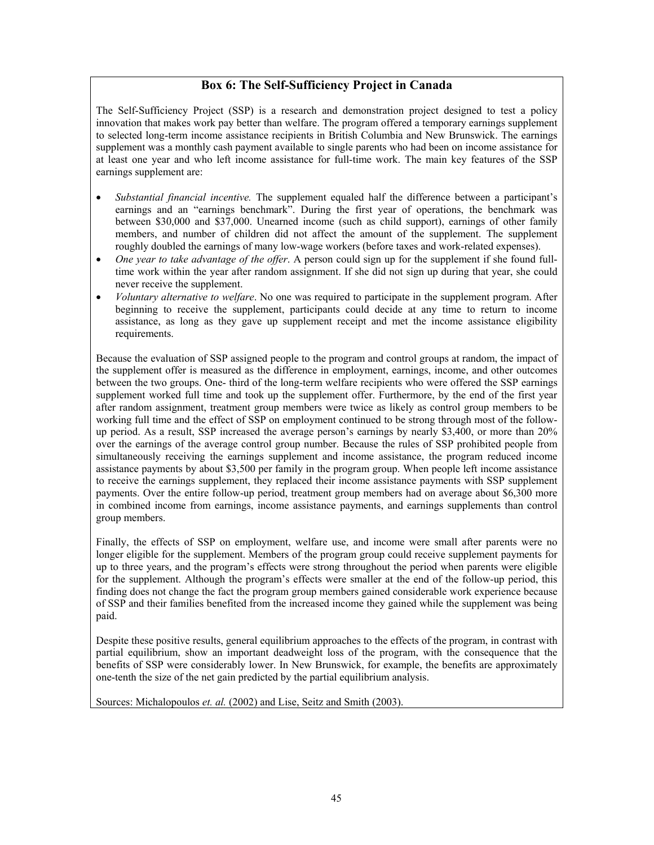# **Box 6: The Self-Sufficiency Project in Canada**

The Self-Sufficiency Project (SSP) is a research and demonstration project designed to test a policy innovation that makes work pay better than welfare. The program offered a temporary earnings supplement to selected long-term income assistance recipients in British Columbia and New Brunswick. The earnings supplement was a monthly cash payment available to single parents who had been on income assistance for at least one year and who left income assistance for full-time work. The main key features of the SSP earnings supplement are:

- *Substantial financial incentive.* The supplement equaled half the difference between a participant's earnings and an "earnings benchmark". During the first year of operations, the benchmark was between \$30,000 and \$37,000. Unearned income (such as child support), earnings of other family members, and number of children did not affect the amount of the supplement. The supplement roughly doubled the earnings of many low-wage workers (before taxes and work-related expenses).
- *One year to take advantage of the offer*. A person could sign up for the supplement if she found fulltime work within the year after random assignment. If she did not sign up during that year, she could never receive the supplement.
- *Voluntary alternative to welfare*. No one was required to participate in the supplement program. After beginning to receive the supplement, participants could decide at any time to return to income assistance, as long as they gave up supplement receipt and met the income assistance eligibility requirements.

Because the evaluation of SSP assigned people to the program and control groups at random, the impact of the supplement offer is measured as the difference in employment, earnings, income, and other outcomes between the two groups. One- third of the long-term welfare recipients who were offered the SSP earnings supplement worked full time and took up the supplement offer. Furthermore, by the end of the first year after random assignment, treatment group members were twice as likely as control group members to be working full time and the effect of SSP on employment continued to be strong through most of the followup period. As a result, SSP increased the average person's earnings by nearly \$3,400, or more than 20% over the earnings of the average control group number. Because the rules of SSP prohibited people from simultaneously receiving the earnings supplement and income assistance, the program reduced income assistance payments by about \$3,500 per family in the program group. When people left income assistance to receive the earnings supplement, they replaced their income assistance payments with SSP supplement payments. Over the entire follow-up period, treatment group members had on average about \$6,300 more in combined income from earnings, income assistance payments, and earnings supplements than control group members.

Finally, the effects of SSP on employment, welfare use, and income were small after parents were no longer eligible for the supplement. Members of the program group could receive supplement payments for up to three years, and the program's effects were strong throughout the period when parents were eligible for the supplement. Although the program's effects were smaller at the end of the follow-up period, this finding does not change the fact the program group members gained considerable work experience because of SSP and their families benefited from the increased income they gained while the supplement was being paid.

Despite these positive results, general equilibrium approaches to the effects of the program, in contrast with partial equilibrium, show an important deadweight loss of the program, with the consequence that the benefits of SSP were considerably lower. In New Brunswick, for example, the benefits are approximately one-tenth the size of the net gain predicted by the partial equilibrium analysis.

Sources: Michalopoulos *et. al.* (2002) and Lise, Seitz and Smith (2003).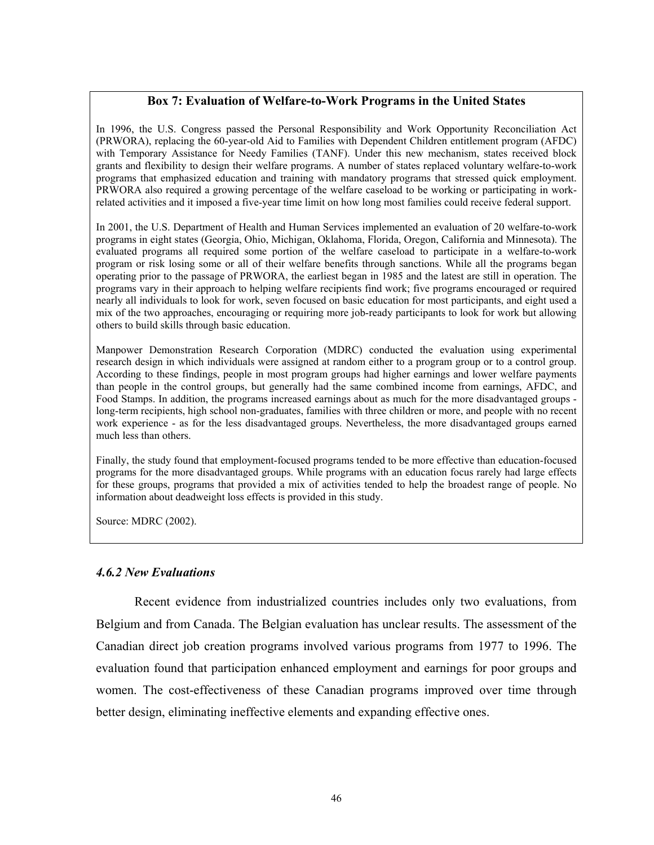# **Box 7: Evaluation of Welfare-to-Work Programs in the United States**

In 1996, the U.S. Congress passed the Personal Responsibility and Work Opportunity Reconciliation Act (PRWORA), replacing the 60-year-old Aid to Families with Dependent Children entitlement program (AFDC) with Temporary Assistance for Needy Families (TANF). Under this new mechanism, states received block grants and flexibility to design their welfare programs. A number of states replaced voluntary welfare-to-work programs that emphasized education and training with mandatory programs that stressed quick employment. PRWORA also required a growing percentage of the welfare caseload to be working or participating in workrelated activities and it imposed a five-year time limit on how long most families could receive federal support.

In 2001, the U.S. Department of Health and Human Services implemented an evaluation of 20 welfare-to-work programs in eight states (Georgia, Ohio, Michigan, Oklahoma, Florida, Oregon, California and Minnesota). The evaluated programs all required some portion of the welfare caseload to participate in a welfare-to-work program or risk losing some or all of their welfare benefits through sanctions. While all the programs began operating prior to the passage of PRWORA, the earliest began in 1985 and the latest are still in operation. The programs vary in their approach to helping welfare recipients find work; five programs encouraged or required nearly all individuals to look for work, seven focused on basic education for most participants, and eight used a mix of the two approaches, encouraging or requiring more job-ready participants to look for work but allowing others to build skills through basic education.

Manpower Demonstration Research Corporation (MDRC) conducted the evaluation using experimental research design in which individuals were assigned at random either to a program group or to a control group. According to these findings, people in most program groups had higher earnings and lower welfare payments than people in the control groups, but generally had the same combined income from earnings, AFDC, and Food Stamps. In addition, the programs increased earnings about as much for the more disadvantaged groups long-term recipients, high school non-graduates, families with three children or more, and people with no recent work experience - as for the less disadvantaged groups. Nevertheless, the more disadvantaged groups earned much less than others.

Finally, the study found that employment-focused programs tended to be more effective than education-focused programs for the more disadvantaged groups. While programs with an education focus rarely had large effects for these groups, programs that provided a mix of activities tended to help the broadest range of people. No information about deadweight loss effects is provided in this study.

Source: MDRC (2002).

# *4.6.2 New Evaluations*

Recent evidence from industrialized countries includes only two evaluations, from Belgium and from Canada. The Belgian evaluation has unclear results. The assessment of the Canadian direct job creation programs involved various programs from 1977 to 1996. The evaluation found that participation enhanced employment and earnings for poor groups and women. The cost-effectiveness of these Canadian programs improved over time through better design, eliminating ineffective elements and expanding effective ones.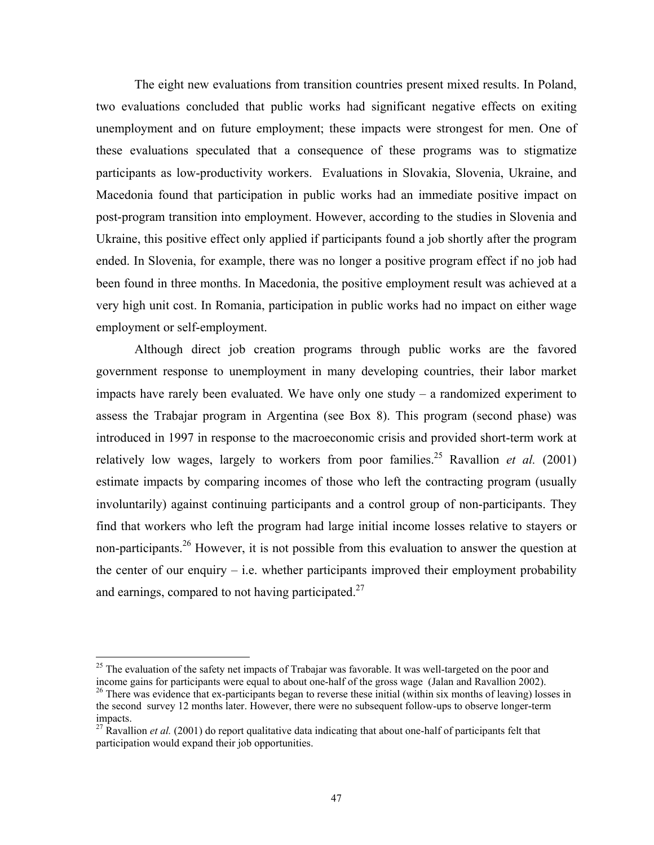The eight new evaluations from transition countries present mixed results. In Poland, two evaluations concluded that public works had significant negative effects on exiting unemployment and on future employment; these impacts were strongest for men. One of these evaluations speculated that a consequence of these programs was to stigmatize participants as low-productivity workers. Evaluations in Slovakia, Slovenia, Ukraine, and Macedonia found that participation in public works had an immediate positive impact on post-program transition into employment. However, according to the studies in Slovenia and Ukraine, this positive effect only applied if participants found a job shortly after the program ended. In Slovenia, for example, there was no longer a positive program effect if no job had been found in three months. In Macedonia, the positive employment result was achieved at a very high unit cost. In Romania, participation in public works had no impact on either wage employment or self-employment.

Although direct job creation programs through public works are the favored government response to unemployment in many developing countries, their labor market impacts have rarely been evaluated. We have only one study – a randomized experiment to assess the Trabajar program in Argentina (see Box 8). This program (second phase) was introduced in 1997 in response to the macroeconomic crisis and provided short-term work at relatively low wages, largely to workers from poor families.<sup>25</sup> Ravallion *et al.* (2001) estimate impacts by comparing incomes of those who left the contracting program (usually involuntarily) against continuing participants and a control group of non-participants. They find that workers who left the program had large initial income losses relative to stayers or non-participants.<sup>26</sup> However, it is not possible from this evaluation to answer the question at the center of our enquiry  $-$  i.e. whether participants improved their employment probability and earnings, compared to not having participated.<sup>27</sup>

 $\overline{a}$ 

<sup>&</sup>lt;sup>25</sup> The evaluation of the safety net impacts of Trabajar was favorable. It was well-targeted on the poor and income gains for participants were equal to about one-half of the gross wage (Jalan and Ravallion 2002).

 $^{26}$  There was evidence that ex-participants began to reverse these initial (within six months of leaving) losses in the second survey 12 months later. However, there were no subsequent follow-ups to observe longer-term impacts.

<sup>&</sup>lt;sup>27</sup> Ravallion *et al.* (2001) do report qualitative data indicating that about one-half of participants felt that participation would expand their job opportunities.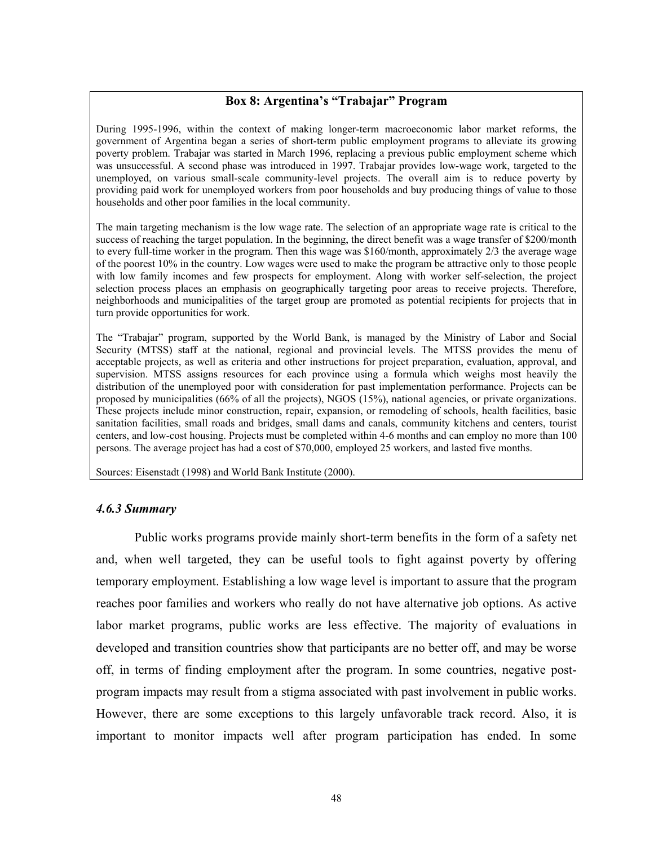# **Box 8: Argentina's "Trabajar" Program**

During 1995-1996, within the context of making longer-term macroeconomic labor market reforms, the government of Argentina began a series of short-term public employment programs to alleviate its growing poverty problem. Trabajar was started in March 1996, replacing a previous public employment scheme which was unsuccessful. A second phase was introduced in 1997. Trabajar provides low-wage work, targeted to the unemployed, on various small-scale community-level projects. The overall aim is to reduce poverty by providing paid work for unemployed workers from poor households and buy producing things of value to those households and other poor families in the local community.

The main targeting mechanism is the low wage rate. The selection of an appropriate wage rate is critical to the success of reaching the target population. In the beginning, the direct benefit was a wage transfer of \$200/month to every full-time worker in the program. Then this wage was \$160/month, approximately 2/3 the average wage of the poorest 10% in the country. Low wages were used to make the program be attractive only to those people with low family incomes and few prospects for employment. Along with worker self-selection, the project selection process places an emphasis on geographically targeting poor areas to receive projects. Therefore, neighborhoods and municipalities of the target group are promoted as potential recipients for projects that in turn provide opportunities for work.

The "Trabajar" program, supported by the World Bank, is managed by the Ministry of Labor and Social Security (MTSS) staff at the national, regional and provincial levels. The MTSS provides the menu of acceptable projects, as well as criteria and other instructions for project preparation, evaluation, approval, and supervision. MTSS assigns resources for each province using a formula which weighs most heavily the distribution of the unemployed poor with consideration for past implementation performance. Projects can be proposed by municipalities (66% of all the projects), NGOS (15%), national agencies, or private organizations. These projects include minor construction, repair, expansion, or remodeling of schools, health facilities, basic sanitation facilities, small roads and bridges, small dams and canals, community kitchens and centers, tourist centers, and low-cost housing. Projects must be completed within 4-6 months and can employ no more than 100 persons. The average project has had a cost of \$70,000, employed 25 workers, and lasted five months.

Sources: Eisenstadt (1998) and World Bank Institute (2000).

### *4.6.3 Summary*

Public works programs provide mainly short-term benefits in the form of a safety net and, when well targeted, they can be useful tools to fight against poverty by offering temporary employment. Establishing a low wage level is important to assure that the program reaches poor families and workers who really do not have alternative job options. As active labor market programs, public works are less effective. The majority of evaluations in developed and transition countries show that participants are no better off, and may be worse off, in terms of finding employment after the program. In some countries, negative postprogram impacts may result from a stigma associated with past involvement in public works. However, there are some exceptions to this largely unfavorable track record. Also, it is important to monitor impacts well after program participation has ended. In some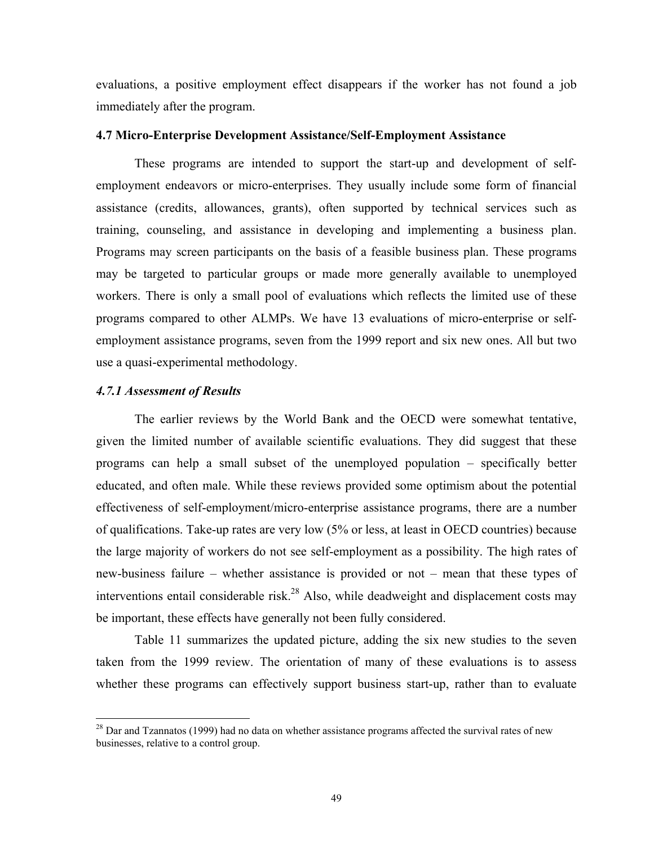evaluations, a positive employment effect disappears if the worker has not found a job immediately after the program.

#### **4.7 Micro-Enterprise Development Assistance/Self-Employment Assistance**

These programs are intended to support the start-up and development of selfemployment endeavors or micro-enterprises. They usually include some form of financial assistance (credits, allowances, grants), often supported by technical services such as training, counseling, and assistance in developing and implementing a business plan. Programs may screen participants on the basis of a feasible business plan. These programs may be targeted to particular groups or made more generally available to unemployed workers. There is only a small pool of evaluations which reflects the limited use of these programs compared to other ALMPs. We have 13 evaluations of micro-enterprise or selfemployment assistance programs, seven from the 1999 report and six new ones. All but two use a quasi-experimental methodology.

### *4.7.1 Assessment of Results*

 $\overline{a}$ 

The earlier reviews by the World Bank and the OECD were somewhat tentative, given the limited number of available scientific evaluations. They did suggest that these programs can help a small subset of the unemployed population – specifically better educated, and often male. While these reviews provided some optimism about the potential effectiveness of self-employment/micro-enterprise assistance programs, there are a number of qualifications. Take-up rates are very low (5% or less, at least in OECD countries) because the large majority of workers do not see self-employment as a possibility. The high rates of new-business failure – whether assistance is provided or not – mean that these types of interventions entail considerable risk.<sup>28</sup> Also, while deadweight and displacement costs may be important, these effects have generally not been fully considered.

Table 11 summarizes the updated picture, adding the six new studies to the seven taken from the 1999 review. The orientation of many of these evaluations is to assess whether these programs can effectively support business start-up, rather than to evaluate

 $28$  Dar and Tzannatos (1999) had no data on whether assistance programs affected the survival rates of new businesses, relative to a control group.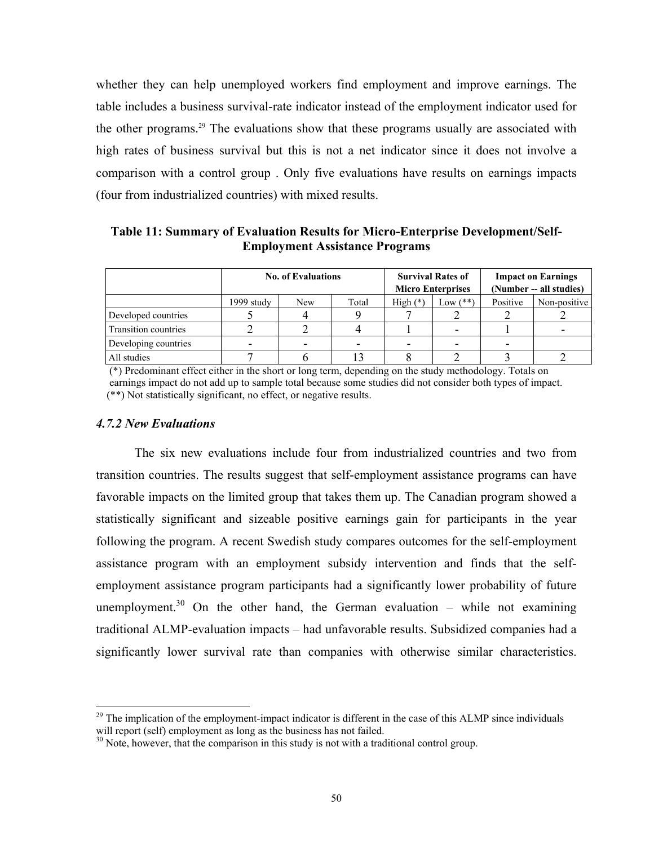whether they can help unemployed workers find employment and improve earnings. The table includes a business survival-rate indicator instead of the employment indicator used for the other programs.<sup>29</sup> The evaluations show that these programs usually are associated with high rates of business survival but this is not a net indicator since it does not involve a comparison with a control group . Only five evaluations have results on earnings impacts (four from industrialized countries) with mixed results.

**Table 11: Summary of Evaluation Results for Micro-Enterprise Development/Self-Employment Assistance Programs** 

|                             |                          | <b>No. of Evaluations</b> |       |            | <b>Survival Rates of</b><br><b>Micro Enterprises</b> | <b>Impact on Earnings</b><br>(Number -- all studies) |              |
|-----------------------------|--------------------------|---------------------------|-------|------------|------------------------------------------------------|------------------------------------------------------|--------------|
|                             | 1999 study               | New                       | Total | $High (*)$ | Low $(**)$                                           | Positive                                             | Non-positive |
| Developed countries         |                          |                           |       |            |                                                      |                                                      |              |
| <b>Transition countries</b> |                          |                           |       |            |                                                      |                                                      |              |
| Developing countries        | $\overline{\phantom{0}}$ |                           |       |            |                                                      |                                                      |              |
| All studies                 |                          |                           |       |            |                                                      |                                                      |              |

 (\*) Predominant effect either in the short or long term, depending on the study methodology. Totals on earnings impact do not add up to sample total because some studies did not consider both types of impact. (\*\*) Not statistically significant, no effect, or negative results.

# *4.7.2 New Evaluations*

1

The six new evaluations include four from industrialized countries and two from transition countries. The results suggest that self-employment assistance programs can have favorable impacts on the limited group that takes them up. The Canadian program showed a statistically significant and sizeable positive earnings gain for participants in the year following the program. A recent Swedish study compares outcomes for the self-employment assistance program with an employment subsidy intervention and finds that the selfemployment assistance program participants had a significantly lower probability of future unemployment.<sup>30</sup> On the other hand, the German evaluation – while not examining traditional ALMP-evaluation impacts – had unfavorable results. Subsidized companies had a significantly lower survival rate than companies with otherwise similar characteristics.

 $29$  The implication of the employment-impact indicator is different in the case of this ALMP since individuals will report (self) employment as long as the business has not failed.

 $30$  Note, however, that the comparison in this study is not with a traditional control group.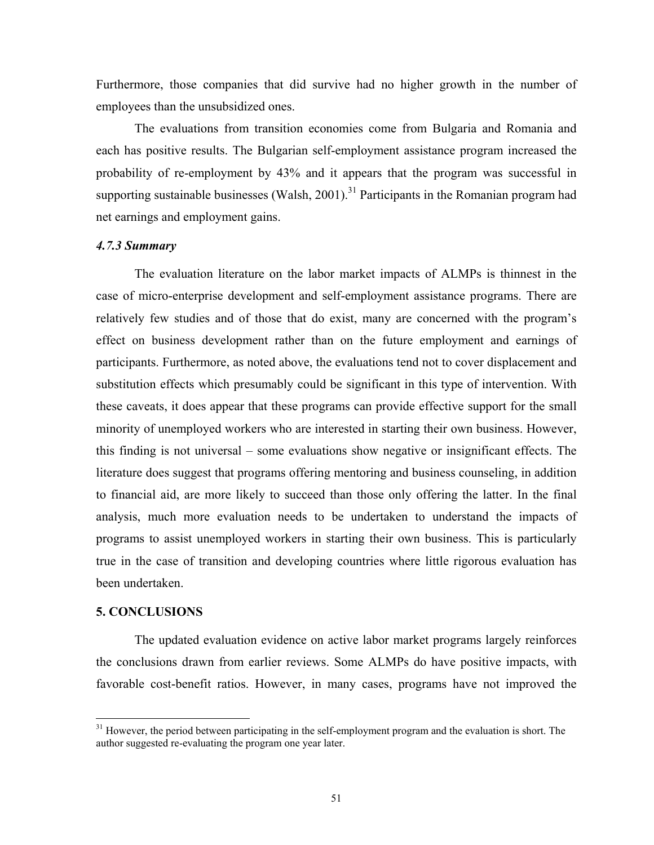Furthermore, those companies that did survive had no higher growth in the number of employees than the unsubsidized ones.

The evaluations from transition economies come from Bulgaria and Romania and each has positive results. The Bulgarian self-employment assistance program increased the probability of re-employment by 43% and it appears that the program was successful in supporting sustainable businesses (Walsh, 2001).<sup>31</sup> Participants in the Romanian program had net earnings and employment gains.

### *4.7.3 Summary*

The evaluation literature on the labor market impacts of ALMPs is thinnest in the case of micro-enterprise development and self-employment assistance programs. There are relatively few studies and of those that do exist, many are concerned with the program's effect on business development rather than on the future employment and earnings of participants. Furthermore, as noted above, the evaluations tend not to cover displacement and substitution effects which presumably could be significant in this type of intervention. With these caveats, it does appear that these programs can provide effective support for the small minority of unemployed workers who are interested in starting their own business. However, this finding is not universal – some evaluations show negative or insignificant effects. The literature does suggest that programs offering mentoring and business counseling, in addition to financial aid, are more likely to succeed than those only offering the latter. In the final analysis, much more evaluation needs to be undertaken to understand the impacts of programs to assist unemployed workers in starting their own business. This is particularly true in the case of transition and developing countries where little rigorous evaluation has been undertaken.

# **5. CONCLUSIONS**

 $\overline{a}$ 

The updated evaluation evidence on active labor market programs largely reinforces the conclusions drawn from earlier reviews. Some ALMPs do have positive impacts, with favorable cost-benefit ratios. However, in many cases, programs have not improved the

<sup>&</sup>lt;sup>31</sup> However, the period between participating in the self-employment program and the evaluation is short. The author suggested re-evaluating the program one year later.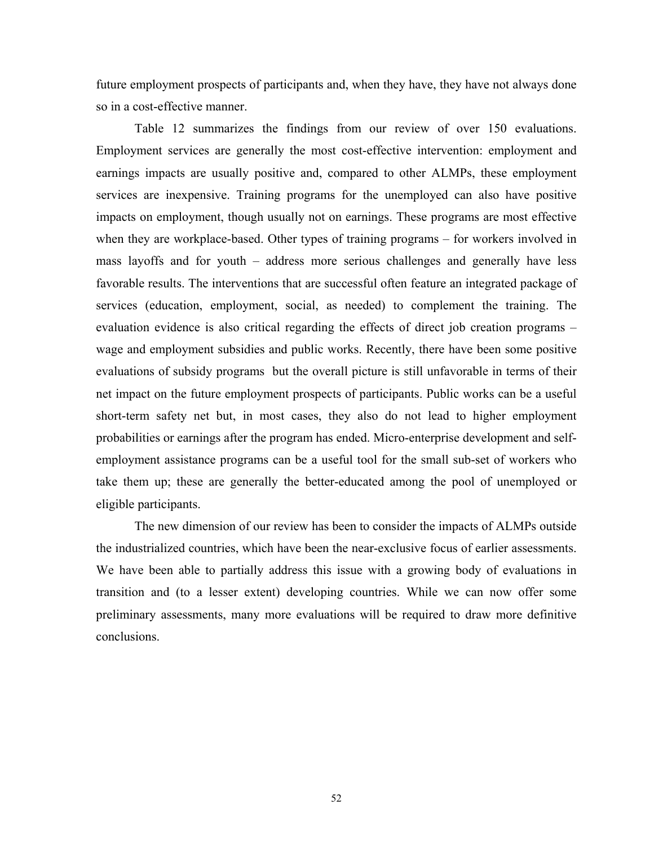future employment prospects of participants and, when they have, they have not always done so in a cost-effective manner.

Table 12 summarizes the findings from our review of over 150 evaluations. Employment services are generally the most cost-effective intervention: employment and earnings impacts are usually positive and, compared to other ALMPs, these employment services are inexpensive. Training programs for the unemployed can also have positive impacts on employment, though usually not on earnings. These programs are most effective when they are workplace-based. Other types of training programs – for workers involved in mass layoffs and for youth – address more serious challenges and generally have less favorable results. The interventions that are successful often feature an integrated package of services (education, employment, social, as needed) to complement the training. The evaluation evidence is also critical regarding the effects of direct job creation programs – wage and employment subsidies and public works. Recently, there have been some positive evaluations of subsidy programs but the overall picture is still unfavorable in terms of their net impact on the future employment prospects of participants. Public works can be a useful short-term safety net but, in most cases, they also do not lead to higher employment probabilities or earnings after the program has ended. Micro-enterprise development and selfemployment assistance programs can be a useful tool for the small sub-set of workers who take them up; these are generally the better-educated among the pool of unemployed or eligible participants.

The new dimension of our review has been to consider the impacts of ALMPs outside the industrialized countries, which have been the near-exclusive focus of earlier assessments. We have been able to partially address this issue with a growing body of evaluations in transition and (to a lesser extent) developing countries. While we can now offer some preliminary assessments, many more evaluations will be required to draw more definitive conclusions.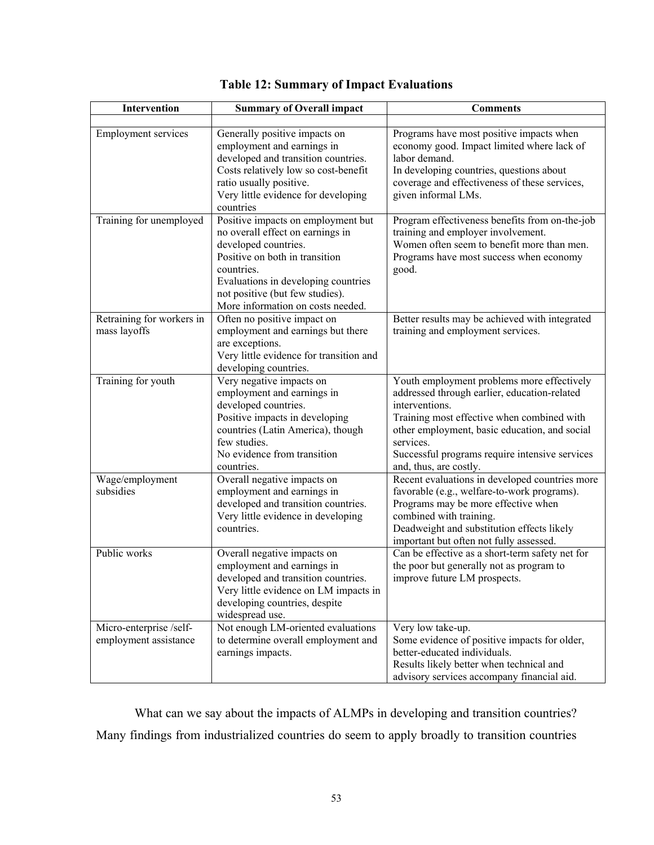| Intervention                                     | <b>Summary of Overall impact</b>                                                                                                                                                                                                                              | <b>Comments</b>                                                                                                                                                                                                                                                                                      |
|--------------------------------------------------|---------------------------------------------------------------------------------------------------------------------------------------------------------------------------------------------------------------------------------------------------------------|------------------------------------------------------------------------------------------------------------------------------------------------------------------------------------------------------------------------------------------------------------------------------------------------------|
|                                                  |                                                                                                                                                                                                                                                               |                                                                                                                                                                                                                                                                                                      |
| <b>Employment services</b>                       | Generally positive impacts on<br>employment and earnings in<br>developed and transition countries.<br>Costs relatively low so cost-benefit<br>ratio usually positive.<br>Very little evidence for developing<br>countries                                     | Programs have most positive impacts when<br>economy good. Impact limited where lack of<br>labor demand.<br>In developing countries, questions about<br>coverage and effectiveness of these services,<br>given informal LMs.                                                                          |
| Training for unemployed                          | Positive impacts on employment but<br>no overall effect on earnings in<br>developed countries.<br>Positive on both in transition<br>countries.<br>Evaluations in developing countries<br>not positive (but few studies).<br>More information on costs needed. | Program effectiveness benefits from on-the-job<br>training and employer involvement.<br>Women often seem to benefit more than men.<br>Programs have most success when economy<br>good.                                                                                                               |
| Retraining for workers in<br>mass layoffs        | Often no positive impact on<br>employment and earnings but there<br>are exceptions.<br>Very little evidence for transition and<br>developing countries.                                                                                                       | Better results may be achieved with integrated<br>training and employment services.                                                                                                                                                                                                                  |
| Training for youth                               | Very negative impacts on<br>employment and earnings in<br>developed countries.<br>Positive impacts in developing<br>countries (Latin America), though<br>few studies.<br>No evidence from transition<br>countries.                                            | Youth employment problems more effectively<br>addressed through earlier, education-related<br>interventions.<br>Training most effective when combined with<br>other employment, basic education, and social<br>services.<br>Successful programs require intensive services<br>and, thus, are costly. |
| Wage/employment<br>subsidies                     | Overall negative impacts on<br>employment and earnings in<br>developed and transition countries.<br>Very little evidence in developing<br>countries.                                                                                                          | Recent evaluations in developed countries more<br>favorable (e.g., welfare-to-work programs).<br>Programs may be more effective when<br>combined with training.<br>Deadweight and substitution effects likely<br>important but often not fully assessed.                                             |
| Public works                                     | Overall negative impacts on<br>employment and earnings in<br>developed and transition countries.<br>Very little evidence on LM impacts in<br>developing countries, despite<br>widespread use.                                                                 | Can be effective as a short-term safety net for<br>the poor but generally not as program to<br>improve future LM prospects.                                                                                                                                                                          |
| Micro-enterprise /self-<br>employment assistance | Not enough LM-oriented evaluations<br>to determine overall employment and<br>earnings impacts.                                                                                                                                                                | Very low take-up.<br>Some evidence of positive impacts for older,<br>better-educated individuals.<br>Results likely better when technical and<br>advisory services accompany financial aid.                                                                                                          |

# **Table 12: Summary of Impact Evaluations**

What can we say about the impacts of ALMPs in developing and transition countries? Many findings from industrialized countries do seem to apply broadly to transition countries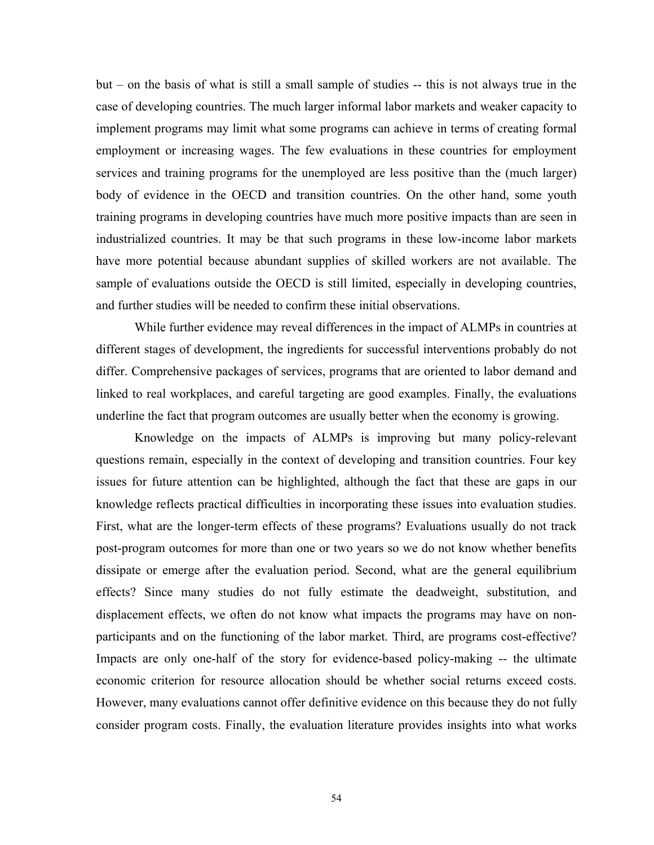but – on the basis of what is still a small sample of studies -- this is not always true in the case of developing countries. The much larger informal labor markets and weaker capacity to implement programs may limit what some programs can achieve in terms of creating formal employment or increasing wages. The few evaluations in these countries for employment services and training programs for the unemployed are less positive than the (much larger) body of evidence in the OECD and transition countries. On the other hand, some youth training programs in developing countries have much more positive impacts than are seen in industrialized countries. It may be that such programs in these low-income labor markets have more potential because abundant supplies of skilled workers are not available. The sample of evaluations outside the OECD is still limited, especially in developing countries, and further studies will be needed to confirm these initial observations.

While further evidence may reveal differences in the impact of ALMPs in countries at different stages of development, the ingredients for successful interventions probably do not differ. Comprehensive packages of services, programs that are oriented to labor demand and linked to real workplaces, and careful targeting are good examples. Finally, the evaluations underline the fact that program outcomes are usually better when the economy is growing.

Knowledge on the impacts of ALMPs is improving but many policy-relevant questions remain, especially in the context of developing and transition countries. Four key issues for future attention can be highlighted, although the fact that these are gaps in our knowledge reflects practical difficulties in incorporating these issues into evaluation studies. First, what are the longer-term effects of these programs? Evaluations usually do not track post-program outcomes for more than one or two years so we do not know whether benefits dissipate or emerge after the evaluation period. Second, what are the general equilibrium effects? Since many studies do not fully estimate the deadweight, substitution, and displacement effects, we often do not know what impacts the programs may have on nonparticipants and on the functioning of the labor market. Third, are programs cost-effective? Impacts are only one-half of the story for evidence-based policy-making -- the ultimate economic criterion for resource allocation should be whether social returns exceed costs. However, many evaluations cannot offer definitive evidence on this because they do not fully consider program costs. Finally, the evaluation literature provides insights into what works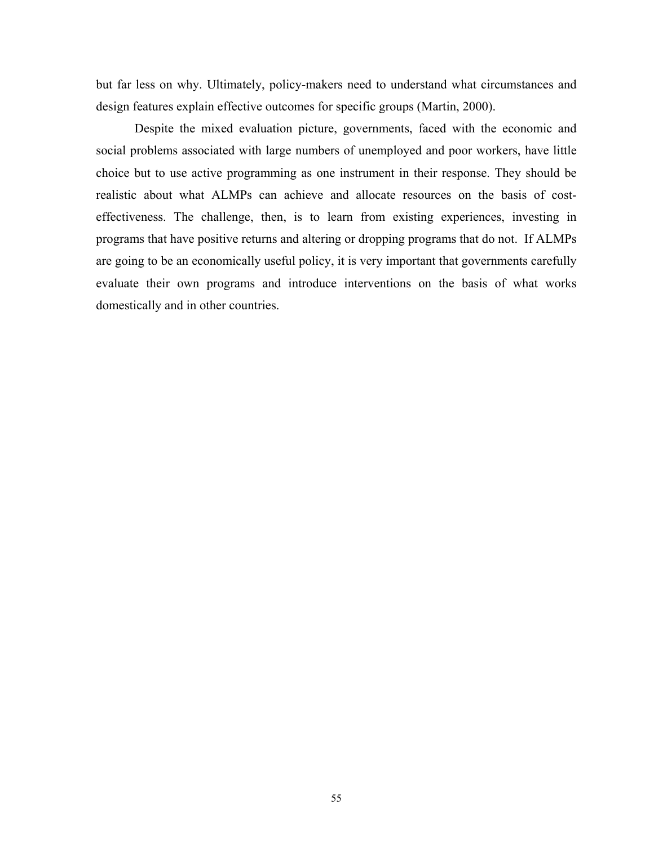but far less on why. Ultimately, policy-makers need to understand what circumstances and design features explain effective outcomes for specific groups (Martin, 2000).

Despite the mixed evaluation picture, governments, faced with the economic and social problems associated with large numbers of unemployed and poor workers, have little choice but to use active programming as one instrument in their response. They should be realistic about what ALMPs can achieve and allocate resources on the basis of costeffectiveness. The challenge, then, is to learn from existing experiences, investing in programs that have positive returns and altering or dropping programs that do not. If ALMPs are going to be an economically useful policy, it is very important that governments carefully evaluate their own programs and introduce interventions on the basis of what works domestically and in other countries.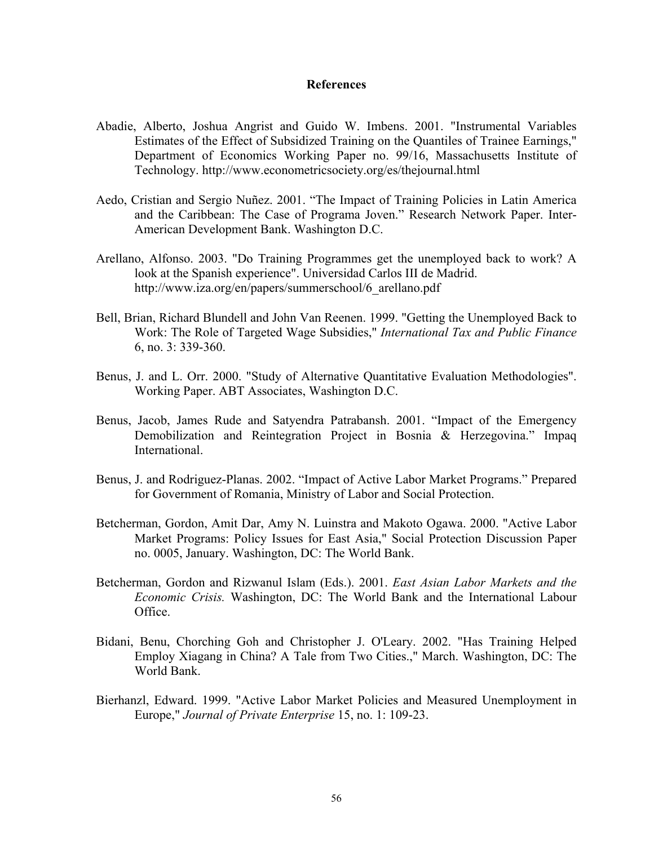### **References**

- Abadie, Alberto, Joshua Angrist and Guido W. Imbens. 2001. "Instrumental Variables Estimates of the Effect of Subsidized Training on the Quantiles of Trainee Earnings," Department of Economics Working Paper no. 99/16, Massachusetts Institute of Technology.<http://www.econometricsociety.org/es/thejournal.html>
- Aedo, Cristian and Sergio Nuñez. 2001. "The Impact of Training Policies in Latin America and the Caribbean: The Case of Programa Joven." Research Network Paper. Inter-American Development Bank. Washington D.C.
- Arellano, Alfonso. 2003. "Do Training Programmes get the unemployed back to work? A look at the Spanish experience". Universidad Carlos III de Madrid. [http://www.iza.org/en/papers/summerschool/6\\_arellano.pdf](http://www.iza.org/en/papers/summerschool/6_arellano.pdf)
- Bell, Brian, Richard Blundell and John Van Reenen. 1999. "Getting the Unemployed Back to Work: The Role of Targeted Wage Subsidies," *International Tax and Public Finance* 6, no. 3: 339-360.
- Benus, J. and L. Orr. 2000. "Study of Alternative Quantitative Evaluation Methodologies". Working Paper. ABT Associates, Washington D.C.
- Benus, Jacob, James Rude and Satyendra Patrabansh. 2001. "Impact of the Emergency Demobilization and Reintegration Project in Bosnia & Herzegovina." Impaq International.
- Benus, J. and Rodriguez-Planas. 2002. "Impact of Active Labor Market Programs." Prepared for Government of Romania, Ministry of Labor and Social Protection.
- Betcherman, Gordon, Amit Dar, Amy N. Luinstra and Makoto Ogawa. 2000. "Active Labor Market Programs: Policy Issues for East Asia," Social Protection Discussion Paper no. 0005, January. Washington, DC: The World Bank.
- Betcherman, Gordon and Rizwanul Islam (Eds.). 2001. *East Asian Labor Markets and the Economic Crisis.* Washington, DC: The World Bank and the International Labour Office.
- Bidani, Benu, Chorching Goh and Christopher J. O'Leary. 2002. "Has Training Helped Employ Xiagang in China? A Tale from Two Cities.," March. Washington, DC: The World Bank.
- Bierhanzl, Edward. 1999. "Active Labor Market Policies and Measured Unemployment in Europe," *Journal of Private Enterprise* 15, no. 1: 109-23.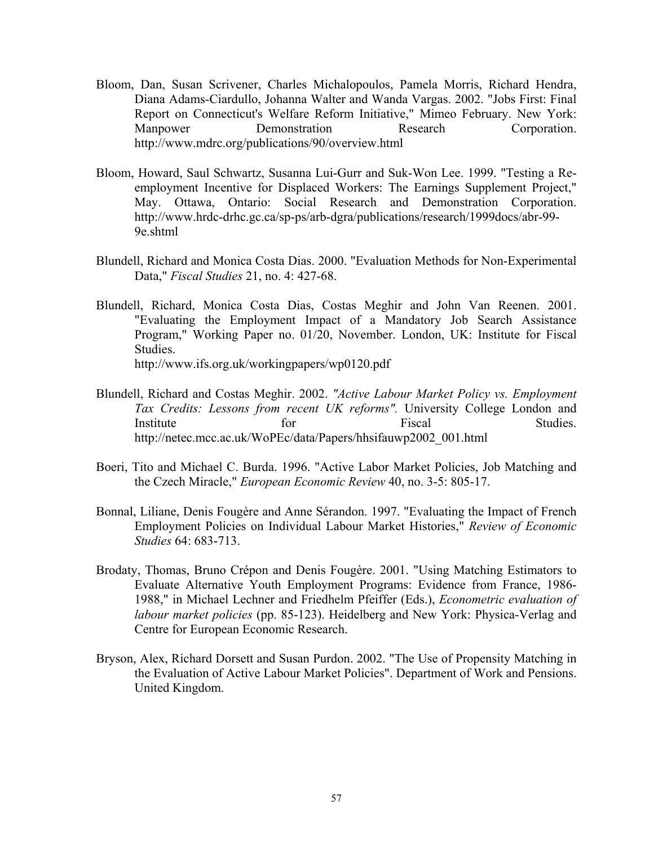- Bloom, Dan, Susan Scrivener, Charles Michalopoulos, Pamela Morris, Richard Hendra, Diana Adams-Ciardullo, Johanna Walter and Wanda Vargas. 2002. "Jobs First: Final Report on Connecticut's Welfare Reform Initiative," Mimeo February. New York: Manpower Demonstration Research Corporation. <http://www.mdrc.org/publications/90/overview.html>
- Bloom, Howard, Saul Schwartz, Susanna Lui-Gurr and Suk-Won Lee. 1999. "Testing a Reemployment Incentive for Displaced Workers: The Earnings Supplement Project," May. Ottawa, Ontario: Social Research and Demonstration Corporation. <http://www.hrdc-drhc.gc.ca/sp-ps/arb-dgra/publications/research/1999docs/abr-99-> 9e.shtml
- Blundell, Richard and Monica Costa Dias. 2000. "Evaluation Methods for Non-Experimental Data," *Fiscal Studies* 21, no. 4: 427-68.
- Blundell, Richard, Monica Costa Dias, Costas Meghir and John Van Reenen. 2001. "Evaluating the Employment Impact of a Mandatory Job Search Assistance Program," Working Paper no. 01/20, November. London, UK: Institute for Fiscal Studies. <http://www.ifs.org.uk/workingpapers/wp0120.pdf>
- Blundell, Richard and Costas Meghir. 2002. *"Active Labour Market Policy vs. Employment Tax Credits: Lessons from recent UK reforms".* University College London and Institute for Fiscal Studies. [http://netec.mcc.ac.uk/WoPEc/data/Papers/hhsifauwp2002\\_001.html](http://netec.mcc.ac.uk/WoPEc/data/Papers/hhsifauwp2002_001.html)
- Boeri, Tito and Michael C. Burda. 1996. "Active Labor Market Policies, Job Matching and the Czech Miracle," *European Economic Review* 40, no. 3-5: 805-17.
- Bonnal, Liliane, Denis Fougère and Anne Sérandon. 1997. "Evaluating the Impact of French Employment Policies on Individual Labour Market Histories," *Review of Economic Studies* 64: 683-713.
- Brodaty, Thomas, Bruno Crépon and Denis Fougère. 2001. "Using Matching Estimators to Evaluate Alternative Youth Employment Programs: Evidence from France, 1986- 1988," in Michael Lechner and Friedhelm Pfeiffer (Eds.), *Econometric evaluation of labour market policies* (pp. 85-123). Heidelberg and New York: Physica-Verlag and Centre for European Economic Research.
- Bryson, Alex, Richard Dorsett and Susan Purdon. 2002. "The Use of Propensity Matching in the Evaluation of Active Labour Market Policies". Department of Work and Pensions. United Kingdom.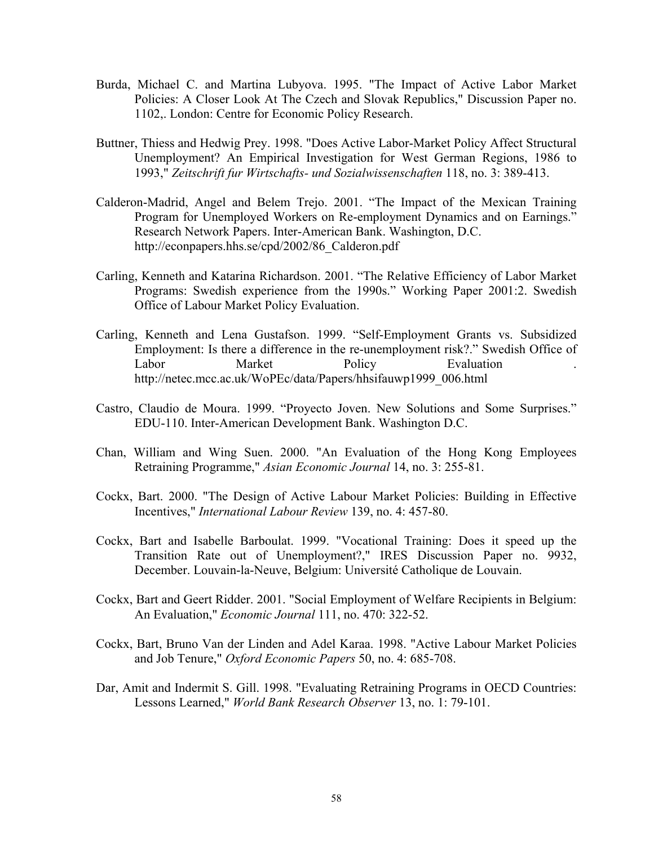- Burda, Michael C. and Martina Lubyova. 1995. "The Impact of Active Labor Market Policies: A Closer Look At The Czech and Slovak Republics," Discussion Paper no. 1102,. London: Centre for Economic Policy Research.
- Buttner, Thiess and Hedwig Prey. 1998. "Does Active Labor-Market Policy Affect Structural Unemployment? An Empirical Investigation for West German Regions, 1986 to 1993," *Zeitschrift fur Wirtschafts- und Sozialwissenschaften* 118, no. 3: 389-413.
- Calderon-Madrid, Angel and Belem Trejo. 2001. "The Impact of the Mexican Training Program for Unemployed Workers on Re-employment Dynamics and on Earnings." Research Network Papers. Inter-American Bank. Washington, D.C. [http://econpapers.hhs.se/cpd/2002/86\\_Calderon.pdf](http://econpapers.hhs.se/cpd/2002/86_Calderon.pdf)
- Carling, Kenneth and Katarina Richardson. 2001. "The Relative Efficiency of Labor Market Programs: Swedish experience from the 1990s." Working Paper 2001:2. Swedish Office of Labour Market Policy Evaluation.
- Carling, Kenneth and Lena Gustafson. 1999. "Self-Employment Grants vs. Subsidized Employment: Is there a difference in the re-unemployment risk?." Swedish Office of Labor Market Policy Evaluation [http://netec.mcc.ac.uk/WoPEc/data/Papers/hhsifauwp1999\\_006.html](http://netec.mcc.ac.uk/WoPEc/data/Papers/hhsifauwp1999_006.html)
- Castro, Claudio de Moura. 1999. "Proyecto Joven. New Solutions and Some Surprises." EDU-110. Inter-American Development Bank. Washington D.C.
- Chan, William and Wing Suen. 2000. "An Evaluation of the Hong Kong Employees Retraining Programme," *Asian Economic Journal* 14, no. 3: 255-81.
- Cockx, Bart. 2000. "The Design of Active Labour Market Policies: Building in Effective Incentives," *International Labour Review* 139, no. 4: 457-80.
- Cockx, Bart and Isabelle Barboulat. 1999. "Vocational Training: Does it speed up the Transition Rate out of Unemployment?," IRES Discussion Paper no. 9932, December. Louvain-la-Neuve, Belgium: Université Catholique de Louvain.
- Cockx, Bart and Geert Ridder. 2001. "Social Employment of Welfare Recipients in Belgium: An Evaluation," *Economic Journal* 111, no. 470: 322-52.
- Cockx, Bart, Bruno Van der Linden and Adel Karaa. 1998. "Active Labour Market Policies and Job Tenure," *Oxford Economic Papers* 50, no. 4: 685-708.
- Dar, Amit and Indermit S. Gill. 1998. "Evaluating Retraining Programs in OECD Countries: Lessons Learned," *World Bank Research Observer* 13, no. 1: 79-101.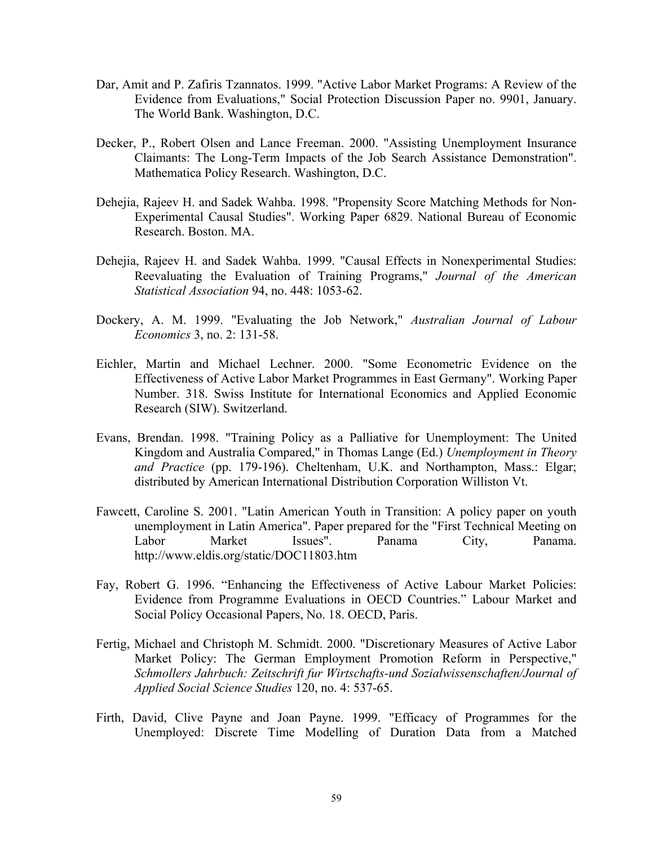- Dar, Amit and P. Zafiris Tzannatos. 1999. "Active Labor Market Programs: A Review of the Evidence from Evaluations," Social Protection Discussion Paper no. 9901, January. The World Bank. Washington, D.C.
- Decker, P., Robert Olsen and Lance Freeman. 2000. "Assisting Unemployment Insurance Claimants: The Long-Term Impacts of the Job Search Assistance Demonstration". Mathematica Policy Research. Washington, D.C.
- Dehejia, Rajeev H. and Sadek Wahba. 1998. "Propensity Score Matching Methods for Non-Experimental Causal Studies". Working Paper 6829. National Bureau of Economic Research. Boston. MA.
- Dehejia, Rajeev H. and Sadek Wahba. 1999. "Causal Effects in Nonexperimental Studies: Reevaluating the Evaluation of Training Programs," *Journal of the American Statistical Association* 94, no. 448: 1053-62.
- Dockery, A. M. 1999. "Evaluating the Job Network," *Australian Journal of Labour Economics* 3, no. 2: 131-58.
- Eichler, Martin and Michael Lechner. 2000. "Some Econometric Evidence on the Effectiveness of Active Labor Market Programmes in East Germany". Working Paper Number. 318. Swiss Institute for International Economics and Applied Economic Research (SIW). Switzerland.
- Evans, Brendan. 1998. "Training Policy as a Palliative for Unemployment: The United Kingdom and Australia Compared," in Thomas Lange (Ed.) *Unemployment in Theory and Practice* (pp. 179-196). Cheltenham, U.K. and Northampton, Mass.: Elgar; distributed by American International Distribution Corporation Williston Vt.
- Fawcett, Caroline S. 2001. "Latin American Youth in Transition: A policy paper on youth unemployment in Latin America". Paper prepared for the "First Technical Meeting on Labor Market Issues". Panama City, Panama. <http://www.eldis.org/static/DOC11803.htm>
- Fay, Robert G. 1996. "Enhancing the Effectiveness of Active Labour Market Policies: Evidence from Programme Evaluations in OECD Countries." Labour Market and Social Policy Occasional Papers, No. 18. OECD, Paris.
- Fertig, Michael and Christoph M. Schmidt. 2000. "Discretionary Measures of Active Labor Market Policy: The German Employment Promotion Reform in Perspective," *Schmollers Jahrbuch: Zeitschrift fur Wirtschafts-und Sozialwissenschaften/Journal of Applied Social Science Studies* 120, no. 4: 537-65.
- Firth, David, Clive Payne and Joan Payne. 1999. "Efficacy of Programmes for the Unemployed: Discrete Time Modelling of Duration Data from a Matched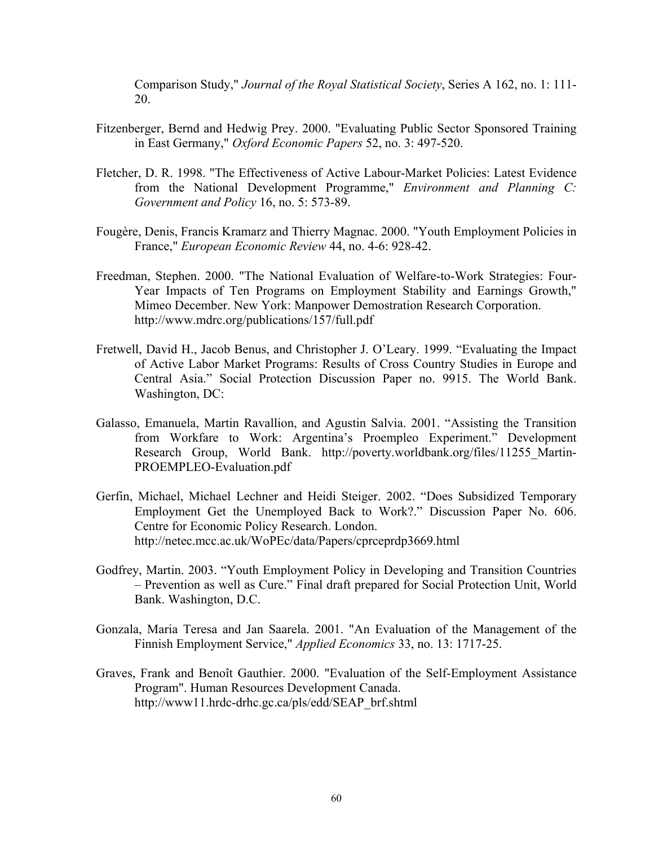Comparison Study," *Journal of the Royal Statistical Society*, Series A 162, no. 1: 111- 20.

- Fitzenberger, Bernd and Hedwig Prey. 2000. "Evaluating Public Sector Sponsored Training in East Germany," *Oxford Economic Papers* 52, no. 3: 497-520.
- Fletcher, D. R. 1998. "The Effectiveness of Active Labour-Market Policies: Latest Evidence from the National Development Programme," *Environment and Planning C: Government and Policy* 16, no. 5: 573-89.
- Fougère, Denis, Francis Kramarz and Thierry Magnac. 2000. "Youth Employment Policies in France," *European Economic Review* 44, no. 4-6: 928-42.
- Freedman, Stephen. 2000. "The National Evaluation of Welfare-to-Work Strategies: Four-Year Impacts of Ten Programs on Employment Stability and Earnings Growth," Mimeo December. New York: Manpower Demostration Research Corporation. <http://www.mdrc.org/publications/157/full.pdf>
- Fretwell, David H., Jacob Benus, and Christopher J. O'Leary. 1999. "Evaluating the Impact of Active Labor Market Programs: Results of Cross Country Studies in Europe and Central Asia." Social Protection Discussion Paper no. 9915. The World Bank. Washington, DC:
- Galasso, Emanuela, Martin Ravallion, and Agustin Salvia. 2001. "Assisting the Transition from Workfare to Work: Argentina's Proempleo Experiment." Development Research Group, World Bank. http://poverty.worldbank.org/files/11255 Martin-PROEMPLEO-Evaluation.pdf
- Gerfin, Michael, Michael Lechner and Heidi Steiger. 2002. "Does Subsidized Temporary Employment Get the Unemployed Back to Work?." Discussion Paper No. 606. Centre for Economic Policy Research. London. <http://netec.mcc.ac.uk/WoPEc/data/Papers/cprceprdp3669.html>
- Godfrey, Martin. 2003. "Youth Employment Policy in Developing and Transition Countries – Prevention as well as Cure." Final draft prepared for Social Protection Unit, World Bank. Washington, D.C.
- Gonzala, Maria Teresa and Jan Saarela. 2001. "An Evaluation of the Management of the Finnish Employment Service," *Applied Economics* 33, no. 13: 1717-25.
- Graves, Frank and Benoît Gauthier. 2000. "Evaluation of the Self-Employment Assistance Program". Human Resources Development Canada. [http://www11.hrdc-drhc.gc.ca/pls/edd/SEAP\\_brf.shtml](http://www11.hrdc-drhc.gc.ca/pls/edd/SEAP_brf.shtml)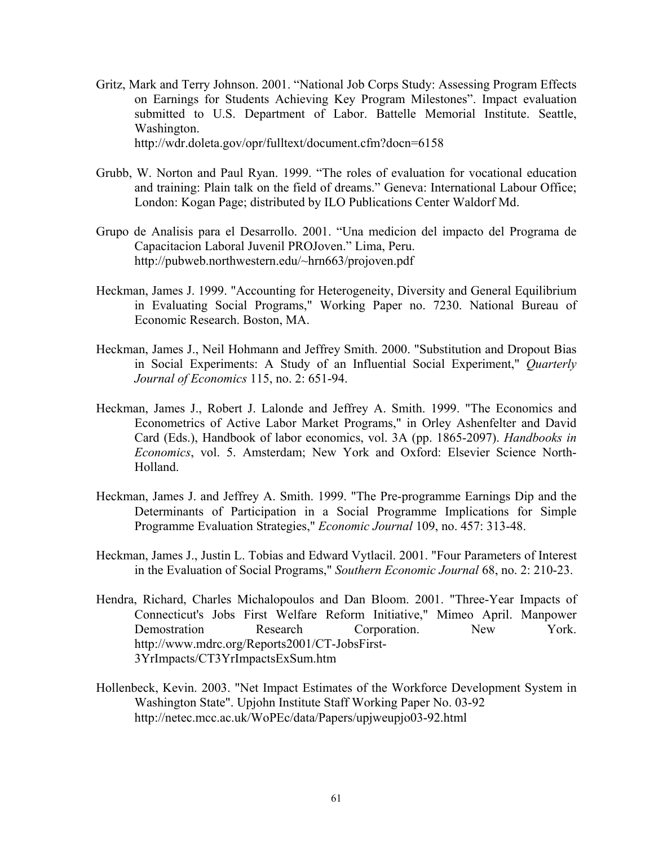- Gritz, Mark and Terry Johnson. 2001. "National Job Corps Study: Assessing Program Effects on Earnings for Students Achieving Key Program Milestones". Impact evaluation submitted to U.S. Department of Labor. Battelle Memorial Institute. Seattle, Washington. <http://wdr.doleta.gov/opr/fulltext/document.cfm?docn=6158>
- Grubb, W. Norton and Paul Ryan. 1999. "The roles of evaluation for vocational education and training: Plain talk on the field of dreams." Geneva: International Labour Office; London: Kogan Page; distributed by ILO Publications Center Waldorf Md.
- Grupo de Analisis para el Desarrollo. 2001. "Una medicion del impacto del Programa de Capacitacion Laboral Juvenil PROJoven." Lima, Peru. <http://pubweb.northwestern.edu/~hrn663/projoven.pdf>
- Heckman, James J. 1999. "Accounting for Heterogeneity, Diversity and General Equilibrium in Evaluating Social Programs," Working Paper no. 7230. National Bureau of Economic Research. Boston, MA.
- Heckman, James J., Neil Hohmann and Jeffrey Smith. 2000. "Substitution and Dropout Bias in Social Experiments: A Study of an Influential Social Experiment," *Quarterly Journal of Economics* 115, no. 2: 651-94.
- Heckman, James J., Robert J. Lalonde and Jeffrey A. Smith. 1999. "The Economics and Econometrics of Active Labor Market Programs," in Orley Ashenfelter and David Card (Eds.), Handbook of labor economics, vol. 3A (pp. 1865-2097). *Handbooks in Economics*, vol. 5. Amsterdam; New York and Oxford: Elsevier Science North-Holland.
- Heckman, James J. and Jeffrey A. Smith. 1999. "The Pre-programme Earnings Dip and the Determinants of Participation in a Social Programme Implications for Simple Programme Evaluation Strategies," *Economic Journal* 109, no. 457: 313-48.
- Heckman, James J., Justin L. Tobias and Edward Vytlacil. 2001. "Four Parameters of Interest in the Evaluation of Social Programs," *Southern Economic Journal* 68, no. 2: 210-23.
- Hendra, Richard, Charles Michalopoulos and Dan Bloom. 2001. "Three-Year Impacts of Connecticut's Jobs First Welfare Reform Initiative," Mimeo April. Manpower Demostration Research Corporation. New York. <http://www.mdrc.org/Reports2001/CT-JobsFirst->3YrImpacts/CT3YrImpactsExSum.htm
- Hollenbeck, Kevin. 2003. "Net Impact Estimates of the Workforce Development System in Washington State". Upjohn Institute Staff Working Paper No. 03-92 <http://netec.mcc.ac.uk/WoPEc/data/Papers/upjweupjo03-92.html>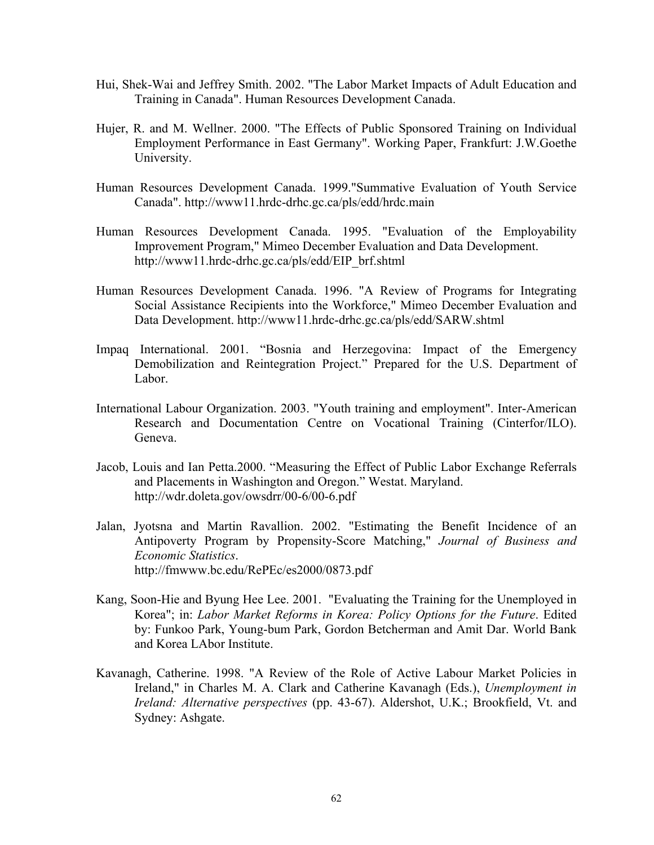- Hui, Shek-Wai and Jeffrey Smith. 2002. "The Labor Market Impacts of Adult Education and Training in Canada". Human Resources Development Canada.
- Hujer, R. and M. Wellner. 2000. "The Effects of Public Sponsored Training on Individual Employment Performance in East Germany". Working Paper, Frankfurt: J.W.Goethe University.
- Human Resources Development Canada. 1999."Summative Evaluation of Youth Service Canada". <http://www11.hrdc-drhc.gc.ca/pls/edd/hrdc.main>
- Human Resources Development Canada. 1995. "Evaluation of the Employability Improvement Program," Mimeo December Evaluation and Data Development. [http://www11.hrdc-drhc.gc.ca/pls/edd/EIP\\_brf.shtml](http://www11.hrdc-drhc.gc.ca/pls/edd/EIP_brf.shtml)
- Human Resources Development Canada. 1996. "A Review of Programs for Integrating Social Assistance Recipients into the Workforce," Mimeo December Evaluation and Data Development.<http://www11.hrdc-drhc.gc.ca/pls/edd/SARW.shtml>
- Impaq International. 2001. "Bosnia and Herzegovina: Impact of the Emergency Demobilization and Reintegration Project." Prepared for the U.S. Department of Labor.
- International Labour Organization. 2003. "Youth training and employment". Inter-American Research and Documentation Centre on Vocational Training (Cinterfor/ILO). Geneva.
- Jacob, Louis and Ian Petta.2000. "Measuring the Effect of Public Labor Exchange Referrals and Placements in Washington and Oregon." Westat. Maryland. <http://wdr.doleta.gov/owsdrr/00-6/00-6.pdf>
- Jalan, Jyotsna and Martin Ravallion. 2002. "Estimating the Benefit Incidence of an Antipoverty Program by Propensity-Score Matching," *Journal of Business and Economic Statistics*. <http://fmwww.bc.edu/RePEc/es2000/0873.pdf>
- Kang, Soon-Hie and Byung Hee Lee. 2001. "Evaluating the Training for the Unemployed in Korea"; in: *Labor Market Reforms in Korea: Policy Options for the Future*. Edited by: Funkoo Park, Young-bum Park, Gordon Betcherman and Amit Dar. World Bank and Korea LAbor Institute.
- Kavanagh, Catherine. 1998. "A Review of the Role of Active Labour Market Policies in Ireland," in Charles M. A. Clark and Catherine Kavanagh (Eds.), *Unemployment in Ireland: Alternative perspectives* (pp. 43-67). Aldershot, U.K.; Brookfield, Vt. and Sydney: Ashgate.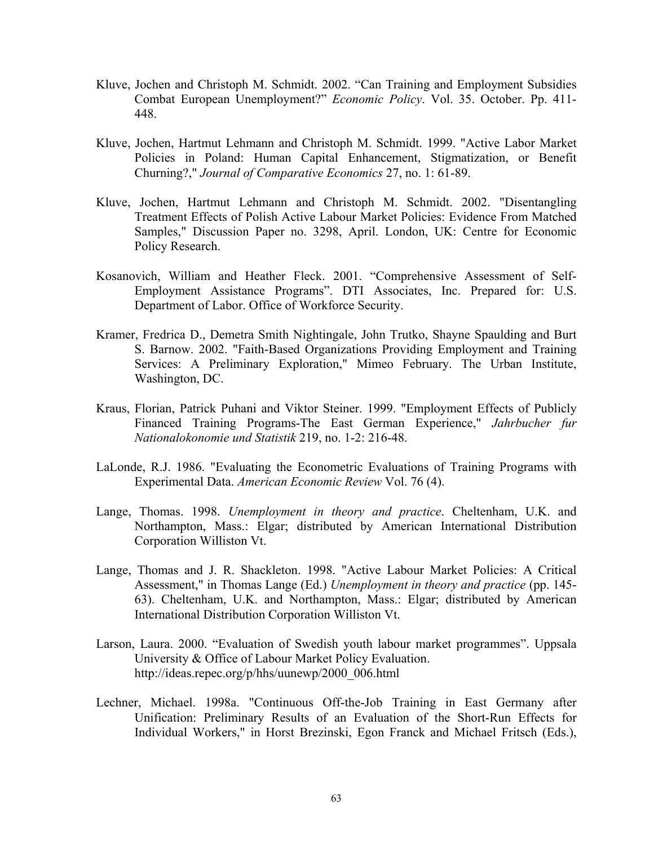- Kluve, Jochen and Christoph M. Schmidt. 2002. "Can Training and Employment Subsidies Combat European Unemployment?" *Economic Policy*. Vol. 35. October. Pp. 411- 448.
- Kluve, Jochen, Hartmut Lehmann and Christoph M. Schmidt. 1999. "Active Labor Market Policies in Poland: Human Capital Enhancement, Stigmatization, or Benefit Churning?," *Journal of Comparative Economics* 27, no. 1: 61-89.
- Kluve, Jochen, Hartmut Lehmann and Christoph M. Schmidt. 2002. "Disentangling Treatment Effects of Polish Active Labour Market Policies: Evidence From Matched Samples," Discussion Paper no. 3298, April. London, UK: Centre for Economic Policy Research.
- Kosanovich, William and Heather Fleck. 2001. "Comprehensive Assessment of Self-Employment Assistance Programs". DTI Associates, Inc. Prepared for: U.S. Department of Labor. Office of Workforce Security.
- Kramer, Fredrica D., Demetra Smith Nightingale, John Trutko, Shayne Spaulding and Burt S. Barnow. 2002. "Faith-Based Organizations Providing Employment and Training Services: A Preliminary Exploration," Mimeo February. The Urban Institute, Washington, DC.
- Kraus, Florian, Patrick Puhani and Viktor Steiner. 1999. "Employment Effects of Publicly Financed Training Programs-The East German Experience," *Jahrbucher fur Nationalokonomie und Statistik* 219, no. 1-2: 216-48.
- LaLonde, R.J. 1986. "Evaluating the Econometric Evaluations of Training Programs with Experimental Data. *American Economic Review* Vol. 76 (4).
- Lange, Thomas. 1998. *Unemployment in theory and practice*. Cheltenham, U.K. and Northampton, Mass.: Elgar; distributed by American International Distribution Corporation Williston Vt.
- Lange, Thomas and J. R. Shackleton. 1998. "Active Labour Market Policies: A Critical Assessment," in Thomas Lange (Ed.) *Unemployment in theory and practice* (pp. 145- 63). Cheltenham, U.K. and Northampton, Mass.: Elgar; distributed by American International Distribution Corporation Williston Vt.
- Larson, Laura. 2000. "Evaluation of Swedish youth labour market programmes". Uppsala University & Office of Labour Market Policy Evaluation. [http://ideas.repec.org/p/hhs/uunewp/2000\\_006.html](http://ideas.repec.org/p/hhs/uunewp/2000_006.html)
- Lechner, Michael. 1998a. "Continuous Off-the-Job Training in East Germany after Unification: Preliminary Results of an Evaluation of the Short-Run Effects for Individual Workers," in Horst Brezinski, Egon Franck and Michael Fritsch (Eds.),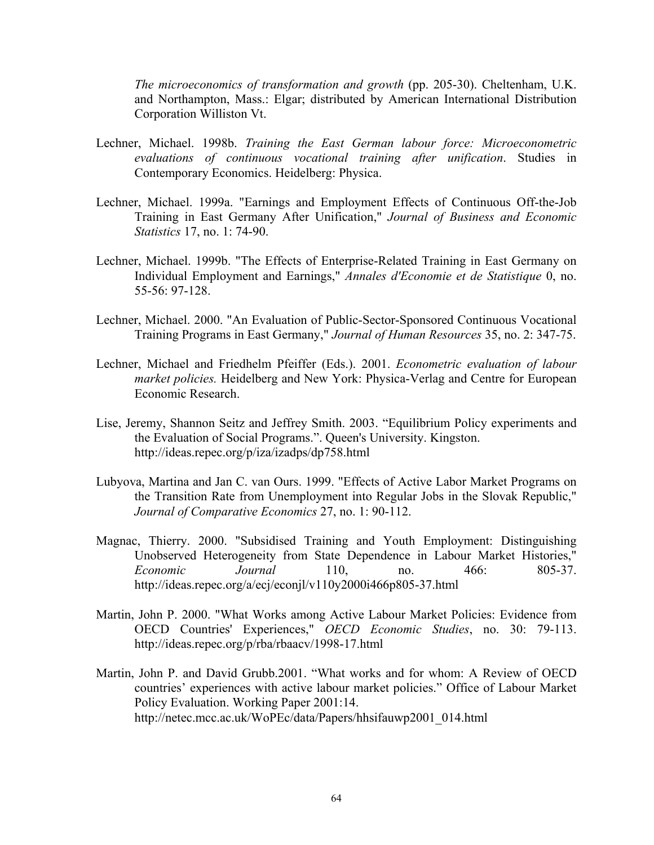*The microeconomics of transformation and growth* (pp. 205-30). Cheltenham, U.K. and Northampton, Mass.: Elgar; distributed by American International Distribution Corporation Williston Vt.

- Lechner, Michael. 1998b. *Training the East German labour force: Microeconometric evaluations of continuous vocational training after unification*. Studies in Contemporary Economics. Heidelberg: Physica.
- Lechner, Michael. 1999a. "Earnings and Employment Effects of Continuous Off-the-Job Training in East Germany After Unification," *Journal of Business and Economic Statistics* 17, no. 1: 74-90.
- Lechner, Michael. 1999b. "The Effects of Enterprise-Related Training in East Germany on Individual Employment and Earnings," *Annales d'Economie et de Statistique* 0, no. 55-56: 97-128.
- Lechner, Michael. 2000. "An Evaluation of Public-Sector-Sponsored Continuous Vocational Training Programs in East Germany," *Journal of Human Resources* 35, no. 2: 347-75.
- Lechner, Michael and Friedhelm Pfeiffer (Eds.). 2001. *Econometric evaluation of labour market policies.* Heidelberg and New York: Physica-Verlag and Centre for European Economic Research.
- Lise, Jeremy, Shannon Seitz and Jeffrey Smith. 2003. "Equilibrium Policy experiments and the Evaluation of Social Programs.". Queen's University. Kingston. <http://ideas.repec.org/p/iza/izadps/dp758.html>
- Lubyova, Martina and Jan C. van Ours. 1999. "Effects of Active Labor Market Programs on the Transition Rate from Unemployment into Regular Jobs in the Slovak Republic," *Journal of Comparative Economics* 27, no. 1: 90-112.
- Magnac, Thierry. 2000. "Subsidised Training and Youth Employment: Distinguishing Unobserved Heterogeneity from State Dependence in Labour Market Histories," *Economic Journal* 110, no. 466: 805-37. <http://ideas.repec.org/a/ecj/econjl/v110y2000i466p805-37.html>
- Martin, John P. 2000. "What Works among Active Labour Market Policies: Evidence from OECD Countries' Experiences," *OECD Economic Studies*, no. 30: 79-113. <http://ideas.repec.org/p/rba/rbaacv/1998-17.html>
- Martin, John P. and David Grubb.2001. "What works and for whom: A Review of OECD countries' experiences with active labour market policies." Office of Labour Market Policy Evaluation. Working Paper 2001:14. [http://netec.mcc.ac.uk/WoPEc/data/Papers/hhsifauwp2001\\_014.html](http://netec.mcc.ac.uk/WoPEc/data/Papers/hhsifauwp2001_014.html)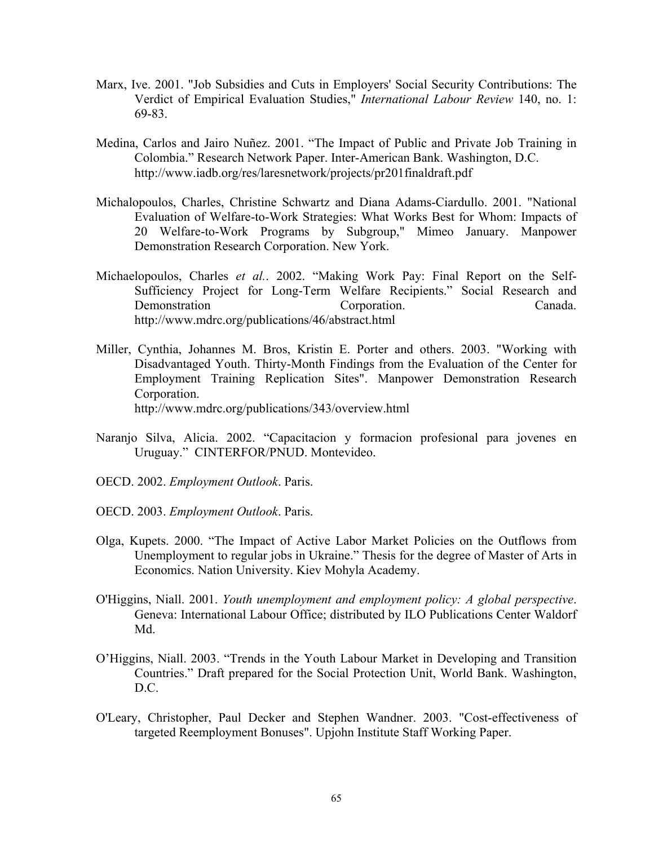- Marx, Ive. 2001. "Job Subsidies and Cuts in Employers' Social Security Contributions: The Verdict of Empirical Evaluation Studies," *International Labour Review* 140, no. 1: 69-83.
- Medina, Carlos and Jairo Nuñez. 2001. "The Impact of Public and Private Job Training in Colombia." Research Network Paper. Inter-American Bank. Washington, D.C. <http://www.iadb.org/res/laresnetwork/projects/pr201finaldraft.pdf>
- Michalopoulos, Charles, Christine Schwartz and Diana Adams-Ciardullo. 2001. "National Evaluation of Welfare-to-Work Strategies: What Works Best for Whom: Impacts of 20 Welfare-to-Work Programs by Subgroup," Mimeo January. Manpower Demonstration Research Corporation. New York.
- Michaelopoulos, Charles *et al.*. 2002. "Making Work Pay: Final Report on the Self-Sufficiency Project for Long-Term Welfare Recipients." Social Research and Demonstration Corporation. Corporation. Canada. <http://www.mdrc.org/publications/46/abstract.html>
- Miller, Cynthia, Johannes M. Bros, Kristin E. Porter and others. 2003. "Working with Disadvantaged Youth. Thirty-Month Findings from the Evaluation of the Center for Employment Training Replication Sites". Manpower Demonstration Research Corporation. <http://www.mdrc.org/publications/343/overview.html>
- Naranjo Silva, Alicia. 2002. "Capacitacion y formacion profesional para jovenes en Uruguay." CINTERFOR/PNUD. Montevideo.
- OECD. 2002. *Employment Outlook*. Paris.
- OECD. 2003. *Employment Outlook*. Paris.
- Olga, Kupets. 2000. "The Impact of Active Labor Market Policies on the Outflows from Unemployment to regular jobs in Ukraine." Thesis for the degree of Master of Arts in Economics. Nation University. Kiev Mohyla Academy.
- O'Higgins, Niall. 2001. *Youth unemployment and employment policy: A global perspective*. Geneva: International Labour Office; distributed by ILO Publications Center Waldorf Md.
- O'Higgins, Niall. 2003. "Trends in the Youth Labour Market in Developing and Transition Countries." Draft prepared for the Social Protection Unit, World Bank. Washington, D.C.
- O'Leary, Christopher, Paul Decker and Stephen Wandner. 2003. "Cost-effectiveness of targeted Reemployment Bonuses". Upjohn Institute Staff Working Paper.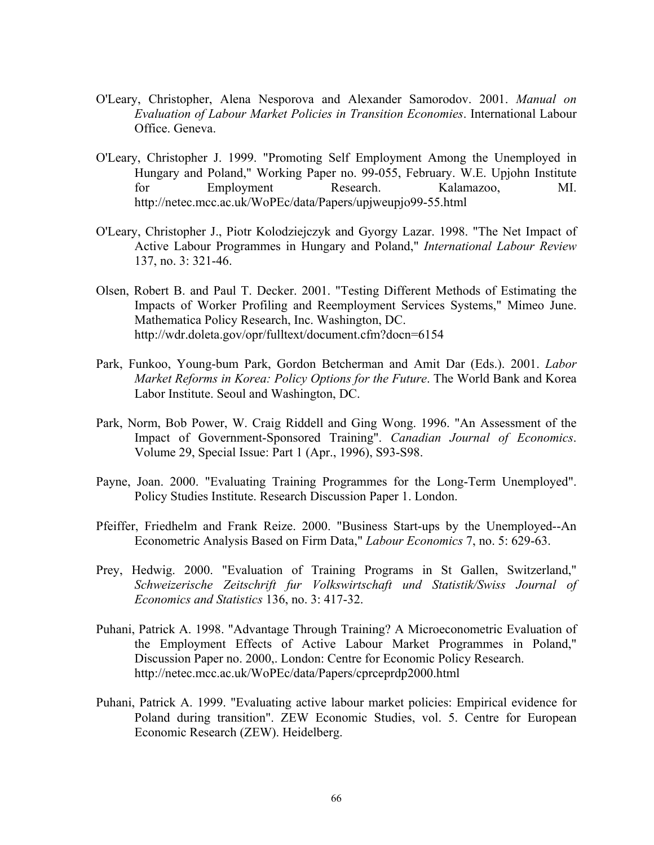- O'Leary, Christopher, Alena Nesporova and Alexander Samorodov. 2001. *Manual on Evaluation of Labour Market Policies in Transition Economies*. International Labour Office. Geneva.
- O'Leary, Christopher J. 1999. "Promoting Self Employment Among the Unemployed in Hungary and Poland," Working Paper no. 99-055, February. W.E. Upjohn Institute for Employment Research. Kalamazoo, MI. <http://netec.mcc.ac.uk/WoPEc/data/Papers/upjweupjo99-55.html>
- O'Leary, Christopher J., Piotr Kolodziejczyk and Gyorgy Lazar. 1998. "The Net Impact of Active Labour Programmes in Hungary and Poland," *International Labour Review* 137, no. 3: 321-46.
- Olsen, Robert B. and Paul T. Decker. 2001. "Testing Different Methods of Estimating the Impacts of Worker Profiling and Reemployment Services Systems," Mimeo June. Mathematica Policy Research, Inc. Washington, DC. <http://wdr.doleta.gov/opr/fulltext/document.cfm?docn=6154>
- Park, Funkoo, Young-bum Park, Gordon Betcherman and Amit Dar (Eds.). 2001. *Labor Market Reforms in Korea: Policy Options for the Future*. The World Bank and Korea Labor Institute. Seoul and Washington, DC.
- Park, Norm, Bob Power, W. Craig Riddell and Ging Wong. 1996. "An Assessment of the Impact of Government-Sponsored Training". *Canadian Journal of Economics*. Volume 29, Special Issue: Part 1 (Apr., 1996), S93-S98.
- Payne, Joan. 2000. "Evaluating Training Programmes for the Long-Term Unemployed". Policy Studies Institute. Research Discussion Paper 1. London.
- Pfeiffer, Friedhelm and Frank Reize. 2000. "Business Start-ups by the Unemployed--An Econometric Analysis Based on Firm Data," *Labour Economics* 7, no. 5: 629-63.
- Prey, Hedwig. 2000. "Evaluation of Training Programs in St Gallen, Switzerland," *Schweizerische Zeitschrift fur Volkswirtschaft und Statistik/Swiss Journal of Economics and Statistics* 136, no. 3: 417-32.
- Puhani, Patrick A. 1998. "Advantage Through Training? A Microeconometric Evaluation of the Employment Effects of Active Labour Market Programmes in Poland," Discussion Paper no. 2000,. London: Centre for Economic Policy Research. <http://netec.mcc.ac.uk/WoPEc/data/Papers/cprceprdp2000.html>
- Puhani, Patrick A. 1999. "Evaluating active labour market policies: Empirical evidence for Poland during transition". ZEW Economic Studies, vol. 5. Centre for European Economic Research (ZEW). Heidelberg.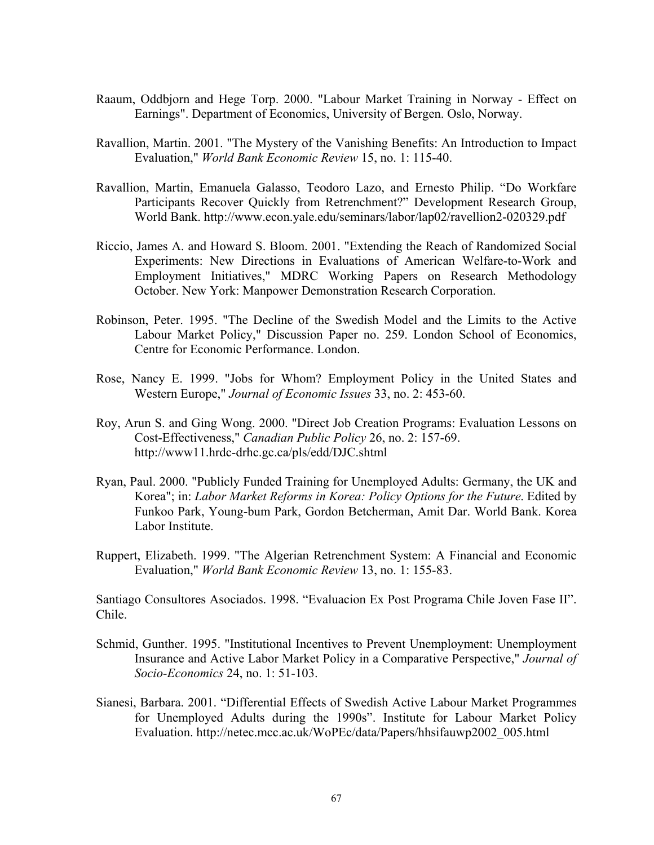- Raaum, Oddbjorn and Hege Torp. 2000. "Labour Market Training in Norway Effect on Earnings". Department of Economics, University of Bergen. Oslo, Norway.
- Ravallion, Martin. 2001. "The Mystery of the Vanishing Benefits: An Introduction to Impact Evaluation," *World Bank Economic Review* 15, no. 1: 115-40.
- Ravallion, Martin, Emanuela Galasso, Teodoro Lazo, and Ernesto Philip. "Do Workfare Participants Recover Quickly from Retrenchment?" Development Research Group, World Bank. <http://www.econ.yale.edu/seminars/labor/lap02/ravellion2-020329.pdf>
- Riccio, James A. and Howard S. Bloom. 2001. "Extending the Reach of Randomized Social Experiments: New Directions in Evaluations of American Welfare-to-Work and Employment Initiatives," MDRC Working Papers on Research Methodology October. New York: Manpower Demonstration Research Corporation.
- Robinson, Peter. 1995. "The Decline of the Swedish Model and the Limits to the Active Labour Market Policy," Discussion Paper no. 259. London School of Economics, Centre for Economic Performance. London.
- Rose, Nancy E. 1999. "Jobs for Whom? Employment Policy in the United States and Western Europe," *Journal of Economic Issues* 33, no. 2: 453-60.
- Roy, Arun S. and Ging Wong. 2000. "Direct Job Creation Programs: Evaluation Lessons on Cost-Effectiveness," *Canadian Public Policy* 26, no. 2: 157-69. <http://www11.hrdc-drhc.gc.ca/pls/edd/DJC.shtml>
- Ryan, Paul. 2000. "Publicly Funded Training for Unemployed Adults: Germany, the UK and Korea"; in: *Labor Market Reforms in Korea: Policy Options for the Future*. Edited by Funkoo Park, Young-bum Park, Gordon Betcherman, Amit Dar. World Bank. Korea Labor Institute.
- Ruppert, Elizabeth. 1999. "The Algerian Retrenchment System: A Financial and Economic Evaluation," *World Bank Economic Review* 13, no. 1: 155-83.

Santiago Consultores Asociados. 1998. "Evaluacion Ex Post Programa Chile Joven Fase II". Chile.

- Schmid, Gunther. 1995. "Institutional Incentives to Prevent Unemployment: Unemployment Insurance and Active Labor Market Policy in a Comparative Perspective," *Journal of Socio-Economics* 24, no. 1: 51-103.
- Sianesi, Barbara. 2001. "Differential Effects of Swedish Active Labour Market Programmes for Unemployed Adults during the 1990s". Institute for Labour Market Policy Evaluation. [http://netec.mcc.ac.uk/WoPEc/data/Papers/hhsifauwp2002\\_005.html](http://netec.mcc.ac.uk/WoPEc/data/Papers/hhsifauwp2002_005.html)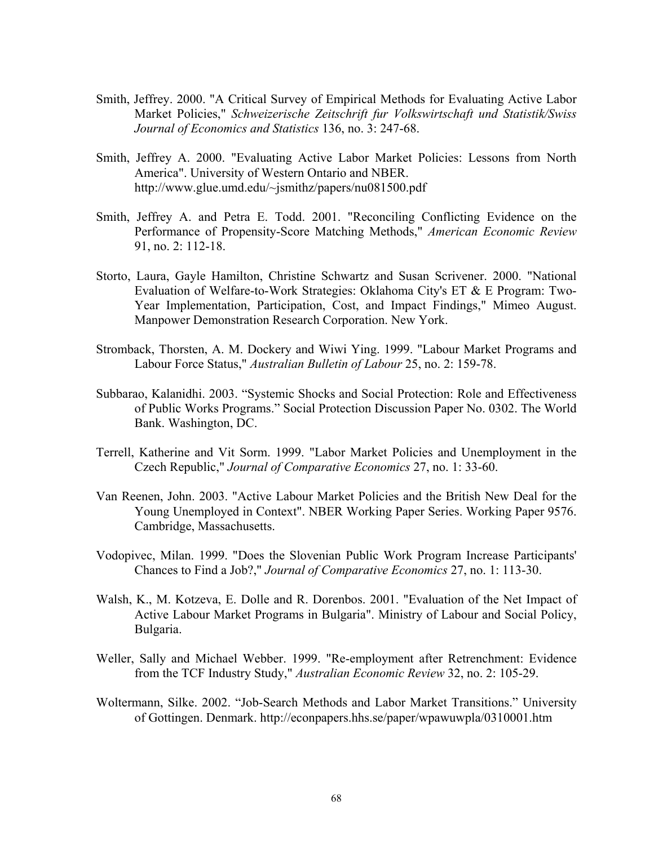- Smith, Jeffrey. 2000. "A Critical Survey of Empirical Methods for Evaluating Active Labor Market Policies," *Schweizerische Zeitschrift fur Volkswirtschaft und Statistik/Swiss Journal of Economics and Statistics* 136, no. 3: 247-68.
- Smith, Jeffrey A. 2000. "Evaluating Active Labor Market Policies: Lessons from North America". University of Western Ontario and NBER. <http://www.glue.umd.edu/~jsmithz/papers/nu081500.pdf>
- Smith, Jeffrey A. and Petra E. Todd. 2001. "Reconciling Conflicting Evidence on the Performance of Propensity-Score Matching Methods," *American Economic Review* 91, no. 2: 112-18.
- Storto, Laura, Gayle Hamilton, Christine Schwartz and Susan Scrivener. 2000. "National Evaluation of Welfare-to-Work Strategies: Oklahoma City's ET & E Program: Two-Year Implementation, Participation, Cost, and Impact Findings," Mimeo August. Manpower Demonstration Research Corporation. New York.
- Stromback, Thorsten, A. M. Dockery and Wiwi Ying. 1999. "Labour Market Programs and Labour Force Status," *Australian Bulletin of Labour* 25, no. 2: 159-78.
- Subbarao, Kalanidhi. 2003. "Systemic Shocks and Social Protection: Role and Effectiveness of Public Works Programs." Social Protection Discussion Paper No. 0302. The World Bank. Washington, DC.
- Terrell, Katherine and Vit Sorm. 1999. "Labor Market Policies and Unemployment in the Czech Republic," *Journal of Comparative Economics* 27, no. 1: 33-60.
- Van Reenen, John. 2003. "Active Labour Market Policies and the British New Deal for the Young Unemployed in Context". NBER Working Paper Series. Working Paper 9576. Cambridge, Massachusetts.
- Vodopivec, Milan. 1999. "Does the Slovenian Public Work Program Increase Participants' Chances to Find a Job?," *Journal of Comparative Economics* 27, no. 1: 113-30.
- Walsh, K., M. Kotzeva, E. Dolle and R. Dorenbos. 2001. "Evaluation of the Net Impact of Active Labour Market Programs in Bulgaria". Ministry of Labour and Social Policy, Bulgaria.
- Weller, Sally and Michael Webber. 1999. "Re-employment after Retrenchment: Evidence from the TCF Industry Study," *Australian Economic Review* 32, no. 2: 105-29.
- Woltermann, Silke. 2002. "Job-Search Methods and Labor Market Transitions." University of Gottingen. Denmark. <http://econpapers.hhs.se/paper/wpawuwpla/0310001.htm>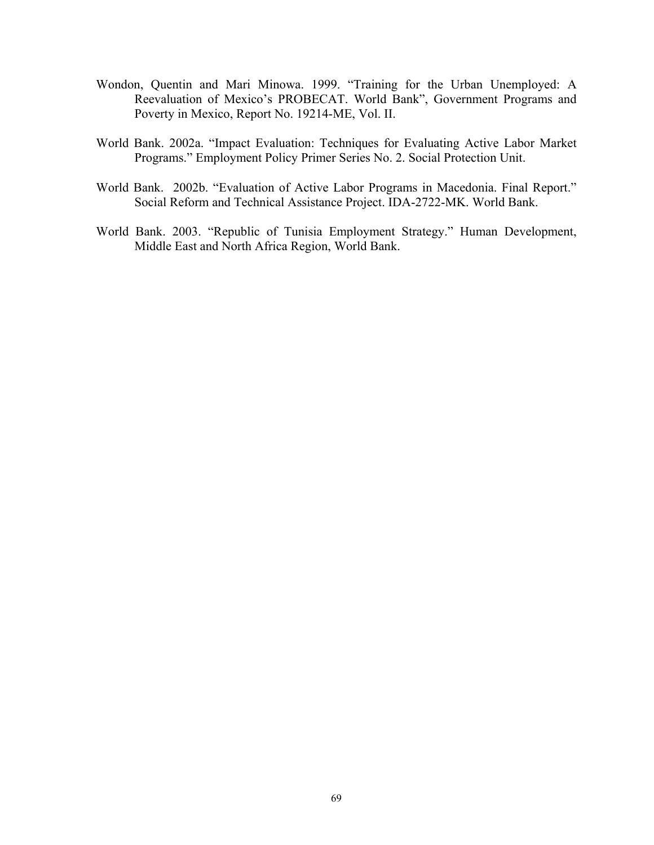- Wondon, Quentin and Mari Minowa. 1999. "Training for the Urban Unemployed: A Reevaluation of Mexico's PROBECAT. World Bank", Government Programs and Poverty in Mexico, Report No. 19214-ME, Vol. II.
- World Bank. 2002a. "Impact Evaluation: Techniques for Evaluating Active Labor Market Programs." Employment Policy Primer Series No. 2. Social Protection Unit.
- World Bank. 2002b. "Evaluation of Active Labor Programs in Macedonia. Final Report." Social Reform and Technical Assistance Project. IDA-2722-MK. World Bank.
- World Bank. 2003. "Republic of Tunisia Employment Strategy." Human Development, Middle East and North Africa Region, World Bank.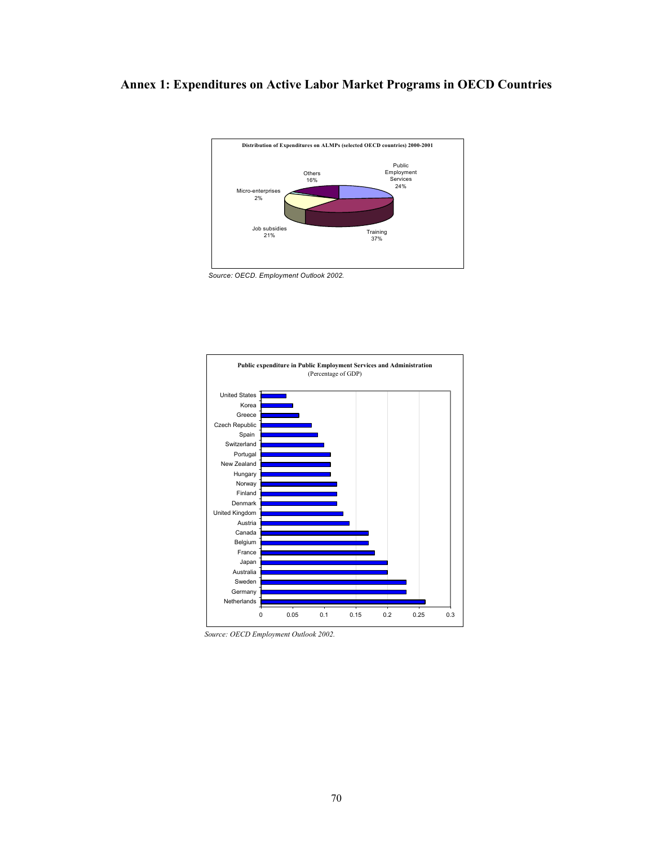## **Annex 1: Expenditures on Active Labor Market Programs in OECD Countries**



*Source: OECD. Employment Outlook 2002.*



*Source: OECD Employment Outlook 2002.*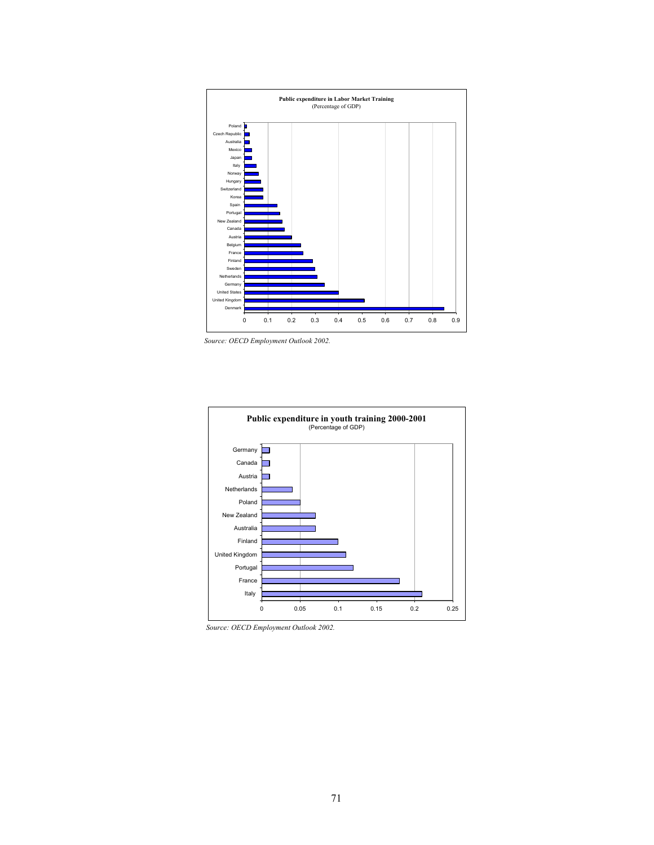

*Source: OECD Employment Outlook 2002.*



*Source: OECD Employment Outlook 2002.*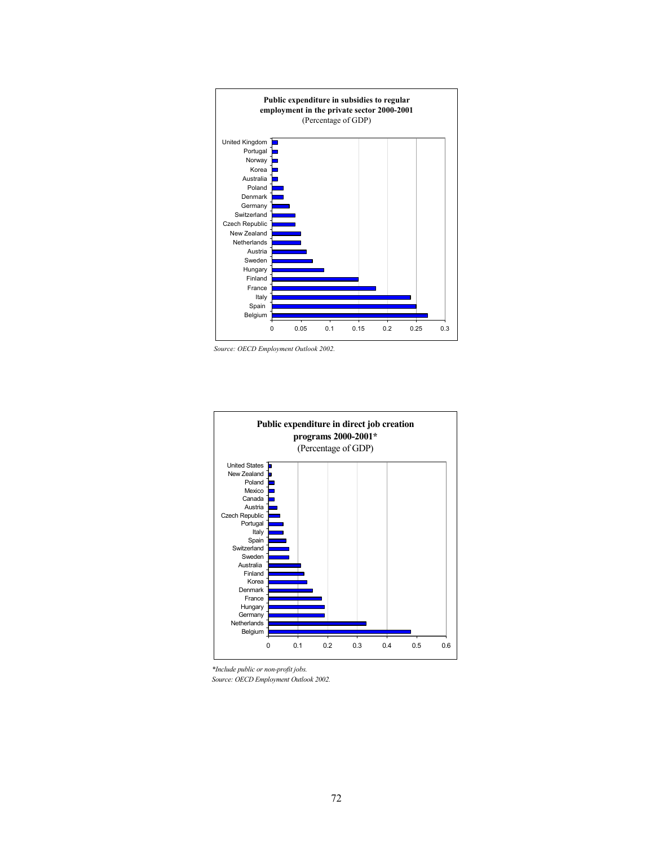

*Source: OECD Employment Outlook 2002.*



*\*Include public or non-profit jobs. Source: OECD Employment Outlook 2002.*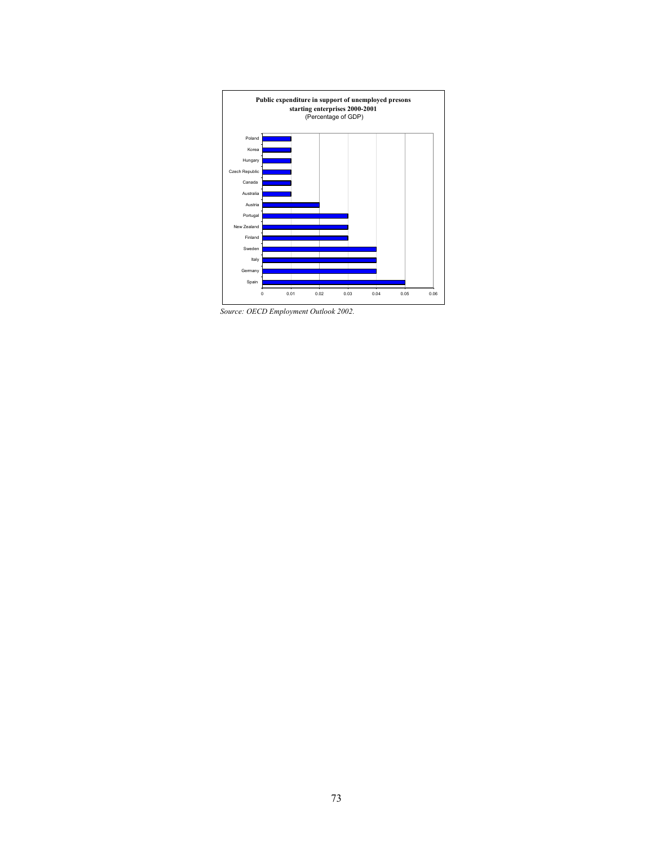

*Source: OECD Employment Outlook 2002.*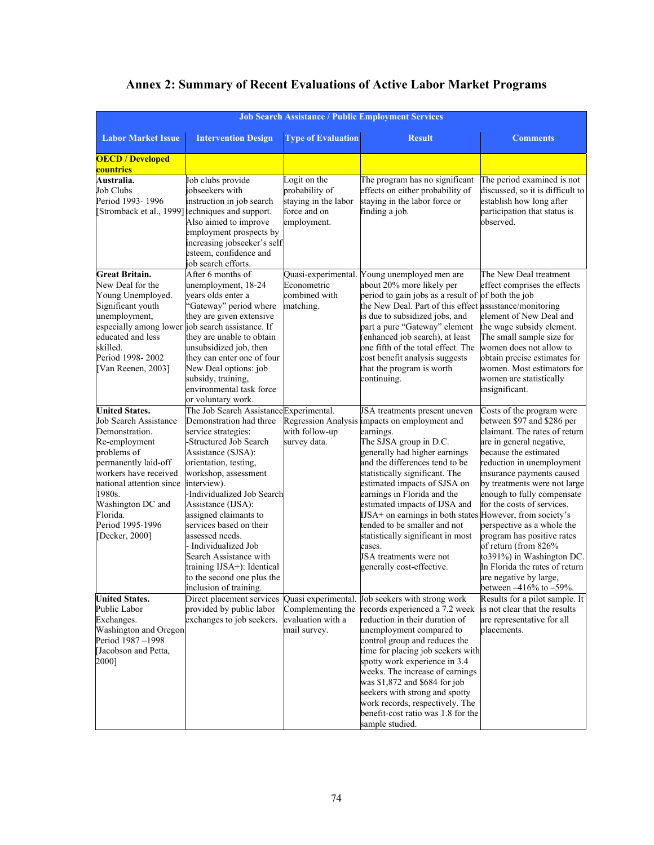| <b>Labor Market Issue</b><br><b>Intervention Design</b><br><b>Type of Evaluation</b><br><b>Result</b><br><b>Comments</b><br><mark>countries</mark><br>Job clubs provide<br>The period examined is not<br>Australia.<br>Logit on the<br>The program has no significant<br>Job Clubs<br>jobseekers with<br>probability of<br>effects on either probability of<br>discussed, so it is difficult to<br>Period 1993-1996<br>instruction in job search<br>staying in the labor<br>staying in the labor force or<br>establish how long after<br>Stromback et al., 1999] techniques and support.<br>force and on<br>finding a job.<br>participation that status is<br>Also aimed to improve<br>employment.<br>observed.<br>employment prospects by<br>increasing jobseeker's self<br>esteem, confidence and<br>job search efforts.<br>After 6 months of<br>The New Deal treatment<br><b>Great Britain.</b><br>Quasi-experimental. Young unemployed men are<br>New Deal for the<br>unemployment, 18-24<br>Econometric<br>about 20% more likely per<br>effect comprises the effects<br>Young Unemployed.<br>vears olds enter a<br>combined with<br>period to gain jobs as a result of of both the job<br>Significant youth<br>"Gateway" period where<br>matching.<br>the New Deal. Part of this effect assistance/monitoring<br>unemployment,<br>they are given extensive<br>is due to subsidized jobs, and<br>element of New Deal and<br>especially among lower job search assistance. If<br>part a pure "Gateway" element<br>the wage subsidy element.<br>educated and less<br>they are unable to obtain<br>(enhanced job search), at least<br>The small sample size for<br>unsubsidized job, then<br>one fifth of the total effect. The<br>women does not allow to<br>they can enter one of four<br>cost benefit analysis suggests<br>obtain precise estimates for<br>New Deal options: job<br>that the program is worth<br>women. Most estimators for<br>[Van Reenen, 2003]<br>continuing.<br>subsidy, training,<br>women are statistically<br>environmental task force<br>insignificant.<br>or voluntary work.<br>The Job Search Assistance Experimental.<br>Costs of the program were<br>JSA treatments present uneven<br><b>Job Search Assistance</b><br>Regression Analysis impacts on employment and<br>between \$97 and \$286 per<br>Demonstration had three<br>claimant. The rates of return<br>Demonstration.<br>service strategies:<br>with follow-up<br>earnings.<br>-Structured Job Search<br>survey data.<br>The SJSA group in D.C.<br>are in general negative,<br>Re-employment<br>problems of<br>Assistance (SJSA):<br>generally had higher earnings<br>because the estimated<br>orientation, testing,<br>and the differences tend to be<br>reduction in unemployment<br>permanently laid-off<br>workers have received<br>workshop, assessment<br>statistically significant. The<br>insurance payments caused<br>national attention since<br>interview).<br>estimated impacts of SJSA on<br>by treatments were not large<br>1980s.<br>-Individualized Job Search<br>earnings in Florida and the<br>enough to fully compensate<br>Washington DC and<br>for the costs of services.<br>Assistance (IJSA):<br>estimated impacts of IJSA and<br>Florida.<br>assigned claimants to<br>IJSA+ on earnings in both states However, from society's<br>Period 1995-1996<br>services based on their<br>tended to be smaller and not<br>perspective as a whole the<br>assessed needs.<br>program has positive rates<br>[Decker, 2000]<br>statistically significant in most<br>Individualized Job<br>of return (from 826%<br>cases.<br>Search Assistance with<br>JSA treatments were not<br>to391%) in Washington DC.<br>In Florida the rates of return<br>training IJSA+): Identical<br>generally cost-effective.<br>to the second one plus the<br>are negative by large,<br>inclusion of training.<br>between $-416\%$ to $-59\%$ .<br>Quasi experimental. Job seekers with strong work<br>Direct placement services<br>Results for a pilot sample. It<br>provided by public labor<br>Complementing the<br>records experienced a 7.2 week<br>is not clear that the results<br>exchanges to job seekers.<br>evaluation with a<br>reduction in their duration of<br>are representative for all<br>Washington and Oregon<br>mail survey.<br>unemployment compared to<br>placements.<br>Period 1987-1998<br>control group and reduces the<br>[Jacobson and Petta,<br>time for placing job seekers with<br>spotty work experience in 3.4<br>2000]<br>weeks. The increase of earnings<br>was \$1,872 and \$684 for job<br>seekers with strong and spotty<br>work records, respectively. The<br>benefit-cost ratio was 1.8 for the |                         | <b>Job Search Assistance / Public Employment Services</b> |  |  |  |  |
|-------------------------------------------------------------------------------------------------------------------------------------------------------------------------------------------------------------------------------------------------------------------------------------------------------------------------------------------------------------------------------------------------------------------------------------------------------------------------------------------------------------------------------------------------------------------------------------------------------------------------------------------------------------------------------------------------------------------------------------------------------------------------------------------------------------------------------------------------------------------------------------------------------------------------------------------------------------------------------------------------------------------------------------------------------------------------------------------------------------------------------------------------------------------------------------------------------------------------------------------------------------------------------------------------------------------------------------------------------------------------------------------------------------------------------------------------------------------------------------------------------------------------------------------------------------------------------------------------------------------------------------------------------------------------------------------------------------------------------------------------------------------------------------------------------------------------------------------------------------------------------------------------------------------------------------------------------------------------------------------------------------------------------------------------------------------------------------------------------------------------------------------------------------------------------------------------------------------------------------------------------------------------------------------------------------------------------------------------------------------------------------------------------------------------------------------------------------------------------------------------------------------------------------------------------------------------------------------------------------------------------------------------------------------------------------------------------------------------------------------------------------------------------------------------------------------------------------------------------------------------------------------------------------------------------------------------------------------------------------------------------------------------------------------------------------------------------------------------------------------------------------------------------------------------------------------------------------------------------------------------------------------------------------------------------------------------------------------------------------------------------------------------------------------------------------------------------------------------------------------------------------------------------------------------------------------------------------------------------------------------------------------------------------------------------------------------------------------------------------------------------------------------------------------------------------------------------------------------------------------------------------------------------------------------------------------------------------------------------------------------------------------------------------------------------------------------------------------------------------------------------------------------------------------------------------------------------------------------------------------------------------------------------------------------------------------------------------------------------------------------------------------------------------------------------------------------------------------------------------------------------------------------------------------------------------------------------------------------------------------------------------------------------------------------------------------------------------------------|-------------------------|-----------------------------------------------------------|--|--|--|--|
|                                                                                                                                                                                                                                                                                                                                                                                                                                                                                                                                                                                                                                                                                                                                                                                                                                                                                                                                                                                                                                                                                                                                                                                                                                                                                                                                                                                                                                                                                                                                                                                                                                                                                                                                                                                                                                                                                                                                                                                                                                                                                                                                                                                                                                                                                                                                                                                                                                                                                                                                                                                                                                                                                                                                                                                                                                                                                                                                                                                                                                                                                                                                                                                                                                                                                                                                                                                                                                                                                                                                                                                                                                                                                                                                                                                                                                                                                                                                                                                                                                                                                                                                                                                                                                                                                                                                                                                                                                                                                                                                                                                                                                                                                                                         |                         |                                                           |  |  |  |  |
|                                                                                                                                                                                                                                                                                                                                                                                                                                                                                                                                                                                                                                                                                                                                                                                                                                                                                                                                                                                                                                                                                                                                                                                                                                                                                                                                                                                                                                                                                                                                                                                                                                                                                                                                                                                                                                                                                                                                                                                                                                                                                                                                                                                                                                                                                                                                                                                                                                                                                                                                                                                                                                                                                                                                                                                                                                                                                                                                                                                                                                                                                                                                                                                                                                                                                                                                                                                                                                                                                                                                                                                                                                                                                                                                                                                                                                                                                                                                                                                                                                                                                                                                                                                                                                                                                                                                                                                                                                                                                                                                                                                                                                                                                                                         | <b>OECD / Developed</b> |                                                           |  |  |  |  |
|                                                                                                                                                                                                                                                                                                                                                                                                                                                                                                                                                                                                                                                                                                                                                                                                                                                                                                                                                                                                                                                                                                                                                                                                                                                                                                                                                                                                                                                                                                                                                                                                                                                                                                                                                                                                                                                                                                                                                                                                                                                                                                                                                                                                                                                                                                                                                                                                                                                                                                                                                                                                                                                                                                                                                                                                                                                                                                                                                                                                                                                                                                                                                                                                                                                                                                                                                                                                                                                                                                                                                                                                                                                                                                                                                                                                                                                                                                                                                                                                                                                                                                                                                                                                                                                                                                                                                                                                                                                                                                                                                                                                                                                                                                                         |                         |                                                           |  |  |  |  |
|                                                                                                                                                                                                                                                                                                                                                                                                                                                                                                                                                                                                                                                                                                                                                                                                                                                                                                                                                                                                                                                                                                                                                                                                                                                                                                                                                                                                                                                                                                                                                                                                                                                                                                                                                                                                                                                                                                                                                                                                                                                                                                                                                                                                                                                                                                                                                                                                                                                                                                                                                                                                                                                                                                                                                                                                                                                                                                                                                                                                                                                                                                                                                                                                                                                                                                                                                                                                                                                                                                                                                                                                                                                                                                                                                                                                                                                                                                                                                                                                                                                                                                                                                                                                                                                                                                                                                                                                                                                                                                                                                                                                                                                                                                                         |                         |                                                           |  |  |  |  |
|                                                                                                                                                                                                                                                                                                                                                                                                                                                                                                                                                                                                                                                                                                                                                                                                                                                                                                                                                                                                                                                                                                                                                                                                                                                                                                                                                                                                                                                                                                                                                                                                                                                                                                                                                                                                                                                                                                                                                                                                                                                                                                                                                                                                                                                                                                                                                                                                                                                                                                                                                                                                                                                                                                                                                                                                                                                                                                                                                                                                                                                                                                                                                                                                                                                                                                                                                                                                                                                                                                                                                                                                                                                                                                                                                                                                                                                                                                                                                                                                                                                                                                                                                                                                                                                                                                                                                                                                                                                                                                                                                                                                                                                                                                                         |                         |                                                           |  |  |  |  |
|                                                                                                                                                                                                                                                                                                                                                                                                                                                                                                                                                                                                                                                                                                                                                                                                                                                                                                                                                                                                                                                                                                                                                                                                                                                                                                                                                                                                                                                                                                                                                                                                                                                                                                                                                                                                                                                                                                                                                                                                                                                                                                                                                                                                                                                                                                                                                                                                                                                                                                                                                                                                                                                                                                                                                                                                                                                                                                                                                                                                                                                                                                                                                                                                                                                                                                                                                                                                                                                                                                                                                                                                                                                                                                                                                                                                                                                                                                                                                                                                                                                                                                                                                                                                                                                                                                                                                                                                                                                                                                                                                                                                                                                                                                                         |                         |                                                           |  |  |  |  |
|                                                                                                                                                                                                                                                                                                                                                                                                                                                                                                                                                                                                                                                                                                                                                                                                                                                                                                                                                                                                                                                                                                                                                                                                                                                                                                                                                                                                                                                                                                                                                                                                                                                                                                                                                                                                                                                                                                                                                                                                                                                                                                                                                                                                                                                                                                                                                                                                                                                                                                                                                                                                                                                                                                                                                                                                                                                                                                                                                                                                                                                                                                                                                                                                                                                                                                                                                                                                                                                                                                                                                                                                                                                                                                                                                                                                                                                                                                                                                                                                                                                                                                                                                                                                                                                                                                                                                                                                                                                                                                                                                                                                                                                                                                                         |                         |                                                           |  |  |  |  |
|                                                                                                                                                                                                                                                                                                                                                                                                                                                                                                                                                                                                                                                                                                                                                                                                                                                                                                                                                                                                                                                                                                                                                                                                                                                                                                                                                                                                                                                                                                                                                                                                                                                                                                                                                                                                                                                                                                                                                                                                                                                                                                                                                                                                                                                                                                                                                                                                                                                                                                                                                                                                                                                                                                                                                                                                                                                                                                                                                                                                                                                                                                                                                                                                                                                                                                                                                                                                                                                                                                                                                                                                                                                                                                                                                                                                                                                                                                                                                                                                                                                                                                                                                                                                                                                                                                                                                                                                                                                                                                                                                                                                                                                                                                                         |                         |                                                           |  |  |  |  |
|                                                                                                                                                                                                                                                                                                                                                                                                                                                                                                                                                                                                                                                                                                                                                                                                                                                                                                                                                                                                                                                                                                                                                                                                                                                                                                                                                                                                                                                                                                                                                                                                                                                                                                                                                                                                                                                                                                                                                                                                                                                                                                                                                                                                                                                                                                                                                                                                                                                                                                                                                                                                                                                                                                                                                                                                                                                                                                                                                                                                                                                                                                                                                                                                                                                                                                                                                                                                                                                                                                                                                                                                                                                                                                                                                                                                                                                                                                                                                                                                                                                                                                                                                                                                                                                                                                                                                                                                                                                                                                                                                                                                                                                                                                                         |                         |                                                           |  |  |  |  |
|                                                                                                                                                                                                                                                                                                                                                                                                                                                                                                                                                                                                                                                                                                                                                                                                                                                                                                                                                                                                                                                                                                                                                                                                                                                                                                                                                                                                                                                                                                                                                                                                                                                                                                                                                                                                                                                                                                                                                                                                                                                                                                                                                                                                                                                                                                                                                                                                                                                                                                                                                                                                                                                                                                                                                                                                                                                                                                                                                                                                                                                                                                                                                                                                                                                                                                                                                                                                                                                                                                                                                                                                                                                                                                                                                                                                                                                                                                                                                                                                                                                                                                                                                                                                                                                                                                                                                                                                                                                                                                                                                                                                                                                                                                                         |                         |                                                           |  |  |  |  |
|                                                                                                                                                                                                                                                                                                                                                                                                                                                                                                                                                                                                                                                                                                                                                                                                                                                                                                                                                                                                                                                                                                                                                                                                                                                                                                                                                                                                                                                                                                                                                                                                                                                                                                                                                                                                                                                                                                                                                                                                                                                                                                                                                                                                                                                                                                                                                                                                                                                                                                                                                                                                                                                                                                                                                                                                                                                                                                                                                                                                                                                                                                                                                                                                                                                                                                                                                                                                                                                                                                                                                                                                                                                                                                                                                                                                                                                                                                                                                                                                                                                                                                                                                                                                                                                                                                                                                                                                                                                                                                                                                                                                                                                                                                                         |                         |                                                           |  |  |  |  |
|                                                                                                                                                                                                                                                                                                                                                                                                                                                                                                                                                                                                                                                                                                                                                                                                                                                                                                                                                                                                                                                                                                                                                                                                                                                                                                                                                                                                                                                                                                                                                                                                                                                                                                                                                                                                                                                                                                                                                                                                                                                                                                                                                                                                                                                                                                                                                                                                                                                                                                                                                                                                                                                                                                                                                                                                                                                                                                                                                                                                                                                                                                                                                                                                                                                                                                                                                                                                                                                                                                                                                                                                                                                                                                                                                                                                                                                                                                                                                                                                                                                                                                                                                                                                                                                                                                                                                                                                                                                                                                                                                                                                                                                                                                                         |                         |                                                           |  |  |  |  |
|                                                                                                                                                                                                                                                                                                                                                                                                                                                                                                                                                                                                                                                                                                                                                                                                                                                                                                                                                                                                                                                                                                                                                                                                                                                                                                                                                                                                                                                                                                                                                                                                                                                                                                                                                                                                                                                                                                                                                                                                                                                                                                                                                                                                                                                                                                                                                                                                                                                                                                                                                                                                                                                                                                                                                                                                                                                                                                                                                                                                                                                                                                                                                                                                                                                                                                                                                                                                                                                                                                                                                                                                                                                                                                                                                                                                                                                                                                                                                                                                                                                                                                                                                                                                                                                                                                                                                                                                                                                                                                                                                                                                                                                                                                                         |                         |                                                           |  |  |  |  |
|                                                                                                                                                                                                                                                                                                                                                                                                                                                                                                                                                                                                                                                                                                                                                                                                                                                                                                                                                                                                                                                                                                                                                                                                                                                                                                                                                                                                                                                                                                                                                                                                                                                                                                                                                                                                                                                                                                                                                                                                                                                                                                                                                                                                                                                                                                                                                                                                                                                                                                                                                                                                                                                                                                                                                                                                                                                                                                                                                                                                                                                                                                                                                                                                                                                                                                                                                                                                                                                                                                                                                                                                                                                                                                                                                                                                                                                                                                                                                                                                                                                                                                                                                                                                                                                                                                                                                                                                                                                                                                                                                                                                                                                                                                                         |                         |                                                           |  |  |  |  |
|                                                                                                                                                                                                                                                                                                                                                                                                                                                                                                                                                                                                                                                                                                                                                                                                                                                                                                                                                                                                                                                                                                                                                                                                                                                                                                                                                                                                                                                                                                                                                                                                                                                                                                                                                                                                                                                                                                                                                                                                                                                                                                                                                                                                                                                                                                                                                                                                                                                                                                                                                                                                                                                                                                                                                                                                                                                                                                                                                                                                                                                                                                                                                                                                                                                                                                                                                                                                                                                                                                                                                                                                                                                                                                                                                                                                                                                                                                                                                                                                                                                                                                                                                                                                                                                                                                                                                                                                                                                                                                                                                                                                                                                                                                                         |                         |                                                           |  |  |  |  |
|                                                                                                                                                                                                                                                                                                                                                                                                                                                                                                                                                                                                                                                                                                                                                                                                                                                                                                                                                                                                                                                                                                                                                                                                                                                                                                                                                                                                                                                                                                                                                                                                                                                                                                                                                                                                                                                                                                                                                                                                                                                                                                                                                                                                                                                                                                                                                                                                                                                                                                                                                                                                                                                                                                                                                                                                                                                                                                                                                                                                                                                                                                                                                                                                                                                                                                                                                                                                                                                                                                                                                                                                                                                                                                                                                                                                                                                                                                                                                                                                                                                                                                                                                                                                                                                                                                                                                                                                                                                                                                                                                                                                                                                                                                                         |                         |                                                           |  |  |  |  |
|                                                                                                                                                                                                                                                                                                                                                                                                                                                                                                                                                                                                                                                                                                                                                                                                                                                                                                                                                                                                                                                                                                                                                                                                                                                                                                                                                                                                                                                                                                                                                                                                                                                                                                                                                                                                                                                                                                                                                                                                                                                                                                                                                                                                                                                                                                                                                                                                                                                                                                                                                                                                                                                                                                                                                                                                                                                                                                                                                                                                                                                                                                                                                                                                                                                                                                                                                                                                                                                                                                                                                                                                                                                                                                                                                                                                                                                                                                                                                                                                                                                                                                                                                                                                                                                                                                                                                                                                                                                                                                                                                                                                                                                                                                                         |                         |                                                           |  |  |  |  |
|                                                                                                                                                                                                                                                                                                                                                                                                                                                                                                                                                                                                                                                                                                                                                                                                                                                                                                                                                                                                                                                                                                                                                                                                                                                                                                                                                                                                                                                                                                                                                                                                                                                                                                                                                                                                                                                                                                                                                                                                                                                                                                                                                                                                                                                                                                                                                                                                                                                                                                                                                                                                                                                                                                                                                                                                                                                                                                                                                                                                                                                                                                                                                                                                                                                                                                                                                                                                                                                                                                                                                                                                                                                                                                                                                                                                                                                                                                                                                                                                                                                                                                                                                                                                                                                                                                                                                                                                                                                                                                                                                                                                                                                                                                                         |                         |                                                           |  |  |  |  |
|                                                                                                                                                                                                                                                                                                                                                                                                                                                                                                                                                                                                                                                                                                                                                                                                                                                                                                                                                                                                                                                                                                                                                                                                                                                                                                                                                                                                                                                                                                                                                                                                                                                                                                                                                                                                                                                                                                                                                                                                                                                                                                                                                                                                                                                                                                                                                                                                                                                                                                                                                                                                                                                                                                                                                                                                                                                                                                                                                                                                                                                                                                                                                                                                                                                                                                                                                                                                                                                                                                                                                                                                                                                                                                                                                                                                                                                                                                                                                                                                                                                                                                                                                                                                                                                                                                                                                                                                                                                                                                                                                                                                                                                                                                                         | skilled.                |                                                           |  |  |  |  |
|                                                                                                                                                                                                                                                                                                                                                                                                                                                                                                                                                                                                                                                                                                                                                                                                                                                                                                                                                                                                                                                                                                                                                                                                                                                                                                                                                                                                                                                                                                                                                                                                                                                                                                                                                                                                                                                                                                                                                                                                                                                                                                                                                                                                                                                                                                                                                                                                                                                                                                                                                                                                                                                                                                                                                                                                                                                                                                                                                                                                                                                                                                                                                                                                                                                                                                                                                                                                                                                                                                                                                                                                                                                                                                                                                                                                                                                                                                                                                                                                                                                                                                                                                                                                                                                                                                                                                                                                                                                                                                                                                                                                                                                                                                                         | Period 1998-2002        |                                                           |  |  |  |  |
|                                                                                                                                                                                                                                                                                                                                                                                                                                                                                                                                                                                                                                                                                                                                                                                                                                                                                                                                                                                                                                                                                                                                                                                                                                                                                                                                                                                                                                                                                                                                                                                                                                                                                                                                                                                                                                                                                                                                                                                                                                                                                                                                                                                                                                                                                                                                                                                                                                                                                                                                                                                                                                                                                                                                                                                                                                                                                                                                                                                                                                                                                                                                                                                                                                                                                                                                                                                                                                                                                                                                                                                                                                                                                                                                                                                                                                                                                                                                                                                                                                                                                                                                                                                                                                                                                                                                                                                                                                                                                                                                                                                                                                                                                                                         |                         |                                                           |  |  |  |  |
|                                                                                                                                                                                                                                                                                                                                                                                                                                                                                                                                                                                                                                                                                                                                                                                                                                                                                                                                                                                                                                                                                                                                                                                                                                                                                                                                                                                                                                                                                                                                                                                                                                                                                                                                                                                                                                                                                                                                                                                                                                                                                                                                                                                                                                                                                                                                                                                                                                                                                                                                                                                                                                                                                                                                                                                                                                                                                                                                                                                                                                                                                                                                                                                                                                                                                                                                                                                                                                                                                                                                                                                                                                                                                                                                                                                                                                                                                                                                                                                                                                                                                                                                                                                                                                                                                                                                                                                                                                                                                                                                                                                                                                                                                                                         |                         |                                                           |  |  |  |  |
|                                                                                                                                                                                                                                                                                                                                                                                                                                                                                                                                                                                                                                                                                                                                                                                                                                                                                                                                                                                                                                                                                                                                                                                                                                                                                                                                                                                                                                                                                                                                                                                                                                                                                                                                                                                                                                                                                                                                                                                                                                                                                                                                                                                                                                                                                                                                                                                                                                                                                                                                                                                                                                                                                                                                                                                                                                                                                                                                                                                                                                                                                                                                                                                                                                                                                                                                                                                                                                                                                                                                                                                                                                                                                                                                                                                                                                                                                                                                                                                                                                                                                                                                                                                                                                                                                                                                                                                                                                                                                                                                                                                                                                                                                                                         |                         |                                                           |  |  |  |  |
|                                                                                                                                                                                                                                                                                                                                                                                                                                                                                                                                                                                                                                                                                                                                                                                                                                                                                                                                                                                                                                                                                                                                                                                                                                                                                                                                                                                                                                                                                                                                                                                                                                                                                                                                                                                                                                                                                                                                                                                                                                                                                                                                                                                                                                                                                                                                                                                                                                                                                                                                                                                                                                                                                                                                                                                                                                                                                                                                                                                                                                                                                                                                                                                                                                                                                                                                                                                                                                                                                                                                                                                                                                                                                                                                                                                                                                                                                                                                                                                                                                                                                                                                                                                                                                                                                                                                                                                                                                                                                                                                                                                                                                                                                                                         |                         |                                                           |  |  |  |  |
|                                                                                                                                                                                                                                                                                                                                                                                                                                                                                                                                                                                                                                                                                                                                                                                                                                                                                                                                                                                                                                                                                                                                                                                                                                                                                                                                                                                                                                                                                                                                                                                                                                                                                                                                                                                                                                                                                                                                                                                                                                                                                                                                                                                                                                                                                                                                                                                                                                                                                                                                                                                                                                                                                                                                                                                                                                                                                                                                                                                                                                                                                                                                                                                                                                                                                                                                                                                                                                                                                                                                                                                                                                                                                                                                                                                                                                                                                                                                                                                                                                                                                                                                                                                                                                                                                                                                                                                                                                                                                                                                                                                                                                                                                                                         | <b>United States.</b>   |                                                           |  |  |  |  |
|                                                                                                                                                                                                                                                                                                                                                                                                                                                                                                                                                                                                                                                                                                                                                                                                                                                                                                                                                                                                                                                                                                                                                                                                                                                                                                                                                                                                                                                                                                                                                                                                                                                                                                                                                                                                                                                                                                                                                                                                                                                                                                                                                                                                                                                                                                                                                                                                                                                                                                                                                                                                                                                                                                                                                                                                                                                                                                                                                                                                                                                                                                                                                                                                                                                                                                                                                                                                                                                                                                                                                                                                                                                                                                                                                                                                                                                                                                                                                                                                                                                                                                                                                                                                                                                                                                                                                                                                                                                                                                                                                                                                                                                                                                                         |                         |                                                           |  |  |  |  |
|                                                                                                                                                                                                                                                                                                                                                                                                                                                                                                                                                                                                                                                                                                                                                                                                                                                                                                                                                                                                                                                                                                                                                                                                                                                                                                                                                                                                                                                                                                                                                                                                                                                                                                                                                                                                                                                                                                                                                                                                                                                                                                                                                                                                                                                                                                                                                                                                                                                                                                                                                                                                                                                                                                                                                                                                                                                                                                                                                                                                                                                                                                                                                                                                                                                                                                                                                                                                                                                                                                                                                                                                                                                                                                                                                                                                                                                                                                                                                                                                                                                                                                                                                                                                                                                                                                                                                                                                                                                                                                                                                                                                                                                                                                                         |                         |                                                           |  |  |  |  |
|                                                                                                                                                                                                                                                                                                                                                                                                                                                                                                                                                                                                                                                                                                                                                                                                                                                                                                                                                                                                                                                                                                                                                                                                                                                                                                                                                                                                                                                                                                                                                                                                                                                                                                                                                                                                                                                                                                                                                                                                                                                                                                                                                                                                                                                                                                                                                                                                                                                                                                                                                                                                                                                                                                                                                                                                                                                                                                                                                                                                                                                                                                                                                                                                                                                                                                                                                                                                                                                                                                                                                                                                                                                                                                                                                                                                                                                                                                                                                                                                                                                                                                                                                                                                                                                                                                                                                                                                                                                                                                                                                                                                                                                                                                                         |                         |                                                           |  |  |  |  |
|                                                                                                                                                                                                                                                                                                                                                                                                                                                                                                                                                                                                                                                                                                                                                                                                                                                                                                                                                                                                                                                                                                                                                                                                                                                                                                                                                                                                                                                                                                                                                                                                                                                                                                                                                                                                                                                                                                                                                                                                                                                                                                                                                                                                                                                                                                                                                                                                                                                                                                                                                                                                                                                                                                                                                                                                                                                                                                                                                                                                                                                                                                                                                                                                                                                                                                                                                                                                                                                                                                                                                                                                                                                                                                                                                                                                                                                                                                                                                                                                                                                                                                                                                                                                                                                                                                                                                                                                                                                                                                                                                                                                                                                                                                                         |                         |                                                           |  |  |  |  |
|                                                                                                                                                                                                                                                                                                                                                                                                                                                                                                                                                                                                                                                                                                                                                                                                                                                                                                                                                                                                                                                                                                                                                                                                                                                                                                                                                                                                                                                                                                                                                                                                                                                                                                                                                                                                                                                                                                                                                                                                                                                                                                                                                                                                                                                                                                                                                                                                                                                                                                                                                                                                                                                                                                                                                                                                                                                                                                                                                                                                                                                                                                                                                                                                                                                                                                                                                                                                                                                                                                                                                                                                                                                                                                                                                                                                                                                                                                                                                                                                                                                                                                                                                                                                                                                                                                                                                                                                                                                                                                                                                                                                                                                                                                                         |                         |                                                           |  |  |  |  |
|                                                                                                                                                                                                                                                                                                                                                                                                                                                                                                                                                                                                                                                                                                                                                                                                                                                                                                                                                                                                                                                                                                                                                                                                                                                                                                                                                                                                                                                                                                                                                                                                                                                                                                                                                                                                                                                                                                                                                                                                                                                                                                                                                                                                                                                                                                                                                                                                                                                                                                                                                                                                                                                                                                                                                                                                                                                                                                                                                                                                                                                                                                                                                                                                                                                                                                                                                                                                                                                                                                                                                                                                                                                                                                                                                                                                                                                                                                                                                                                                                                                                                                                                                                                                                                                                                                                                                                                                                                                                                                                                                                                                                                                                                                                         |                         |                                                           |  |  |  |  |
|                                                                                                                                                                                                                                                                                                                                                                                                                                                                                                                                                                                                                                                                                                                                                                                                                                                                                                                                                                                                                                                                                                                                                                                                                                                                                                                                                                                                                                                                                                                                                                                                                                                                                                                                                                                                                                                                                                                                                                                                                                                                                                                                                                                                                                                                                                                                                                                                                                                                                                                                                                                                                                                                                                                                                                                                                                                                                                                                                                                                                                                                                                                                                                                                                                                                                                                                                                                                                                                                                                                                                                                                                                                                                                                                                                                                                                                                                                                                                                                                                                                                                                                                                                                                                                                                                                                                                                                                                                                                                                                                                                                                                                                                                                                         |                         |                                                           |  |  |  |  |
|                                                                                                                                                                                                                                                                                                                                                                                                                                                                                                                                                                                                                                                                                                                                                                                                                                                                                                                                                                                                                                                                                                                                                                                                                                                                                                                                                                                                                                                                                                                                                                                                                                                                                                                                                                                                                                                                                                                                                                                                                                                                                                                                                                                                                                                                                                                                                                                                                                                                                                                                                                                                                                                                                                                                                                                                                                                                                                                                                                                                                                                                                                                                                                                                                                                                                                                                                                                                                                                                                                                                                                                                                                                                                                                                                                                                                                                                                                                                                                                                                                                                                                                                                                                                                                                                                                                                                                                                                                                                                                                                                                                                                                                                                                                         |                         |                                                           |  |  |  |  |
|                                                                                                                                                                                                                                                                                                                                                                                                                                                                                                                                                                                                                                                                                                                                                                                                                                                                                                                                                                                                                                                                                                                                                                                                                                                                                                                                                                                                                                                                                                                                                                                                                                                                                                                                                                                                                                                                                                                                                                                                                                                                                                                                                                                                                                                                                                                                                                                                                                                                                                                                                                                                                                                                                                                                                                                                                                                                                                                                                                                                                                                                                                                                                                                                                                                                                                                                                                                                                                                                                                                                                                                                                                                                                                                                                                                                                                                                                                                                                                                                                                                                                                                                                                                                                                                                                                                                                                                                                                                                                                                                                                                                                                                                                                                         |                         |                                                           |  |  |  |  |
|                                                                                                                                                                                                                                                                                                                                                                                                                                                                                                                                                                                                                                                                                                                                                                                                                                                                                                                                                                                                                                                                                                                                                                                                                                                                                                                                                                                                                                                                                                                                                                                                                                                                                                                                                                                                                                                                                                                                                                                                                                                                                                                                                                                                                                                                                                                                                                                                                                                                                                                                                                                                                                                                                                                                                                                                                                                                                                                                                                                                                                                                                                                                                                                                                                                                                                                                                                                                                                                                                                                                                                                                                                                                                                                                                                                                                                                                                                                                                                                                                                                                                                                                                                                                                                                                                                                                                                                                                                                                                                                                                                                                                                                                                                                         |                         |                                                           |  |  |  |  |
|                                                                                                                                                                                                                                                                                                                                                                                                                                                                                                                                                                                                                                                                                                                                                                                                                                                                                                                                                                                                                                                                                                                                                                                                                                                                                                                                                                                                                                                                                                                                                                                                                                                                                                                                                                                                                                                                                                                                                                                                                                                                                                                                                                                                                                                                                                                                                                                                                                                                                                                                                                                                                                                                                                                                                                                                                                                                                                                                                                                                                                                                                                                                                                                                                                                                                                                                                                                                                                                                                                                                                                                                                                                                                                                                                                                                                                                                                                                                                                                                                                                                                                                                                                                                                                                                                                                                                                                                                                                                                                                                                                                                                                                                                                                         |                         |                                                           |  |  |  |  |
|                                                                                                                                                                                                                                                                                                                                                                                                                                                                                                                                                                                                                                                                                                                                                                                                                                                                                                                                                                                                                                                                                                                                                                                                                                                                                                                                                                                                                                                                                                                                                                                                                                                                                                                                                                                                                                                                                                                                                                                                                                                                                                                                                                                                                                                                                                                                                                                                                                                                                                                                                                                                                                                                                                                                                                                                                                                                                                                                                                                                                                                                                                                                                                                                                                                                                                                                                                                                                                                                                                                                                                                                                                                                                                                                                                                                                                                                                                                                                                                                                                                                                                                                                                                                                                                                                                                                                                                                                                                                                                                                                                                                                                                                                                                         |                         |                                                           |  |  |  |  |
|                                                                                                                                                                                                                                                                                                                                                                                                                                                                                                                                                                                                                                                                                                                                                                                                                                                                                                                                                                                                                                                                                                                                                                                                                                                                                                                                                                                                                                                                                                                                                                                                                                                                                                                                                                                                                                                                                                                                                                                                                                                                                                                                                                                                                                                                                                                                                                                                                                                                                                                                                                                                                                                                                                                                                                                                                                                                                                                                                                                                                                                                                                                                                                                                                                                                                                                                                                                                                                                                                                                                                                                                                                                                                                                                                                                                                                                                                                                                                                                                                                                                                                                                                                                                                                                                                                                                                                                                                                                                                                                                                                                                                                                                                                                         |                         |                                                           |  |  |  |  |
|                                                                                                                                                                                                                                                                                                                                                                                                                                                                                                                                                                                                                                                                                                                                                                                                                                                                                                                                                                                                                                                                                                                                                                                                                                                                                                                                                                                                                                                                                                                                                                                                                                                                                                                                                                                                                                                                                                                                                                                                                                                                                                                                                                                                                                                                                                                                                                                                                                                                                                                                                                                                                                                                                                                                                                                                                                                                                                                                                                                                                                                                                                                                                                                                                                                                                                                                                                                                                                                                                                                                                                                                                                                                                                                                                                                                                                                                                                                                                                                                                                                                                                                                                                                                                                                                                                                                                                                                                                                                                                                                                                                                                                                                                                                         |                         |                                                           |  |  |  |  |
|                                                                                                                                                                                                                                                                                                                                                                                                                                                                                                                                                                                                                                                                                                                                                                                                                                                                                                                                                                                                                                                                                                                                                                                                                                                                                                                                                                                                                                                                                                                                                                                                                                                                                                                                                                                                                                                                                                                                                                                                                                                                                                                                                                                                                                                                                                                                                                                                                                                                                                                                                                                                                                                                                                                                                                                                                                                                                                                                                                                                                                                                                                                                                                                                                                                                                                                                                                                                                                                                                                                                                                                                                                                                                                                                                                                                                                                                                                                                                                                                                                                                                                                                                                                                                                                                                                                                                                                                                                                                                                                                                                                                                                                                                                                         |                         |                                                           |  |  |  |  |
|                                                                                                                                                                                                                                                                                                                                                                                                                                                                                                                                                                                                                                                                                                                                                                                                                                                                                                                                                                                                                                                                                                                                                                                                                                                                                                                                                                                                                                                                                                                                                                                                                                                                                                                                                                                                                                                                                                                                                                                                                                                                                                                                                                                                                                                                                                                                                                                                                                                                                                                                                                                                                                                                                                                                                                                                                                                                                                                                                                                                                                                                                                                                                                                                                                                                                                                                                                                                                                                                                                                                                                                                                                                                                                                                                                                                                                                                                                                                                                                                                                                                                                                                                                                                                                                                                                                                                                                                                                                                                                                                                                                                                                                                                                                         |                         |                                                           |  |  |  |  |
|                                                                                                                                                                                                                                                                                                                                                                                                                                                                                                                                                                                                                                                                                                                                                                                                                                                                                                                                                                                                                                                                                                                                                                                                                                                                                                                                                                                                                                                                                                                                                                                                                                                                                                                                                                                                                                                                                                                                                                                                                                                                                                                                                                                                                                                                                                                                                                                                                                                                                                                                                                                                                                                                                                                                                                                                                                                                                                                                                                                                                                                                                                                                                                                                                                                                                                                                                                                                                                                                                                                                                                                                                                                                                                                                                                                                                                                                                                                                                                                                                                                                                                                                                                                                                                                                                                                                                                                                                                                                                                                                                                                                                                                                                                                         | <b>United States.</b>   |                                                           |  |  |  |  |
|                                                                                                                                                                                                                                                                                                                                                                                                                                                                                                                                                                                                                                                                                                                                                                                                                                                                                                                                                                                                                                                                                                                                                                                                                                                                                                                                                                                                                                                                                                                                                                                                                                                                                                                                                                                                                                                                                                                                                                                                                                                                                                                                                                                                                                                                                                                                                                                                                                                                                                                                                                                                                                                                                                                                                                                                                                                                                                                                                                                                                                                                                                                                                                                                                                                                                                                                                                                                                                                                                                                                                                                                                                                                                                                                                                                                                                                                                                                                                                                                                                                                                                                                                                                                                                                                                                                                                                                                                                                                                                                                                                                                                                                                                                                         | Public Labor            |                                                           |  |  |  |  |
|                                                                                                                                                                                                                                                                                                                                                                                                                                                                                                                                                                                                                                                                                                                                                                                                                                                                                                                                                                                                                                                                                                                                                                                                                                                                                                                                                                                                                                                                                                                                                                                                                                                                                                                                                                                                                                                                                                                                                                                                                                                                                                                                                                                                                                                                                                                                                                                                                                                                                                                                                                                                                                                                                                                                                                                                                                                                                                                                                                                                                                                                                                                                                                                                                                                                                                                                                                                                                                                                                                                                                                                                                                                                                                                                                                                                                                                                                                                                                                                                                                                                                                                                                                                                                                                                                                                                                                                                                                                                                                                                                                                                                                                                                                                         | Exchanges.              |                                                           |  |  |  |  |
|                                                                                                                                                                                                                                                                                                                                                                                                                                                                                                                                                                                                                                                                                                                                                                                                                                                                                                                                                                                                                                                                                                                                                                                                                                                                                                                                                                                                                                                                                                                                                                                                                                                                                                                                                                                                                                                                                                                                                                                                                                                                                                                                                                                                                                                                                                                                                                                                                                                                                                                                                                                                                                                                                                                                                                                                                                                                                                                                                                                                                                                                                                                                                                                                                                                                                                                                                                                                                                                                                                                                                                                                                                                                                                                                                                                                                                                                                                                                                                                                                                                                                                                                                                                                                                                                                                                                                                                                                                                                                                                                                                                                                                                                                                                         |                         |                                                           |  |  |  |  |
|                                                                                                                                                                                                                                                                                                                                                                                                                                                                                                                                                                                                                                                                                                                                                                                                                                                                                                                                                                                                                                                                                                                                                                                                                                                                                                                                                                                                                                                                                                                                                                                                                                                                                                                                                                                                                                                                                                                                                                                                                                                                                                                                                                                                                                                                                                                                                                                                                                                                                                                                                                                                                                                                                                                                                                                                                                                                                                                                                                                                                                                                                                                                                                                                                                                                                                                                                                                                                                                                                                                                                                                                                                                                                                                                                                                                                                                                                                                                                                                                                                                                                                                                                                                                                                                                                                                                                                                                                                                                                                                                                                                                                                                                                                                         |                         |                                                           |  |  |  |  |
|                                                                                                                                                                                                                                                                                                                                                                                                                                                                                                                                                                                                                                                                                                                                                                                                                                                                                                                                                                                                                                                                                                                                                                                                                                                                                                                                                                                                                                                                                                                                                                                                                                                                                                                                                                                                                                                                                                                                                                                                                                                                                                                                                                                                                                                                                                                                                                                                                                                                                                                                                                                                                                                                                                                                                                                                                                                                                                                                                                                                                                                                                                                                                                                                                                                                                                                                                                                                                                                                                                                                                                                                                                                                                                                                                                                                                                                                                                                                                                                                                                                                                                                                                                                                                                                                                                                                                                                                                                                                                                                                                                                                                                                                                                                         |                         |                                                           |  |  |  |  |
|                                                                                                                                                                                                                                                                                                                                                                                                                                                                                                                                                                                                                                                                                                                                                                                                                                                                                                                                                                                                                                                                                                                                                                                                                                                                                                                                                                                                                                                                                                                                                                                                                                                                                                                                                                                                                                                                                                                                                                                                                                                                                                                                                                                                                                                                                                                                                                                                                                                                                                                                                                                                                                                                                                                                                                                                                                                                                                                                                                                                                                                                                                                                                                                                                                                                                                                                                                                                                                                                                                                                                                                                                                                                                                                                                                                                                                                                                                                                                                                                                                                                                                                                                                                                                                                                                                                                                                                                                                                                                                                                                                                                                                                                                                                         |                         |                                                           |  |  |  |  |
|                                                                                                                                                                                                                                                                                                                                                                                                                                                                                                                                                                                                                                                                                                                                                                                                                                                                                                                                                                                                                                                                                                                                                                                                                                                                                                                                                                                                                                                                                                                                                                                                                                                                                                                                                                                                                                                                                                                                                                                                                                                                                                                                                                                                                                                                                                                                                                                                                                                                                                                                                                                                                                                                                                                                                                                                                                                                                                                                                                                                                                                                                                                                                                                                                                                                                                                                                                                                                                                                                                                                                                                                                                                                                                                                                                                                                                                                                                                                                                                                                                                                                                                                                                                                                                                                                                                                                                                                                                                                                                                                                                                                                                                                                                                         |                         |                                                           |  |  |  |  |
|                                                                                                                                                                                                                                                                                                                                                                                                                                                                                                                                                                                                                                                                                                                                                                                                                                                                                                                                                                                                                                                                                                                                                                                                                                                                                                                                                                                                                                                                                                                                                                                                                                                                                                                                                                                                                                                                                                                                                                                                                                                                                                                                                                                                                                                                                                                                                                                                                                                                                                                                                                                                                                                                                                                                                                                                                                                                                                                                                                                                                                                                                                                                                                                                                                                                                                                                                                                                                                                                                                                                                                                                                                                                                                                                                                                                                                                                                                                                                                                                                                                                                                                                                                                                                                                                                                                                                                                                                                                                                                                                                                                                                                                                                                                         |                         |                                                           |  |  |  |  |
|                                                                                                                                                                                                                                                                                                                                                                                                                                                                                                                                                                                                                                                                                                                                                                                                                                                                                                                                                                                                                                                                                                                                                                                                                                                                                                                                                                                                                                                                                                                                                                                                                                                                                                                                                                                                                                                                                                                                                                                                                                                                                                                                                                                                                                                                                                                                                                                                                                                                                                                                                                                                                                                                                                                                                                                                                                                                                                                                                                                                                                                                                                                                                                                                                                                                                                                                                                                                                                                                                                                                                                                                                                                                                                                                                                                                                                                                                                                                                                                                                                                                                                                                                                                                                                                                                                                                                                                                                                                                                                                                                                                                                                                                                                                         |                         |                                                           |  |  |  |  |
|                                                                                                                                                                                                                                                                                                                                                                                                                                                                                                                                                                                                                                                                                                                                                                                                                                                                                                                                                                                                                                                                                                                                                                                                                                                                                                                                                                                                                                                                                                                                                                                                                                                                                                                                                                                                                                                                                                                                                                                                                                                                                                                                                                                                                                                                                                                                                                                                                                                                                                                                                                                                                                                                                                                                                                                                                                                                                                                                                                                                                                                                                                                                                                                                                                                                                                                                                                                                                                                                                                                                                                                                                                                                                                                                                                                                                                                                                                                                                                                                                                                                                                                                                                                                                                                                                                                                                                                                                                                                                                                                                                                                                                                                                                                         |                         |                                                           |  |  |  |  |
| sample studied.                                                                                                                                                                                                                                                                                                                                                                                                                                                                                                                                                                                                                                                                                                                                                                                                                                                                                                                                                                                                                                                                                                                                                                                                                                                                                                                                                                                                                                                                                                                                                                                                                                                                                                                                                                                                                                                                                                                                                                                                                                                                                                                                                                                                                                                                                                                                                                                                                                                                                                                                                                                                                                                                                                                                                                                                                                                                                                                                                                                                                                                                                                                                                                                                                                                                                                                                                                                                                                                                                                                                                                                                                                                                                                                                                                                                                                                                                                                                                                                                                                                                                                                                                                                                                                                                                                                                                                                                                                                                                                                                                                                                                                                                                                         |                         |                                                           |  |  |  |  |

## **Annex 2: Summary of Recent Evaluations of Active Labor Market Programs**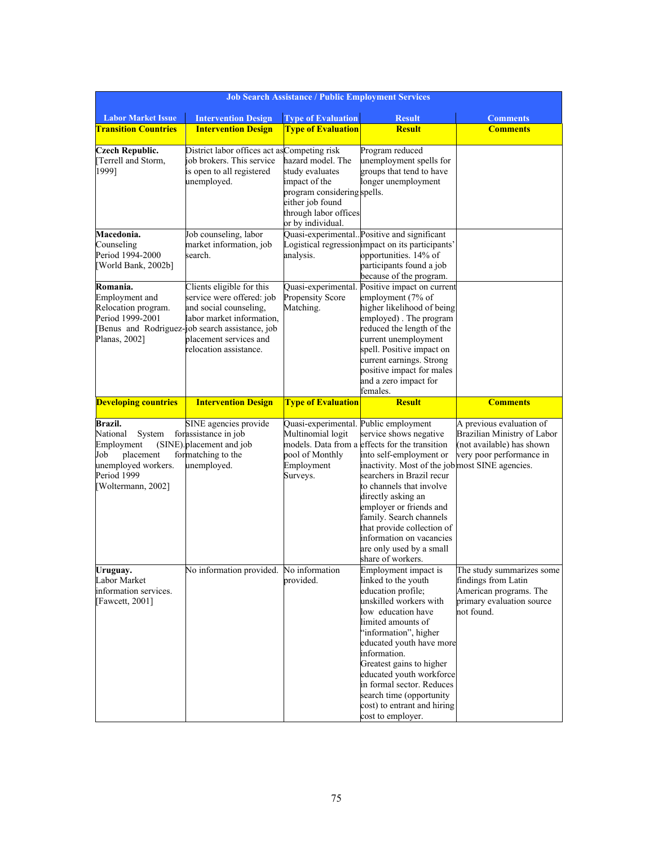| <b>Job Search Assistance / Public Employment Services</b>                                                                   |                                                                                                                                                                                                                      |                                                                                                                                                        |                                                                                                                                                                                                                                                                                                                                                                                                        |                                                                                                                       |
|-----------------------------------------------------------------------------------------------------------------------------|----------------------------------------------------------------------------------------------------------------------------------------------------------------------------------------------------------------------|--------------------------------------------------------------------------------------------------------------------------------------------------------|--------------------------------------------------------------------------------------------------------------------------------------------------------------------------------------------------------------------------------------------------------------------------------------------------------------------------------------------------------------------------------------------------------|-----------------------------------------------------------------------------------------------------------------------|
| <b>Labor Market Issue</b>                                                                                                   | <b>Intervention Design</b>                                                                                                                                                                                           | <b>Type of Evaluation</b>                                                                                                                              | <b>Result</b>                                                                                                                                                                                                                                                                                                                                                                                          | <b>Comments</b>                                                                                                       |
| <b>Transition Countries</b>                                                                                                 | <b>Intervention Design</b>                                                                                                                                                                                           | <b>Type of Evaluation</b>                                                                                                                              | <b>Result</b>                                                                                                                                                                                                                                                                                                                                                                                          | <b>Comments</b>                                                                                                       |
| <b>Czech Republic.</b><br>Terrell and Storm,<br>1999]                                                                       | District labor offices act as Competing risk<br>iob brokers. This service<br>is open to all registered<br>unemployed.                                                                                                | hazard model. The<br>study evaluates<br>impact of the<br>program considering spells.<br>either job found<br>through labor offices<br>or by individual. | Program reduced<br>unemployment spells for<br>groups that tend to have<br>longer unemployment                                                                                                                                                                                                                                                                                                          |                                                                                                                       |
| Macedonia.<br>Counseling<br>Period 1994-2000<br>[World Bank, 2002b]                                                         | Job counseling, labor<br>market information, job<br>search.                                                                                                                                                          | analysis.                                                                                                                                              | Quasi-experimental. Positive and significant<br>Logistical regression impact on its participants'<br>opportunities. 14% of<br>participants found a job<br>because of the program.                                                                                                                                                                                                                      |                                                                                                                       |
| Romania.<br><b>Employment</b> and<br>Relocation program.<br>Period 1999-2001<br>Planas, 2002]                               | Clients eligible for this<br>service were offered: job<br>and social counseling,<br>labor market information.<br>[Benus and Rodriguez-job search assistance, job<br>placement services and<br>relocation assistance. | Propensity Score<br>Matching.                                                                                                                          | Quasi-experimental. Positive impact on current<br>employment (7% of<br>higher likelihood of being<br>employed). The program<br>reduced the length of the<br>current unemployment<br>spell. Positive impact on<br>current earnings. Strong<br>positive impact for males<br>and a zero impact for<br>females.                                                                                            |                                                                                                                       |
| <b>Developing countries</b>                                                                                                 | <b>Intervention Design</b>                                                                                                                                                                                           | <b>Type of Evaluation</b>                                                                                                                              | <b>Result</b>                                                                                                                                                                                                                                                                                                                                                                                          | <b>Comments</b>                                                                                                       |
| Brazil.<br>National<br>System<br>Employment<br>Job<br>placement<br>unemployed workers.<br>Period 1999<br>[Woltermann, 2002] | SINE agencies provide<br>forassistance in job<br>(SINE).placement and job<br>formatching to the<br>unemployed.                                                                                                       | Quasi-experimental. Public employment<br>Multinomial logit<br>pool of Monthly<br>Employment<br>Surveys.                                                | service shows negative<br>models. Data from a effects for the transition<br>into self-employment or<br>inactivity. Most of the job most SINE agencies.<br>searchers in Brazil recur<br>to channels that involve<br>directly asking an<br>employer or friends and<br>family. Search channels<br>that provide collection of<br>information on vacancies<br>are only used by a small<br>share of workers. | A previous evaluation of<br>Brazilian Ministry of Labor<br>(not available) has shown<br>very poor performance in      |
| Uruguay.<br>Labor Market<br>information services.<br>[Fawcett, 2001]                                                        | No information provided. No information                                                                                                                                                                              | provided.                                                                                                                                              | Employment impact is<br>linked to the youth<br>education profile;<br>unskilled workers with<br>low education have<br>limited amounts of<br>"information", higher<br>educated youth have more<br>information.<br>Greatest gains to higher<br>educated youth workforce<br>in formal sector. Reduces<br>search time (opportunity<br>cost) to entrant and hiring<br>cost to employer.                      | The study summarizes some<br>findings from Latin<br>American programs. The<br>primary evaluation source<br>not found. |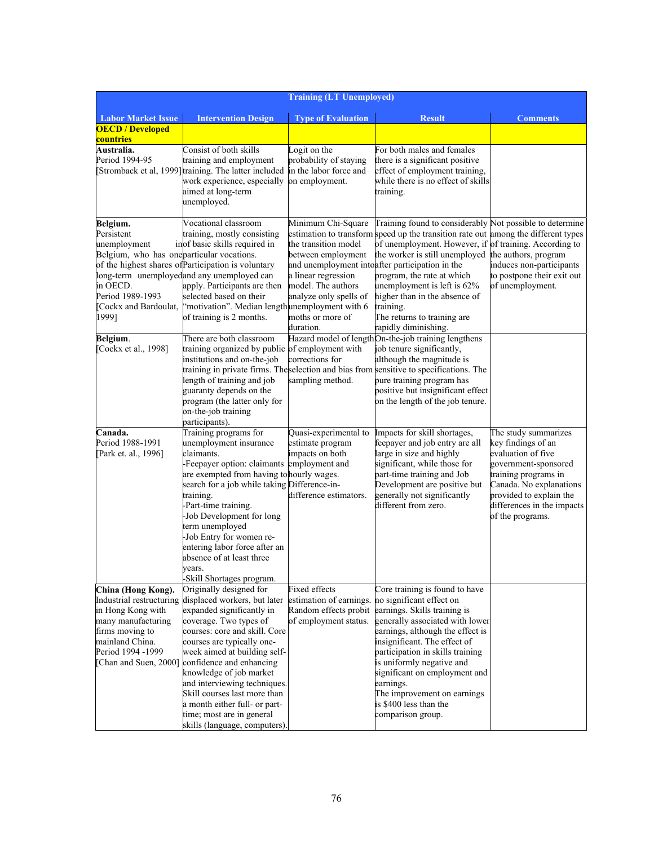| <b>Training (LT Unemployed)</b>                                                                                                                      |                                                                                                                                                                                                                                                                                                                                                                                                                                                              |                                                                                                                                                                          |                                                                                                                                                                                                                                                                                                                                                                                                                                                                  |                                                                                                                                                                                                                          |  |
|------------------------------------------------------------------------------------------------------------------------------------------------------|--------------------------------------------------------------------------------------------------------------------------------------------------------------------------------------------------------------------------------------------------------------------------------------------------------------------------------------------------------------------------------------------------------------------------------------------------------------|--------------------------------------------------------------------------------------------------------------------------------------------------------------------------|------------------------------------------------------------------------------------------------------------------------------------------------------------------------------------------------------------------------------------------------------------------------------------------------------------------------------------------------------------------------------------------------------------------------------------------------------------------|--------------------------------------------------------------------------------------------------------------------------------------------------------------------------------------------------------------------------|--|
| <b>Labor Market Issue</b>                                                                                                                            | <b>Intervention Design</b>                                                                                                                                                                                                                                                                                                                                                                                                                                   | <b>Type of Evaluation</b>                                                                                                                                                | <b>Result</b>                                                                                                                                                                                                                                                                                                                                                                                                                                                    | <b>Comments</b>                                                                                                                                                                                                          |  |
| <b>OECD / Developed</b>                                                                                                                              |                                                                                                                                                                                                                                                                                                                                                                                                                                                              |                                                                                                                                                                          |                                                                                                                                                                                                                                                                                                                                                                                                                                                                  |                                                                                                                                                                                                                          |  |
| countries                                                                                                                                            |                                                                                                                                                                                                                                                                                                                                                                                                                                                              |                                                                                                                                                                          |                                                                                                                                                                                                                                                                                                                                                                                                                                                                  |                                                                                                                                                                                                                          |  |
| Australia.<br>Period 1994-95                                                                                                                         | Consist of both skills<br>training and employment<br>[Stromback et al, 1999] training. The latter included<br>work experience, especially<br>aimed at long-term<br>unemployed.                                                                                                                                                                                                                                                                               | Logit on the<br>probability of staying<br>in the labor force and<br>on employment.                                                                                       | For both males and females<br>there is a significant positive<br>effect of employment training,<br>while there is no effect of skills<br>training.                                                                                                                                                                                                                                                                                                               |                                                                                                                                                                                                                          |  |
| Belgium.<br>Persistent<br>unemployment<br>Belgium, who has oneparticular vocations.<br>in OECD.<br>Period 1989-1993<br>Cockx and Bardoulat,<br>1999] | Vocational classroom<br>training, mostly consisting<br>inof basic skills required in<br>of the highest shares of Participation is voluntary<br>long-term unemployedand any unemployed can<br>apply. Participants are then<br>selected based on their<br>"motivation". Median length unemployment with 6<br>of training is 2 months.                                                                                                                          | Minimum Chi-Square<br>the transition model<br>between employment<br>a linear regression<br>model. The authors<br>analyze only spells of<br>moths or more of<br>duration. | Training found to considerably Not possible to determine<br>estimation to transform speed up the transition rate out among the different types<br>of unemployment. However, if of training. According to<br>the worker is still unemployed<br>and unemployment into after participation in the<br>program, the rate at which<br>unemployment is left is 62%<br>higher than in the absence of<br>training.<br>The returns to training are<br>rapidly diminishing. | the authors, program<br>induces non-participants<br>to postpone their exit out<br>of unemployment.                                                                                                                       |  |
| Belgium.<br>[Cockx et al., 1998]                                                                                                                     | There are both classroom<br>training organized by public of employment with<br>institutions and on-the-job<br>length of training and job<br>guaranty depends on the<br>program (the latter only for<br>on-the-job training<br>participants).                                                                                                                                                                                                                 | corrections for<br>sampling method.                                                                                                                                      | Hazard model of lengthOn-the-job training lengthens<br>job tenure significantly,<br>although the magnitude is<br>training in private firms. The selection and bias from sensitive to specifications. The<br>pure training program has<br>positive but insignificant effect<br>on the length of the job tenure.                                                                                                                                                   |                                                                                                                                                                                                                          |  |
| Canada.<br>Period 1988-1991<br>[Park et. al., 1996]                                                                                                  | Training programs for<br>unemployment insurance<br>claimants.<br>Feepayer option: claimants<br>are exempted from having to hourly wages.<br>search for a job while taking Difference-in-<br>training.<br>Part-time training.<br>-Job Development for long<br>term unemployed<br>-Job Entry for women re-<br>entering labor force after an<br>absence of at least three<br>years.<br>-Skill Shortages program.                                                | Quasi-experimental to<br>estimate program<br>impacts on both<br>employment and<br>difference estimators.                                                                 | Impacts for skill shortages,<br>feepayer and job entry are all<br>large in size and highly<br>significant, while those for<br>part-time training and Job<br>Development are positive but<br>generally not significantly<br>different from zero.                                                                                                                                                                                                                  | The study summarizes<br>key findings of an<br>evaluation of five<br>government-sponsored<br>training programs in<br>Canada. No explanations<br>provided to explain the<br>differences in the impacts<br>of the programs. |  |
| China (Hong Kong).<br>in Hong Kong with<br>many manufacturing<br>firms moving to<br>mainland China.<br>Period 1994 -1999<br>[Chan and Suen, 2000]    | Originally designed for<br>Industrial restructuring displaced workers, but later<br>expanded significantly in<br>coverage. Two types of<br>courses: core and skill. Core<br>courses are typically one-<br>week aimed at building self-<br>confidence and enhancing<br>knowledge of job market<br>and interviewing techniques.<br>Skill courses last more than<br>a month either full- or part-<br>time; most are in general<br>skills (language, computers). | Fixed effects<br>estimation of earnings.<br>Random effects probit<br>of employment status.                                                                               | Core training is found to have<br>no significant effect on<br>earnings. Skills training is<br>generally associated with lower<br>earnings, although the effect is<br>insignificant. The effect of<br>participation in skills training<br>is uniformly negative and<br>significant on employment and<br>earnings.<br>The improvement on earnings<br>is \$400 less than the<br>comparison group.                                                                   |                                                                                                                                                                                                                          |  |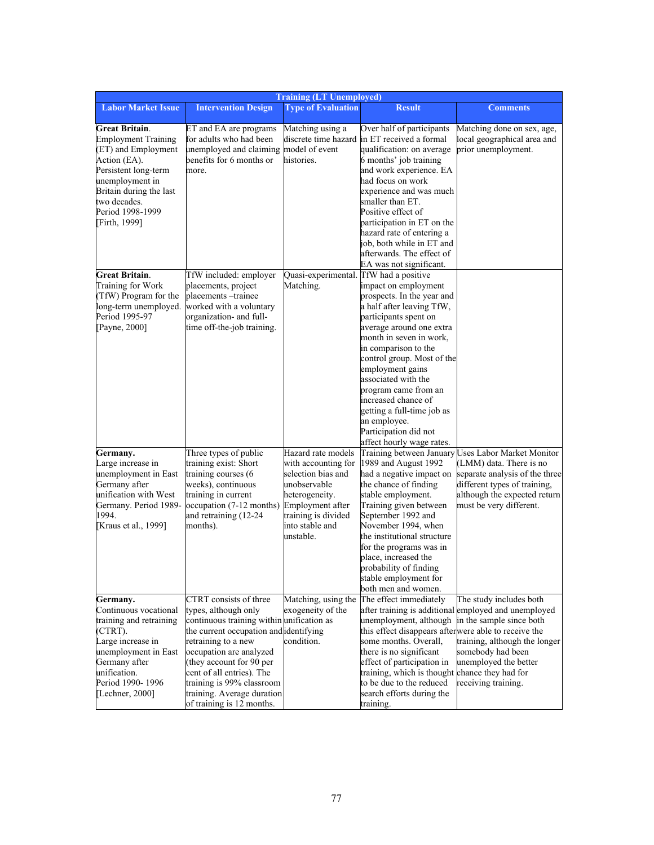| <b>Training (LT Unemployed)</b>                                                                                                                                                                                       |                                                                                                                                                                                                                                                                                                                                          |                                                                                                                                                                              |                                                                                                                                                                                                                                                                                                                                                                                                                     |                                                                                                                                                                                                                   |
|-----------------------------------------------------------------------------------------------------------------------------------------------------------------------------------------------------------------------|------------------------------------------------------------------------------------------------------------------------------------------------------------------------------------------------------------------------------------------------------------------------------------------------------------------------------------------|------------------------------------------------------------------------------------------------------------------------------------------------------------------------------|---------------------------------------------------------------------------------------------------------------------------------------------------------------------------------------------------------------------------------------------------------------------------------------------------------------------------------------------------------------------------------------------------------------------|-------------------------------------------------------------------------------------------------------------------------------------------------------------------------------------------------------------------|
| <b>Labor Market Issue</b>                                                                                                                                                                                             | <b>Intervention Design</b>                                                                                                                                                                                                                                                                                                               | <b>Type of Evaluation</b>                                                                                                                                                    | <b>Result</b>                                                                                                                                                                                                                                                                                                                                                                                                       | <b>Comments</b>                                                                                                                                                                                                   |
| <b>Great Britain.</b><br><b>Employment Training</b><br>(ET) and Employment<br>Action (EA).<br>Persistent long-term<br>unemployment in<br>Britain during the last<br>two decades.<br>Period 1998-1999<br>[Firth, 1999] | ET and EA are programs<br>for adults who had been<br>unemployed and claiming<br>benefits for 6 months or<br>more.                                                                                                                                                                                                                        | Matching using a<br>model of event<br>histories.                                                                                                                             | Over half of participants<br>discrete time hazard in ET received a formal<br>qualification: on average<br>6 months' job training<br>and work experience. EA<br>had focus on work<br>experience and was much<br>smaller than ET.<br>Positive effect of<br>participation in ET on the<br>hazard rate of entering a<br>job, both while in ET and<br>afterwards. The effect of<br>EA was not significant.               | Matching done on sex, age,<br>local geographical area and<br>prior unemployment.                                                                                                                                  |
| <b>Great Britain.</b><br>Training for Work<br>(TfW) Program for the<br>long-term unemployed.<br>Period 1995-97<br>[Payne, 2000]                                                                                       | TfW included: employer<br>placements, project<br>placements -trainee<br>worked with a voluntary<br>organization- and full-<br>time off-the-job training.                                                                                                                                                                                 | Quasi-experimental. TfW had a positive<br>Matching.                                                                                                                          | impact on employment<br>prospects. In the year and<br>a half after leaving TfW,<br>participants spent on<br>average around one extra<br>month in seven in work,<br>in comparison to the<br>control group. Most of the<br>employment gains<br>associated with the<br>program came from an<br>increased chance of<br>getting a full-time job as<br>an employee.<br>Participation did not<br>affect hourly wage rates. |                                                                                                                                                                                                                   |
| Germany.<br>Large increase in<br>unemployment in East<br>Germany after<br>unification with West<br>Germany. Period 1989-<br>1994.<br>[Kraus et al., 1999]                                                             | Three types of public<br>training exist: Short<br>training courses (6<br>weeks), continuous<br>training in current<br>occupation (7-12 months)<br>and retraining (12-24<br>months).                                                                                                                                                      | Hazard rate models<br>with accounting for<br>selection bias and<br>unobservable<br>heterogeneity.<br>Employment after<br>training is divided<br>into stable and<br>unstable. | 1989 and August 1992<br>had a negative impact on<br>the chance of finding<br>stable employment.<br>Training given between<br>September 1992 and<br>November 1994, when<br>the institutional structure<br>for the programs was in<br>place, increased the<br>probability of finding<br>stable employment for<br>both men and women.                                                                                  | Training between January Uses Labor Market Monitor<br>(LMM) data. There is no<br>separate analysis of the three<br>different types of training,<br>although the expected return<br>must be very different.        |
| Germany.<br>Continuous vocational<br>training and retraining<br>(CTRT).<br>Large increase in<br>unemployment in East<br>Germany after<br>unification.<br>Period 1990-1996<br>[Lechner, $2000$ ]                       | CTRT consists of three<br>types, although only<br>continuous training within unification as<br>the current occupation and identifying<br>retraining to a new<br>occupation are analyzed<br>(they account for 90 per<br>cent of all entries). The<br>training is 99% classroom<br>training. Average duration<br>of training is 12 months. | Matching, using the<br>exogeneity of the<br>condition.                                                                                                                       | The effect immediately<br>unemployment, although<br>this effect disappears afterwere able to receive the<br>some months. Overall,<br>there is no significant<br>effect of participation in<br>training, which is thought chance they had for<br>to be due to the reduced<br>search efforts during the<br>training.                                                                                                  | The study includes both<br>after training is additional employed and unemployed<br>in the sample since both<br>training, although the longer<br>somebody had been<br>unemployed the better<br>receiving training. |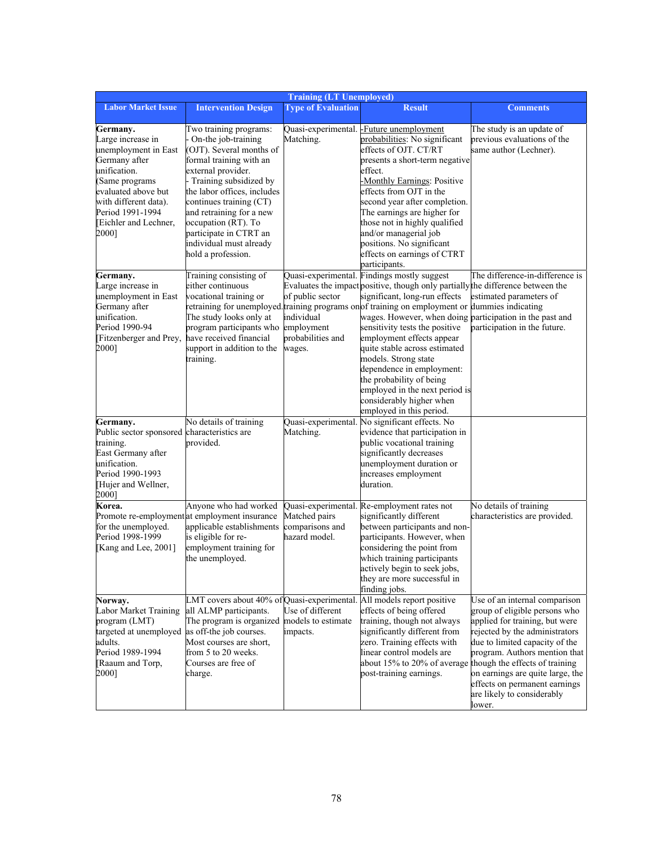|                                                                                                                                                                                                               | <b>Training (LT Unemployed)</b>                                                                                                                                                                                                                                                                                                              |                                                                             |                                                                                                                                                                                                                                                                                                                                                                                                                                                                                                                                                                                                          |                                                                                                                                                                                                                                                                                                                    |  |  |
|---------------------------------------------------------------------------------------------------------------------------------------------------------------------------------------------------------------|----------------------------------------------------------------------------------------------------------------------------------------------------------------------------------------------------------------------------------------------------------------------------------------------------------------------------------------------|-----------------------------------------------------------------------------|----------------------------------------------------------------------------------------------------------------------------------------------------------------------------------------------------------------------------------------------------------------------------------------------------------------------------------------------------------------------------------------------------------------------------------------------------------------------------------------------------------------------------------------------------------------------------------------------------------|--------------------------------------------------------------------------------------------------------------------------------------------------------------------------------------------------------------------------------------------------------------------------------------------------------------------|--|--|
| <b>Labor Market Issue</b>                                                                                                                                                                                     | <b>Intervention Design</b>                                                                                                                                                                                                                                                                                                                   | <b>Type of Evaluation</b>                                                   | <b>Result</b>                                                                                                                                                                                                                                                                                                                                                                                                                                                                                                                                                                                            | <b>Comments</b>                                                                                                                                                                                                                                                                                                    |  |  |
| Germany.<br>Large increase in<br>unemployment in East<br>Germany after<br>unification.<br>(Same programs<br>evaluated above but<br>with different data).<br>Period 1991-1994<br>Eichler and Lechner,<br>2000] | Two training programs:<br>On-the job-training<br>(OJT). Several months of<br>formal training with an<br>external provider.<br>Training subsidized by<br>the labor offices, includes<br>continues training (CT)<br>and retraining for a new<br>occupation (RT). To<br>participate in CTRT an<br>individual must already<br>hold a profession. | Matching.                                                                   | Quasi-experimental. - Future unemployment<br>probabilities: No significant<br>effects of OJT. CT/RT<br>presents a short-term negative<br>effect.<br>-Monthly Earnings: Positive<br>effects from OJT in the<br>second year after completion.<br>The earnings are higher for<br>those not in highly qualified<br>and/or managerial job<br>positions. No significant<br>effects on earnings of CTRT<br>participants.                                                                                                                                                                                        | The study is an update of<br>previous evaluations of the<br>same author (Lechner).                                                                                                                                                                                                                                 |  |  |
| Germany.<br>Large increase in<br>unemployment in East<br>Germany after<br>unification.<br>Period 1990-94<br>Fitzenberger and Prey,<br>2000]                                                                   | Training consisting of<br>either continuous<br>vocational training or<br>The study looks only at<br>program participants who<br>have received financial<br>support in addition to the<br>training.                                                                                                                                           | of public sector<br>individual<br>employment<br>probabilities and<br>wages. | Quasi-experimental. Findings mostly suggest<br>Evaluates the impact positive, though only partially the difference between the<br>significant, long-run effects<br>retraining for unemployed training programs on of training on employment or dummies indicating<br>wages. However, when doing participation in the past and<br>sensitivity tests the positive<br>employment effects appear<br>quite stable across estimated<br>models. Strong state<br>dependence in employment:<br>the probability of being<br>employed in the next period is<br>considerably higher when<br>employed in this period. | The difference-in-difference is<br>estimated parameters of<br>participation in the future.                                                                                                                                                                                                                         |  |  |
| Germany.<br>Public sector sponsored characteristics are<br>training.<br>East Germany after<br>unification.<br>Period 1990-1993<br>[Hujer and Wellner,<br>2000]                                                | No details of training<br>provided.                                                                                                                                                                                                                                                                                                          | Quasi-experimental.<br>Matching.                                            | No significant effects. No<br>evidence that participation in<br>public vocational training<br>significantly decreases<br>unemployment duration or<br>increases employment<br>duration.                                                                                                                                                                                                                                                                                                                                                                                                                   |                                                                                                                                                                                                                                                                                                                    |  |  |
| Korea.<br>for the unemployed.<br>Period 1998-1999<br>[Kang and Lee, 2001]                                                                                                                                     | Anyone who had worked<br>Promote re-employment at employment insurance<br>applicable establishments<br>is eligible for re-<br>employment training for<br>the unemployed.                                                                                                                                                                     | Quasi-experimental.<br>Matched pairs<br>comparisons and<br>hazard model.    | Re-employment rates not<br>significantly different<br>between participants and non-<br>participants. However, when<br>considering the point from<br>which training participants<br>actively begin to seek jobs,<br>they are more successful in<br>finding jobs.                                                                                                                                                                                                                                                                                                                                          | No details of training<br>characteristics are provided.                                                                                                                                                                                                                                                            |  |  |
| Norway.<br>Labor Market Training<br>program (LMT)<br>targeted at unemployed<br>adults.<br>Period 1989-1994<br>[Raaum and Torp,<br>2000]                                                                       | LMT covers about 40% of Quasi-experimental.<br>all ALMP participants.<br>The program is organized<br>as off-the job courses.<br>Most courses are short,<br>from 5 to 20 weeks.<br>Courses are free of<br>charge.                                                                                                                             | Use of different<br>models to estimate<br>impacts.                          | All models report positive<br>effects of being offered<br>training, though not always<br>significantly different from<br>zero. Training effects with<br>linear control models are<br>about 15% to 20% of average though the effects of training<br>post-training earnings.                                                                                                                                                                                                                                                                                                                               | Use of an internal comparison<br>group of eligible persons who<br>applied for training, but were<br>rejected by the administrators<br>due to limited capacity of the<br>program. Authors mention that<br>on earnings are quite large, the<br>effects on permanent earnings<br>are likely to considerably<br>lower. |  |  |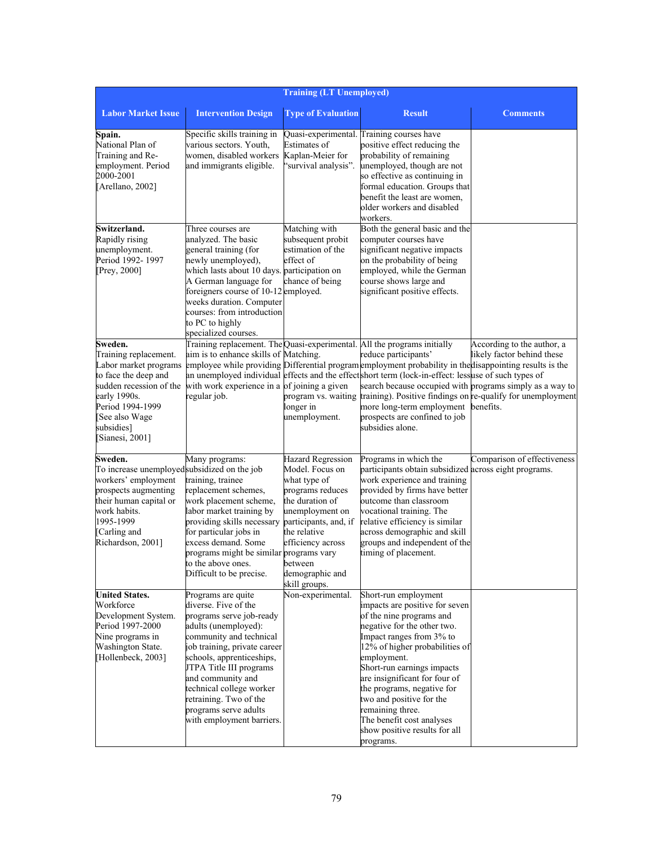| <b>Training (LT Unemployed)</b>                                                                                                                                                                     |                                                                                                                                                                                                                                                                                                                                                    |                                                                                                                                                                                                                                    |                                                                                                                                                                                                                                                                                                                                                                                                                                                                                     |                                                          |
|-----------------------------------------------------------------------------------------------------------------------------------------------------------------------------------------------------|----------------------------------------------------------------------------------------------------------------------------------------------------------------------------------------------------------------------------------------------------------------------------------------------------------------------------------------------------|------------------------------------------------------------------------------------------------------------------------------------------------------------------------------------------------------------------------------------|-------------------------------------------------------------------------------------------------------------------------------------------------------------------------------------------------------------------------------------------------------------------------------------------------------------------------------------------------------------------------------------------------------------------------------------------------------------------------------------|----------------------------------------------------------|
| <b>Labor Market Issue</b>                                                                                                                                                                           | <b>Intervention Design</b>                                                                                                                                                                                                                                                                                                                         | <b>Type of Evaluation</b>                                                                                                                                                                                                          | <b>Result</b>                                                                                                                                                                                                                                                                                                                                                                                                                                                                       | <b>Comments</b>                                          |
| Spain.<br>National Plan of<br>Training and Re-<br>employment. Period<br>2000-2001<br>[Arellano, 2002]                                                                                               | Specific skills training in<br>various sectors. Youth,<br>women, disabled workers<br>and immigrants eligible.                                                                                                                                                                                                                                      | <b>Estimates of</b><br>Kaplan-Meier for<br>'survival analysis".                                                                                                                                                                    | Quasi-experimental. Training courses have<br>positive effect reducing the<br>probability of remaining<br>unemployed, though are not<br>so effective as continuing in<br>formal education. Groups that<br>benefit the least are women,<br>older workers and disabled<br>workers.                                                                                                                                                                                                     |                                                          |
| Switzerland.<br>Rapidly rising<br>unemployment.<br>Period 1992-1997<br>[Prey, 2000]                                                                                                                 | Three courses are<br>analyzed. The basic<br>general training (for<br>newly unemployed),<br>which lasts about 10 days. participation on<br>A German language for<br>foreigners course of 10-12 employed.<br>weeks duration. Computer<br>courses: from introduction<br>to PC to highly<br>specialized courses.                                       | Matching with<br>subsequent probit<br>estimation of the<br>effect of<br>chance of being                                                                                                                                            | Both the general basic and the<br>computer courses have<br>significant negative impacts<br>on the probability of being<br>employed, while the German<br>course shows large and<br>significant positive effects.                                                                                                                                                                                                                                                                     |                                                          |
| Sweden.<br>Training replacement.<br>Labor market programs<br>to face the deep and<br>sudden recession of the<br>early 1990s.<br>Period 1994-1999<br>[See also Wage<br>subsidies]<br>[Sianesi, 2001] | Training replacement. The Quasi-experimental. All the programs initially<br>aim is to enhance skills of Matching.<br>with work experience in a of joining a given<br>regular job.                                                                                                                                                                  | longer in<br>unemployment.                                                                                                                                                                                                         | reduce participants'<br>employee while providing Differential program employment probability in the disappointing results is the<br>an unemployed individual effects and the effects hort term (lock-in-effect: lessuse of such types of<br>search because occupied with programs simply as a way to<br>program vs. waiting training). Positive findings on re-qualify for unemployment<br>more long-term employment benefits.<br>prospects are confined to job<br>subsidies alone. | According to the author, a<br>likely factor behind these |
| Sweden.<br>To increase unemployed subsidized on the job<br>workers' employment<br>prospects augmenting<br>their human capital or<br>work habits.<br>1995-1999<br>[Carling and<br>Richardson, 2001]  | Many programs:<br>training, trainee<br>replacement schemes,<br>work placement scheme,<br>labor market training by<br>providing skills necessary<br>for particular jobs in<br>excess demand. Some<br>programs might be similar programs vary<br>to the above ones.<br>Difficult to be precise.                                                      | <b>Hazard Regression</b><br>Model. Focus on<br>what type of<br>programs reduces<br>the duration of<br>unemployment on<br>participants, and, if<br>the relative<br>efficiency across<br>between<br>demographic and<br>skill groups. | Programs in which the<br>participants obtain subsidized across eight programs.<br>work experience and training<br>provided by firms have better<br>outcome than classroom<br>vocational training. The<br>relative efficiency is similar<br>across demographic and skill<br>groups and independent of the<br>timing of placement.                                                                                                                                                    | Comparison of effectiveness                              |
| <b>United States.</b><br>Workforce<br>Development System.<br>Period 1997-2000<br>Nine programs in<br>Washington State.<br>[Hollenbeck, 2003]                                                        | Programs are quite<br>diverse. Five of the<br>programs serve job-ready<br>adults (unemployed):<br>community and technical<br>job training, private career<br>schools, apprenticeships,<br>JTPA Title III programs<br>and community and<br>technical college worker<br>retraining. Two of the<br>programs serve adults<br>with employment barriers. | Non-experimental.                                                                                                                                                                                                                  | Short-run employment<br>impacts are positive for seven<br>of the nine programs and<br>negative for the other two.<br>Impact ranges from 3% to<br>12% of higher probabilities of<br>employment.<br>Short-run earnings impacts<br>are insignificant for four of<br>the programs, negative for<br>two and positive for the<br>remaining three.<br>The benefit cost analyses<br>show positive results for all<br>programs.                                                              |                                                          |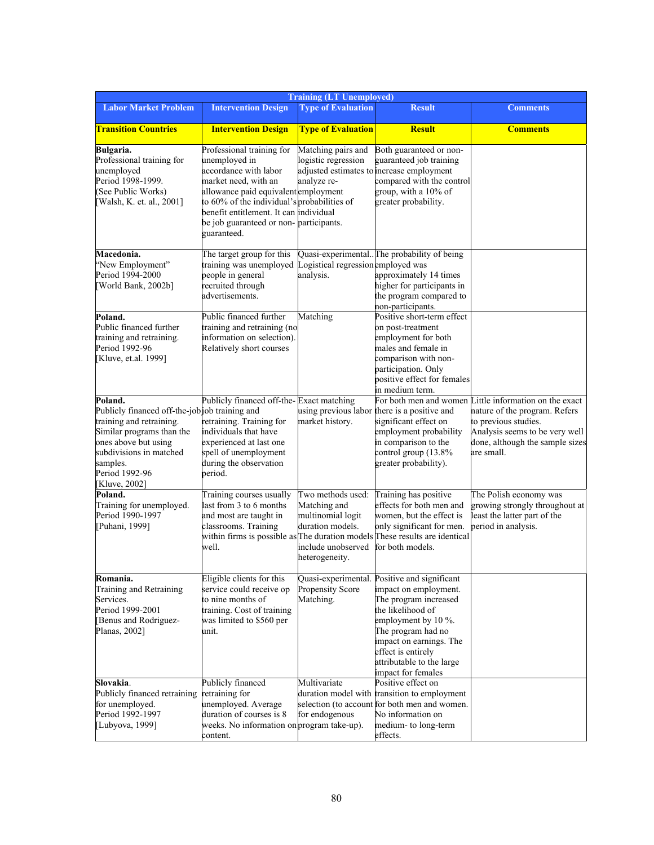| <b>Labor Market Problem</b>                                                                                                                                                                                          | <b>Intervention Design</b>                                                                                                                                                                                                                                                            | <b>Training (LT Unemployed)</b><br><b>Type of Evaluation</b>                                                       | <b>Result</b>                                                                                                                                                                                                                                    | <b>Comments</b>                                                                                                                                                                                    |
|----------------------------------------------------------------------------------------------------------------------------------------------------------------------------------------------------------------------|---------------------------------------------------------------------------------------------------------------------------------------------------------------------------------------------------------------------------------------------------------------------------------------|--------------------------------------------------------------------------------------------------------------------|--------------------------------------------------------------------------------------------------------------------------------------------------------------------------------------------------------------------------------------------------|----------------------------------------------------------------------------------------------------------------------------------------------------------------------------------------------------|
| <b>Transition Countries</b>                                                                                                                                                                                          | <b>Intervention Design</b>                                                                                                                                                                                                                                                            | <b>Type of Evaluation</b>                                                                                          | <b>Result</b>                                                                                                                                                                                                                                    | <b>Comments</b>                                                                                                                                                                                    |
| Bulgaria.<br>Professional training for<br>unemployed<br>Period 1998-1999.<br>(See Public Works)<br>[Walsh, K. et. al., 2001]                                                                                         | Professional training for<br>unemployed in<br>accordance with labor<br>market need, with an<br>allowance paid equivalent employment<br>to 60% of the individual's probabilities of<br>benefit entitlement. It can individual<br>be job guaranteed or non-participants.<br>guaranteed. | Matching pairs and<br>logistic regression<br>analyze re-                                                           | Both guaranteed or non-<br>guaranteed job training<br>adjusted estimates to increase employment<br>compared with the control<br>group, with a 10% of<br>greater probability.                                                                     |                                                                                                                                                                                                    |
| Macedonia.<br>"New Employment"<br>Period 1994-2000<br>[World Bank, 2002b]                                                                                                                                            | The target group for this<br>training was unemployed<br>people in general<br>recruited through<br>advertisements.                                                                                                                                                                     | Logistical regression employed was<br>analysis.                                                                    | Quasi-experimental. The probability of being<br>approximately 14 times<br>higher for participants in<br>the program compared to<br>non-participants.                                                                                             |                                                                                                                                                                                                    |
| Poland.<br>Public financed further<br>training and retraining.<br>Period 1992-96<br>[Kluve, et.al. 1999]                                                                                                             | Public financed further<br>training and retraining (no<br>information on selection).<br>Relatively short courses                                                                                                                                                                      | Matching                                                                                                           | Positive short-term effect<br>on post-treatment<br>employment for both<br>males and female in<br>comparison with non-<br>participation. Only<br>positive effect for females<br>in medium term.                                                   |                                                                                                                                                                                                    |
| Poland.<br>Publicly financed off-the-job job training and<br>training and retraining.<br>Similar programs than the<br>ones above but using<br>subdivisions in matched<br>samples.<br>Period 1992-96<br>[Kluve, 2002] | Publicly financed off-the-Exact matching<br>retraining. Training for<br>individuals that have<br>experienced at last one<br>spell of unemployment<br>during the observation<br>period.                                                                                                | using previous labor<br>market history.                                                                            | there is a positive and<br>significant effect on<br>employment probability<br>in comparison to the<br>control group (13.8%<br>greater probability).                                                                                              | For both men and women Little information on the exact<br>nature of the program. Refers<br>to previous studies.<br>Analysis seems to be very well<br>done, although the sample sizes<br>are small. |
| Poland.<br>Training for unemployed.<br>Period 1990-1997<br>[Puhani, 1999]                                                                                                                                            | Training courses usually<br>last from 3 to 6 months<br>and most are taught in<br>classrooms. Training<br>within firms is possible as The duration models<br>well.                                                                                                                     | Two methods used:<br>Matching and<br>multinomial logit<br>duration models.<br>include unobserved<br>heterogeneity. | Training has positive<br>effects for both men and<br>women, but the effect is<br>only significant for men.<br>These results are identical<br>for both models.                                                                                    | The Polish economy was<br>growing strongly throughout at<br>least the latter part of the<br>period in analysis.                                                                                    |
| Romania.<br>Training and Retraining<br>Services.<br>Period 1999-2001<br>[Benus and Rodriguez-<br>Planas, 2002]                                                                                                       | Eligible clients for this<br>service could receive op<br>to nine months of<br>training. Cost of training<br>was limited to \$560 per<br>unit.                                                                                                                                         | Quasi-experimental.<br>Propensity Score<br>Matching.                                                               | Positive and significant<br>impact on employment.<br>The program increased<br>the likelihood of<br>employment by 10 %.<br>The program had no<br>impact on earnings. The<br>effect is entirely<br>attributable to the large<br>impact for females |                                                                                                                                                                                                    |
| Slovakia.<br>Publicly financed retraining<br>for unemploved.<br>Period 1992-1997<br>[Lubyova, 1999]                                                                                                                  | Publicly financed<br>retraining for<br>unemployed. Average<br>duration of courses is 8<br>weeks. No information on program take-up).<br>content.                                                                                                                                      | Multivariate<br>duration model with<br>selection (to account<br>for endogenous                                     | Positive effect on<br>transition to employment<br>for both men and women.<br>No information on<br>medium- to long-term<br>effects.                                                                                                               |                                                                                                                                                                                                    |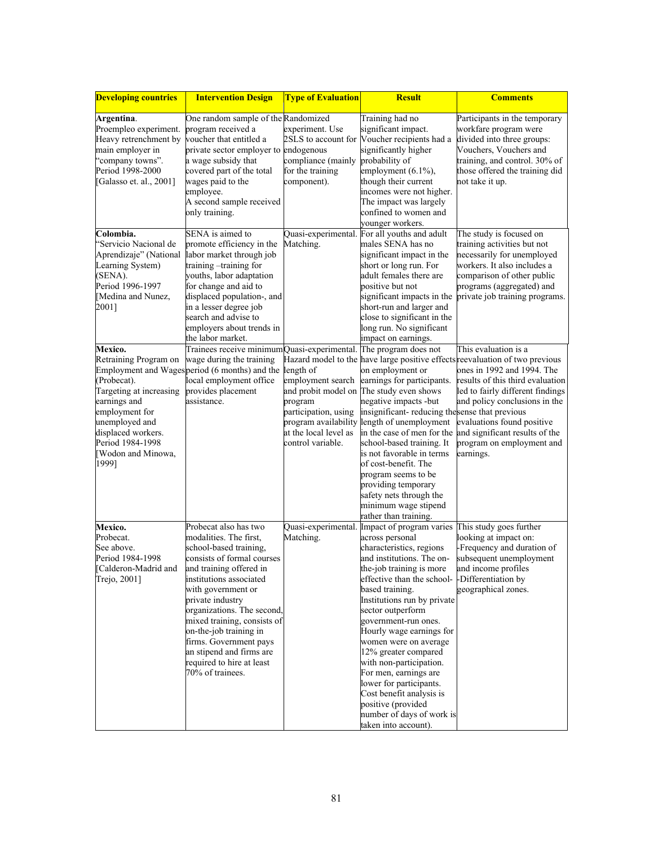| <b>Developing countries</b>                                                                                                                                                                             | <b>Intervention Design</b>                                                                                                                                                                                                                                                                                                                                                                            | <b>Type of Evaluation</b>                                                                                                                                                | <b>Result</b>                                                                                                                                                                                                                                                                                                                                                                                                                                                                                                                                        | <b>Comments</b>                                                                                                                                                                                                                                                                                                                   |
|---------------------------------------------------------------------------------------------------------------------------------------------------------------------------------------------------------|-------------------------------------------------------------------------------------------------------------------------------------------------------------------------------------------------------------------------------------------------------------------------------------------------------------------------------------------------------------------------------------------------------|--------------------------------------------------------------------------------------------------------------------------------------------------------------------------|------------------------------------------------------------------------------------------------------------------------------------------------------------------------------------------------------------------------------------------------------------------------------------------------------------------------------------------------------------------------------------------------------------------------------------------------------------------------------------------------------------------------------------------------------|-----------------------------------------------------------------------------------------------------------------------------------------------------------------------------------------------------------------------------------------------------------------------------------------------------------------------------------|
| Argentina.<br>Proempleo experiment.<br>Heavy retrenchment by<br>main employer in<br>"company towns".<br>Period 1998-2000<br>[Galasso et. al., 2001]                                                     | One random sample of the Randomized<br>program received a<br>voucher that entitled a<br>private sector employer to endogenous<br>a wage subsidy that<br>covered part of the total<br>wages paid to the<br>employee.<br>A second sample received<br>only training.                                                                                                                                     | experiment. Use<br>2SLS to account for<br>compliance (mainly<br>for the training<br>component).                                                                          | Training had no<br>significant impact.<br>Voucher recipients had a<br>significantly higher<br>probability of<br>employment (6.1%),<br>though their current<br>incomes were not higher.<br>The impact was largely<br>confined to women and<br>younger workers.                                                                                                                                                                                                                                                                                        | Participants in the temporary<br>workfare program were<br>divided into three groups:<br>Vouchers, Vouchers and<br>training, and control. 30% of<br>those offered the training did<br>not take it up.                                                                                                                              |
| Colombia.<br>'Servicio Nacional de<br>Aprendizaje" (National<br>Learning System)<br>(SENA).<br>Period 1996-1997<br>Medina and Nunez,<br>2001]                                                           | SENA is aimed to<br>promote efficiency in the<br>labor market through job<br>training -training for<br>youths, labor adaptation<br>for change and aid to<br>displaced population-, and<br>in a lesser degree job<br>search and advise to<br>employers about trends in<br>the labor market.                                                                                                            | Matching.                                                                                                                                                                | Quasi-experimental. For all youths and adult<br>males SENA has no<br>significant impact in the<br>short or long run. For<br>adult females there are<br>positive but not<br>significant impacts in the<br>short-run and larger and<br>close to significant in the<br>long run. No significant<br>impact on earnings.                                                                                                                                                                                                                                  | The study is focused on<br>training activities but not<br>necessarily for unemployed<br>workers. It also includes a<br>comparison of other public<br>programs (aggregated) and<br>private job training programs.                                                                                                                  |
| Mexico.<br>Retraining Program on<br>(Probecat).<br>Targeting at increasing<br>earnings and<br>employment for<br>unemployed and<br>displaced workers.<br>Period 1984-1998<br>[Wodon and Minowa,<br>1999] | Trainees receive minimumQuasi-experimental. The program does not<br>wage during the training<br>Employment and Wages period (6 months) and the length of<br>local employment office<br>provides placement<br>assistance.                                                                                                                                                                              | Hazard model to the<br>employment search<br>and probit model on<br>program<br>participation, using<br>program availability<br>at the local level as<br>control variable. | on employment or<br>earnings for participants.<br>The study even shows<br>negative impacts -but<br>insignificant-reducing the sense that previous<br>length of unemployment<br>in the case of men for the<br>school-based training. It<br>is not favorable in terms<br>of cost-benefit. The<br>program seems to be<br>providing temporary<br>safety nets through the<br>minimum wage stipend<br>rather than training.                                                                                                                                | This evaluation is a<br>have large positive effects reevaluation of two previous<br>ones in 1992 and 1994. The<br>results of this third evaluation<br>led to fairly different findings<br>and policy conclusions in the<br>evaluations found positive<br>and significant results of the<br>program on employment and<br>earnings. |
| Mexico.<br>Probecat.<br>See above.<br>Period 1984-1998<br>[Calderon-Madrid and<br>Trejo, 2001]                                                                                                          | Probecat also has two<br>modalities. The first,<br>school-based training,<br>consists of formal courses<br>and training offered in<br>institutions associated<br>with government or<br>private industry<br>organizations. The second,<br>mixed training, consists of<br>on-the-job training in<br>firms. Government pays<br>an stipend and firms are<br>required to hire at least<br>70% of trainees. | Quasi-experimental.<br>Matching.                                                                                                                                         | Impact of program varies<br>across personal<br>characteristics, regions<br>and institutions. The on-<br>the-job training is more<br>effective than the school- -Differentiation by<br>based training.<br>Institutions run by private<br>sector outperform<br>government-run ones.<br>Hourly wage earnings for<br>women were on average<br>12% greater compared<br>with non-participation.<br>For men, earnings are<br>lower for participants.<br>Cost benefit analysis is<br>positive (provided<br>number of days of work is<br>taken into account). | This study goes further<br>looking at impact on:<br>-Frequency and duration of<br>subsequent unemployment<br>and income profiles<br>geographical zones.                                                                                                                                                                           |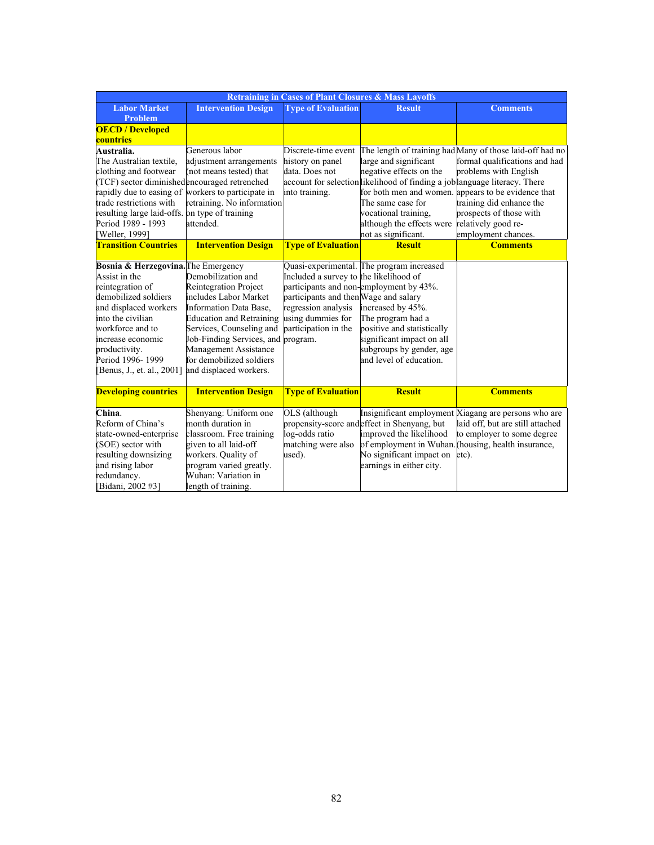|                                                | <b>Retraining in Cases of Plant Closures &amp; Mass Layoffs</b> |                                        |                                                                            |                                                          |  |
|------------------------------------------------|-----------------------------------------------------------------|----------------------------------------|----------------------------------------------------------------------------|----------------------------------------------------------|--|
| <b>Labor Market</b>                            | <b>Intervention Design</b>                                      | <b>Type of Evaluation</b>              | <b>Result</b>                                                              | <b>Comments</b>                                          |  |
| Problem                                        |                                                                 |                                        |                                                                            |                                                          |  |
| <b>OECD / Developed</b>                        |                                                                 |                                        |                                                                            |                                                          |  |
| countries                                      |                                                                 |                                        |                                                                            |                                                          |  |
| Australia.                                     | Generous labor                                                  | Discrete-time event                    |                                                                            | The length of training had Many of those laid-off had no |  |
| The Australian textile,                        | adjustment arrangements                                         | history on panel                       | large and significant                                                      | formal qualifications and had                            |  |
| clothing and footwear                          | (not means tested) that                                         | data. Does not                         | negative effects on the                                                    | problems with English                                    |  |
| (TCF) sector diminished encouraged retrenched  |                                                                 |                                        | account for selection likelihood of finding a job language literacy. There |                                                          |  |
|                                                | rapidly due to easing of workers to participate in              | into training.                         | for both men and women.                                                    | appears to be evidence that                              |  |
| trade restrictions with                        | retraining. No information                                      |                                        | The same case for                                                          | training did enhance the                                 |  |
| resulting large laid-offs. on type of training |                                                                 |                                        | vocational training,                                                       | prospects of those with                                  |  |
| Period 1989 - 1993                             | attended.                                                       |                                        | although the effects were                                                  | relatively good re-                                      |  |
| [Weller, 1999]                                 |                                                                 |                                        | not as significant.                                                        | employment chances.                                      |  |
| <b>Transition Countries</b>                    | <b>Intervention Design</b>                                      | <b>Type of Evaluation</b>              | <b>Result</b>                                                              | <b>Comments</b>                                          |  |
|                                                |                                                                 |                                        |                                                                            |                                                          |  |
| Bosnia & Herzegovina. The Emergency            |                                                                 |                                        | Quasi-experimental. The program increased                                  |                                                          |  |
| Assist in the                                  | Demobilization and                                              | Included a survey to the likelihood of |                                                                            |                                                          |  |
| reintegration of                               | Reintegration Project                                           |                                        | participants and non-employment by 43%.                                    |                                                          |  |
| demobilized soldiers                           | includes Labor Market                                           | participants and then Wage and salary  |                                                                            |                                                          |  |
| and displaced workers                          | Information Data Base,                                          | regression analysis                    | increased by 45%.                                                          |                                                          |  |
| into the civilian                              | <b>Education and Retraining</b>                                 | using dummies for                      | The program had a                                                          |                                                          |  |
| workforce and to                               | Services, Counseling and                                        | participation in the                   | positive and statistically                                                 |                                                          |  |
| increase economic                              | Job-Finding Services, and program.                              |                                        | significant impact on all                                                  |                                                          |  |
| productivity.                                  | <b>Management Assistance</b>                                    |                                        | subgroups by gender, age                                                   |                                                          |  |
| Period 1996-1999                               | for demobilized soldiers                                        |                                        | and level of education.                                                    |                                                          |  |
| [Benus, J., et. al., 2001]                     | and displaced workers.                                          |                                        |                                                                            |                                                          |  |
| <b>Developing countries</b>                    | <b>Intervention Design</b>                                      | <b>Type of Evaluation</b>              | <b>Result</b>                                                              | <b>Comments</b>                                          |  |
|                                                |                                                                 |                                        |                                                                            |                                                          |  |
| China.                                         | Shenyang: Uniform one                                           | OLS (although                          |                                                                            | Insignificant employment Xiagang are persons who are     |  |
| Reform of China's                              | month duration in                                               |                                        | propensity-score and effect in Shenyang, but                               | laid off, but are still attached                         |  |
| state-owned-enterprise                         | classroom. Free training                                        | log-odds ratio                         | improved the likelihood                                                    | to employer to some degree                               |  |
| (SOE) sector with                              | given to all laid-off                                           | matching were also                     | of employment in Wuhan.                                                    | (housing, health insurance,                              |  |
| resulting downsizing                           | workers. Quality of                                             | used).                                 | No significant impact on                                                   | etc).                                                    |  |
| and rising labor                               | program varied greatly.                                         |                                        | earnings in either city.                                                   |                                                          |  |
| redundancy.                                    | Wuhan: Variation in                                             |                                        |                                                                            |                                                          |  |
| [Bidani, 2002 #3]                              | length of training.                                             |                                        |                                                                            |                                                          |  |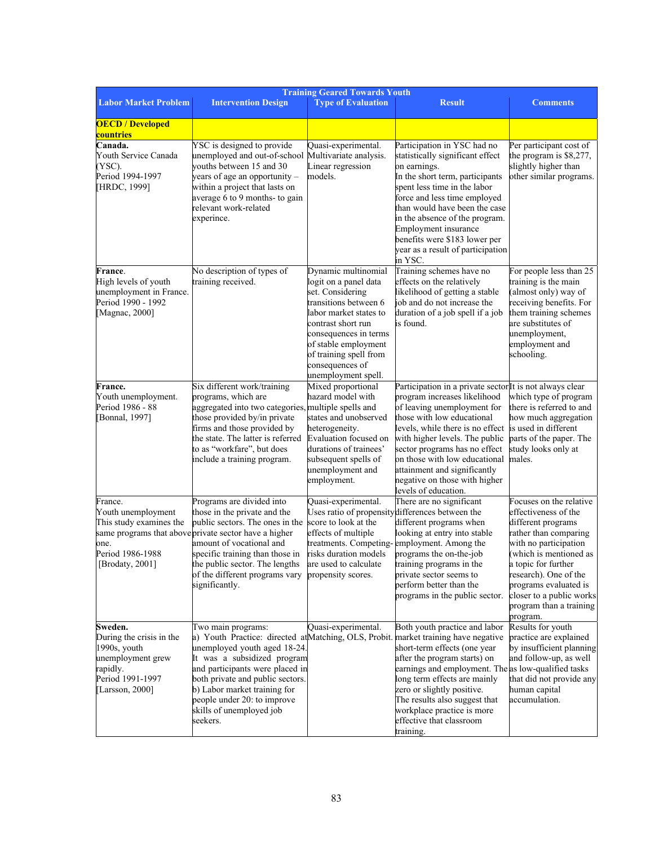|                                                                                                                             |                                                                                                                                                                                                                                                                                                                                                        | <b>Training Geared Towards Youth</b>                                                                                                                                                                                                                           |                                                                                                                                                                                                                                                                                                                                                                                                   |                                                                                                                                                                                                                                                                                               |
|-----------------------------------------------------------------------------------------------------------------------------|--------------------------------------------------------------------------------------------------------------------------------------------------------------------------------------------------------------------------------------------------------------------------------------------------------------------------------------------------------|----------------------------------------------------------------------------------------------------------------------------------------------------------------------------------------------------------------------------------------------------------------|---------------------------------------------------------------------------------------------------------------------------------------------------------------------------------------------------------------------------------------------------------------------------------------------------------------------------------------------------------------------------------------------------|-----------------------------------------------------------------------------------------------------------------------------------------------------------------------------------------------------------------------------------------------------------------------------------------------|
| <b>Labor Market Problem</b>                                                                                                 | <b>Intervention Design</b>                                                                                                                                                                                                                                                                                                                             | <b>Type of Evaluation</b>                                                                                                                                                                                                                                      | <b>Result</b>                                                                                                                                                                                                                                                                                                                                                                                     | <b>Comments</b>                                                                                                                                                                                                                                                                               |
| <b>OECD / Developed</b><br>countries                                                                                        |                                                                                                                                                                                                                                                                                                                                                        |                                                                                                                                                                                                                                                                |                                                                                                                                                                                                                                                                                                                                                                                                   |                                                                                                                                                                                                                                                                                               |
| Canada.<br>Youth Service Canada<br>(YSC).<br>Period 1994-1997<br>[HRDC, 1999]                                               | YSC is designed to provide<br>unemployed and out-of-school<br>youths between 15 and 30<br>years of age an opportunity -<br>within a project that lasts on<br>average 6 to 9 months- to gain<br>relevant work-related<br>experince.                                                                                                                     | Quasi-experimental.<br>Multivariate analysis.<br>Linear regression<br>models.                                                                                                                                                                                  | Participation in YSC had no<br>statistically significant effect<br>on earnings.<br>In the short term, participants<br>spent less time in the labor<br>force and less time employed<br>than would have been the case<br>in the absence of the program.<br>Employment insurance<br>benefits were \$183 lower per<br>year as a result of participation<br>in YSC.                                    | Per participant cost of<br>the program is \$8,277,<br>slightly higher than<br>other similar programs.                                                                                                                                                                                         |
| France.<br>High levels of youth<br>unemployment in France.<br>Period 1990 - 1992<br>[Magnac, 2000]                          | No description of types of<br>training received.                                                                                                                                                                                                                                                                                                       | Dynamic multinomial<br>logit on a panel data<br>set. Considering<br>transitions between 6<br>labor market states to<br>contrast short run<br>consequences in terms<br>of stable employment<br>of training spell from<br>consequences of<br>unemployment spell. | Training schemes have no<br>effects on the relatively<br>likelihood of getting a stable<br>job and do not increase the<br>duration of a job spell if a job<br>is found.                                                                                                                                                                                                                           | For people less than 25<br>training is the main<br>(almost only) way of<br>receiving benefits. For<br>them training schemes<br>are substitutes of<br>unemployment,<br>employment and<br>schooling.                                                                                            |
| France.<br>Youth unemployment.<br>Period 1986 - 88<br>[Bonnal, 1997]                                                        | Six different work/training<br>programs, which are<br>aggregated into two categories, multiple spells and<br>those provided by/in private<br>firms and those provided by<br>the state. The latter is referred<br>to as "workfare", but does<br>include a training program.                                                                             | Mixed proportional<br>hazard model with<br>states and unobserved<br>heterogeneity.<br>Evaluation focused on<br>durations of trainees'<br>subsequent spells of<br>unemployment and<br>employment.                                                               | Participation in a private sector <sup>It</sup> is not always clear<br>program increases likelihood<br>of leaving unemployment for<br>those with low educational<br>levels, while there is no effect<br>with higher levels. The public<br>sector programs has no effect<br>on those with low educational<br>attainment and significantly<br>negative on those with higher<br>levels of education. | which type of program<br>there is referred to and<br>how much aggregation<br>is used in different<br>parts of the paper. The<br>study looks only at<br>males.                                                                                                                                 |
| France.<br>Youth unemployment<br>This study examines the<br>one.<br>Period 1986-1988<br>[Brodaty, 2001]                     | Programs are divided into<br>those in the private and the<br>public sectors. The ones in the<br>same programs that above private sector have a higher<br>amount of vocational and<br>specific training than those in<br>the public sector. The lengths are used to calculate<br>of the different programs vary propensity scores.<br>significantly.    | Quasi-experimental.<br>score to look at the<br>effects of multiple<br>treatments. Competing-<br>risks duration models                                                                                                                                          | There are no significant<br>Uses ratio of propensity differences between the<br>different programs when<br>looking at entry into stable<br>employment. Among the<br>programs the on-the-job<br>training programs in the<br>private sector seems to<br>perform better than the<br>programs in the public sector.                                                                                   | Focuses on the relative<br>effectiveness of the<br>different programs<br>rather than comparing<br>with no participation<br>(which is mentioned as<br>a topic for further<br>research). One of the<br>programs evaluated is<br>closer to a public works<br>program than a training<br>program. |
| Sweden.<br>During the crisis in the<br>1990s, youth<br>unemployment grew<br>rapidly.<br>Period 1991-1997<br>[Larsson, 2000] | Two main programs:<br>a) Youth Practice: directed at Matching, OLS, Probit. market training have negative<br>unemployed youth aged 18-24.<br>It was a subsidized program<br>and participants were placed in<br>both private and public sectors.<br>b) Labor market training for<br>people under 20: to improve<br>skills of unemployed job<br>seekers. | Quasi-experimental.                                                                                                                                                                                                                                            | Both youth practice and labor<br>short-term effects (one year<br>after the program starts) on<br>earnings and employment. The as low-qualified tasks<br>long term effects are mainly<br>zero or slightly positive.<br>The results also suggest that<br>workplace practice is more<br>effective that classroom<br>training.                                                                        | Results for youth<br>practice are explained<br>by insufficient planning<br>and follow-up, as well<br>that did not provide any<br>human capital<br>accumulation.                                                                                                                               |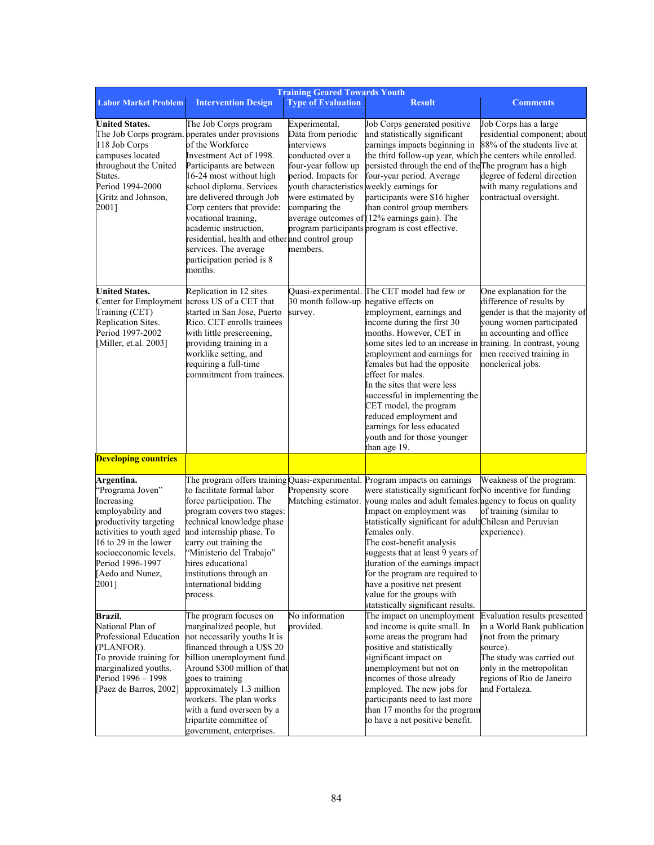|                                                                                                                                                                                                                            |                                                                                                                                                                                                                                                                                                                                                                                                                                             | <b>Training Geared Towards Youth</b>                                                                                                                                                                               |                                                                                                                                                                                                                                                                                                                                                                                                                                                                                                                                                          |                                                                                                                                                                                                                                |
|----------------------------------------------------------------------------------------------------------------------------------------------------------------------------------------------------------------------------|---------------------------------------------------------------------------------------------------------------------------------------------------------------------------------------------------------------------------------------------------------------------------------------------------------------------------------------------------------------------------------------------------------------------------------------------|--------------------------------------------------------------------------------------------------------------------------------------------------------------------------------------------------------------------|----------------------------------------------------------------------------------------------------------------------------------------------------------------------------------------------------------------------------------------------------------------------------------------------------------------------------------------------------------------------------------------------------------------------------------------------------------------------------------------------------------------------------------------------------------|--------------------------------------------------------------------------------------------------------------------------------------------------------------------------------------------------------------------------------|
| <b>Labor Market Problem</b>                                                                                                                                                                                                | <b>Intervention Design</b>                                                                                                                                                                                                                                                                                                                                                                                                                  | <b>Type of Evaluation</b>                                                                                                                                                                                          | <b>Result</b>                                                                                                                                                                                                                                                                                                                                                                                                                                                                                                                                            | <b>Comments</b>                                                                                                                                                                                                                |
| <b>United States.</b><br>118 Job Corps<br>campuses located<br>throughout the United<br>States.<br>Period 1994-2000<br>Gritz and Johnson,<br>2001]                                                                          | The Job Corps program<br>The Job Corps program. operates under provisions<br>of the Workforce<br>Investment Act of 1998.<br>Participants are between<br>16-24 most without high<br>school diploma. Services<br>are delivered through Job<br>Corp centers that provide:<br>vocational training,<br>academic instruction.<br>residential, health and other and control group<br>services. The average<br>participation period is 8<br>months. | Experimental.<br>Data from periodic<br>interviews<br>conducted over a<br>four-year follow up<br>period. Impacts for<br>youth characteristics weekly earnings for<br>were estimated by<br>comparing the<br>members. | Job Corps generated positive<br>and statistically significant<br>earnings impacts beginning in<br>the third follow-up year, which the centers while enrolled.<br>persisted through the end of the The program has a high<br>four-year period. Average<br>participants were \$16 higher<br>than control group members<br>average outcomes of $(12%$ earnings gain). The<br>program participants program is cost effective.                                                                                                                                | Job Corps has a large<br>residential component; about<br>88% of the students live at<br>degree of federal direction<br>with many regulations and<br>contractual oversight.                                                     |
| <b>United States.</b><br>Center for Employment across US of a CET that<br>Training (CET)<br>Replication Sites.<br>Period 1997-2002<br>[Miller, et.al. 2003]                                                                | Replication in 12 sites<br>started in San Jose, Puerto<br>Rico. CET enrolls trainees<br>with little prescreening,<br>providing training in a<br>worklike setting, and<br>requiring a full-time<br>commitment from trainees.                                                                                                                                                                                                                 | 30 month follow-up<br>survey.                                                                                                                                                                                      | Quasi-experimental. The CET model had few or<br>negative effects on<br>employment, earnings and<br>income during the first 30<br>months. However, CET in<br>some sites led to an increase in<br>employment and earnings for<br>females but had the opposite<br>effect for males.<br>In the sites that were less<br>successful in implementing the<br>CET model, the program<br>reduced employment and<br>earnings for less educated<br>youth and for those younger<br>than age 19.                                                                       | One explanation for the<br>difference of results by<br>gender is that the majority of<br>young women participated<br>in accounting and office<br>training. In contrast, young<br>men received training in<br>nonclerical jobs. |
| <b>Developing countries</b>                                                                                                                                                                                                |                                                                                                                                                                                                                                                                                                                                                                                                                                             |                                                                                                                                                                                                                    |                                                                                                                                                                                                                                                                                                                                                                                                                                                                                                                                                          |                                                                                                                                                                                                                                |
| Argentina.<br>"Programa Joven"<br>Increasing<br>employability and<br>productivity targeting<br>activities to youth aged<br>16 to 29 in the lower<br>socioeconomic levels.<br>Period 1996-1997<br>[Aedo and Nunez,<br>2001] | to facilitate formal labor<br>force participation. The<br>program covers two stages:<br>technical knowledge phase<br>and internship phase. To<br>carry out training the<br>'Ministerio del Trabajo"<br>hires educational<br>institutions through an<br>international bidding<br>process.                                                                                                                                                    | Propensity score<br>Matching estimator.                                                                                                                                                                            | The program offers training Quasi-experimental. Program impacts on earnings<br>were statistically significant for No incentive for funding<br>young males and adult females agency to focus on quality<br>Impact on employment was<br>statistically significant for adultChilean and Peruvian<br>females only.<br>The cost-benefit analysis<br>suggests that at least 9 years of<br>duration of the earnings impact<br>for the program are required to<br>have a positive net present<br>value for the groups with<br>statistically significant results. | Weakness of the program:<br>of training (similar to<br>experience).                                                                                                                                                            |
| <b>Brazil.</b><br>National Plan of<br>Professional Education<br>(PLANFOR).<br>To provide training for<br>marginalized youths.<br>Period 1996 - 1998<br>[Paez de Barros, 2002]                                              | The program focuses on<br>marginalized people, but<br>not necessarily youths It is<br>financed through a U\$S 20<br>billion unemployment fund.<br>Around \$300 million of that<br>goes to training<br>approximately 1.3 million<br>workers. The plan works<br>with a fund overseen by a<br>tripartite committee of<br>government, enterprises.                                                                                              | No information<br>provided.                                                                                                                                                                                        | The impact on unemployment<br>and income is quite small. In<br>some areas the program had<br>positive and statistically<br>significant impact on<br>unemployment but not on<br>incomes of those already<br>employed. The new jobs for<br>participants need to last more<br>than 17 months for the program<br>to have a net positive benefit.                                                                                                                                                                                                             | Evaluation results presented<br>in a World Bank publication<br>(not from the primary<br>source).<br>The study was carried out<br>only in the metropolitan<br>regions of Rio de Janeiro<br>and Fortaleza.                       |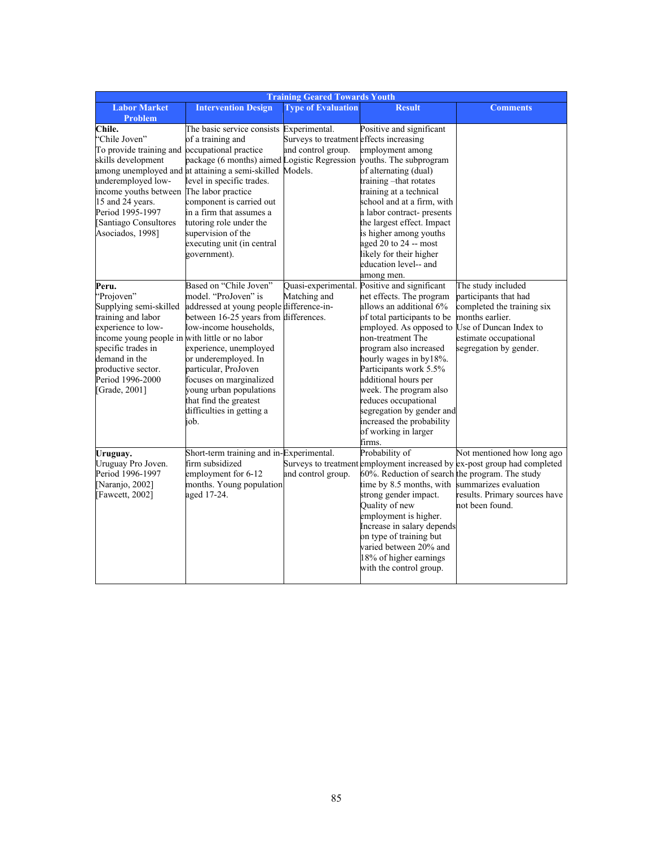| <b>Training Geared Towards Youth</b>                                                                                                                                                                                                          |                                                                                                                                                                                                                                                                                                                                                                                                    |                                                                          |                                                                                                                                                                                                                                                                                                                                                                                                                     |                                                                                                                                                                                     |
|-----------------------------------------------------------------------------------------------------------------------------------------------------------------------------------------------------------------------------------------------|----------------------------------------------------------------------------------------------------------------------------------------------------------------------------------------------------------------------------------------------------------------------------------------------------------------------------------------------------------------------------------------------------|--------------------------------------------------------------------------|---------------------------------------------------------------------------------------------------------------------------------------------------------------------------------------------------------------------------------------------------------------------------------------------------------------------------------------------------------------------------------------------------------------------|-------------------------------------------------------------------------------------------------------------------------------------------------------------------------------------|
| <b>Labor Market</b><br><b>Problem</b>                                                                                                                                                                                                         | <b>Intervention Design</b>                                                                                                                                                                                                                                                                                                                                                                         | <b>Type of Evaluation</b>                                                | <b>Result</b>                                                                                                                                                                                                                                                                                                                                                                                                       | <b>Comments</b>                                                                                                                                                                     |
| Chile.<br>'Chile Joven''<br>To provide training and occupational practice<br>skills development<br>underemployed low-<br>income youths between<br>15 and 24 years.<br>Period 1995-1997<br>[Santiago Consultores]<br>Asociados, 1998]          | The basic service consists Experimental.<br>of a training and<br>package (6 months) aimed Logistic Regression youths. The subprogram<br>among unemployed and at attaining a semi-skilled<br>level in specific trades.<br>The labor practice<br>component is carried out<br>in a firm that assumes a<br>tutoring role under the<br>supervision of the<br>executing unit (in central<br>government). | Surveys to treatment effects increasing<br>and control group.<br>Models. | Positive and significant<br>employment among<br>of alternating (dual)<br>training - that rotates<br>training at a technical<br>school and at a firm, with<br>a labor contract-presents<br>the largest effect. Impact<br>is higher among youths<br>aged 20 to 24 -- most<br>likely for their higher<br>education level-- and<br>among men.                                                                           |                                                                                                                                                                                     |
| Peru.<br>"Projoven"<br>Supplying semi-skilled<br>training and labor<br>experience to low-<br>income young people in with little or no labor<br>specific trades in<br>demand in the<br>productive sector.<br>Period 1996-2000<br>[Grade, 2001] | Based on "Chile Joven"<br>model. "ProJoven" is<br>addressed at young people difference-in-<br>between 16-25 years from differences.<br>low-income households,<br>experience, unemployed<br>or underemployed. In<br>particular, ProJoven<br>focuses on marginalized<br>young urban populations<br>that find the greatest<br>difficulties in getting a<br>iob.                                       | Quasi-experimental.<br>Matching and                                      | Positive and significant<br>net effects. The program<br>allows an additional 6%<br>of total participants to be<br>employed. As opposed to<br>non-treatment The<br>program also increased<br>hourly wages in by 18%.<br>Participants work 5.5%<br>additional hours per<br>week. The program also<br>reduces occupational<br>segregation by gender and<br>increased the probability<br>of working in larger<br>firms. | The study included<br>participants that had<br>completed the training six<br>months earlier.<br>Use of Duncan Index to<br>estimate occupational<br>segregation by gender.           |
| Uruguay.<br>Uruguay Pro Joven.<br>Period 1996-1997<br>[Naranjo, 2002]<br>[Fawcett, 2002]                                                                                                                                                      | Short-term training and in-Experimental.<br>firm subsidized<br>employment for 6-12<br>months. Young population<br>aged 17-24.                                                                                                                                                                                                                                                                      | and control group.                                                       | Probability of<br>60%. Reduction of search the program. The study<br>time by 8.5 months, with<br>strong gender impact.<br>Quality of new<br>employment is higher.<br>Increase in salary depends<br>on type of training but<br>varied between 20% and<br>18% of higher earnings<br>with the control group.                                                                                                           | Not mentioned how long ago<br>Surveys to treatment employment increased by ex-post group had completed<br>summarizes evaluation<br>results. Primary sources have<br>not been found. |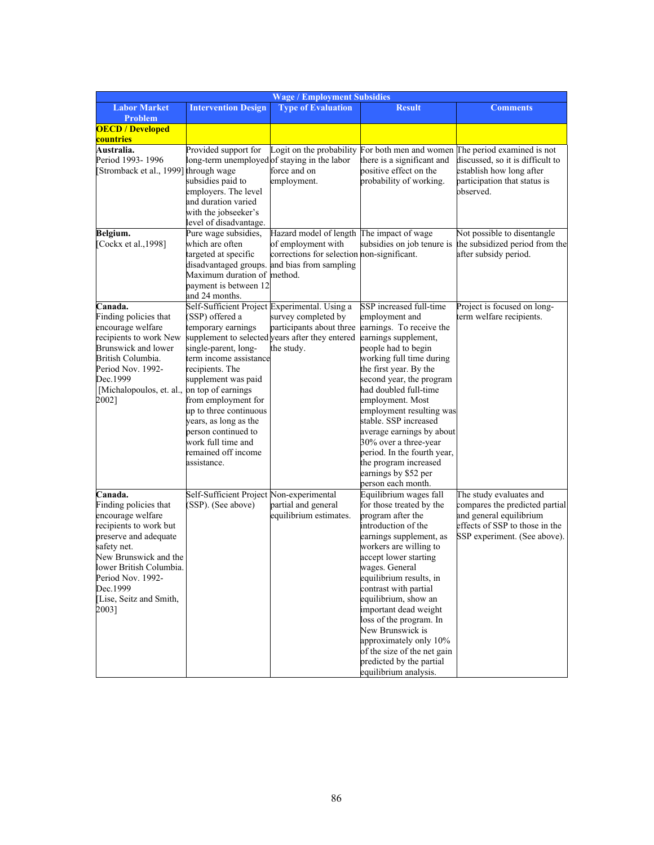|                                              | <b>Wage / Employment Subsidies</b>                               |                                                 |                                                 |                                                                            |  |  |  |
|----------------------------------------------|------------------------------------------------------------------|-------------------------------------------------|-------------------------------------------------|----------------------------------------------------------------------------|--|--|--|
| <b>Labor Market</b><br>Problem               | <b>Intervention Design</b>                                       | <b>Type of Evaluation</b>                       | <b>Result</b>                                   | <b>Comments</b>                                                            |  |  |  |
| <b>OECD / Developed</b>                      |                                                                  |                                                 |                                                 |                                                                            |  |  |  |
| countries                                    |                                                                  |                                                 |                                                 |                                                                            |  |  |  |
| Australia.                                   | Provided support for                                             |                                                 |                                                 | Logit on the probability For both men and women The period examined is not |  |  |  |
| Period 1993-1996                             | long-term unemployed of staying in the labor                     |                                                 | there is a significant and                      | discussed, so it is difficult to                                           |  |  |  |
| [Stromback et al., 1999] through wage        |                                                                  | force and on                                    | positive effect on the                          | establish how long after                                                   |  |  |  |
|                                              | subsidies paid to                                                | employment.                                     | probability of working.                         | participation that status is                                               |  |  |  |
|                                              | employers. The level                                             |                                                 |                                                 | observed.                                                                  |  |  |  |
|                                              | and duration varied                                              |                                                 |                                                 |                                                                            |  |  |  |
|                                              | with the jobseeker's                                             |                                                 |                                                 |                                                                            |  |  |  |
|                                              | level of disadvantage.                                           |                                                 |                                                 |                                                                            |  |  |  |
| Belgium.                                     | Pure wage subsidies,                                             | Hazard model of length The impact of wage       |                                                 | Not possible to disentangle                                                |  |  |  |
| [Cockx et al., 1998]                         | which are often                                                  | of employment with                              | subsidies on job tenure is                      | the subsidized period from the                                             |  |  |  |
|                                              | targeted at specific                                             | corrections for selection non-significant.      |                                                 | after subsidy period.                                                      |  |  |  |
|                                              |                                                                  | disadvantaged groups. and bias from sampling    |                                                 |                                                                            |  |  |  |
|                                              | Maximum duration of method.                                      |                                                 |                                                 |                                                                            |  |  |  |
|                                              | payment is between 12                                            |                                                 |                                                 |                                                                            |  |  |  |
|                                              | and 24 months.                                                   |                                                 | SSP increased full-time                         |                                                                            |  |  |  |
| Canada.<br>Finding policies that             | Self-Sufficient Project Experimental. Using a<br>(SSP) offered a | survey completed by                             | employment and                                  | Project is focused on long-<br>term welfare recipients.                    |  |  |  |
| encourage welfare                            | temporary earnings                                               | participants about three                        | earnings. To receive the                        |                                                                            |  |  |  |
| recipients to work New                       |                                                                  | supplement to selected years after they entered | earnings supplement,                            |                                                                            |  |  |  |
| Brunswick and lower                          | single-parent, long-                                             | the study.                                      | people had to begin                             |                                                                            |  |  |  |
| British Columbia.                            | term income assistance                                           |                                                 | working full time during                        |                                                                            |  |  |  |
| Period Nov. 1992-                            | recipients. The                                                  |                                                 | the first year. By the                          |                                                                            |  |  |  |
| Dec.1999                                     | supplement was paid                                              |                                                 | second year, the program                        |                                                                            |  |  |  |
| [Michalopoulos, et. al., on top of earnings] |                                                                  |                                                 | had doubled full-time                           |                                                                            |  |  |  |
| 2002]                                        | from employment for                                              |                                                 | employment. Most                                |                                                                            |  |  |  |
|                                              | up to three continuous                                           |                                                 | employment resulting was                        |                                                                            |  |  |  |
|                                              | years, as long as the                                            |                                                 | stable. SSP increased                           |                                                                            |  |  |  |
|                                              | person continued to                                              |                                                 | average earnings by about                       |                                                                            |  |  |  |
|                                              | work full time and                                               |                                                 | 30% over a three-year                           |                                                                            |  |  |  |
|                                              | remained off income                                              |                                                 | period. In the fourth year,                     |                                                                            |  |  |  |
|                                              | assistance.                                                      |                                                 | the program increased                           |                                                                            |  |  |  |
|                                              |                                                                  |                                                 | earnings by \$52 per                            |                                                                            |  |  |  |
|                                              |                                                                  |                                                 | person each month.                              |                                                                            |  |  |  |
| Canada.                                      | Self-Sufficient Project Non-experimental                         |                                                 | Equilibrium wages fall                          | The study evaluates and                                                    |  |  |  |
| Finding policies that                        | (SSP). (See above)                                               | partial and general                             | for those treated by the                        | compares the predicted partial                                             |  |  |  |
| encourage welfare                            |                                                                  | equilibrium estimates.                          | program after the                               | and general equilibrium                                                    |  |  |  |
| recipients to work but                       |                                                                  |                                                 | introduction of the                             | effects of SSP to those in the                                             |  |  |  |
| preserve and adequate<br>safety net.         |                                                                  |                                                 | earnings supplement, as                         | SSP experiment. (See above).                                               |  |  |  |
| New Brunswick and the                        |                                                                  |                                                 | workers are willing to<br>accept lower starting |                                                                            |  |  |  |
| lower British Columbia.                      |                                                                  |                                                 | wages. General                                  |                                                                            |  |  |  |
| Period Nov. 1992-                            |                                                                  |                                                 | equilibrium results, in                         |                                                                            |  |  |  |
| Dec.1999                                     |                                                                  |                                                 | contrast with partial                           |                                                                            |  |  |  |
| [Lise, Seitz and Smith,                      |                                                                  |                                                 | equilibrium, show an                            |                                                                            |  |  |  |
| 2003]                                        |                                                                  |                                                 | important dead weight                           |                                                                            |  |  |  |
|                                              |                                                                  |                                                 | loss of the program. In                         |                                                                            |  |  |  |
|                                              |                                                                  |                                                 | New Brunswick is                                |                                                                            |  |  |  |
|                                              |                                                                  |                                                 | approximately only 10%                          |                                                                            |  |  |  |
|                                              |                                                                  |                                                 | of the size of the net gain                     |                                                                            |  |  |  |
|                                              |                                                                  |                                                 | predicted by the partial                        |                                                                            |  |  |  |
|                                              |                                                                  |                                                 | equilibrium analysis.                           |                                                                            |  |  |  |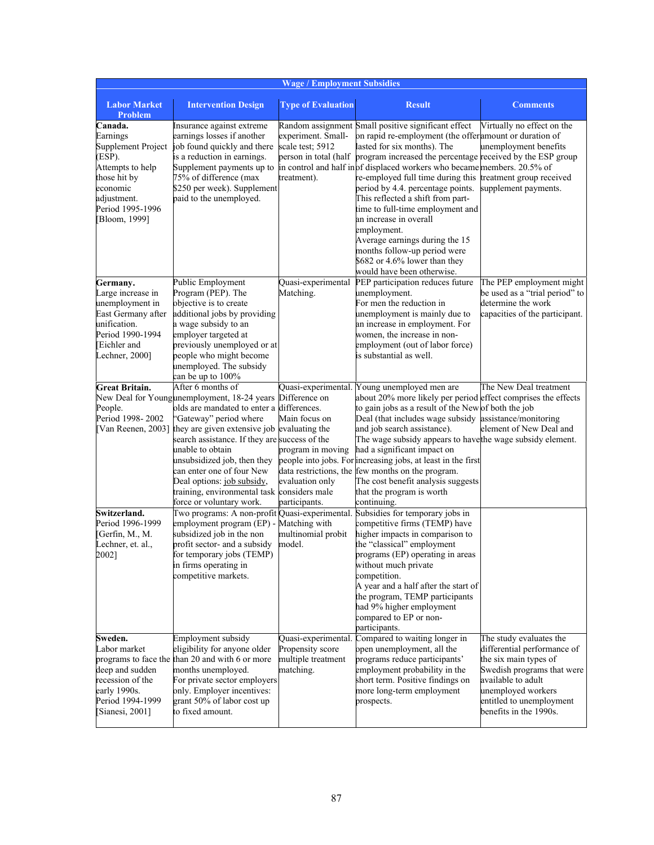| <b>Wage / Employment Subsidies</b>                                                                                                                      |                                                                                                                                                                                                                                                                                                                                                                                                                                                     |                                                                                         |                                                                                                                                                                                                                                                                                                                                                                                                                                                                                                                                                                                                                                          |                                                                                                                                                                                                                 |  |
|---------------------------------------------------------------------------------------------------------------------------------------------------------|-----------------------------------------------------------------------------------------------------------------------------------------------------------------------------------------------------------------------------------------------------------------------------------------------------------------------------------------------------------------------------------------------------------------------------------------------------|-----------------------------------------------------------------------------------------|------------------------------------------------------------------------------------------------------------------------------------------------------------------------------------------------------------------------------------------------------------------------------------------------------------------------------------------------------------------------------------------------------------------------------------------------------------------------------------------------------------------------------------------------------------------------------------------------------------------------------------------|-----------------------------------------------------------------------------------------------------------------------------------------------------------------------------------------------------------------|--|
| <b>Labor Market</b><br><b>Problem</b>                                                                                                                   | <b>Intervention Design</b>                                                                                                                                                                                                                                                                                                                                                                                                                          | <b>Type of Evaluation</b>                                                               | <b>Result</b>                                                                                                                                                                                                                                                                                                                                                                                                                                                                                                                                                                                                                            | <b>Comments</b>                                                                                                                                                                                                 |  |
| Canada.<br>Earnings<br>Supplement Project<br>(ESP).<br>Attempts to help<br>those hit by<br>economic<br>adjustment.<br>Period 1995-1996<br>[Bloom, 1999] | Insurance against extreme<br>earnings losses if another<br>job found quickly and there<br>is a reduction in earnings.<br>Supplement payments up to<br>75% of difference (max<br>\$250 per week). Supplement<br>paid to the unemployed.                                                                                                                                                                                                              | experiment. Small-<br>scale test; 5912<br>treatment).                                   | Random assignment Small positive significant effect<br>on rapid re-employment (the offeramount or duration of<br>lasted for six months). The<br>person in total (half program increased the percentage received by the ESP group<br>in control and half inof displaced workers who became members. 20.5% of<br>re-employed full time during this<br>period by 4.4. percentage points.<br>This reflected a shift from part-<br>time to full-time employment and<br>an increase in overall<br>employment.<br>Average earnings during the 15<br>months follow-up period were<br>\$682 or 4.6% lower than they<br>would have been otherwise. | Virtually no effect on the<br>unemployment benefits<br>treatment group received<br>supplement payments.                                                                                                         |  |
| Germany.<br>Large increase in<br>unemployment in<br>East Germany after<br>unification.<br>Period 1990-1994<br>Eichler and<br>Lechner, 2000]             | Public Employment<br>Program (PEP). The<br>objective is to create<br>additional jobs by providing<br>a wage subsidy to an<br>employer targeted at<br>previously unemployed or at<br>people who might become<br>unemployed. The subsidy<br>can be up to 100%                                                                                                                                                                                         | Quasi-experimental<br>Matching.                                                         | PEP participation reduces future<br>unemployment.<br>For men the reduction in<br>unemployment is mainly due to<br>an increase in employment. For<br>women, the increase in non-<br>employment (out of labor force)<br>is substantial as well.                                                                                                                                                                                                                                                                                                                                                                                            | The PEP employment might<br>be used as a "trial period" to<br>determine the work<br>capacities of the participant.                                                                                              |  |
| <b>Great Britain.</b><br>People.<br>Period 1998-2002                                                                                                    | After 6 months of<br>New Deal for Youngunemployment, 18-24 years<br>olds are mandated to enter a differences.<br>"Gateway" period where<br>[Van Reenen, 2003] they are given extensive job evaluating the<br>search assistance. If they are success of the<br>unable to obtain<br>unsubsidized job, then they<br>can enter one of four New<br>Deal options: job subsidy,<br>training, environmental task considers male<br>force or voluntary work. | Difference on<br>Main focus on<br>program in moving<br>evaluation only<br>participants. | Quasi-experimental. Young unemployed men are<br>about 20% more likely per period effect comprises the effects<br>to gain jobs as a result of the New of both the job<br>Deal (that includes wage subsidy assistance/monitoring<br>and job search assistance).<br>The wage subsidy appears to have the wage subsidy element.<br>had a significant impact on<br>people into jobs. For increasing jobs, at least in the first<br>data restrictions, the few months on the program.<br>The cost benefit analysis suggests<br>that the program is worth<br>continuing.                                                                        | The New Deal treatment<br>element of New Deal and                                                                                                                                                               |  |
| Switzerland.<br>Period 1996-1999<br>Gerfin, M., M.<br>Lechner, et. al.,<br>2002]                                                                        | Two programs: A non-profit Quasi-experimental.<br>employment program (EP) -<br>subsidized job in the non<br>profit sector- and a subsidy<br>for temporary jobs (TEMP)<br>in firms operating in<br>competitive markets.                                                                                                                                                                                                                              | Matching with<br>multinomial probit<br>model.                                           | Subsidies for temporary jobs in<br>competitive firms (TEMP) have<br>higher impacts in comparison to<br>the "classical" employment<br>programs (EP) operating in areas<br>without much private<br>competition.<br>A year and a half after the start of<br>the program, TEMP participants<br>had 9% higher employment<br>compared to EP or non-<br>participants.                                                                                                                                                                                                                                                                           |                                                                                                                                                                                                                 |  |
| Sweden.<br>Labor market<br>deep and sudden<br>recession of the<br>early 1990s.<br>Period 1994-1999<br>[Sianesi, $2001$ ]                                | Employment subsidy<br>eligibility for anyone older<br>programs to face the than 20 and with 6 or more<br>months unemployed.<br>For private sector employers<br>only. Employer incentives:<br>grant 50% of labor cost up<br>to fixed amount.                                                                                                                                                                                                         | Quasi-experimental.<br>Propensity score<br>multiple treatment<br>matching.              | Compared to waiting longer in<br>open unemployment, all the<br>programs reduce participants'<br>employment probability in the<br>short term. Positive findings on<br>more long-term employment<br>prospects.                                                                                                                                                                                                                                                                                                                                                                                                                             | The study evaluates the<br>differential performance of<br>the six main types of<br>Swedish programs that were<br>available to adult<br>unemployed workers<br>entitled to unemployment<br>benefits in the 1990s. |  |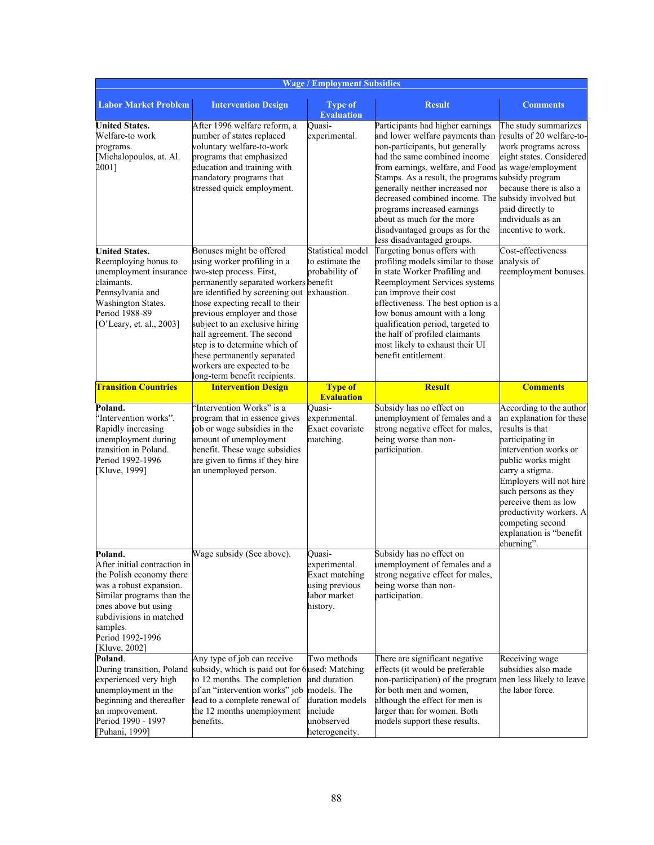| <b>Wage / Employment Subsidies</b>                                                                                                                                                                                              |                                                                                                                                                                                                                                                                                                                                                                                                                                              |                                                                                           |                                                                                                                                                                                                                                                                                                                                                                                                                                                                            |                                                                                                                                                                                                                                                                                                                                 |  |  |
|---------------------------------------------------------------------------------------------------------------------------------------------------------------------------------------------------------------------------------|----------------------------------------------------------------------------------------------------------------------------------------------------------------------------------------------------------------------------------------------------------------------------------------------------------------------------------------------------------------------------------------------------------------------------------------------|-------------------------------------------------------------------------------------------|----------------------------------------------------------------------------------------------------------------------------------------------------------------------------------------------------------------------------------------------------------------------------------------------------------------------------------------------------------------------------------------------------------------------------------------------------------------------------|---------------------------------------------------------------------------------------------------------------------------------------------------------------------------------------------------------------------------------------------------------------------------------------------------------------------------------|--|--|
| <b>Labor Market Problem</b>                                                                                                                                                                                                     | <b>Intervention Design</b>                                                                                                                                                                                                                                                                                                                                                                                                                   | <b>Type of</b><br><b>Evaluation</b>                                                       | <b>Result</b>                                                                                                                                                                                                                                                                                                                                                                                                                                                              | <b>Comments</b>                                                                                                                                                                                                                                                                                                                 |  |  |
| <b>United States.</b><br>Welfare-to work<br>programs.<br>[Michalopoulos, at. Al.<br>2001]                                                                                                                                       | After 1996 welfare reform, a<br>number of states replaced<br>voluntary welfare-to-work<br>programs that emphasized<br>education and training with<br>mandatory programs that<br>stressed quick employment.                                                                                                                                                                                                                                   | Ouasi-<br>experimental.                                                                   | Participants had higher earnings<br>and lower welfare payments than<br>non-participants, but generally<br>had the same combined income<br>from earnings, welfare, and Food as wage/employment<br>Stamps. As a result, the programs subsidy program<br>generally neither increased nor<br>decreased combined income. The subsidy involved but<br>programs increased earnings<br>about as much for the more<br>disadvantaged groups as for the<br>less disadvantaged groups. | The study summarizes<br>results of 20 welfare-to-<br>work programs across<br>eight states. Considered<br>because there is also a<br>paid directly to<br>individuals as an<br>incentive to work.                                                                                                                                 |  |  |
| <b>United States.</b><br>Reemploying bonus to<br>unemployment insurance<br>claimants.<br>Pennsylvania and<br>Washington States.<br>Period 1988-89<br>[O'Leary, et. al., 2003]                                                   | Bonuses might be offered<br>using worker profiling in a<br>two-step process. First,<br>permanently separated workers benefit<br>are identified by screening out exhaustion.<br>those expecting recall to their<br>previous employer and those<br>subject to an exclusive hiring<br>hall agreement. The second<br>step is to determine which of<br>these permanently separated<br>workers are expected to be<br>long-term benefit recipients. | Statistical model<br>to estimate the<br>probability of                                    | Targeting bonus offers with<br>profiling models similar to those<br>in state Worker Profiling and<br>Reemployment Services systems<br>can improve their cost<br>effectiveness. The best option is a<br>low bonus amount with a long<br>qualification period, targeted to<br>the half of profiled claimants<br>most likely to exhaust their UI<br>benefit entitlement.                                                                                                      | Cost-effectiveness<br>analysis of<br>reemployment bonuses.                                                                                                                                                                                                                                                                      |  |  |
| <b>Transition Countries</b>                                                                                                                                                                                                     | <b>Intervention Design</b>                                                                                                                                                                                                                                                                                                                                                                                                                   | <b>Type of</b><br><b>Evaluation</b>                                                       | <b>Result</b>                                                                                                                                                                                                                                                                                                                                                                                                                                                              | <b>Comments</b>                                                                                                                                                                                                                                                                                                                 |  |  |
| Poland.<br>"Intervention works".<br>Rapidly increasing<br>unemployment during<br>transition in Poland.<br>Period 1992-1996<br>[Kluve, 1999]                                                                                     | "Intervention Works" is a<br>program that in essence gives<br>job or wage subsidies in the<br>amount of unemployment<br>benefit. These wage subsidies<br>are given to firms if they hire<br>an unemployed person.                                                                                                                                                                                                                            | Ouasi-<br>experimental.<br>Exact covariate<br>matching.                                   | Subsidy has no effect on<br>unemployment of females and a<br>strong negative effect for males,<br>being worse than non-<br>participation.                                                                                                                                                                                                                                                                                                                                  | According to the author<br>an explanation for these<br>results is that<br>participating in<br>intervention works or<br>public works might<br>carry a stigma.<br>Employers will not hire<br>such persons as they<br>perceive them as low<br>productivity workers. A<br>competing second<br>explanation is "benefit<br>churning". |  |  |
| Poland.<br>After initial contraction in<br>the Polish economy there<br>was a robust expansion.<br>Similar programs than the<br>ones above but using<br>subdivisions in matched<br>samples.<br>Period 1992-1996<br>[Kluve, 2002] | Wage subsidy (See above).                                                                                                                                                                                                                                                                                                                                                                                                                    | Quasi-<br>experimental.<br>Exact matching<br>using previous<br>labor market<br>history.   | Subsidy has no effect on<br>unemployment of females and a<br>strong negative effect for males,<br>being worse than non-<br>participation.                                                                                                                                                                                                                                                                                                                                  |                                                                                                                                                                                                                                                                                                                                 |  |  |
| Poland.<br>During transition, Poland<br>experienced very high<br>unemployment in the<br>beginning and thereafter<br>an improvement.<br>Period 1990 - 1997<br>[Puhani, 1999]                                                     | Any type of job can receive<br>subsidy, which is paid out for 6 used: Matching<br>to 12 months. The completion<br>of an "intervention works" job models. The<br>lead to a complete renewal of<br>the 12 months unemployment<br>benefits.                                                                                                                                                                                                     | Two methods<br>and duration<br>duration models<br>include<br>unobserved<br>heterogeneity. | There are significant negative<br>effects (it would be preferable<br>non-participation) of the program<br>for both men and women,<br>although the effect for men is<br>larger than for women. Both<br>models support these results.                                                                                                                                                                                                                                        | Receiving wage<br>subsidies also made<br>men less likely to leave<br>the labor force.                                                                                                                                                                                                                                           |  |  |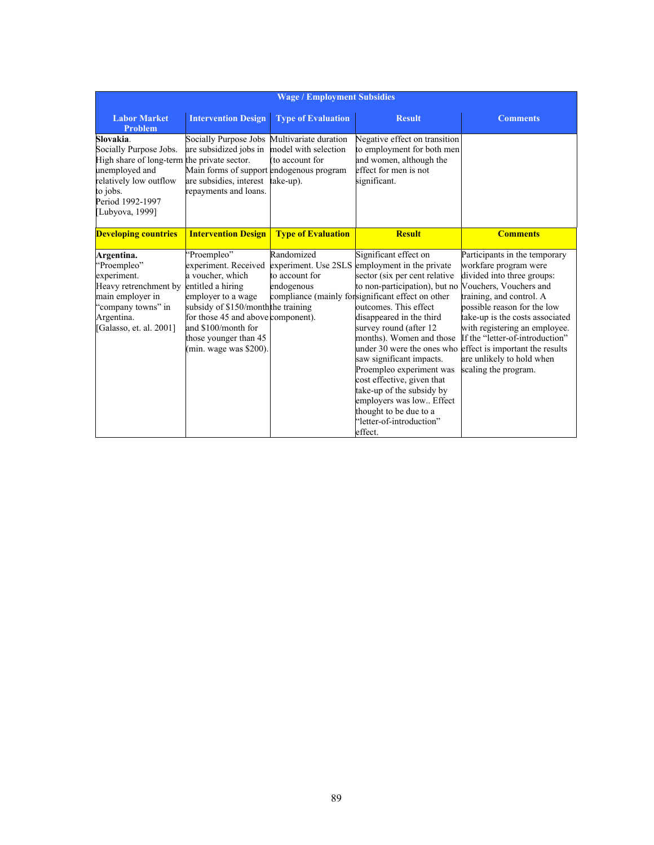| <b>Wage / Employment Subsidies</b>                                                                                                                                                |                                                                                                                                                                                                                                                                    |                                                      |                                                                                                                                                                                                                                                                                                                                                                                                                                                                                                                                                         |                                                                                                                                                                                                                                                                                                                                                                          |  |
|-----------------------------------------------------------------------------------------------------------------------------------------------------------------------------------|--------------------------------------------------------------------------------------------------------------------------------------------------------------------------------------------------------------------------------------------------------------------|------------------------------------------------------|---------------------------------------------------------------------------------------------------------------------------------------------------------------------------------------------------------------------------------------------------------------------------------------------------------------------------------------------------------------------------------------------------------------------------------------------------------------------------------------------------------------------------------------------------------|--------------------------------------------------------------------------------------------------------------------------------------------------------------------------------------------------------------------------------------------------------------------------------------------------------------------------------------------------------------------------|--|
| <b>Labor Market</b><br><b>Problem</b>                                                                                                                                             | <b>Intervention Design</b>                                                                                                                                                                                                                                         | <b>Type of Evaluation</b>                            | <b>Result</b>                                                                                                                                                                                                                                                                                                                                                                                                                                                                                                                                           | <b>Comments</b>                                                                                                                                                                                                                                                                                                                                                          |  |
| Slovakia.<br>Socially Purpose Jobs.<br>High share of long-term the private sector.<br>unemployed and<br>relatively low outflow<br>to jobs.<br>Period 1992-1997<br>[Lubyova, 1999] | Socially Purpose Jobs Multivariate duration<br>are subsidized jobs in<br>Main forms of support endogenous program<br>are subsidies, interest<br>repayments and loans.                                                                                              | model with selection<br>(to account for<br>take-up). | Negative effect on transition<br>to employment for both men<br>and women, although the<br>effect for men is not<br>significant.                                                                                                                                                                                                                                                                                                                                                                                                                         |                                                                                                                                                                                                                                                                                                                                                                          |  |
| <b>Developing countries</b>                                                                                                                                                       | <b>Intervention Design</b>                                                                                                                                                                                                                                         | <b>Type of Evaluation</b>                            | <b>Result</b>                                                                                                                                                                                                                                                                                                                                                                                                                                                                                                                                           | <b>Comments</b>                                                                                                                                                                                                                                                                                                                                                          |  |
| Argentina.<br>"Proempleo"<br>experiment.<br>Heavy retrenchment by<br>main employer in<br>"company towns" in<br>Argentina.<br>[Galasso, et. al. 2001]                              | 'Proempleo"<br>experiment. Received<br>a voucher, which<br>entitled a hiring<br>employer to a wage<br>subsidy of \$150/monththe training<br>for those 45 and above component).<br>and \$100/month for<br>those younger than 45<br>$(\text{min. wage was } $200)$ . | Randomized<br>to account for<br>endogenous           | Significant effect on<br>experiment. Use 2SLS employment in the private<br>sector (six per cent relative<br>to non-participation), but no<br>compliance (mainly forsignificant effect on other<br>outcomes. This effect<br>disappeared in the third<br>survey round (after 12<br>months). Women and those<br>under 30 were the ones who<br>saw significant impacts.<br>Proempleo experiment was<br>cost effective, given that<br>take-up of the subsidy by<br>employers was low Effect<br>thought to be due to a<br>"letter-of-introduction"<br>effect. | Participants in the temporary<br>workfare program were<br>divided into three groups:<br>Vouchers, Vouchers and<br>training, and control. A<br>possible reason for the low<br>take-up is the costs associated<br>with registering an employee.<br>If the "letter-of-introduction"<br>effect is important the results<br>are unlikely to hold when<br>scaling the program. |  |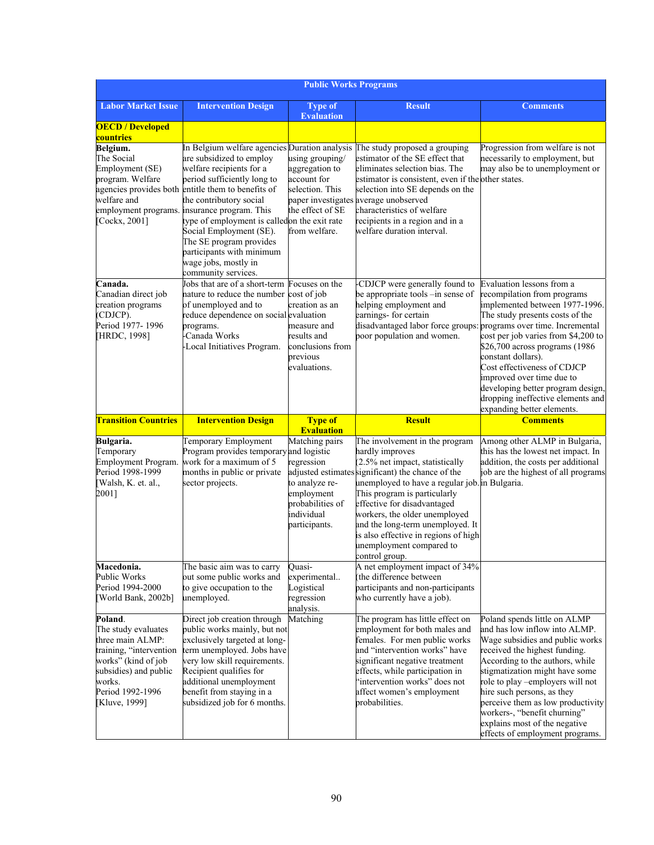| <b>Public Works Programs</b>                                                                                                                                                 |                                                                                                                                                                                                                                                                                                                                                                                                        |                                                                                                                                                |                                                                                                                                                                                                                                                                                                                                                                                                                                                         |                                                                                                                                                                                                                                                                                                                                                                                                                   |  |  |
|------------------------------------------------------------------------------------------------------------------------------------------------------------------------------|--------------------------------------------------------------------------------------------------------------------------------------------------------------------------------------------------------------------------------------------------------------------------------------------------------------------------------------------------------------------------------------------------------|------------------------------------------------------------------------------------------------------------------------------------------------|---------------------------------------------------------------------------------------------------------------------------------------------------------------------------------------------------------------------------------------------------------------------------------------------------------------------------------------------------------------------------------------------------------------------------------------------------------|-------------------------------------------------------------------------------------------------------------------------------------------------------------------------------------------------------------------------------------------------------------------------------------------------------------------------------------------------------------------------------------------------------------------|--|--|
| <b>Labor Market Issue</b>                                                                                                                                                    | <b>Intervention Design</b>                                                                                                                                                                                                                                                                                                                                                                             | <b>Type of</b><br><b>Evaluation</b>                                                                                                            | <b>Result</b>                                                                                                                                                                                                                                                                                                                                                                                                                                           | <b>Comments</b>                                                                                                                                                                                                                                                                                                                                                                                                   |  |  |
| <b>OECD / Developed</b><br>countries                                                                                                                                         |                                                                                                                                                                                                                                                                                                                                                                                                        |                                                                                                                                                |                                                                                                                                                                                                                                                                                                                                                                                                                                                         |                                                                                                                                                                                                                                                                                                                                                                                                                   |  |  |
| Belgium.<br>The Social<br>Employment (SE)<br>program. Welfare<br>welfare and<br>[Cockx, 2001]                                                                                | are subsidized to employ<br>welfare recipients for a<br>period sufficiently long to<br>agencies provides both entitle them to benefits of<br>the contributory social<br>employment programs. insurance program. This<br>type of employment is calledon the exit rate<br>Social Employment (SE).<br>The SE program provides<br>participants with minimum<br>wage jobs, mostly in<br>community services. | using grouping/<br>aggregation to<br>account for<br>selection. This<br>the effect of SE<br>from welfare.                                       | In Belgium welfare agencies Duration analysis The study proposed a grouping<br>estimator of the SE effect that<br>eliminates selection bias. The<br>estimator is consistent, even if the other states.<br>selection into SE depends on the<br>paper investigates average unobserved<br>characteristics of welfare<br>recipients in a region and in a<br>welfare duration interval.                                                                      | Progression from welfare is not<br>necessarily to employment, but<br>may also be to unemployment or                                                                                                                                                                                                                                                                                                               |  |  |
| Canada.<br>Canadian direct job<br>creation programs<br>(CDJCP).<br>Period 1977-1996<br>[HRDC, 1998]                                                                          | Jobs that are of a short-term Focuses on the<br>nature to reduce the number cost of job<br>of unemployed and to<br>reduce dependence on social evaluation<br>programs.<br>-Canada Works<br>Local Initiatives Program.                                                                                                                                                                                  | creation as an<br>measure and<br>results and<br>conclusions from<br>previous<br>evaluations.                                                   | -CDJCP were generally found to<br>be appropriate tools -in sense of<br>helping employment and<br>earnings-for certain<br>disadvantaged labor force groups: programs over time. Incremental<br>poor population and women.                                                                                                                                                                                                                                | Evaluation lessons from a<br>recompilation from programs<br>implemented between 1977-1996.<br>The study presents costs of the<br>cost per job varies from \$4,200 to<br>\$26,700 across programs (1986<br>constant dollars).<br>Cost effectiveness of CDJCP<br>improved over time due to<br>developing better program design,<br>dropping ineffective elements and<br>expanding better elements.                  |  |  |
| <b>Transition Countries</b>                                                                                                                                                  | <b>Intervention Design</b>                                                                                                                                                                                                                                                                                                                                                                             | <b>Type of</b>                                                                                                                                 | <b>Result</b>                                                                                                                                                                                                                                                                                                                                                                                                                                           | <b>Comments</b>                                                                                                                                                                                                                                                                                                                                                                                                   |  |  |
| Bulgaria.<br>Temporary<br>Employment Program.<br>Period 1998-1999<br>[Walsh, K. et. al.,<br>2001]<br>Macedonia.                                                              | Temporary Employment<br>Program provides temporary and logistic<br>work for a maximum of 5<br>months in public or private<br>sector projects.<br>The basic aim was to carry                                                                                                                                                                                                                            | <b>Evaluation</b><br>Matching pairs<br>regression<br>to analyze re-<br>employment<br>probabilities of<br>individual<br>participants.<br>Quasi- | The involvement in the program<br>hardly improves<br>(2.5% net impact, statistically<br>adjusted estimates significant) the chance of the<br>unemployed to have a regular job. in Bulgaria.<br>This program is particularly<br>effective for disadvantaged<br>workers, the older unemployed<br>and the long-term unemployed. It<br>is also effective in regions of high<br>unemployment compared to<br>control group.<br>A net employment impact of 34% | Among other ALMP in Bulgaria,<br>this has the lowest net impact. In<br>addition, the costs per additional<br>job are the highest of all programs                                                                                                                                                                                                                                                                  |  |  |
| Public Works<br>Period 1994-2000<br>[World Bank, 2002b]                                                                                                                      | out some public works and<br>to give occupation to the<br>unemployed.                                                                                                                                                                                                                                                                                                                                  | experimental<br>Logistical<br>regression<br>analysis.                                                                                          | (the difference between<br>participants and non-participants<br>who currently have a job).                                                                                                                                                                                                                                                                                                                                                              |                                                                                                                                                                                                                                                                                                                                                                                                                   |  |  |
| Poland.<br>The study evaluates<br>three main ALMP:<br>training, "intervention<br>works" (kind of job<br>subsidies) and public<br>works.<br>Period 1992-1996<br>[Kluve, 1999] | Direct job creation through<br>public works mainly, but not<br>exclusively targeted at long-<br>term unemployed. Jobs have<br>very low skill requirements.<br>Recipient qualifies for<br>additional unemployment<br>benefit from staying in a<br>subsidized job for 6 months.                                                                                                                          | Matching                                                                                                                                       | The program has little effect on<br>employment for both males and<br>females. For men public works<br>and "intervention works" have<br>significant negative treatment<br>effects, while participation in<br>"intervention works" does not<br>affect women's employment<br>probabilities.                                                                                                                                                                | Poland spends little on ALMP<br>and has low inflow into ALMP.<br>Wage subsidies and public works<br>received the highest funding.<br>According to the authors, while<br>stigmatization might have some<br>role to play -employers will not<br>hire such persons, as they<br>perceive them as low productivity<br>workers-, "benefit churning"<br>explains most of the negative<br>effects of employment programs. |  |  |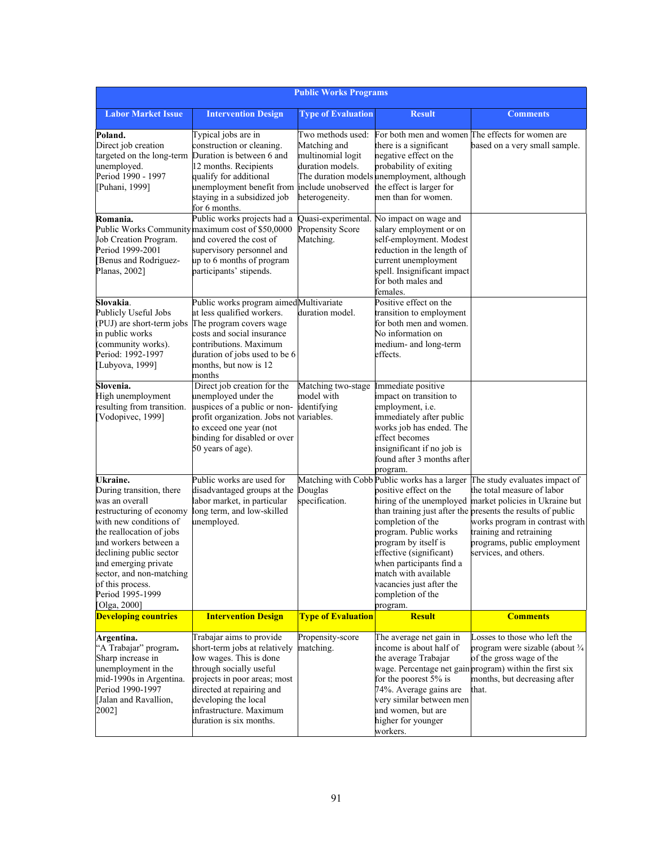| <b>Public Works Programs</b>                                                                                                                                                                                                                                                                             |                                                                                                                                                                                                                                                            |                                                                                                                    |                                                                                                                                                                                                                                          |                                                                                                                                                                                                                                                                                                                                                         |  |  |
|----------------------------------------------------------------------------------------------------------------------------------------------------------------------------------------------------------------------------------------------------------------------------------------------------------|------------------------------------------------------------------------------------------------------------------------------------------------------------------------------------------------------------------------------------------------------------|--------------------------------------------------------------------------------------------------------------------|------------------------------------------------------------------------------------------------------------------------------------------------------------------------------------------------------------------------------------------|---------------------------------------------------------------------------------------------------------------------------------------------------------------------------------------------------------------------------------------------------------------------------------------------------------------------------------------------------------|--|--|
| <b>Labor Market Issue</b>                                                                                                                                                                                                                                                                                | <b>Intervention Design</b>                                                                                                                                                                                                                                 | <b>Type of Evaluation</b>                                                                                          | <b>Result</b>                                                                                                                                                                                                                            | <b>Comments</b>                                                                                                                                                                                                                                                                                                                                         |  |  |
| Poland.<br>Direct job creation<br>targeted on the long-term<br>unemployed.<br>Period 1990 - 1997<br>[Puhani, 1999]                                                                                                                                                                                       | Typical jobs are in<br>construction or cleaning.<br>Duration is between 6 and<br>12 months. Recipients<br>qualify for additional<br>unemployment benefit from<br>staying in a subsidized job<br>for 6 months.                                              | Two methods used:<br>Matching and<br>multinomial logit<br>duration models.<br>include unobserved<br>heterogeneity. | there is a significant<br>negative effect on the<br>probability of exiting<br>The duration models unemployment, although<br>the effect is larger for<br>men than for women.                                                              | For both men and women The effects for women are<br>based on a very small sample.                                                                                                                                                                                                                                                                       |  |  |
| Romania.<br>Job Creation Program.<br>Period 1999-2001<br>[Benus and Rodriguez-<br>Planas, 2002]                                                                                                                                                                                                          | Public works projects had a<br>Public Works Community maximum cost of \$50,0000<br>and covered the cost of<br>supervisory personnel and<br>up to 6 months of program<br>participants' stipends.                                                            | Quasi-experimental.<br>Propensity Score<br>Matching.                                                               | No impact on wage and<br>salary employment or on<br>self-employment. Modest<br>reduction in the length of<br>current unemployment<br>spell. Insignificant impact<br>for both males and<br>females.                                       |                                                                                                                                                                                                                                                                                                                                                         |  |  |
| Slovakia.<br>Publicly Useful Jobs<br>(PUJ) are short-term jobs<br>in public works<br>(community works).<br>Period: 1992-1997<br>[Lubyova, 1999]                                                                                                                                                          | Public works program aimed Multivariate<br>at less qualified workers.<br>The program covers wage<br>costs and social insurance<br>contributions. Maximum<br>duration of jobs used to be 6<br>months, but now is 12<br>months                               | duration model.                                                                                                    | Positive effect on the<br>transition to employment<br>for both men and women.<br>No information on<br>medium- and long-term<br>effects.                                                                                                  |                                                                                                                                                                                                                                                                                                                                                         |  |  |
| Slovenia.<br>High unemployment<br>resulting from transition.<br>[Vodopivec, 1999]                                                                                                                                                                                                                        | Direct job creation for the<br>unemployed under the<br>auspices of a public or non-<br>profit organization. Jobs not variables.<br>to exceed one year (not<br>binding for disabled or over<br>50 years of age).                                            | Matching two-stage<br>model with<br>identifying                                                                    | Immediate positive<br>impact on transition to<br>employment, <i>i.e.</i><br>immediately after public<br>works job has ended. The<br>effect becomes<br>insignificant if no job is<br>found after 3 months after<br>program.               |                                                                                                                                                                                                                                                                                                                                                         |  |  |
| Ukraine.<br>During transition, there<br>was an overall<br>restructuring of economy<br>with new conditions of<br>the reallocation of jobs<br>and workers between a<br>declining public sector<br>and emerging private<br>sector, and non-matching<br>of this process.<br>Period 1995-1999<br>[Olga, 2000] | Public works are used for<br>disadvantaged groups at the<br>labor market, in particular<br>long term, and low-skilled<br>unemployed.                                                                                                                       | Douglas<br>specification.                                                                                          | positive effect on the<br>completion of the<br>program. Public works<br>program by itself is<br>effective (significant)<br>when participants find a<br>match with available<br>vacancies just after the<br>completion of the<br>program. | Matching with Cobb Public works has a larger The study evaluates impact of<br>the total measure of labor<br>hiring of the unemployed market policies in Ukraine but<br>than training just after the presents the results of public<br>works program in contrast with<br>training and retraining<br>programs, public employment<br>services, and others. |  |  |
| <b>Developing countries</b>                                                                                                                                                                                                                                                                              | <b>Intervention Design</b>                                                                                                                                                                                                                                 | <b>Type of Evaluation</b>                                                                                          | <b>Result</b>                                                                                                                                                                                                                            | <b>Comments</b>                                                                                                                                                                                                                                                                                                                                         |  |  |
| Argentina.<br>"A Trabajar" program.<br>Sharp increase in<br>unemployment in the<br>mid-1990s in Argentina.<br>Period 1990-1997<br>[Jalan and Ravallion,<br>2002]                                                                                                                                         | Trabajar aims to provide<br>short-term jobs at relatively<br>low wages. This is done<br>through socially useful<br>projects in poor areas; most<br>directed at repairing and<br>developing the local<br>infrastructure. Maximum<br>duration is six months. | Propensity-score<br>matching.                                                                                      | The average net gain in<br>income is about half of<br>the average Trabajar<br>for the poorest $5\%$ is<br>74%. Average gains are<br>very similar between men<br>and women, but are<br>higher for younger<br>workers.                     | Losses to those who left the<br>program were sizable (about $\frac{3}{4}$<br>of the gross wage of the<br>wage. Percentage net gain program) within the first six<br>months, but decreasing after<br>that.                                                                                                                                               |  |  |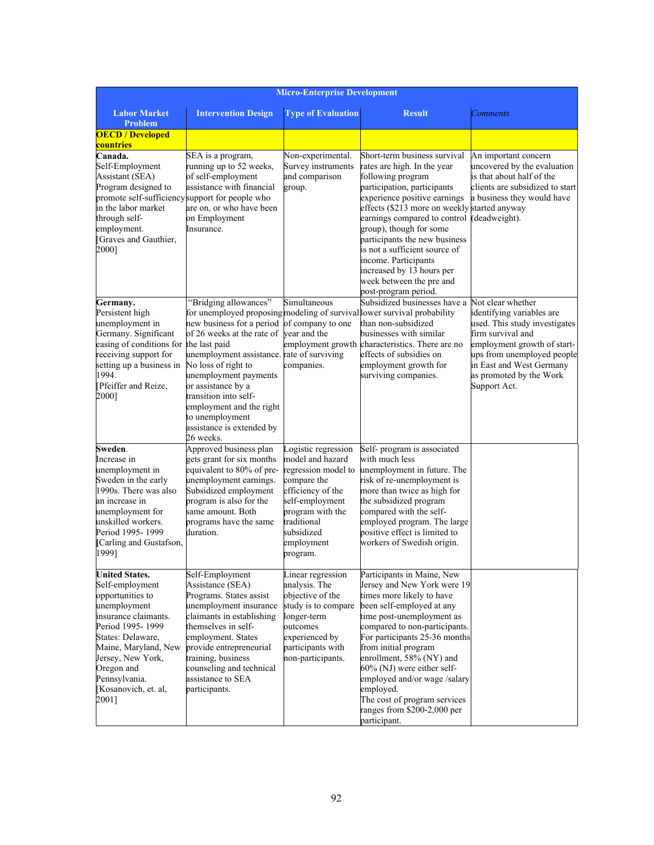| <b>Micro-Enterprise Development</b>                            |                                                     |                                    |                                                                            |                                                           |  |
|----------------------------------------------------------------|-----------------------------------------------------|------------------------------------|----------------------------------------------------------------------------|-----------------------------------------------------------|--|
| <b>Labor Market</b><br><b>Problem</b>                          | <b>Intervention Design</b>                          | <b>Type of Evaluation</b>          | <b>Result</b>                                                              | <b>Comments</b>                                           |  |
| <b>OECD / Developed</b>                                        |                                                     |                                    |                                                                            |                                                           |  |
| <b>countries</b>                                               |                                                     |                                    |                                                                            |                                                           |  |
| Canada.                                                        | SEA is a program,                                   | Non-experimental.                  | Short-term business survival                                               | An important concern                                      |  |
| Self-Employment                                                | running up to 52 weeks,                             | Survey instruments                 | rates are high. In the year                                                | uncovered by the evaluation                               |  |
| Assistant (SEA)                                                | of self-employment                                  | and comparison                     | following program                                                          | is that about half of the                                 |  |
| Program designed to                                            | assistance with financial                           | group.                             | participation, participants                                                | clients are subsidized to start                           |  |
| promote self-sufficiency support for people who                |                                                     |                                    | experience positive earnings                                               | a business they would have                                |  |
| in the labor market                                            | are on, or who have been                            |                                    | effects (\$213 more on weekly started anyway                               |                                                           |  |
| through self-<br>employment.                                   | on Employment<br>Insurance.                         |                                    | earnings compared to control<br>group), though for some                    | (deadweight).                                             |  |
| Graves and Gauthier,                                           |                                                     |                                    | participants the new business                                              |                                                           |  |
| 2000]                                                          |                                                     |                                    | is not a sufficient source of                                              |                                                           |  |
|                                                                |                                                     |                                    | income. Participants                                                       |                                                           |  |
|                                                                |                                                     |                                    | increased by 13 hours per                                                  |                                                           |  |
|                                                                |                                                     |                                    | week between the pre and                                                   |                                                           |  |
|                                                                |                                                     |                                    | post-program period.                                                       |                                                           |  |
| Germany.                                                       | "Bridging allowances"                               | Simultaneous                       | Subsidized businesses have a                                               | Not clear whether                                         |  |
| Persistent high                                                |                                                     |                                    | for unemployed proposing modeling of survival lower survival probability   | identifying variables are                                 |  |
| unemployment in                                                | new business for a period of company to one         |                                    | than non-subsidized                                                        | used. This study investigates                             |  |
| Germany. Significant<br>easing of conditions for the last paid | of 26 weeks at the rate of                          | vear and the                       | businesses with similar<br>employment growth characteristics. There are no | firm survival and                                         |  |
| receiving support for                                          | unemployment assistance. rate of surviving          |                                    | effects of subsidies on                                                    | employment growth of start-<br>ups from unemployed people |  |
| setting up a business in                                       | No loss of right to                                 | companies.                         | employment growth for                                                      | in East and West Germany                                  |  |
| 1994.                                                          | unemployment payments                               |                                    | surviving companies.                                                       | as promoted by the Work                                   |  |
| [Pfeiffer and Reize,                                           | or assistance by a                                  |                                    |                                                                            | Support Act.                                              |  |
| 2000]                                                          | transition into self-                               |                                    |                                                                            |                                                           |  |
|                                                                | employment and the right                            |                                    |                                                                            |                                                           |  |
|                                                                | to unemployment                                     |                                    |                                                                            |                                                           |  |
|                                                                | assistance is extended by<br>26 weeks.              |                                    |                                                                            |                                                           |  |
| Sweden.                                                        | Approved business plan                              | Logistic regression                | Self- program is associated                                                |                                                           |  |
| Increase in                                                    | gets grant for six months                           | model and hazard                   | with much less                                                             |                                                           |  |
| unemployment in                                                | equivalent to 80% of pre-                           | regression model to                | unemployment in future. The                                                |                                                           |  |
| Sweden in the early                                            | unemployment earnings.                              | compare the                        | risk of re-unemployment is                                                 |                                                           |  |
| 1990s. There was also                                          | Subsidized employment                               | efficiency of the                  | more than twice as high for                                                |                                                           |  |
| an increase in                                                 | program is also for the                             | self-employment                    | the subsidized program                                                     |                                                           |  |
| unemployment for                                               | same amount. Both                                   | program with the<br>traditional    | compared with the self-                                                    |                                                           |  |
| unskilled workers.<br>Period 1995-1999                         | programs have the same<br>duration.                 | subsidized                         | employed program. The large<br>positive effect is limited to               |                                                           |  |
| [Carling and Gustafson,                                        |                                                     | employment                         | workers of Swedish origin.                                                 |                                                           |  |
| 1999]                                                          |                                                     | program.                           |                                                                            |                                                           |  |
|                                                                |                                                     |                                    |                                                                            |                                                           |  |
| <b>United States.</b>                                          | Self-Employment                                     | Linear regression                  | Participants in Maine, New                                                 |                                                           |  |
| Self-employment                                                | Assistance (SEA)                                    | analysis. The                      | Jersey and New York were 19                                                |                                                           |  |
| opportunities to                                               | Programs. States assist                             | objective of the                   | times more likely to have                                                  |                                                           |  |
| unemployment<br>insurance claimants.                           | unemployment insurance<br>claimants in establishing | study is to compare<br>longer-term | been self-employed at any<br>time post-unemployment as                     |                                                           |  |
| Period 1995-1999                                               | themselves in self-                                 | outcomes                           | compared to non-participants.                                              |                                                           |  |
| States: Delaware,                                              | employment. States                                  | experienced by                     | For participants 25-36 months                                              |                                                           |  |
| Maine, Maryland, New                                           | provide entrepreneurial                             | participants with                  | from initial program                                                       |                                                           |  |
| Jersey, New York,                                              | training, business                                  | non-participants.                  | enrollment, 58% (NY) and                                                   |                                                           |  |
| Oregon and                                                     | counseling and technical                            |                                    | 60% (NJ) were either self-                                                 |                                                           |  |
| Pennsylvania.                                                  | assistance to SEA                                   |                                    | employed and/or wage/salary                                                |                                                           |  |
| [Kosanovich, et. al,                                           | participants.                                       |                                    | employed.                                                                  |                                                           |  |
| 2001]                                                          |                                                     |                                    | The cost of program services                                               |                                                           |  |
|                                                                |                                                     |                                    | ranges from \$200-2,000 per<br>participant.                                |                                                           |  |
|                                                                |                                                     |                                    |                                                                            |                                                           |  |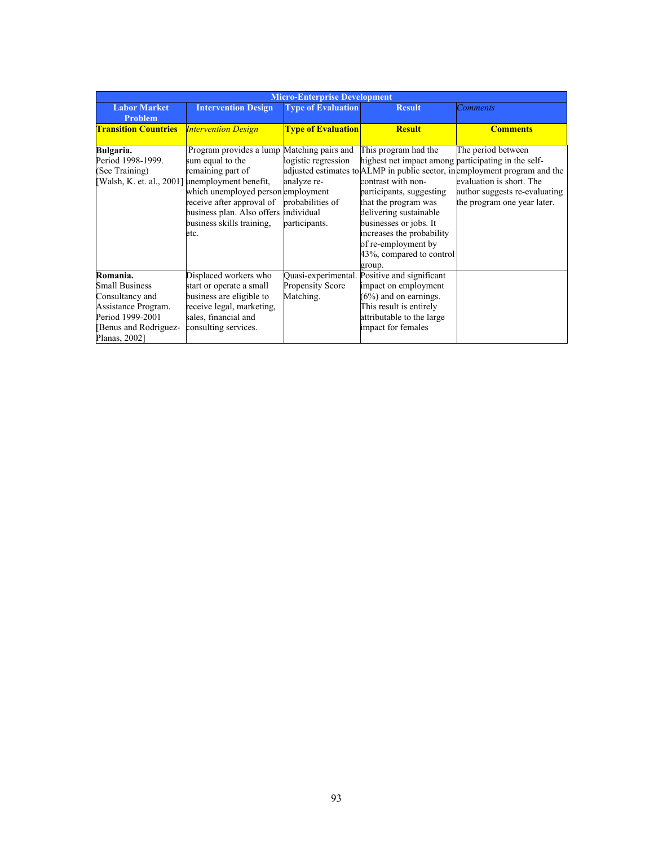| <b>Micro-Enterprise Development</b>                                                                                                      |                                                                                                                                                                                                                                      |                                                                         |                                                                                                                                                                                                                                                                                                     |                                                                                                                                                                                             |  |  |
|------------------------------------------------------------------------------------------------------------------------------------------|--------------------------------------------------------------------------------------------------------------------------------------------------------------------------------------------------------------------------------------|-------------------------------------------------------------------------|-----------------------------------------------------------------------------------------------------------------------------------------------------------------------------------------------------------------------------------------------------------------------------------------------------|---------------------------------------------------------------------------------------------------------------------------------------------------------------------------------------------|--|--|
| <b>Labor Market</b><br><b>Problem</b>                                                                                                    | <b>Intervention Design</b>                                                                                                                                                                                                           | <b>Type of Evaluation</b>                                               | <b>Result</b>                                                                                                                                                                                                                                                                                       | <i>Comments</i>                                                                                                                                                                             |  |  |
| <b>Transition Countries</b>                                                                                                              | <b>Intervention Design</b>                                                                                                                                                                                                           | <b>Type of Evaluation</b>                                               | <b>Result</b>                                                                                                                                                                                                                                                                                       | <b>Comments</b>                                                                                                                                                                             |  |  |
| Bulgaria.<br>Period 1998-1999.<br>(See Training)<br>[Walsh, K. et. al., 2001] unemployment benefit,                                      | Program provides a lump Matching pairs and<br>sum equal to the<br>remaining part of<br>which unemployed person employment<br>receive after approval of<br>business plan. Also offers individual<br>business skills training,<br>etc. | logistic regression<br>analyze re-<br>probabilities of<br>participants. | This program had the<br>highest net impact among participating in the self-<br>contrast with non-<br>participants, suggesting<br>that the program was<br>delivering sustainable<br>businesses or jobs. It<br>increases the probability<br>of re-employment by<br>43%, compared to control<br>group. | The period between<br>adjusted estimates to ALMP in public sector, inemployment program and the<br>evaluation is short. The<br>author suggests re-evaluating<br>the program one year later. |  |  |
| Romania.<br><b>Small Business</b><br>Consultancy and<br>Assistance Program.<br>Period 1999-2001<br>Benus and Rodriguez-<br>Planas, 2002] | Displaced workers who<br>start or operate a small<br>business are eligible to<br>receive legal, marketing,<br>sales, financial and<br>consulting services.                                                                           | Propensity Score<br>Matching.                                           | Quasi-experimental. Positive and significant<br>impact on employment<br>$(6\%)$ and on earnings.<br>This result is entirely<br>attributable to the large<br>impact for females                                                                                                                      |                                                                                                                                                                                             |  |  |